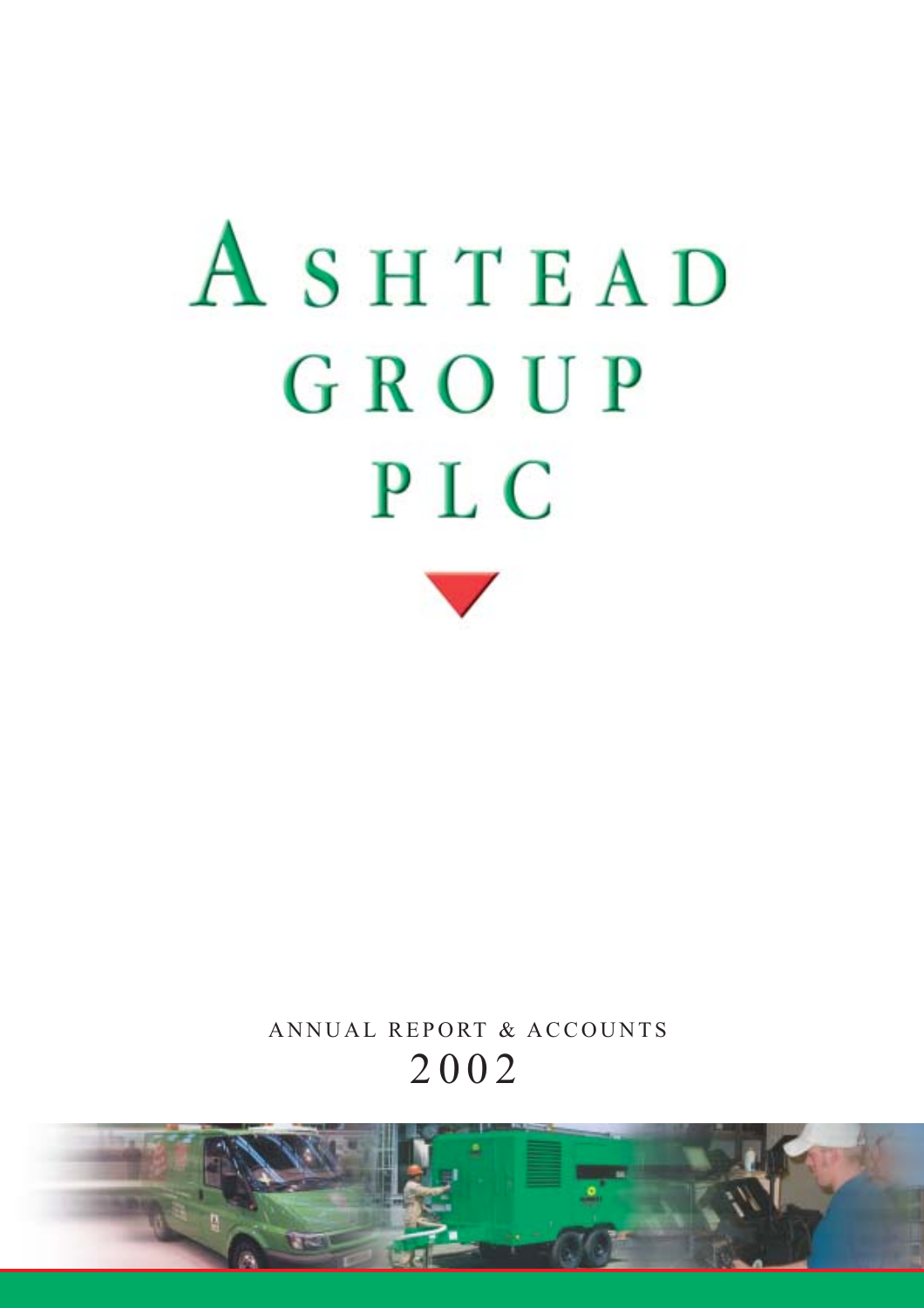

ANNUAL REPORT & ACCOUNTS 2002

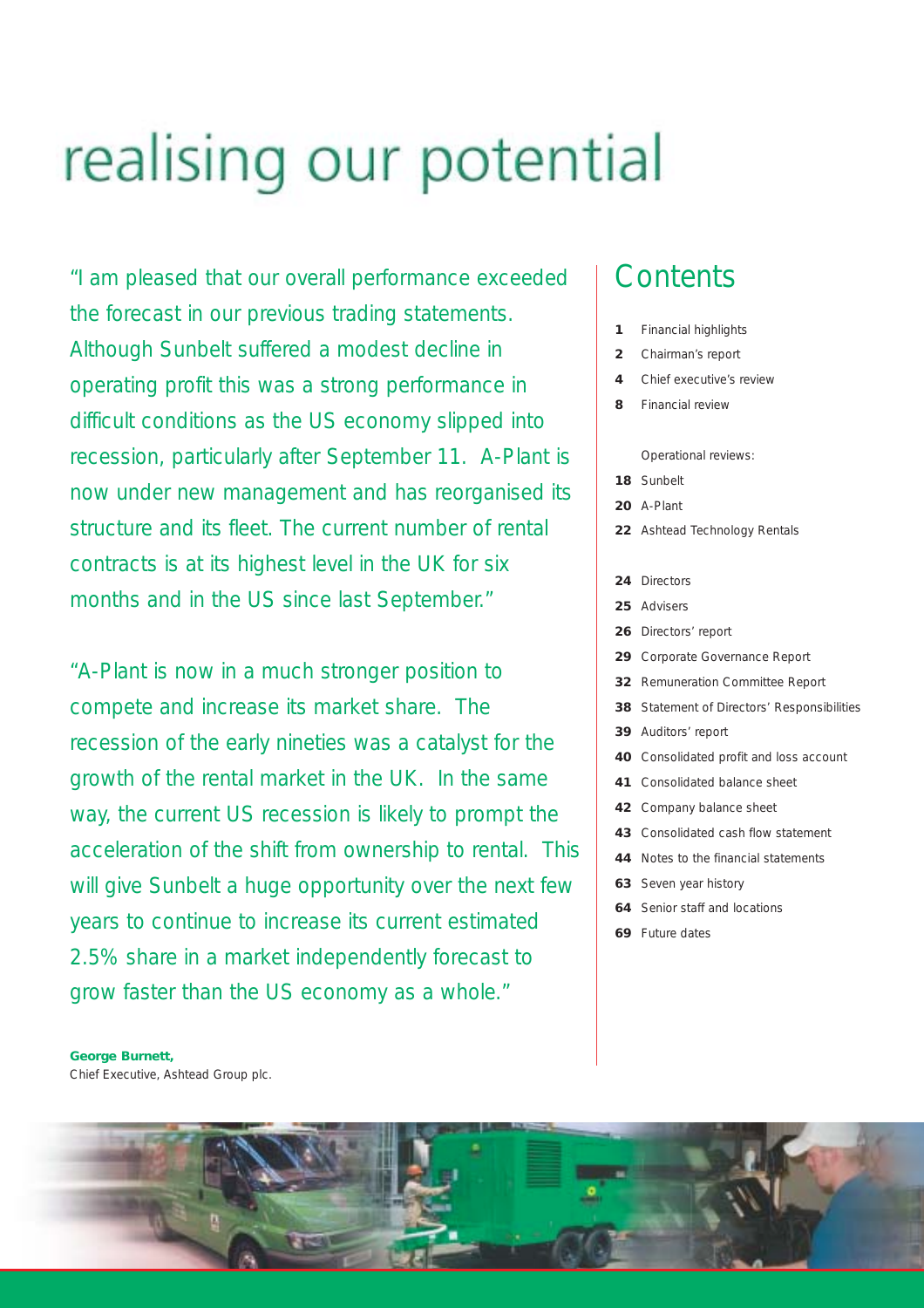# realising our potential

"I am pleased that our overall performance exceeded the forecast in our previous trading statements. Although Sunbelt suffered a modest decline in operating profit this was a strong performance in difficult conditions as the US economy slipped into recession, particularly after September 11. A-Plant is now under new management and has reorganised its structure and its fleet. The current number of rental contracts is at its highest level in the UK for six months and in the US since last September."

"A-Plant is now in a much stronger position to compete and increase its market share. The recession of the early nineties was a catalyst for the growth of the rental market in the UK. In the same way, the current US recession is likely to prompt the acceleration of the shift from ownership to rental. This will give Sunbelt a huge opportunity over the next few years to continue to increase its current estimated 2.5% share in a market independently forecast to grow faster than the US economy as a whole."

# **Contents**

- **1** Financial highlights
- **2** Chairman's report
- **4** Chief executive's review
- **8** Financial review

Operational reviews:

- **18** Sunbelt
- **20** A-Plant
- **22** Ashtead Technology Rentals
- **24** Directors
- **25** Advisers
- **26** Directors' report
- **29** Corporate Governance Report
- **32** Remuneration Committee Report
- **38** Statement of Directors' Responsibilities
- **39** Auditors' report
- **40** Consolidated profit and loss account
- **41** Consolidated balance sheet
- **42** Company balance sheet
- **43** Consolidated cash flow statement
- **44** Notes to the financial statements
- **63** Seven year history
- **64** Senior staff and locations
- **69** Future dates

*George Burnett,* Chief Executive, Ashtead Group plc.

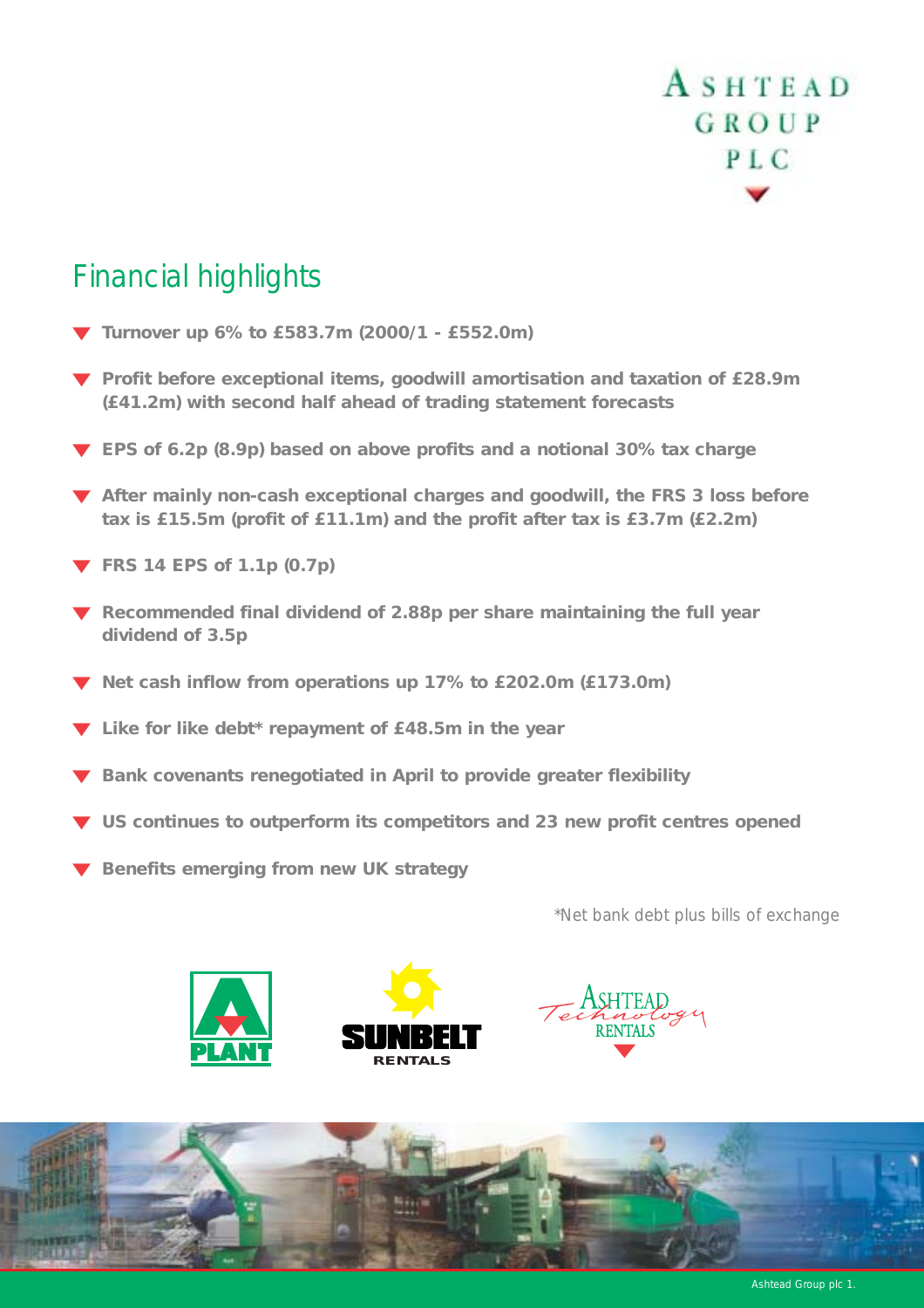# Financial highlights

- ▼ *Turnover up 6% to £583.7m (2000/1 £552.0m)*
- ▼ *Profit before exceptional items, goodwill amortisation and taxation of £28.9m (£41.2m) with second half ahead of trading statement forecasts*
- ▼ *EPS of 6.2p (8.9p) based on above profits and a notional 30% tax charge*
- ▼ *After mainly non-cash exceptional charges and goodwill, the FRS 3 loss before tax is £15.5m (profit of £11.1m) and the profit after tax is £3.7m (£2.2m)*
- ▼ *FRS 14 EPS of 1.1p (0.7p)*
- ▼ *Recommended final dividend of 2.88p per share maintaining the full year dividend of 3.5p*
- ▼ *Net cash inflow from operations up 17% to £202.0m (£173.0m)*
- ▼ *Like for like debt\* repayment of £48.5m in the year*
- ▼ *Bank covenants renegotiated in April to provide greater flexibility*
- ▼ *US continues to outperform its competitors and 23 new profit centres opened*
- ▼ *Benefits emerging from new UK strategy*

*\*Net bank debt plus bills of exchange*









Ashtead Group plc 1.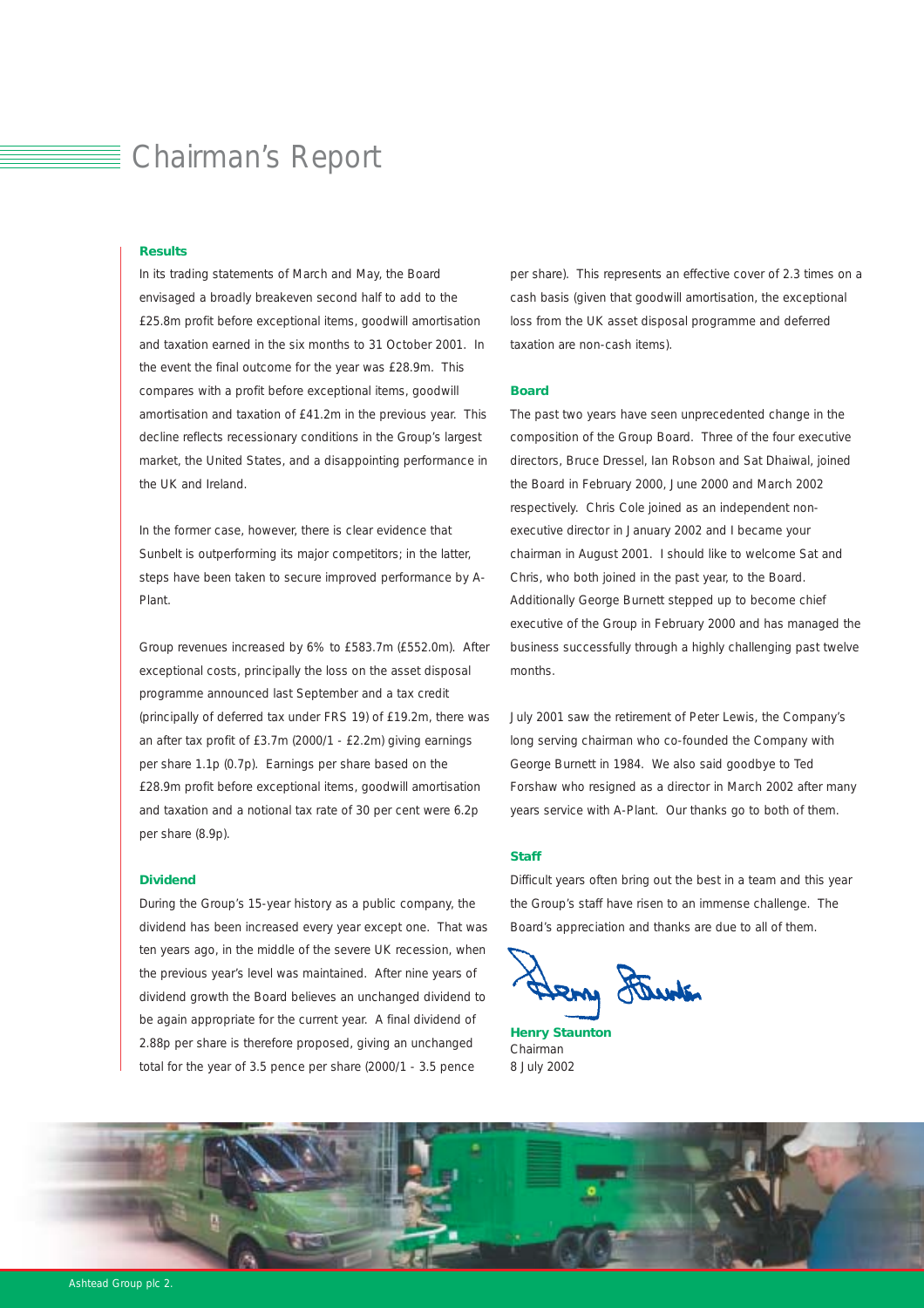# Chairman's Report

#### *Results*

In its trading statements of March and May, the Board envisaged a broadly breakeven second half to add to the £25.8m profit before exceptional items, goodwill amortisation and taxation earned in the six months to 31 October 2001. In the event the final outcome for the year was £28.9m. This compares with a profit before exceptional items, goodwill amortisation and taxation of £41.2m in the previous year. This decline reflects recessionary conditions in the Group's largest market, the United States, and a disappointing performance in the UK and Ireland.

In the former case, however, there is clear evidence that Sunbelt is outperforming its major competitors; in the latter, steps have been taken to secure improved performance by A-Plant.

Group revenues increased by 6% to £583.7m (£552.0m). After exceptional costs, principally the loss on the asset disposal programme announced last September and a tax credit (principally of deferred tax under FRS 19) of £19.2m, there was an after tax profit of £3.7m (2000/1 - £2.2m) giving earnings per share 1.1p (0.7p). Earnings per share based on the £28.9m profit before exceptional items, goodwill amortisation and taxation and a notional tax rate of 30 per cent were 6.2p per share (8.9p).

#### *Dividend*

During the Group's 15-year history as a public company, the dividend has been increased every year except one. That was ten years ago, in the middle of the severe UK recession, when the previous year's level was maintained. After nine years of dividend growth the Board believes an unchanged dividend to be again appropriate for the current year. A final dividend of 2.88p per share is therefore proposed, giving an unchanged total for the year of 3.5 pence per share (2000/1 - 3.5 pence

per share). This represents an effective cover of 2.3 times on a cash basis (given that goodwill amortisation, the exceptional loss from the UK asset disposal programme and deferred taxation are non-cash items).

#### *Board*

The past two years have seen unprecedented change in the composition of the Group Board. Three of the four executive directors, Bruce Dressel, Ian Robson and Sat Dhaiwal, joined the Board in February 2000, June 2000 and March 2002 respectively. Chris Cole joined as an independent nonexecutive director in January 2002 and I became your chairman in August 2001. I should like to welcome Sat and Chris, who both joined in the past year, to the Board. Additionally George Burnett stepped up to become chief executive of the Group in February 2000 and has managed the business successfully through a highly challenging past twelve months.

July 2001 saw the retirement of Peter Lewis, the Company's long serving chairman who co-founded the Company with George Burnett in 1984. We also said goodbye to Ted Forshaw who resigned as a director in March 2002 after many years service with A-Plant. Our thanks go to both of them.

#### *Staff*

Difficult years often bring out the best in a team and this year the Group's staff have risen to an immense challenge. The Board's appreciation and thanks are due to all of them.

tem Ferriton

*Henry Staunton* Chairman 8 July 2002

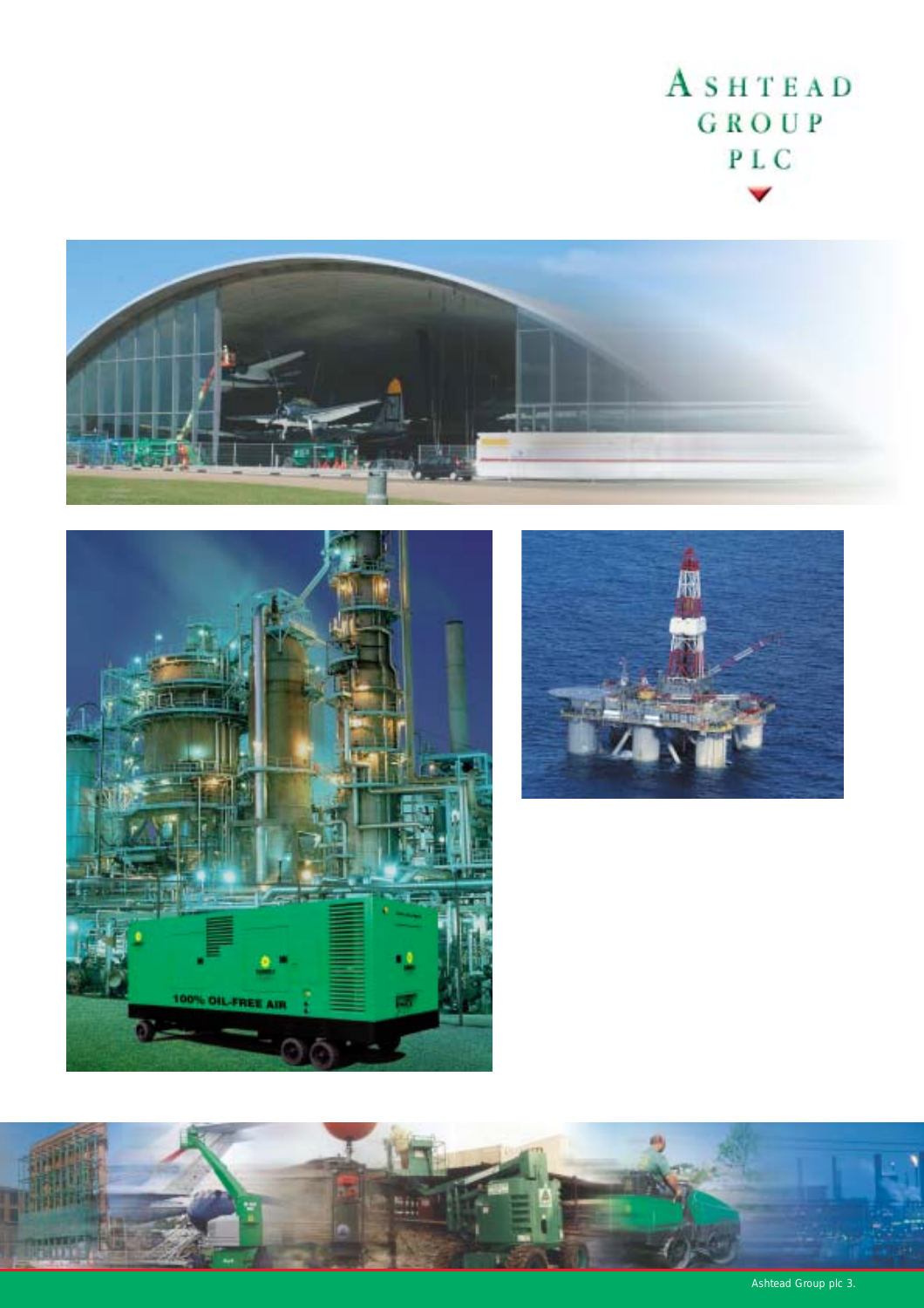# ASHTEAD GROUP  $\,$  P L C









Ashtead Group plc 3.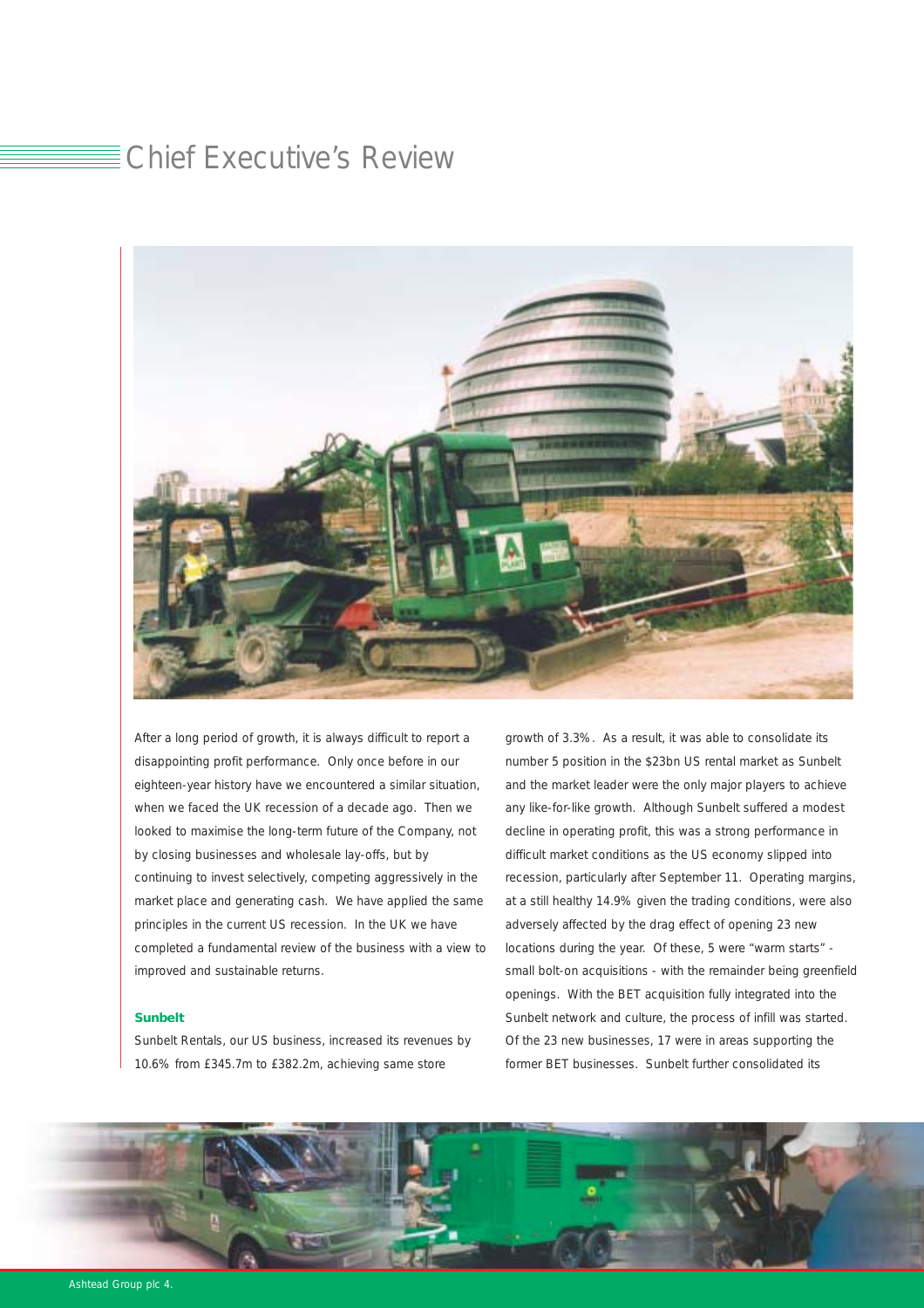### Chief Executive's Review



After a long period of growth, it is always difficult to report a disappointing profit performance. Only once before in our eighteen-year history have we encountered a similar situation, when we faced the UK recession of a decade ago. Then we looked to maximise the long-term future of the Company, not by closing businesses and wholesale lay-offs, but by continuing to invest selectively, competing aggressively in the market place and generating cash. We have applied the same principles in the current US recession. In the UK we have completed a fundamental review of the business with a view to improved and sustainable returns.

#### *Sunbelt*

Sunbelt Rentals, our US business, increased its revenues by 10.6% from £345.7m to £382.2m, achieving same store

growth of 3.3%. As a result, it was able to consolidate its number 5 position in the \$23bn US rental market as Sunbelt and the market leader were the only major players to achieve any like-for-like growth. Although Sunbelt suffered a modest decline in operating profit, this was a strong performance in difficult market conditions as the US economy slipped into recession, particularly after September 11. Operating margins, at a still healthy 14.9% given the trading conditions, were also adversely affected by the drag effect of opening 23 new locations during the year. Of these, 5 were "warm starts" small bolt-on acquisitions - with the remainder being greenfield openings. With the BET acquisition fully integrated into the Sunbelt network and culture, the process of infill was started. Of the 23 new businesses, 17 were in areas supporting the former BET businesses. Sunbelt further consolidated its

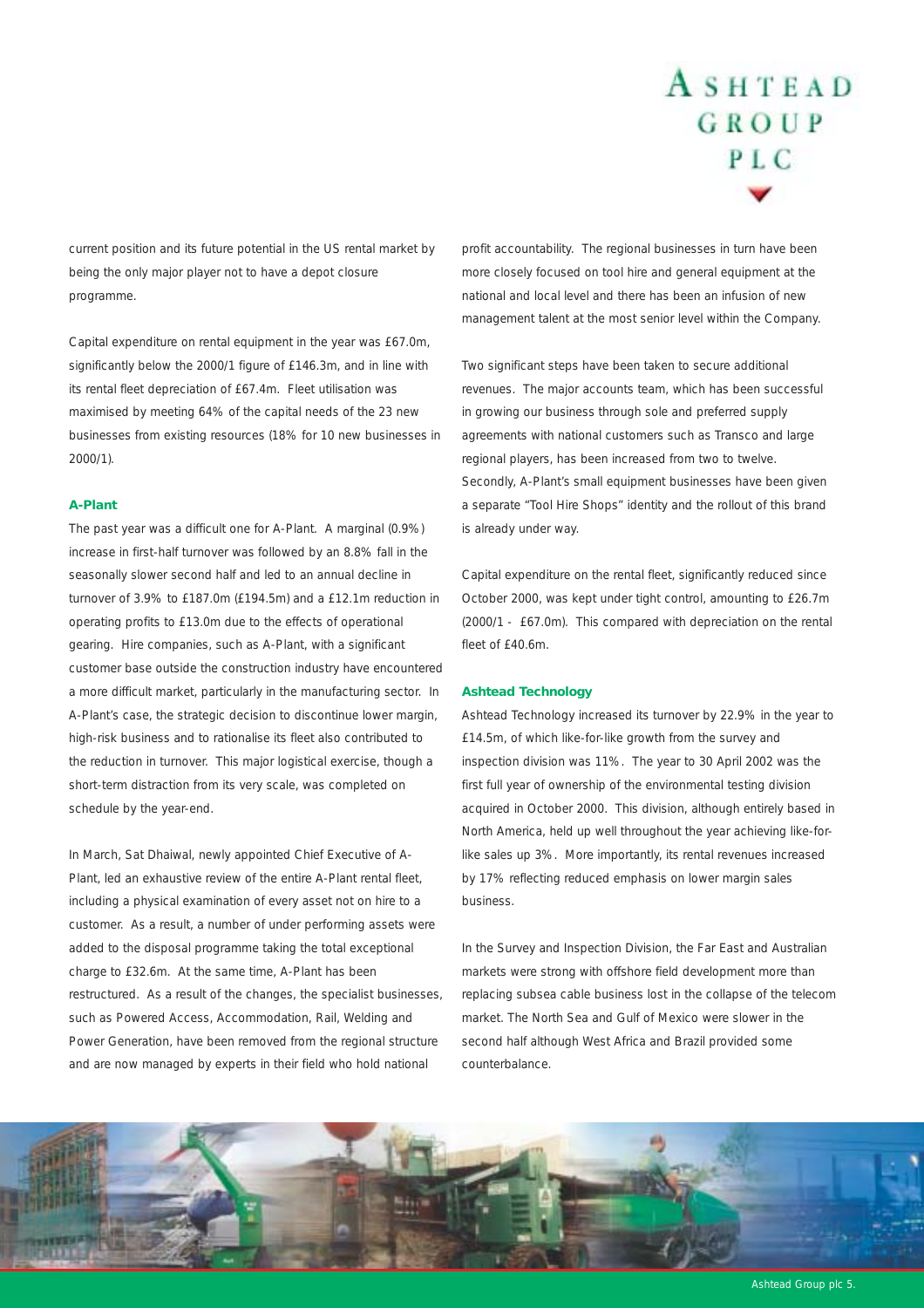current position and its future potential in the US rental market by being the only major player not to have a depot closure programme.

Capital expenditure on rental equipment in the year was £67.0m, significantly below the 2000/1 figure of £146.3m, and in line with its rental fleet depreciation of £67.4m. Fleet utilisation was maximised by meeting 64% of the capital needs of the 23 new businesses from existing resources (18% for 10 new businesses in 2000/1).

#### *A-Plant*

The past year was a difficult one for A-Plant. A marginal (0.9%) increase in first-half turnover was followed by an 8.8% fall in the seasonally slower second half and led to an annual decline in turnover of 3.9% to £187.0m (£194.5m) and a £12.1m reduction in operating profits to £13.0m due to the effects of operational gearing. Hire companies, such as A-Plant, with a significant customer base outside the construction industry have encountered a more difficult market, particularly in the manufacturing sector. In A-Plant's case, the strategic decision to discontinue lower margin, high-risk business and to rationalise its fleet also contributed to the reduction in turnover. This major logistical exercise, though a short-term distraction from its very scale, was completed on schedule by the year-end.

In March, Sat Dhaiwal, newly appointed Chief Executive of A-Plant, led an exhaustive review of the entire A-Plant rental fleet, including a physical examination of every asset not on hire to a customer. As a result, a number of under performing assets were added to the disposal programme taking the total exceptional charge to £32.6m. At the same time, A-Plant has been restructured. As a result of the changes, the specialist businesses, such as Powered Access, Accommodation, Rail, Welding and Power Generation, have been removed from the regional structure and are now managed by experts in their field who hold national

profit accountability. The regional businesses in turn have been more closely focused on tool hire and general equipment at the national and local level and there has been an infusion of new management talent at the most senior level within the Company.

Two significant steps have been taken to secure additional revenues. The major accounts team, which has been successful in growing our business through sole and preferred supply agreements with national customers such as Transco and large regional players, has been increased from two to twelve. Secondly, A-Plant's small equipment businesses have been given a separate "Tool Hire Shops" identity and the rollout of this brand is already under way.

Capital expenditure on the rental fleet, significantly reduced since October 2000, was kept under tight control, amounting to £26.7m (2000/1 - £67.0m). This compared with depreciation on the rental fleet of £40.6m.

#### *Ashtead Technology*

Ashtead Technology increased its turnover by 22.9% in the year to £14.5m, of which like-for-like growth from the survey and inspection division was 11%. The year to 30 April 2002 was the first full year of ownership of the environmental testing division acquired in October 2000. This division, although entirely based in North America, held up well throughout the year achieving like-forlike sales up 3%. More importantly, its rental revenues increased by 17% reflecting reduced emphasis on lower margin sales business.

In the Survey and Inspection Division, the Far East and Australian markets were strong with offshore field development more than replacing subsea cable business lost in the collapse of the telecom market. The North Sea and Gulf of Mexico were slower in the second half although West Africa and Brazil provided some counterbalance.



Ashtead Group plc 5.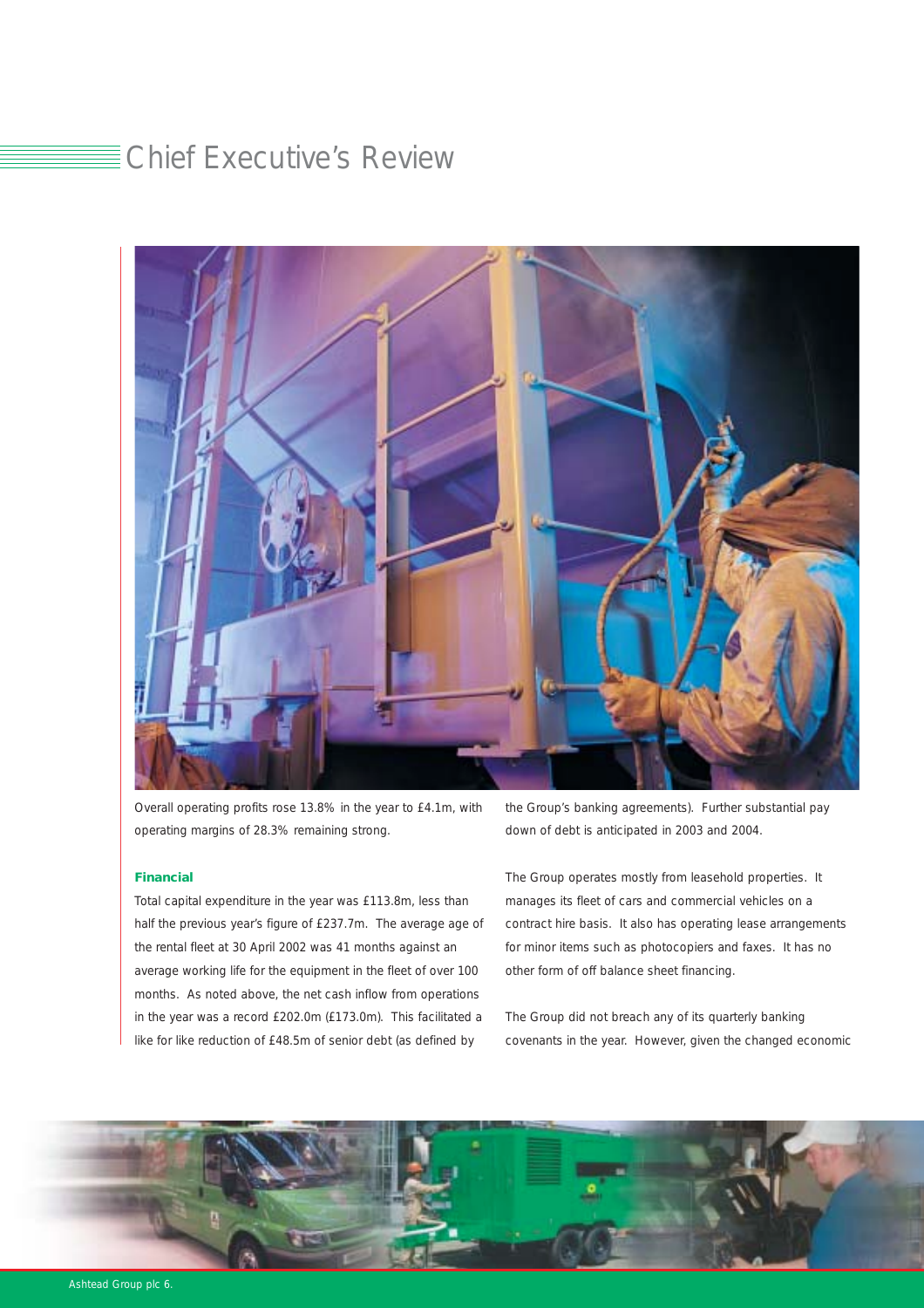# Chief Executive's Review



Overall operating profits rose 13.8% in the year to £4.1m, with operating margins of 28.3% remaining strong.

#### *Financial*

Total capital expenditure in the year was £113.8m, less than half the previous year's figure of £237.7m. The average age of the rental fleet at 30 April 2002 was 41 months against an average working life for the equipment in the fleet of over 100 months. As noted above, the net cash inflow from operations in the year was a record £202.0m (£173.0m). This facilitated a like for like reduction of £48.5m of senior debt (as defined by

the Group's banking agreements). Further substantial pay down of debt is anticipated in 2003 and 2004.

The Group operates mostly from leasehold properties. It manages its fleet of cars and commercial vehicles on a contract hire basis. It also has operating lease arrangements for minor items such as photocopiers and faxes. It has no other form of off balance sheet financing.

The Group did not breach any of its quarterly banking covenants in the year. However, given the changed economic

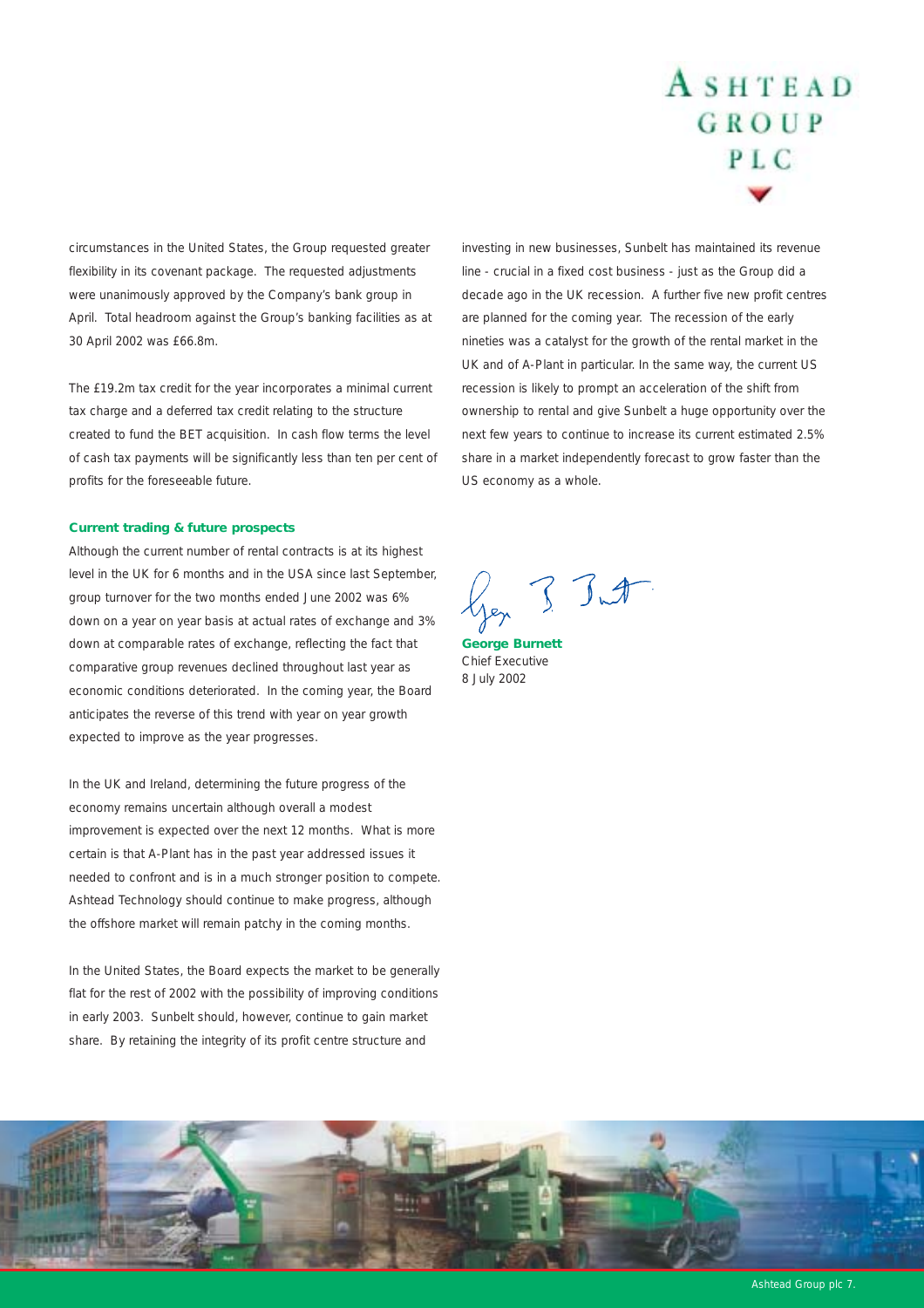circumstances in the United States, the Group requested greater flexibility in its covenant package. The requested adjustments were unanimously approved by the Company's bank group in April. Total headroom against the Group's banking facilities as at 30 April 2002 was £66.8m.

The £19.2m tax credit for the year incorporates a minimal current tax charge and a deferred tax credit relating to the structure created to fund the BET acquisition. In cash flow terms the level of cash tax payments will be significantly less than ten per cent of profits for the foreseeable future.

#### *Current trading & future prospects*

Although the current number of rental contracts is at its highest level in the UK for 6 months and in the USA since last September, group turnover for the two months ended June 2002 was 6% down on a year on year basis at actual rates of exchange and 3% down at comparable rates of exchange, reflecting the fact that comparative group revenues declined throughout last year as economic conditions deteriorated. In the coming year, the Board anticipates the reverse of this trend with year on year growth expected to improve as the year progresses.

In the UK and Ireland, determining the future progress of the economy remains uncertain although overall a modest improvement is expected over the next 12 months. What is more certain is that A-Plant has in the past year addressed issues it needed to confront and is in a much stronger position to compete. Ashtead Technology should continue to make progress, although the offshore market will remain patchy in the coming months.

In the United States, the Board expects the market to be generally flat for the rest of 2002 with the possibility of improving conditions in early 2003. Sunbelt should, however, continue to gain market share. By retaining the integrity of its profit centre structure and

investing in new businesses, Sunbelt has maintained its revenue line - crucial in a fixed cost business - just as the Group did a decade ago in the UK recession. A further five new profit centres are planned for the coming year. The recession of the early nineties was a catalyst for the growth of the rental market in the UK and of A-Plant in particular. In the same way, the current US recession is likely to prompt an acceleration of the shift from ownership to rental and give Sunbelt a huge opportunity over the next few years to continue to increase its current estimated 2.5% share in a market independently forecast to grow faster than the US economy as a whole.

Jen 3 Just

*George Burnett* Chief Executive 8 July 2002



Ashtead Group plc 7.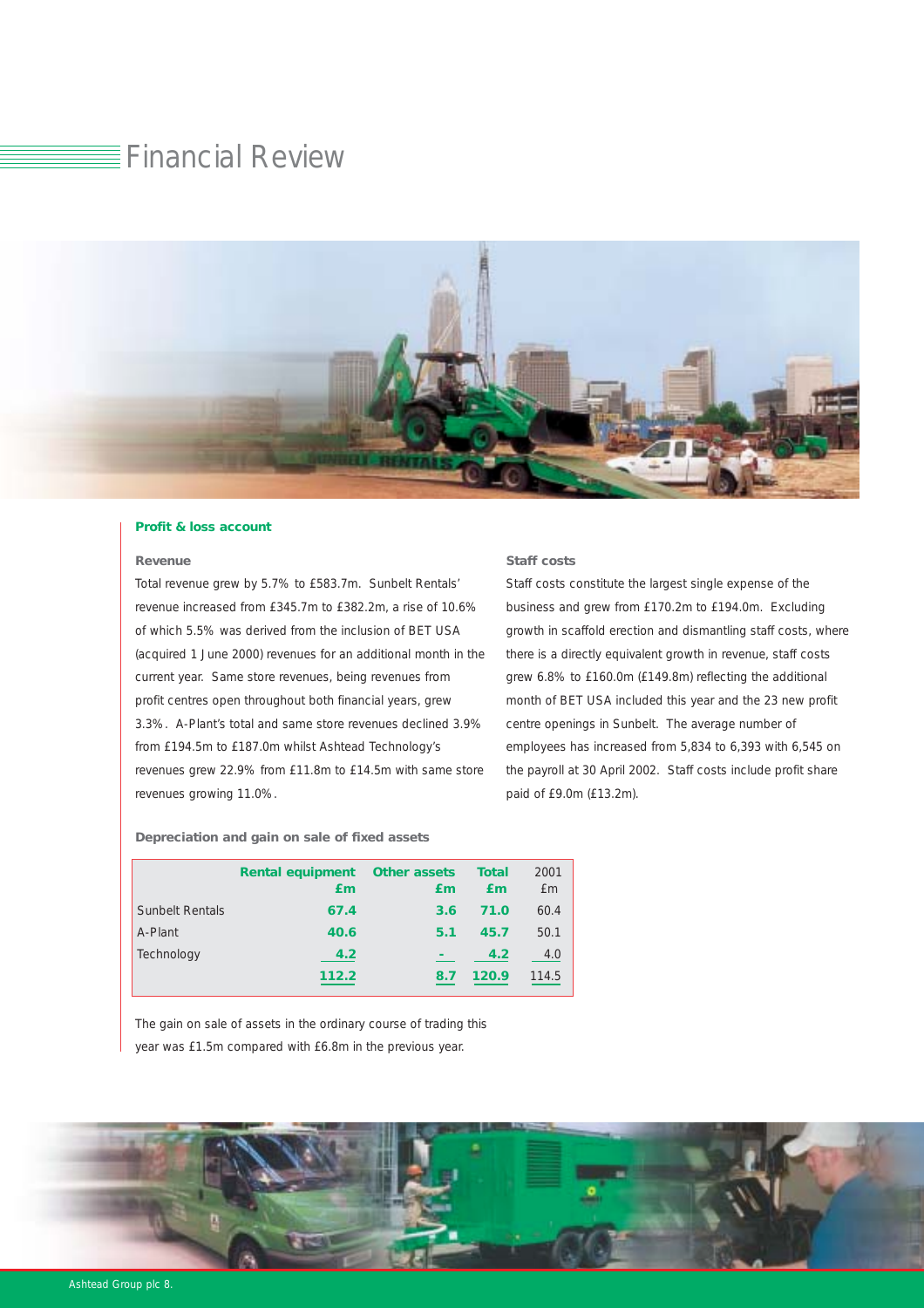# Financial Review



#### *Profit & loss account*

#### *Revenue*

Total revenue grew by 5.7% to £583.7m. Sunbelt Rentals' revenue increased from £345.7m to £382.2m, a rise of 10.6% of which 5.5% was derived from the inclusion of BET USA (acquired 1 June 2000) revenues for an additional month in the current year. Same store revenues, being revenues from profit centres open throughout both financial years, grew 3.3%. A-Plant's total and same store revenues declined 3.9% from £194.5m to £187.0m whilst Ashtead Technology's revenues grew 22.9% from £11.8m to £14.5m with same store revenues growing 11.0%.

#### *Staff costs*

Staff costs constitute the largest single expense of the business and grew from £170.2m to £194.0m. Excluding growth in scaffold erection and dismantling staff costs, where there is a directly equivalent growth in revenue, staff costs grew 6.8% to £160.0m (£149.8m) reflecting the additional month of BET USA included this year and the 23 new profit centre openings in Sunbelt. The average number of employees has increased from 5,834 to 6,393 with 6,545 on the payroll at 30 April 2002. Staff costs include profit share paid of £9.0m (£13.2m).

*Depreciation and gain on sale of fixed assets*

|                        | <b>Rental equipment</b><br>£m | <b>Other assets</b><br>£m | <b>Total</b><br>£m | 2001<br><b>f</b> m |
|------------------------|-------------------------------|---------------------------|--------------------|--------------------|
| <b>Sunbelt Rentals</b> | 67.4                          | 3.6                       | 71.0               | 60.4               |
| A-Plant                | 40.6                          | 5.1                       | 45.7               | 50.1               |
| Technology             | 4.2                           |                           | 4.2                | 4.0                |
|                        | 112.2                         | 8.7                       | 120.9              | 114.5              |

The gain on sale of assets in the ordinary course of trading this year was £1.5m compared with £6.8m in the previous year.

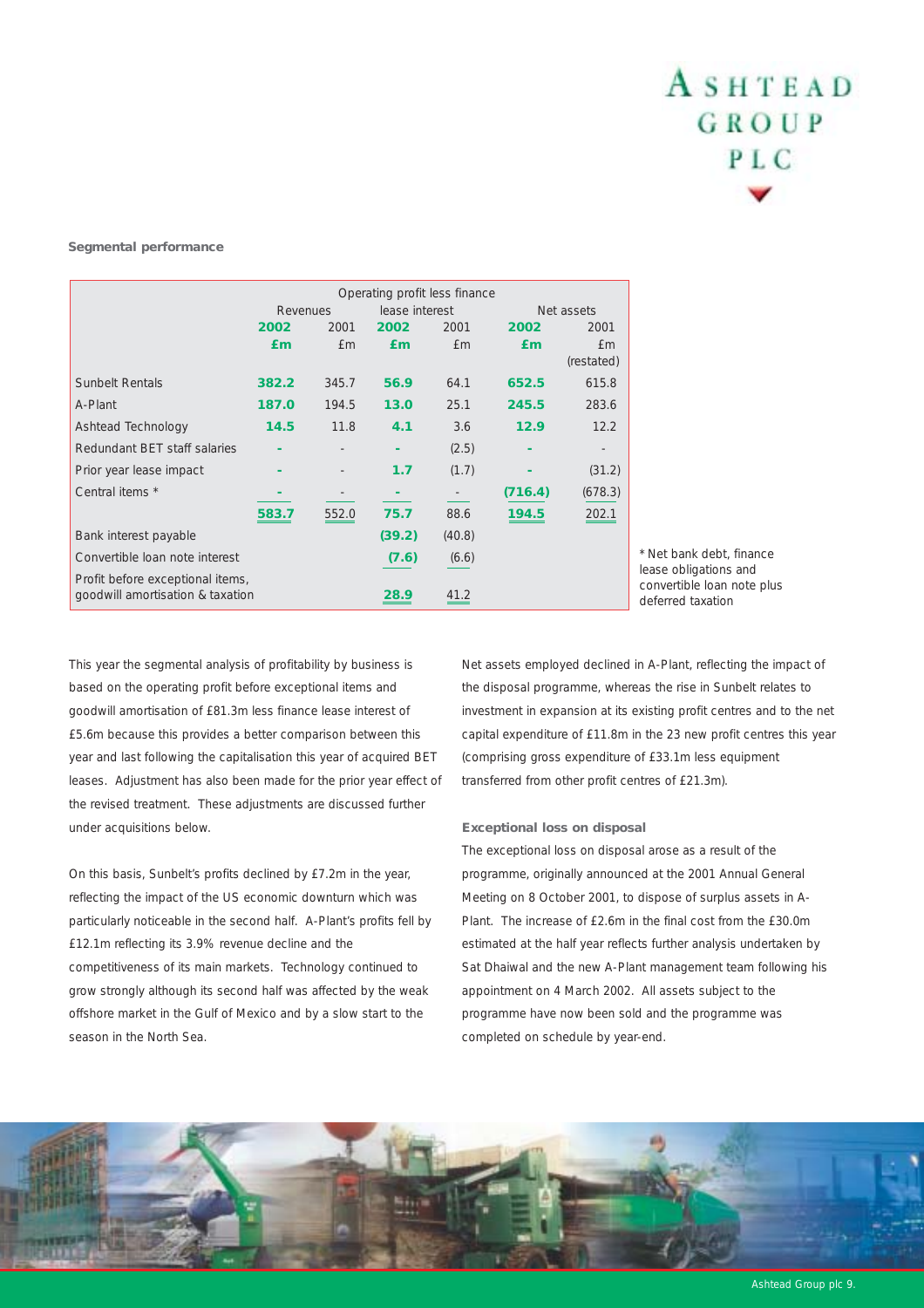#### *Segmental performance*

|                                  | Operating profit less finance |            |                |        |         |            |  |
|----------------------------------|-------------------------------|------------|----------------|--------|---------|------------|--|
|                                  | Revenues                      |            | lease interest |        |         | Net assets |  |
|                                  | 2002                          | 2001       | 2002           | 2001   | 2002    | 2001       |  |
|                                  | £m                            | <b>f</b> m | £m             | £m     | £m      | £m         |  |
|                                  |                               |            |                |        |         | (restated) |  |
| <b>Sunbelt Rentals</b>           | 382.2                         | 345.7      | 56.9           | 64.1   | 652.5   | 615.8      |  |
| A-Plant                          | 187.0                         | 194.5      | 13.0           | 25.1   | 245.5   | 283.6      |  |
| Ashtead Technology               | 14.5                          | 11.8       | 4.1            | 3.6    | 12.9    | 12.2       |  |
| Redundant BET staff salaries     |                               |            |                | (2.5)  |         |            |  |
| Prior year lease impact          |                               |            | 1.7            | (1.7)  |         | (31.2)     |  |
| Central items *                  |                               |            |                |        | (716.4) | (678.3)    |  |
|                                  | 583.7                         | 552.0      | 75.7           | 88.6   | 194.5   | 202.1      |  |
| Bank interest payable            |                               |            | (39.2)         | (40.8) |         |            |  |
| Convertible loan note interest   |                               |            | (7.6)          | (6.6)  |         |            |  |
| Profit before exceptional items, |                               |            |                |        |         |            |  |
| goodwill amortisation & taxation |                               |            |                |        |         |            |  |

*\* Net bank debt, finance lease obligations and convertible loan note plus deferred taxation*

This year the segmental analysis of profitability by business is based on the operating profit before exceptional items and goodwill amortisation of £81.3m less finance lease interest of £5.6m because this provides a better comparison between this year and last following the capitalisation this year of acquired BET leases. Adjustment has also been made for the prior year effect of the revised treatment. These adjustments are discussed further under acquisitions below.

On this basis, Sunbelt's profits declined by £7.2m in the year, reflecting the impact of the US economic downturn which was particularly noticeable in the second half. A-Plant's profits fell by £12.1m reflecting its 3.9% revenue decline and the competitiveness of its main markets. Technology continued to grow strongly although its second half was affected by the weak offshore market in the Gulf of Mexico and by a slow start to the season in the North Sea.

Net assets employed declined in A-Plant, reflecting the impact of the disposal programme, whereas the rise in Sunbelt relates to investment in expansion at its existing profit centres and to the net capital expenditure of £11.8m in the 23 new profit centres this year (comprising gross expenditure of £33.1m less equipment transferred from other profit centres of £21.3m).

#### *Exceptional loss on disposal*

The exceptional loss on disposal arose as a result of the programme, originally announced at the 2001 Annual General Meeting on 8 October 2001, to dispose of surplus assets in A-Plant. The increase of £2.6m in the final cost from the £30.0m estimated at the half year reflects further analysis undertaken by Sat Dhaiwal and the new A-Plant management team following his appointment on 4 March 2002. All assets subject to the programme have now been sold and the programme was completed on schedule by year-end.

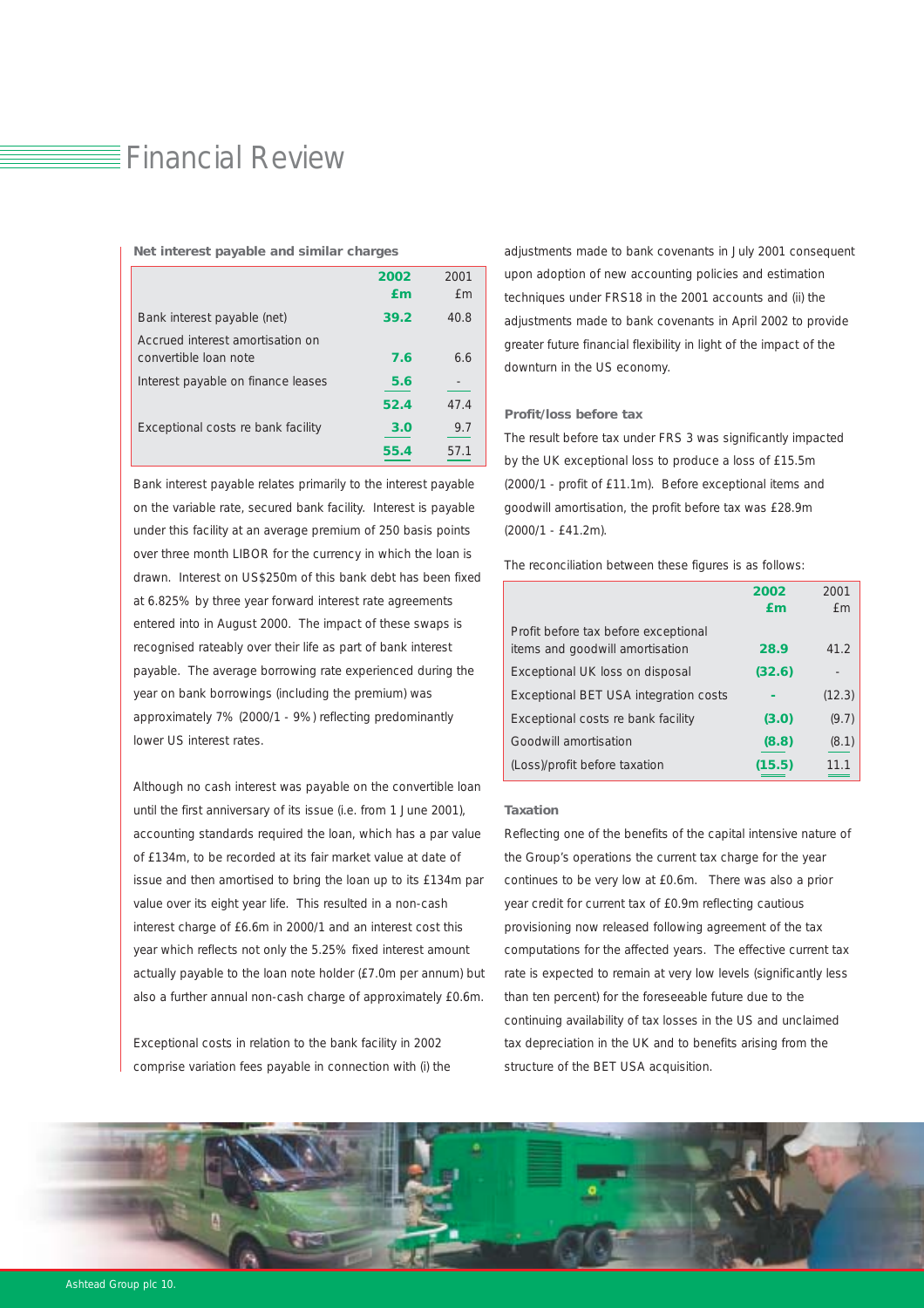### $\equiv$  Financial Review

|                                                           | 2002<br>fm | 2001<br>f m |
|-----------------------------------------------------------|------------|-------------|
| Bank interest payable (net)                               | 39.2       | 40.8        |
| Accrued interest amortisation on<br>convertible loan note | 7.6        | 6.6         |
| Interest payable on finance leases                        | 5.6        |             |
|                                                           | 52.4       | 47.4        |
| Exceptional costs re bank facility                        | 3.0        | 9.7         |
|                                                           | 55.4       | 571         |

#### *Net interest payable and similar charges*

Bank interest payable relates primarily to the interest payable on the variable rate, secured bank facility. Interest is payable under this facility at an average premium of 250 basis points over three month LIBOR for the currency in which the loan is drawn. Interest on US\$250m of this bank debt has been fixed at 6.825% by three year forward interest rate agreements entered into in August 2000. The impact of these swaps is recognised rateably over their life as part of bank interest payable. The average borrowing rate experienced during the year on bank borrowings (including the premium) was approximately 7% (2000/1 - 9%) reflecting predominantly lower US interest rates.

Although no cash interest was payable on the convertible loan until the first anniversary of its issue (i.e. from 1 June 2001), accounting standards required the loan, which has a par value of £134m, to be recorded at its fair market value at date of issue and then amortised to bring the loan up to its £134m par value over its eight year life. This resulted in a non-cash interest charge of £6.6m in 2000/1 and an interest cost this year which reflects not only the 5.25% fixed interest amount actually payable to the loan note holder (£7.0m per annum) but also a further annual non-cash charge of approximately £0.6m.

Exceptional costs in relation to the bank facility in 2002 comprise variation fees payable in connection with (i) the

adjustments made to bank covenants in July 2001 consequent upon adoption of new accounting policies and estimation techniques under FRS18 in the 2001 accounts and (ii) the adjustments made to bank covenants in April 2002 to provide greater future financial flexibility in light of the impact of the downturn in the US economy.

#### *Profit/loss before tax*

The result before tax under FRS 3 was significantly impacted by the UK exceptional loss to produce a loss of £15.5m (2000/1 - profit of £11.1m). Before exceptional items and goodwill amortisation, the profit before tax was £28.9m (2000/1 - £41.2m).

The reconciliation between these figures is as follows:

|                                                                         | 2002   | 2001       |
|-------------------------------------------------------------------------|--------|------------|
|                                                                         | £m     | <b>f</b> m |
| Profit before tax before exceptional<br>items and goodwill amortisation | 28.9   | 41.2       |
| Exceptional UK loss on disposal                                         | (32.6) |            |
| Exceptional BET USA integration costs                                   |        | (12.3)     |
| Exceptional costs re bank facility                                      | (3.0)  | (9.7)      |
| Goodwill amortisation                                                   | (8.8)  | (8.1)      |
| (Loss)/profit before taxation                                           | (15.5) | 11.1       |

#### *Taxation*

Reflecting one of the benefits of the capital intensive nature of the Group's operations the current tax charge for the year continues to be very low at £0.6m. There was also a prior year credit for current tax of £0.9m reflecting cautious provisioning now released following agreement of the tax computations for the affected years. The effective current tax rate is expected to remain at very low levels (significantly less than ten percent) for the foreseeable future due to the continuing availability of tax losses in the US and unclaimed tax depreciation in the UK and to benefits arising from the structure of the BET USA acquisition.

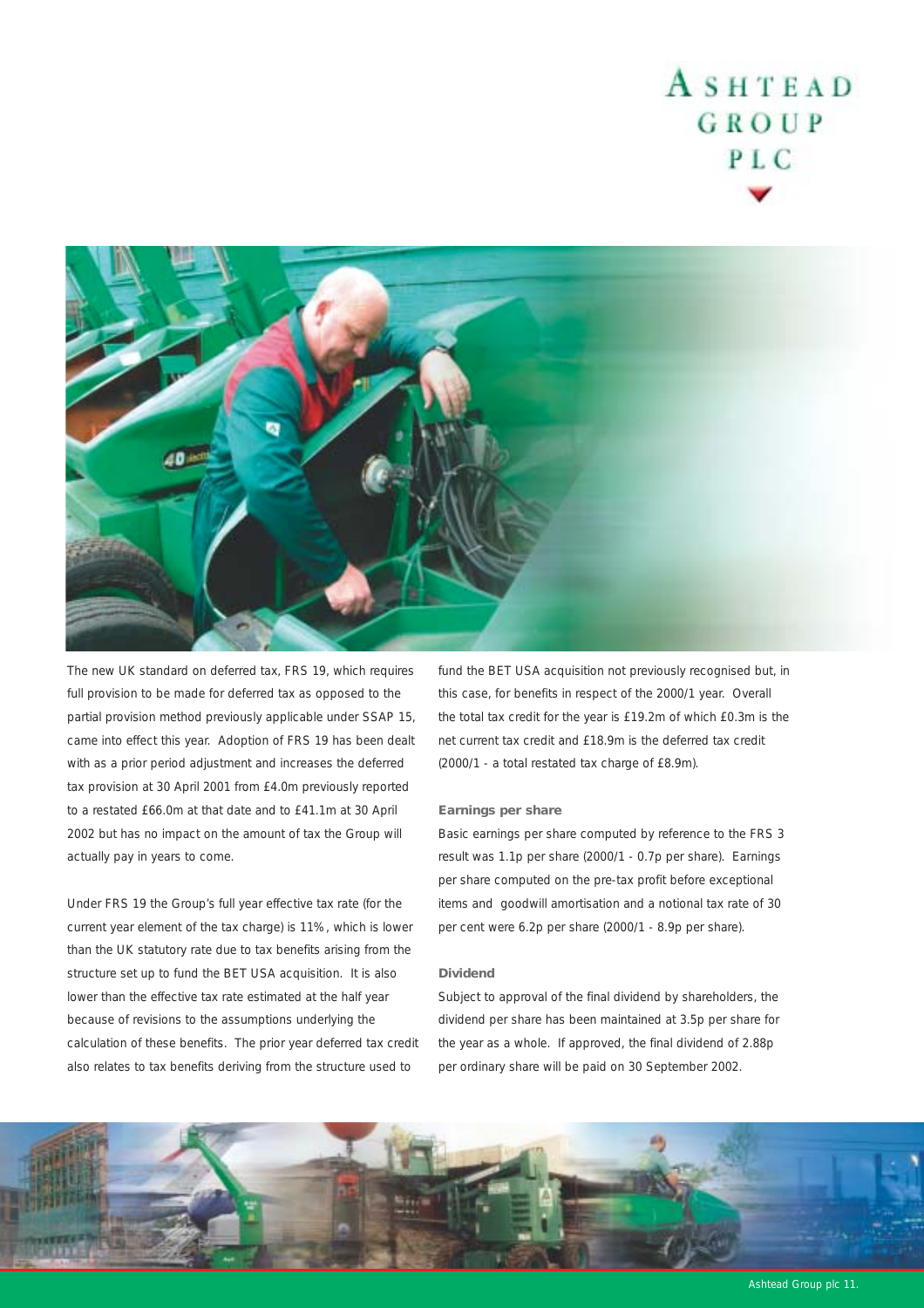

The new UK standard on deferred tax, FRS 19, which requires full provision to be made for deferred tax as opposed to the partial provision method previously applicable under SSAP 15, came into effect this year. Adoption of FRS 19 has been dealt with as a prior period adjustment and increases the deferred tax provision at 30 April 2001 from £4.0m previously reported to a restated £66.0m at that date and to £41.1m at 30 April 2002 but has no impact on the amount of tax the Group will actually pay in years to come.

Under FRS 19 the Group's full year effective tax rate (for the current year element of the tax charge) is 11%, which is lower than the UK statutory rate due to tax benefits arising from the structure set up to fund the BET USA acquisition. It is also lower than the effective tax rate estimated at the half year because of revisions to the assumptions underlying the calculation of these benefits. The prior year deferred tax credit also relates to tax benefits deriving from the structure used to

fund the BET USA acquisition not previously recognised but, in this case, for benefits in respect of the 2000/1 year. Overall the total tax credit for the year is £19.2m of which £0.3m is the net current tax credit and £18.9m is the deferred tax credit (2000/1 - a total restated tax charge of £8.9m).

#### *Earnings per share*

Basic earnings per share computed by reference to the FRS 3 result was 1.1p per share (2000/1 - 0.7p per share). Earnings per share computed on the pre-tax profit before exceptional items and goodwill amortisation and a notional tax rate of 30 per cent were 6.2p per share (2000/1 - 8.9p per share).

#### *Dividend*

Subject to approval of the final dividend by shareholders, the dividend per share has been maintained at 3.5p per share for the year as a whole. If approved, the final dividend of 2.88p per ordinary share will be paid on 30 September 2002.

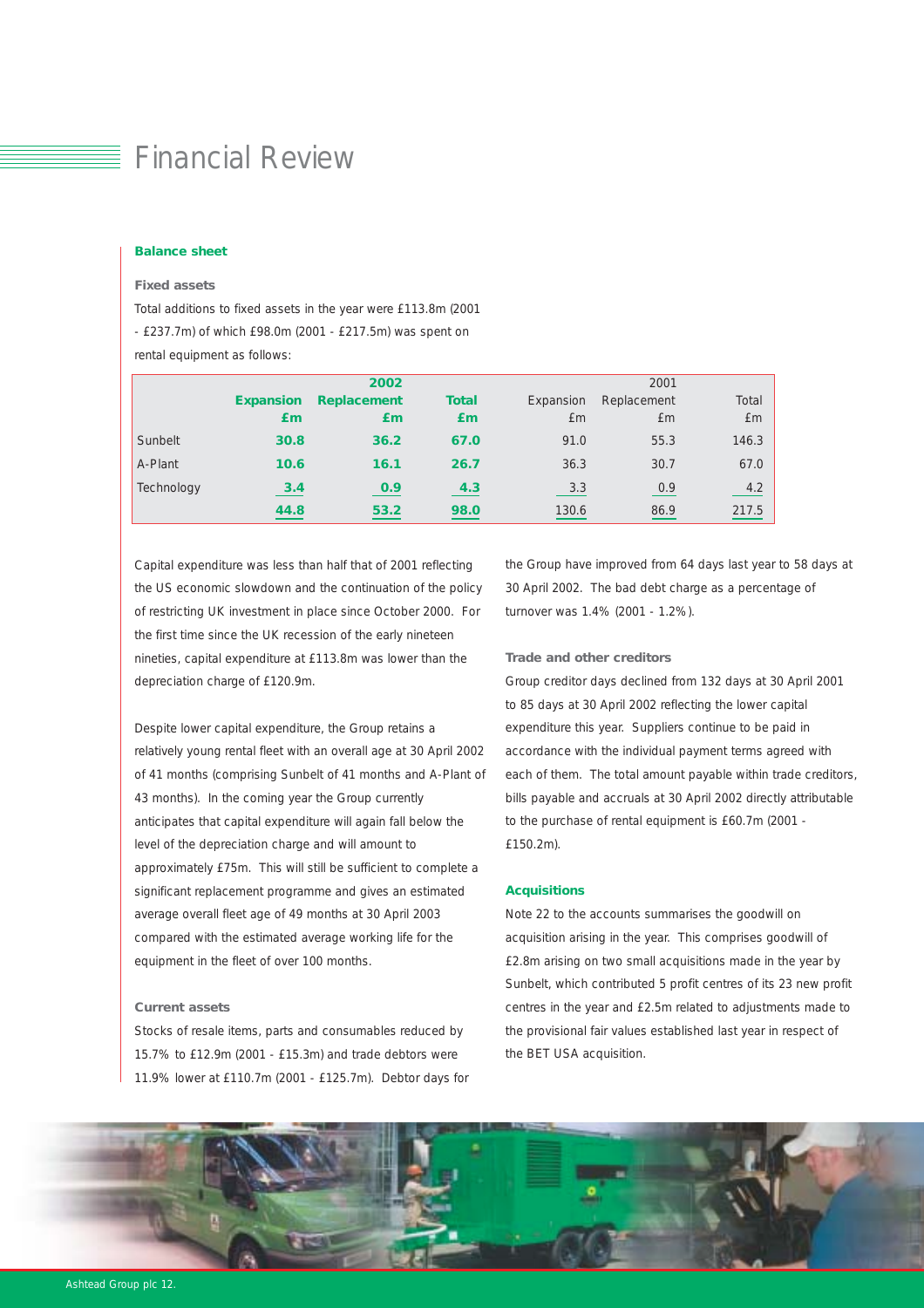### Financial Review

#### *Balance sheet*

#### *Fixed assets*

Total additions to fixed assets in the year were £113.8m (2001

- £237.7m) of which £98.0m (2001 - £217.5m) was spent on

rental equipment as follows:

|            |                  | 2002               | 2001         |           |             |       |
|------------|------------------|--------------------|--------------|-----------|-------------|-------|
|            | <b>Expansion</b> | <b>Replacement</b> | <b>Total</b> | Expansion | Replacement | Total |
|            | £m               | £m                 | Em           | £m        | £m          | £m    |
| Sunbelt    | 30.8             | 36.2               | 67.0         | 91.0      | 55.3        | 146.3 |
| A-Plant    | 10.6             | 16.1               | 26.7         | 36.3      | 30.7        | 67.0  |
| Technology | 3.4              | 0.9                | 4.3          | 3.3       | 0.9         | 4.2   |
|            | 44.8             | 53.2               | 98.0         | 130.6     | 86.9        | 217.5 |

Capital expenditure was less than half that of 2001 reflecting the US economic slowdown and the continuation of the policy of restricting UK investment in place since October 2000. For the first time since the UK recession of the early nineteen nineties, capital expenditure at £113.8m was lower than the depreciation charge of £120.9m.

Despite lower capital expenditure, the Group retains a relatively young rental fleet with an overall age at 30 April 2002 of 41 months (comprising Sunbelt of 41 months and A-Plant of 43 months). In the coming year the Group currently anticipates that capital expenditure will again fall below the level of the depreciation charge and will amount to approximately £75m. This will still be sufficient to complete a significant replacement programme and gives an estimated average overall fleet age of 49 months at 30 April 2003 compared with the estimated average working life for the equipment in the fleet of over 100 months.

#### *Current assets*

Stocks of resale items, parts and consumables reduced by 15.7% to £12.9m (2001 - £15.3m) and trade debtors were 11.9% lower at £110.7m (2001 - £125.7m). Debtor days for the Group have improved from 64 days last year to 58 days at 30 April 2002. The bad debt charge as a percentage of turnover was 1.4% (2001 - 1.2%).

#### *Trade and other creditors*

Group creditor days declined from 132 days at 30 April 2001 to 85 days at 30 April 2002 reflecting the lower capital expenditure this year. Suppliers continue to be paid in accordance with the individual payment terms agreed with each of them. The total amount payable within trade creditors, bills payable and accruals at 30 April 2002 directly attributable to the purchase of rental equipment is £60.7m (2001 - £150.2m).

#### *Acquisitions*

Note 22 to the accounts summarises the goodwill on acquisition arising in the year. This comprises goodwill of £2.8m arising on two small acquisitions made in the year by Sunbelt, which contributed 5 profit centres of its 23 new profit centres in the year and £2.5m related to adjustments made to the provisional fair values established last year in respect of the BET USA acquisition.

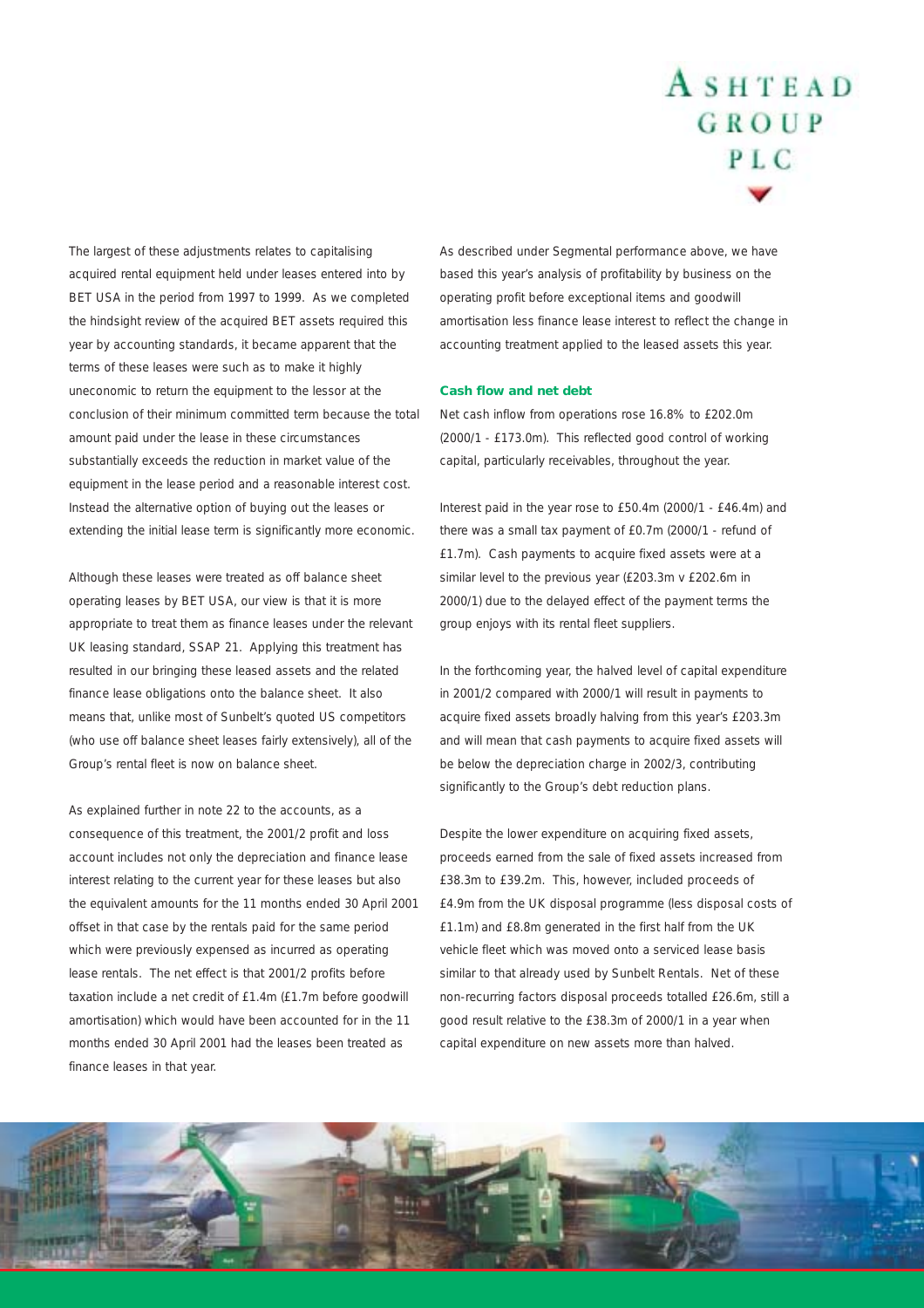The largest of these adjustments relates to capitalising acquired rental equipment held under leases entered into by BET USA in the period from 1997 to 1999. As we completed the hindsight review of the acquired BET assets required this year by accounting standards, it became apparent that the terms of these leases were such as to make it highly uneconomic to return the equipment to the lessor at the conclusion of their minimum committed term because the total amount paid under the lease in these circumstances substantially exceeds the reduction in market value of the equipment in the lease period and a reasonable interest cost. Instead the alternative option of buying out the leases or extending the initial lease term is significantly more economic.

Although these leases were treated as off balance sheet operating leases by BET USA, our view is that it is more appropriate to treat them as finance leases under the relevant UK leasing standard, SSAP 21. Applying this treatment has resulted in our bringing these leased assets and the related finance lease obligations onto the balance sheet. It also means that, unlike most of Sunbelt's quoted US competitors (who use off balance sheet leases fairly extensively), all of the Group's rental fleet is now on balance sheet.

As explained further in note 22 to the accounts, as a consequence of this treatment, the 2001/2 profit and loss account includes not only the depreciation and finance lease interest relating to the current year for these leases but also the equivalent amounts for the 11 months ended 30 April 2001 offset in that case by the rentals paid for the same period which were previously expensed as incurred as operating lease rentals. The net effect is that 2001/2 profits before taxation include a net credit of £1.4m (£1.7m before goodwill amortisation) which would have been accounted for in the 11 months ended 30 April 2001 had the leases been treated as finance leases in that year.

As described under Segmental performance above, we have based this year's analysis of profitability by business on the operating profit before exceptional items and goodwill amortisation less finance lease interest to reflect the change in accounting treatment applied to the leased assets this year.

#### *Cash flow and net debt*

Net cash inflow from operations rose 16.8% to £202.0m (2000/1 - £173.0m). This reflected good control of working capital, particularly receivables, throughout the year.

Interest paid in the year rose to £50.4m (2000/1 - £46.4m) and there was a small tax payment of £0.7m (2000/1 - refund of £1.7m). Cash payments to acquire fixed assets were at a similar level to the previous year (£203.3m v £202.6m in 2000/1) due to the delayed effect of the payment terms the group enjoys with its rental fleet suppliers.

In the forthcoming year, the halved level of capital expenditure in 2001/2 compared with 2000/1 will result in payments to acquire fixed assets broadly halving from this year's £203.3m and will mean that cash payments to acquire fixed assets will be below the depreciation charge in 2002/3, contributing significantly to the Group's debt reduction plans.

Despite the lower expenditure on acquiring fixed assets, proceeds earned from the sale of fixed assets increased from £38.3m to £39.2m. This, however, included proceeds of £4.9m from the UK disposal programme (less disposal costs of £1.1m) and £8.8m generated in the first half from the UK vehicle fleet which was moved onto a serviced lease basis similar to that already used by Sunbelt Rentals. Net of these non-recurring factors disposal proceeds totalled £26.6m, still a good result relative to the £38.3m of 2000/1 in a year when capital expenditure on new assets more than halved.

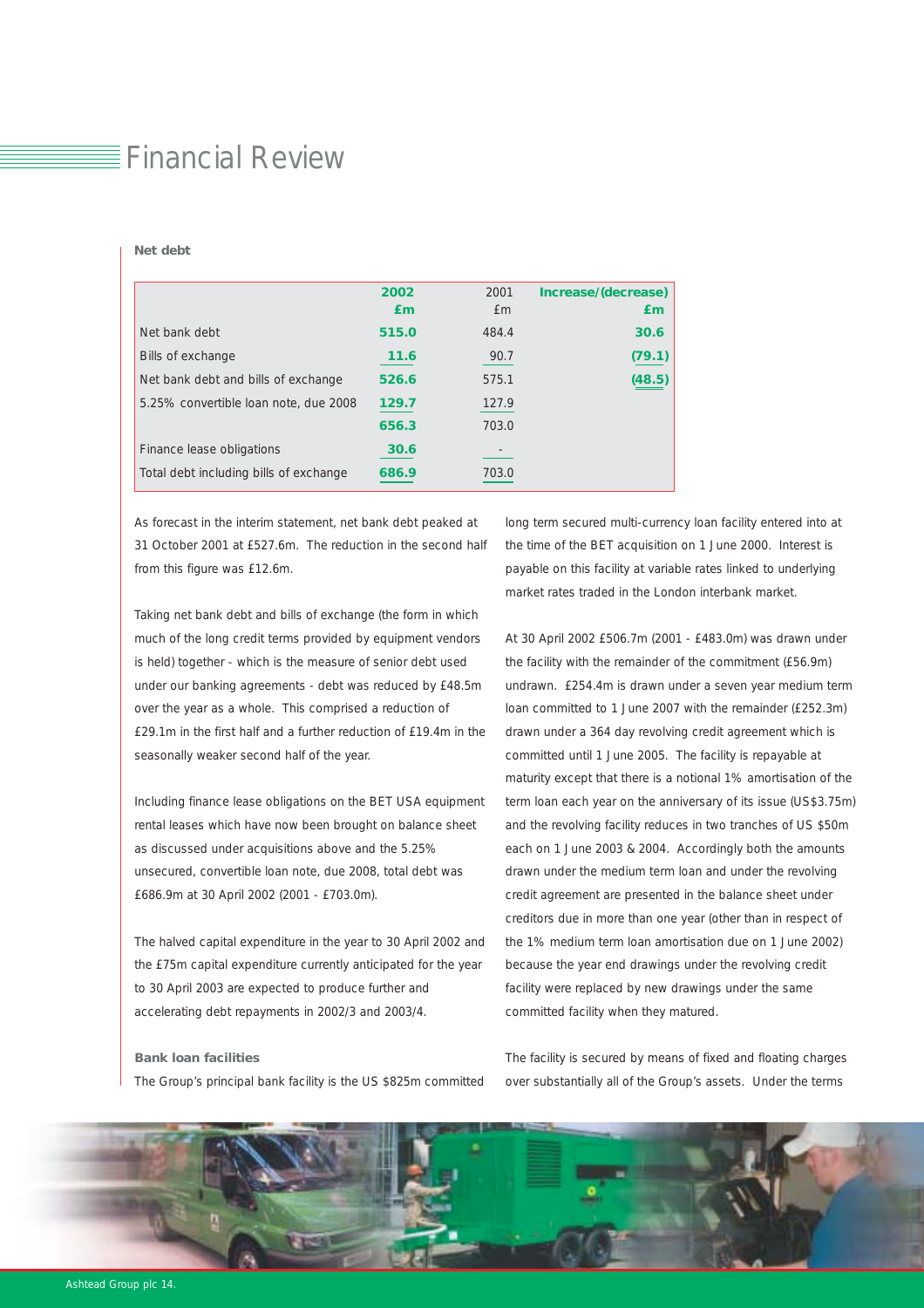# $\bar{\equiv}$  Financial Review

#### *Net debt*

|                                        | 2002<br>£m | 2001<br>£m | Increase/(decrease)<br>£m |
|----------------------------------------|------------|------------|---------------------------|
| Net bank debt                          | 515.0      | 484.4      | 30.6                      |
| Bills of exchange                      | 11.6       | 90.7       | (79.1)                    |
| Net bank debt and bills of exchange    | 526.6      | 575.1      | (48.5)                    |
| 5.25% convertible loan note, due 2008  | 129.7      | 127.9      |                           |
|                                        | 656.3      | 703.0      |                           |
| Finance lease obligations              | 30.6       |            |                           |
| Total debt including bills of exchange | 686.9      | 703.0      |                           |

As forecast in the interim statement, net bank debt peaked at 31 October 2001 at £527.6m. The reduction in the second half from this figure was £12.6m.

Taking net bank debt and bills of exchange (the form in which much of the long credit terms provided by equipment vendors is held) together - which is the measure of senior debt used under our banking agreements - debt was reduced by £48.5m over the year as a whole. This comprised a reduction of £29.1m in the first half and a further reduction of £19.4m in the seasonally weaker second half of the year.

Including finance lease obligations on the BET USA equipment rental leases which have now been brought on balance sheet as discussed under acquisitions above and the 5.25% unsecured, convertible loan note, due 2008, total debt was £686.9m at 30 April 2002 (2001 - £703.0m).

The halved capital expenditure in the year to 30 April 2002 and the £75m capital expenditure currently anticipated for the year to 30 April 2003 are expected to produce further and accelerating debt repayments in 2002/3 and 2003/4.

#### *Bank loan facilities*

The Group's principal bank facility is the US \$825m committed

long term secured multi-currency loan facility entered into at the time of the BET acquisition on 1 June 2000. Interest is payable on this facility at variable rates linked to underlying market rates traded in the London interbank market.

At 30 April 2002 £506.7m (2001 - £483.0m) was drawn under the facility with the remainder of the commitment (£56.9m) undrawn. £254.4m is drawn under a seven year medium term loan committed to 1 June 2007 with the remainder (£252.3m) drawn under a 364 day revolving credit agreement which is committed until 1 June 2005. The facility is repayable at maturity except that there is a notional 1% amortisation of the term loan each year on the anniversary of its issue (US\$3.75m) and the revolving facility reduces in two tranches of US \$50m each on 1 June 2003 & 2004. Accordingly both the amounts drawn under the medium term loan and under the revolving credit agreement are presented in the balance sheet under creditors due in more than one year (other than in respect of the 1% medium term loan amortisation due on 1 June 2002) because the year end drawings under the revolving credit facility were replaced by new drawings under the same committed facility when they matured.

The facility is secured by means of fixed and floating charges over substantially all of the Group's assets. Under the terms

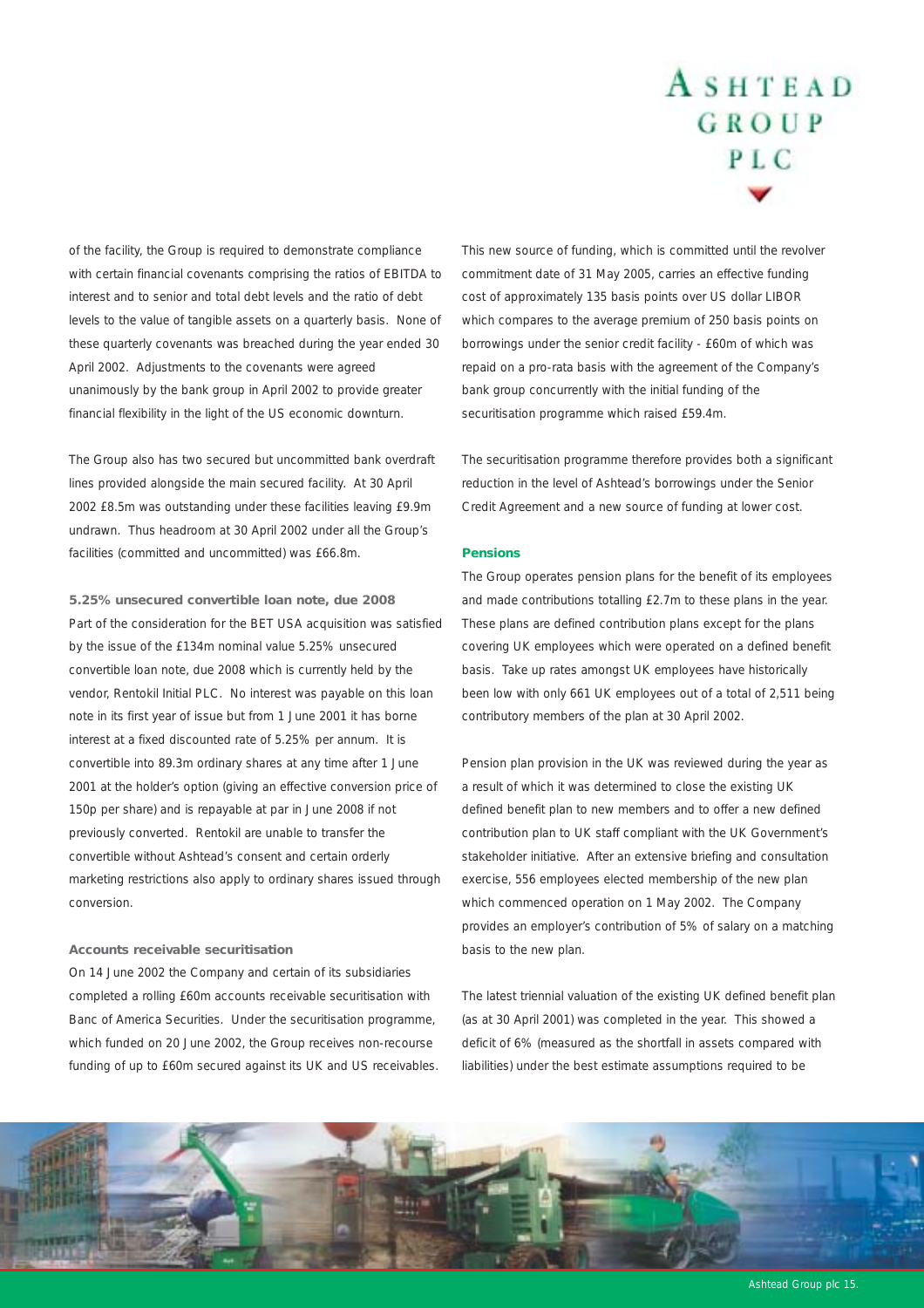of the facility, the Group is required to demonstrate compliance with certain financial covenants comprising the ratios of EBITDA to interest and to senior and total debt levels and the ratio of debt levels to the value of tangible assets on a quarterly basis. None of these quarterly covenants was breached during the year ended 30 April 2002. Adjustments to the covenants were agreed unanimously by the bank group in April 2002 to provide greater financial flexibility in the light of the US economic downturn.

The Group also has two secured but uncommitted bank overdraft lines provided alongside the main secured facility. At 30 April 2002 £8.5m was outstanding under these facilities leaving £9.9m undrawn. Thus headroom at 30 April 2002 under all the Group's facilities (committed and uncommitted) was £66.8m.

*5.25% unsecured convertible loan note, due 2008* Part of the consideration for the BET USA acquisition was satisfied by the issue of the £134m nominal value 5.25% unsecured convertible loan note, due 2008 which is currently held by the vendor, Rentokil Initial PLC. No interest was payable on this loan note in its first year of issue but from 1 June 2001 it has borne interest at a fixed discounted rate of 5.25% per annum. It is convertible into 89.3m ordinary shares at any time after 1 June 2001 at the holder's option (giving an effective conversion price of 150p per share) and is repayable at par in June 2008 if not previously converted. Rentokil are unable to transfer the convertible without Ashtead's consent and certain orderly marketing restrictions also apply to ordinary shares issued through conversion.

#### *Accounts receivable securitisation*

On 14 June 2002 the Company and certain of its subsidiaries completed a rolling £60m accounts receivable securitisation with Banc of America Securities. Under the securitisation programme, which funded on 20 June 2002, the Group receives non-recourse funding of up to £60m secured against its UK and US receivables. This new source of funding, which is committed until the revolver commitment date of 31 May 2005, carries an effective funding cost of approximately 135 basis points over US dollar LIBOR which compares to the average premium of 250 basis points on borrowings under the senior credit facility - £60m of which was repaid on a pro-rata basis with the agreement of the Company's bank group concurrently with the initial funding of the securitisation programme which raised £59.4m.

The securitisation programme therefore provides both a significant reduction in the level of Ashtead's borrowings under the Senior Credit Agreement and a new source of funding at lower cost.

#### *Pensions*

The Group operates pension plans for the benefit of its employees and made contributions totalling £2.7m to these plans in the year. These plans are defined contribution plans except for the plans covering UK employees which were operated on a defined benefit basis. Take up rates amongst UK employees have historically been low with only 661 UK employees out of a total of 2,511 being contributory members of the plan at 30 April 2002.

Pension plan provision in the UK was reviewed during the year as a result of which it was determined to close the existing UK defined benefit plan to new members and to offer a new defined contribution plan to UK staff compliant with the UK Government's stakeholder initiative. After an extensive briefing and consultation exercise, 556 employees elected membership of the new plan which commenced operation on 1 May 2002. The Company provides an employer's contribution of 5% of salary on a matching basis to the new plan.

The latest triennial valuation of the existing UK defined benefit plan (as at 30 April 2001) was completed in the year. This showed a deficit of 6% (measured as the shortfall in assets compared with liabilities) under the best estimate assumptions required to be

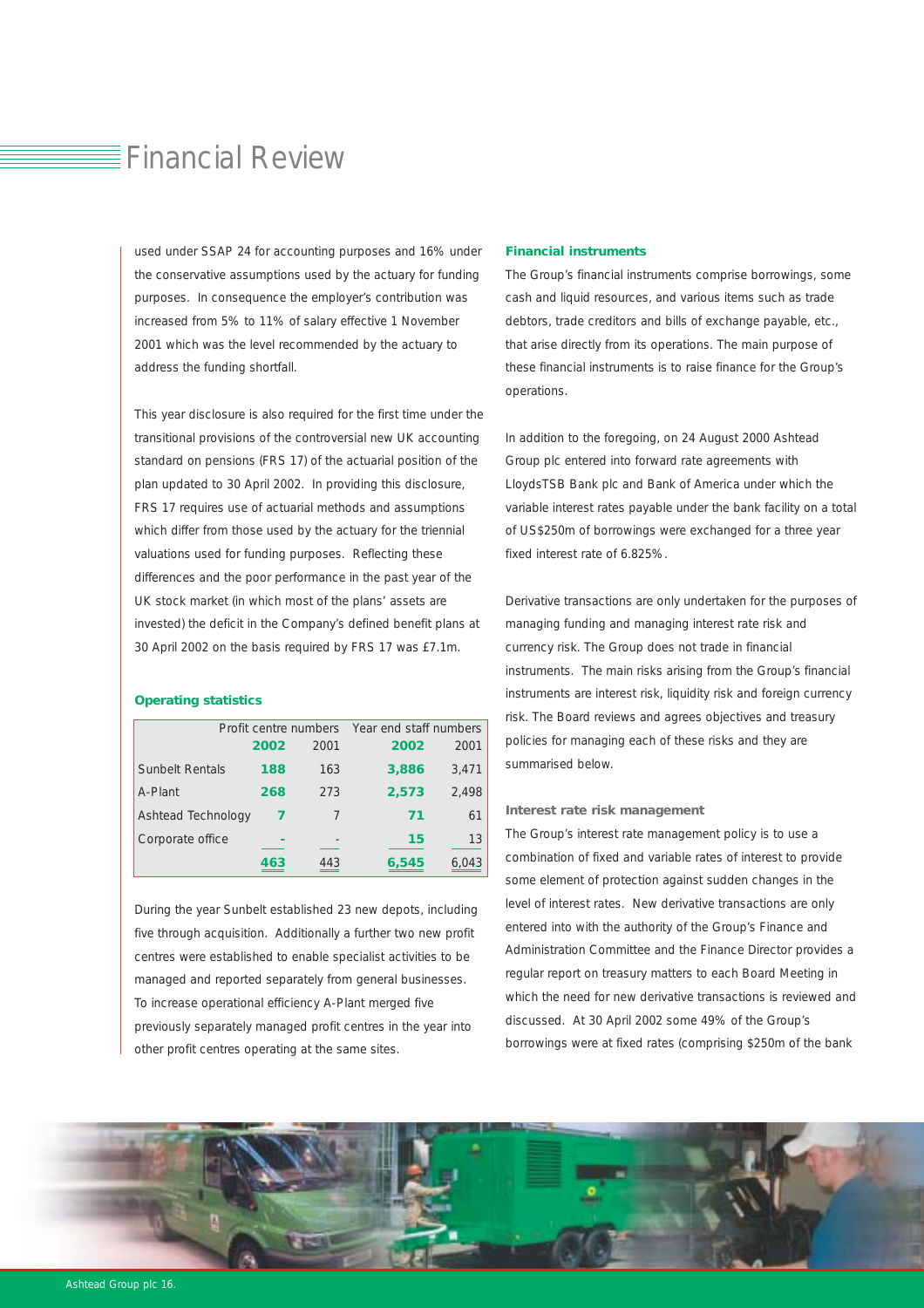### $\equiv$  Financial Review

used under SSAP 24 for accounting purposes and 16% under the conservative assumptions used by the actuary for funding purposes. In consequence the employer's contribution was increased from 5% to 11% of salary effective 1 November 2001 which was the level recommended by the actuary to address the funding shortfall.

This year disclosure is also required for the first time under the transitional provisions of the controversial new UK accounting standard on pensions (FRS 17) of the actuarial position of the plan updated to 30 April 2002. In providing this disclosure, FRS 17 requires use of actuarial methods and assumptions which differ from those used by the actuary for the triennial valuations used for funding purposes. Reflecting these differences and the poor performance in the past year of the UK stock market (in which most of the plans' assets are invested) the deficit in the Company's defined benefit plans at 30 April 2002 on the basis required by FRS 17 was £7.1m.

#### *Operating statistics*

|                        |      | Profit centre numbers | Year end staff numbers |       |
|------------------------|------|-----------------------|------------------------|-------|
|                        | 2002 | 2001                  | 2002                   | 2001  |
| <b>Sunbelt Rentals</b> | 188  | 163                   | 3,886                  | 3.471 |
| A-Plant                | 268  | 273                   | 2,573                  | 2,498 |
| Ashtead Technology     |      |                       | 71                     | 61    |
| Corporate office       |      |                       | 15                     | 13    |
|                        | 463  | 443                   | 6,545                  | 6,043 |

During the year Sunbelt established 23 new depots, including five through acquisition. Additionally a further two new profit centres were established to enable specialist activities to be managed and reported separately from general businesses. To increase operational efficiency A-Plant merged five previously separately managed profit centres in the year into other profit centres operating at the same sites.

#### *Financial instruments*

The Group's financial instruments comprise borrowings, some cash and liquid resources, and various items such as trade debtors, trade creditors and bills of exchange payable, etc., that arise directly from its operations. The main purpose of these financial instruments is to raise finance for the Group's operations.

In addition to the foregoing, on 24 August 2000 Ashtead Group plc entered into forward rate agreements with LloydsTSB Bank plc and Bank of America under which the variable interest rates payable under the bank facility on a total of US\$250m of borrowings were exchanged for a three year fixed interest rate of 6.825%.

Derivative transactions are only undertaken for the purposes of managing funding and managing interest rate risk and currency risk. The Group does not trade in financial instruments. The main risks arising from the Group's financial instruments are interest risk, liquidity risk and foreign currency risk. The Board reviews and agrees objectives and treasury policies for managing each of these risks and they are summarised below.

#### *Interest rate risk management*

The Group's interest rate management policy is to use a combination of fixed and variable rates of interest to provide some element of protection against sudden changes in the level of interest rates. New derivative transactions are only entered into with the authority of the Group's Finance and Administration Committee and the Finance Director provides a regular report on treasury matters to each Board Meeting in which the need for new derivative transactions is reviewed and discussed. At 30 April 2002 some 49% of the Group's borrowings were at fixed rates (comprising \$250m of the bank

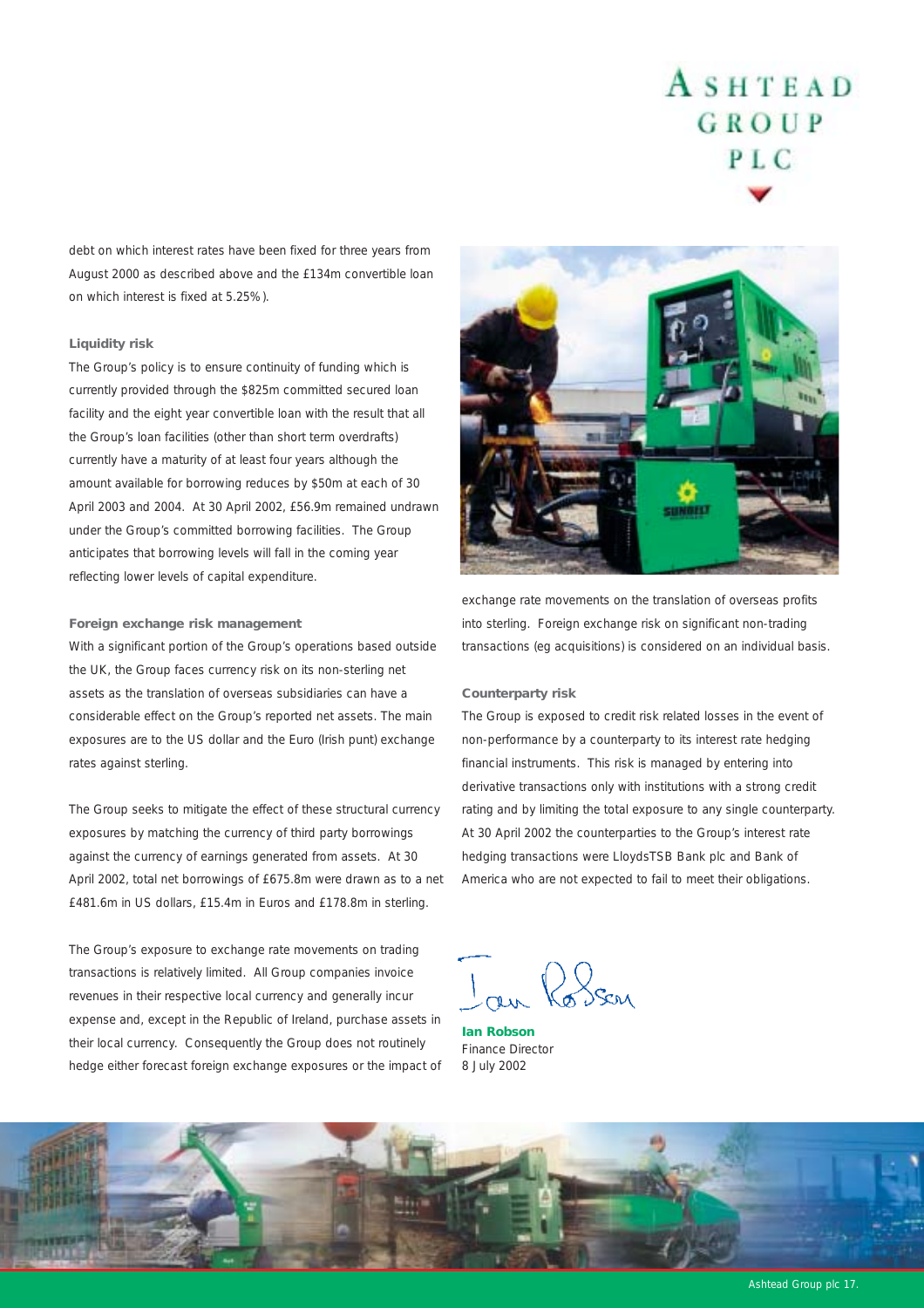debt on which interest rates have been fixed for three years from August 2000 as described above and the £134m convertible loan on which interest is fixed at 5.25%).

#### *Liquidity risk*

The Group's policy is to ensure continuity of funding which is currently provided through the \$825m committed secured loan facility and the eight year convertible loan with the result that all the Group's loan facilities (other than short term overdrafts) currently have a maturity of at least four years although the amount available for borrowing reduces by \$50m at each of 30 April 2003 and 2004. At 30 April 2002, £56.9m remained undrawn under the Group's committed borrowing facilities. The Group anticipates that borrowing levels will fall in the coming year reflecting lower levels of capital expenditure.

#### *Foreign exchange risk management*

With a significant portion of the Group's operations based outside the UK, the Group faces currency risk on its non-sterling net assets as the translation of overseas subsidiaries can have a considerable effect on the Group's reported net assets. The main exposures are to the US dollar and the Euro (Irish punt) exchange rates against sterling.

The Group seeks to mitigate the effect of these structural currency exposures by matching the currency of third party borrowings against the currency of earnings generated from assets. At 30 April 2002, total net borrowings of £675.8m were drawn as to a net £481.6m in US dollars, £15.4m in Euros and £178.8m in sterling.

The Group's exposure to exchange rate movements on trading transactions is relatively limited. All Group companies invoice revenues in their respective local currency and generally incur expense and, except in the Republic of Ireland, purchase assets in their local currency. Consequently the Group does not routinely hedge either forecast foreign exchange exposures or the impact of



exchange rate movements on the translation of overseas profits into sterling. Foreign exchange risk on significant non-trading transactions (eg acquisitions) is considered on an individual basis.

#### *Counterparty risk*

The Group is exposed to credit risk related losses in the event of non-performance by a counterparty to its interest rate hedging financial instruments. This risk is managed by entering into derivative transactions only with institutions with a strong credit rating and by limiting the total exposure to any single counterparty. At 30 April 2002 the counterparties to the Group's interest rate hedging transactions were LloydsTSB Bank plc and Bank of America who are not expected to fail to meet their obligations.

au Rosen

*Ian Robson* Finance Director 8 July 2002



Ashtead Group plc 17.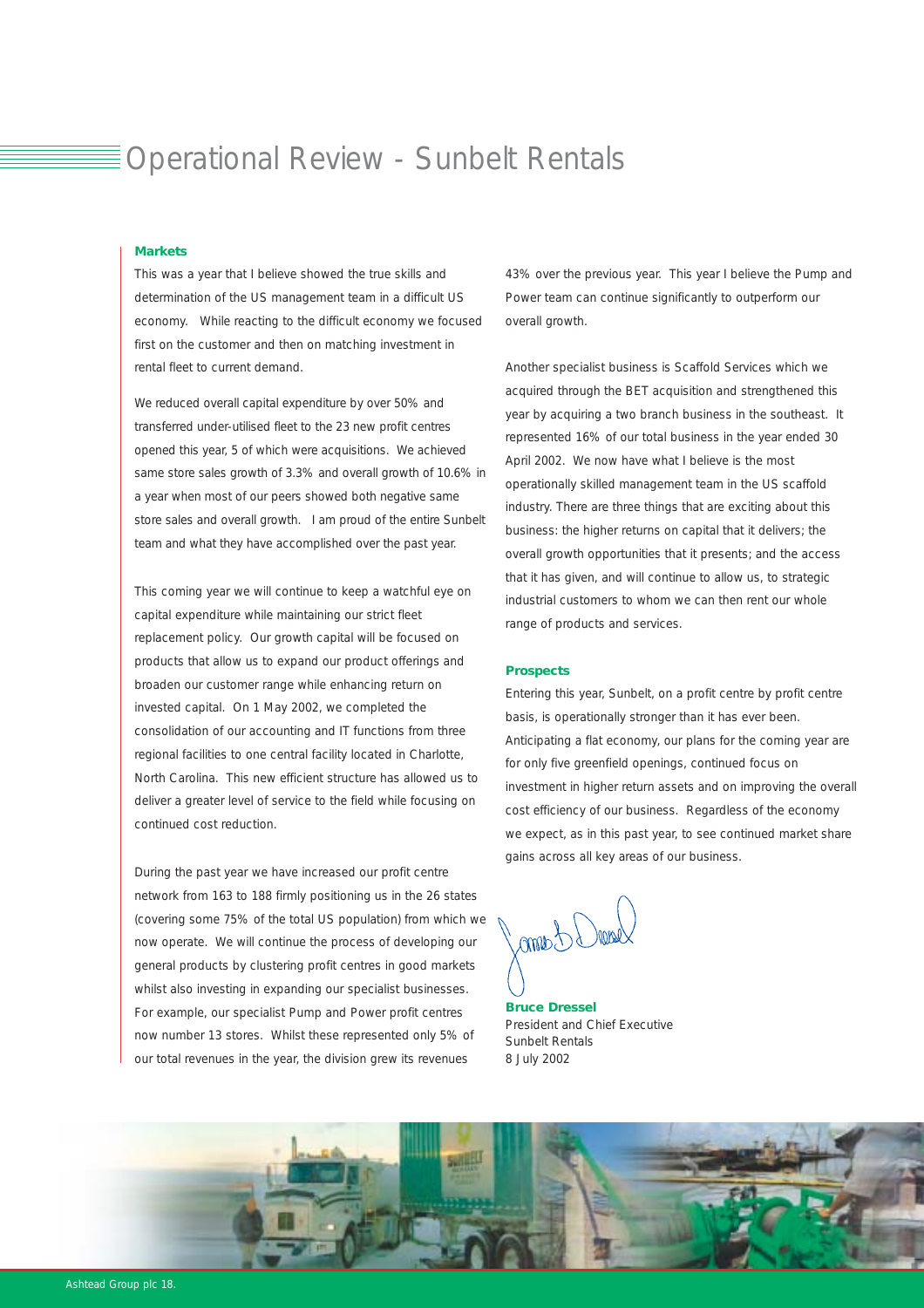### Operational Review - Sunbelt Rentals

#### *Markets*

This was a year that I believe showed the true skills and determination of the US management team in a difficult US economy. While reacting to the difficult economy we focused first on the customer and then on matching investment in rental fleet to current demand.

We reduced overall capital expenditure by over 50% and transferred under-utilised fleet to the 23 new profit centres opened this year, 5 of which were acquisitions. We achieved same store sales growth of 3.3% and overall growth of 10.6% in a year when most of our peers showed both negative same store sales and overall growth. I am proud of the entire Sunbelt team and what they have accomplished over the past year.

This coming year we will continue to keep a watchful eye on capital expenditure while maintaining our strict fleet replacement policy. Our growth capital will be focused on products that allow us to expand our product offerings and broaden our customer range while enhancing return on invested capital. On 1 May 2002, we completed the consolidation of our accounting and IT functions from three regional facilities to one central facility located in Charlotte, North Carolina. This new efficient structure has allowed us to deliver a greater level of service to the field while focusing on continued cost reduction.

During the past year we have increased our profit centre network from 163 to 188 firmly positioning us in the 26 states (covering some 75% of the total US population) from which we now operate. We will continue the process of developing our general products by clustering profit centres in good markets whilst also investing in expanding our specialist businesses. For example, our specialist Pump and Power profit centres now number 13 stores. Whilst these represented only 5% of our total revenues in the year, the division grew its revenues

43% over the previous year. This year I believe the Pump and Power team can continue significantly to outperform our overall growth.

Another specialist business is Scaffold Services which we acquired through the BET acquisition and strengthened this year by acquiring a two branch business in the southeast. It represented 16% of our total business in the year ended 30 April 2002. We now have what I believe is the most operationally skilled management team in the US scaffold industry. There are three things that are exciting about this business: the higher returns on capital that it delivers; the overall growth opportunities that it presents; and the access that it has given, and will continue to allow us, to strategic industrial customers to whom we can then rent our whole range of products and services.

#### *Prospects*

Entering this year, Sunbelt, on a profit centre by profit centre basis, is operationally stronger than it has ever been. Anticipating a flat economy, our plans for the coming year are for only five greenfield openings, continued focus on investment in higher return assets and on improving the overall cost efficiency of our business. Regardless of the economy we expect, as in this past year, to see continued market share gains across all key areas of our business.

Idama

*Bruce Dressel* President and Chief Executive Sunbelt Rentals 8 July 2002

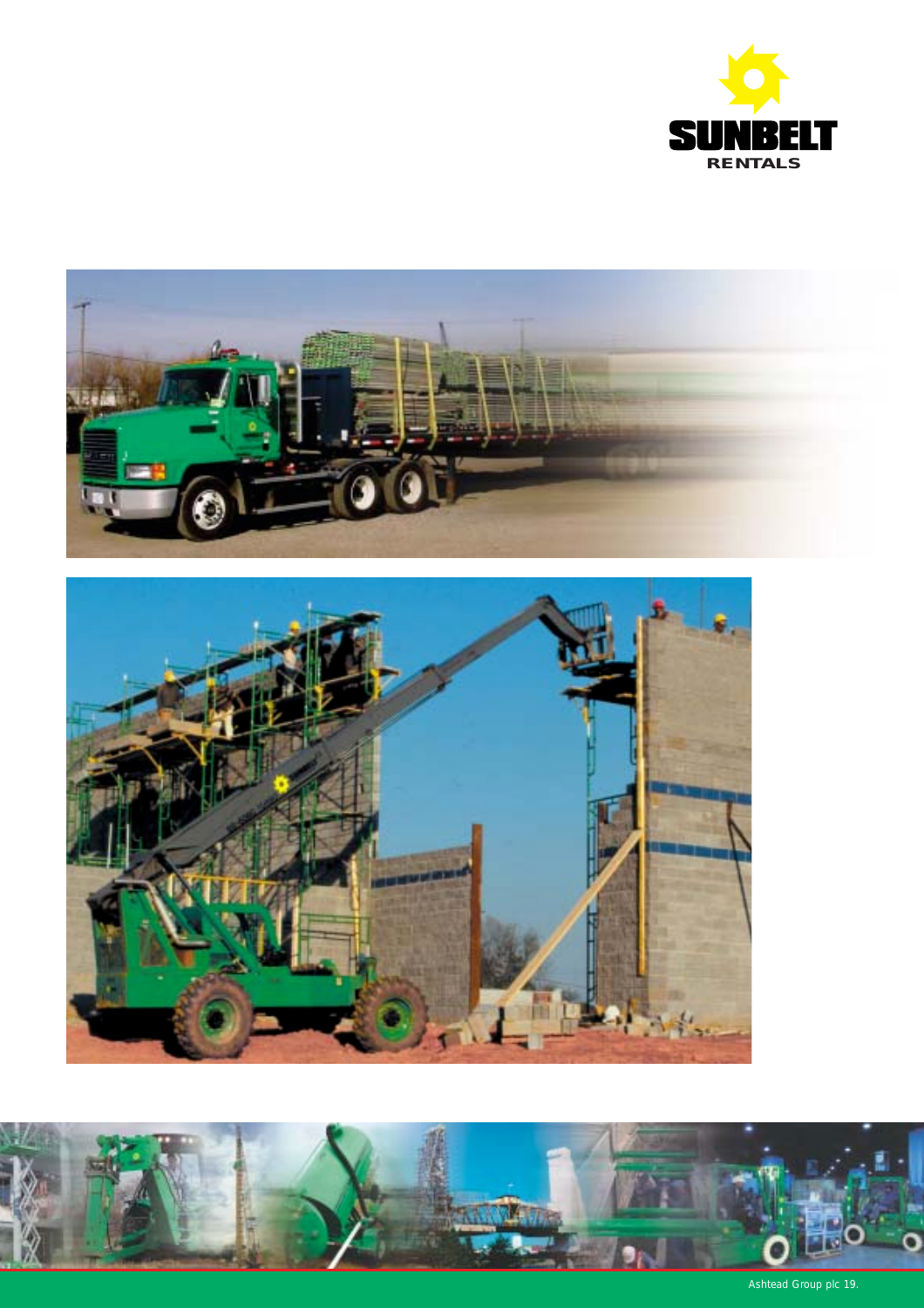





Ashtead Group plc 19.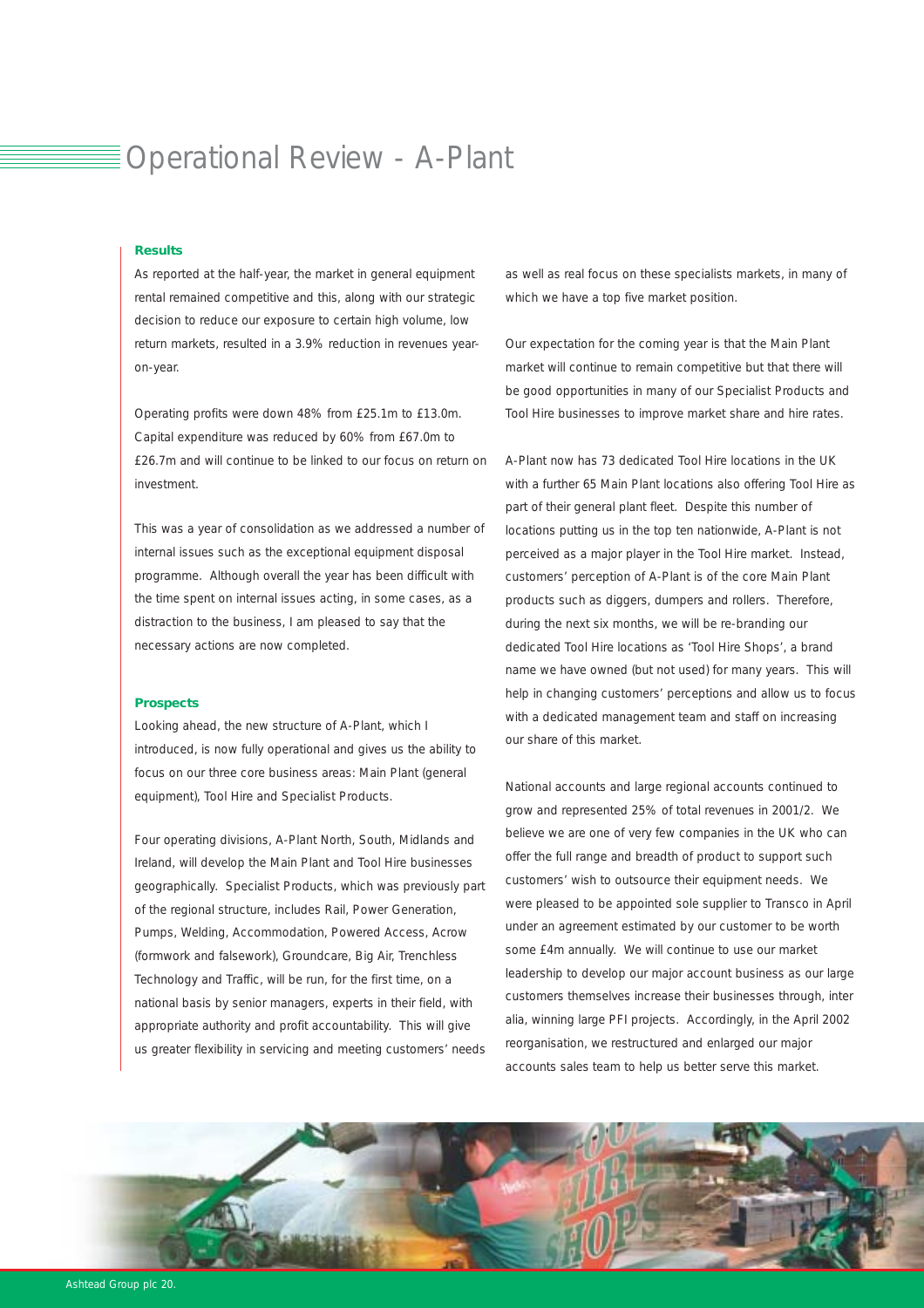### Operational Review - A-Plant

#### *Results*

As reported at the half-year, the market in general equipment rental remained competitive and this, along with our strategic decision to reduce our exposure to certain high volume, low return markets, resulted in a 3.9% reduction in revenues yearon-year.

Operating profits were down 48% from £25.1m to £13.0m. Capital expenditure was reduced by 60% from £67.0m to £26.7m and will continue to be linked to our focus on return on investment.

This was a year of consolidation as we addressed a number of internal issues such as the exceptional equipment disposal programme. Although overall the year has been difficult with the time spent on internal issues acting, in some cases, as a distraction to the business, I am pleased to say that the necessary actions are now completed.

#### *Prospects*

Looking ahead, the new structure of A-Plant, which I introduced, is now fully operational and gives us the ability to focus on our three core business areas: Main Plant (general equipment), Tool Hire and Specialist Products.

Four operating divisions, A-Plant North, South, Midlands and Ireland, will develop the Main Plant and Tool Hire businesses geographically. Specialist Products, which was previously part of the regional structure, includes Rail, Power Generation, Pumps, Welding, Accommodation, Powered Access, Acrow (formwork and falsework), Groundcare, Big Air, Trenchless Technology and Traffic, will be run, for the first time, on a national basis by senior managers, experts in their field, with appropriate authority and profit accountability. This will give us greater flexibility in servicing and meeting customers' needs as well as real focus on these specialists markets, in many of which we have a top five market position.

Our expectation for the coming year is that the Main Plant market will continue to remain competitive but that there will be good opportunities in many of our Specialist Products and Tool Hire businesses to improve market share and hire rates.

A-Plant now has 73 dedicated Tool Hire locations in the UK with a further 65 Main Plant locations also offering Tool Hire as part of their general plant fleet. Despite this number of locations putting us in the top ten nationwide, A-Plant is not perceived as a major player in the Tool Hire market. Instead, customers' perception of A-Plant is of the core Main Plant products such as diggers, dumpers and rollers. Therefore, during the next six months, we will be re-branding our dedicated Tool Hire locations as 'Tool Hire Shops', a brand name we have owned (but not used) for many years. This will help in changing customers' perceptions and allow us to focus with a dedicated management team and staff on increasing our share of this market.

National accounts and large regional accounts continued to grow and represented 25% of total revenues in 2001/2. We believe we are one of very few companies in the UK who can offer the full range and breadth of product to support such customers' wish to outsource their equipment needs. We were pleased to be appointed sole supplier to Transco in April under an agreement estimated by our customer to be worth some £4m annually. We will continue to use our market leadership to develop our major account business as our large customers themselves increase their businesses through, inter alia, winning large PFI projects. Accordingly, in the April 2002 reorganisation, we restructured and enlarged our major accounts sales team to help us better serve this market.

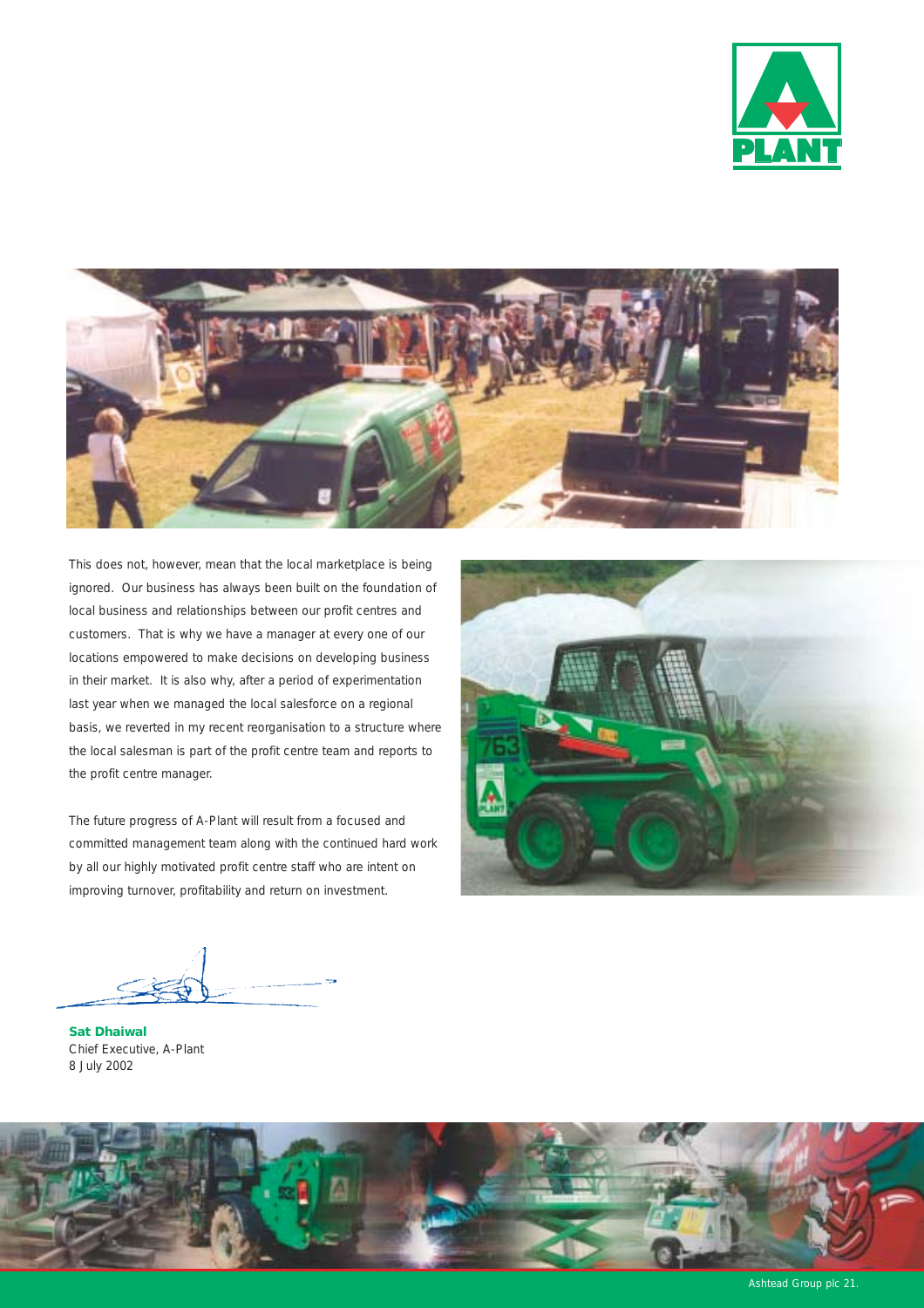



This does not, however, mean that the local marketplace is being ignored. Our business has always been built on the foundation of local business and relationships between our profit centres and customers. That is why we have a manager at every one of our locations empowered to make decisions on developing business in their market. It is also why, after a period of experimentation last year when we managed the local salesforce on a regional basis, we reverted in my recent reorganisation to a structure where the local salesman is part of the profit centre team and reports to the profit centre manager.

The future progress of A-Plant will result from a focused and committed management team along with the continued hard work by all our highly motivated profit centre staff who are intent on improving turnover, profitability and return on investment.



*Sat Dhaiwal* Chief Executive, A-Plant 8 July 2002

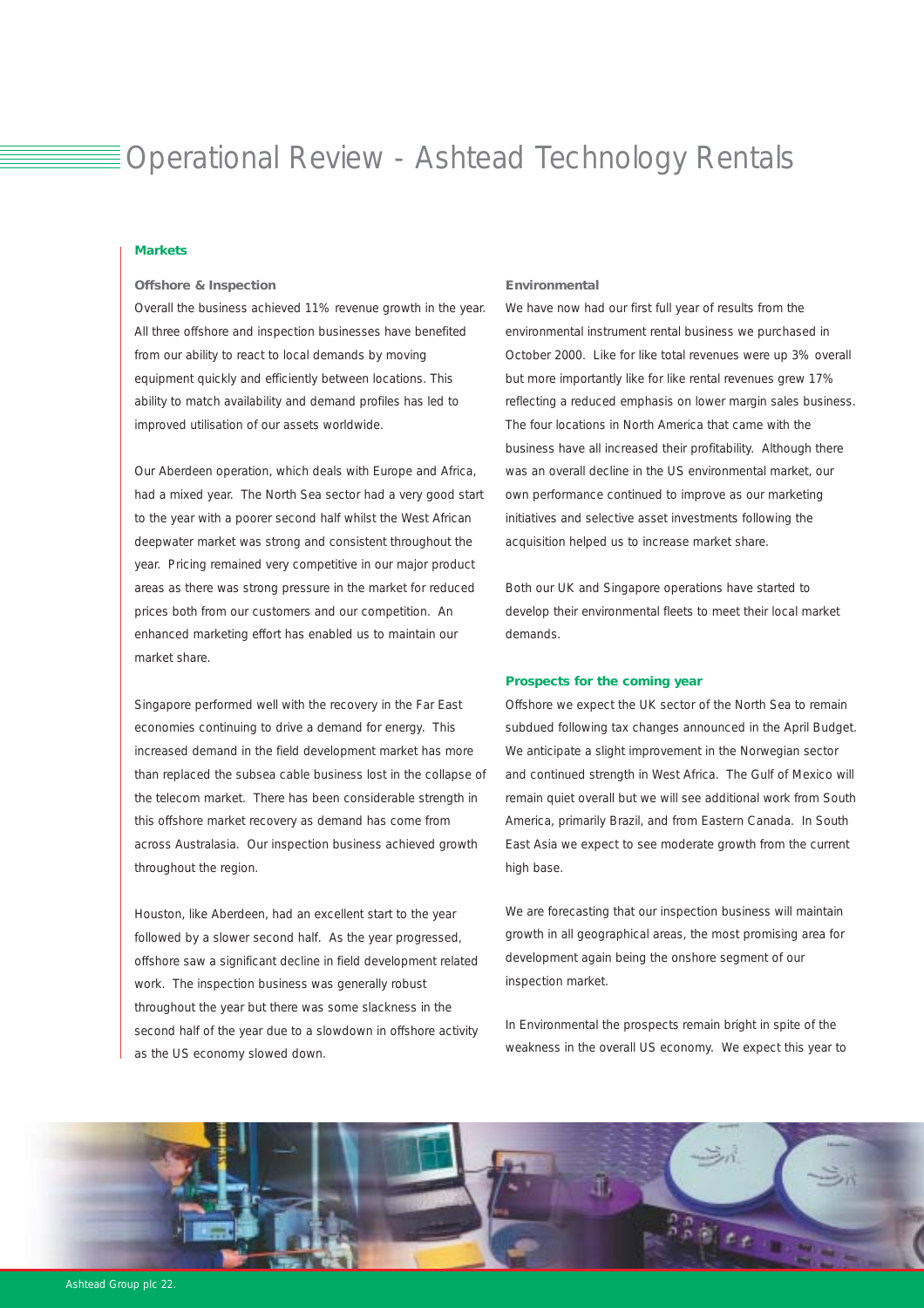# Operational Review - Ashtead Technology Rentals

#### *Markets*

#### *Offshore & Inspection*

Overall the business achieved 11% revenue growth in the year. All three offshore and inspection businesses have benefited from our ability to react to local demands by moving equipment quickly and efficiently between locations. This ability to match availability and demand profiles has led to improved utilisation of our assets worldwide.

Our Aberdeen operation, which deals with Europe and Africa, had a mixed year. The North Sea sector had a very good start to the year with a poorer second half whilst the West African deepwater market was strong and consistent throughout the year. Pricing remained very competitive in our major product areas as there was strong pressure in the market for reduced prices both from our customers and our competition. An enhanced marketing effort has enabled us to maintain our market share.

Singapore performed well with the recovery in the Far East economies continuing to drive a demand for energy. This increased demand in the field development market has more than replaced the subsea cable business lost in the collapse of the telecom market. There has been considerable strength in this offshore market recovery as demand has come from across Australasia. Our inspection business achieved growth throughout the region.

Houston, like Aberdeen, had an excellent start to the year followed by a slower second half. As the year progressed, offshore saw a significant decline in field development related work. The inspection business was generally robust throughout the year but there was some slackness in the second half of the year due to a slowdown in offshore activity as the US economy slowed down.

#### *Environmental*

We have now had our first full year of results from the environmental instrument rental business we purchased in October 2000. Like for like total revenues were up 3% overall but more importantly like for like rental revenues grew 17% reflecting a reduced emphasis on lower margin sales business. The four locations in North America that came with the business have all increased their profitability. Although there was an overall decline in the US environmental market, our own performance continued to improve as our marketing initiatives and selective asset investments following the acquisition helped us to increase market share.

Both our UK and Singapore operations have started to develop their environmental fleets to meet their local market demands.

#### *Prospects for the coming year*

Offshore we expect the UK sector of the North Sea to remain subdued following tax changes announced in the April Budget. We anticipate a slight improvement in the Norwegian sector and continued strength in West Africa. The Gulf of Mexico will remain quiet overall but we will see additional work from South America, primarily Brazil, and from Eastern Canada. In South East Asia we expect to see moderate growth from the current high base.

We are forecasting that our inspection business will maintain growth in all geographical areas, the most promising area for development again being the onshore segment of our inspection market.

In Environmental the prospects remain bright in spite of the weakness in the overall US economy. We expect this year to

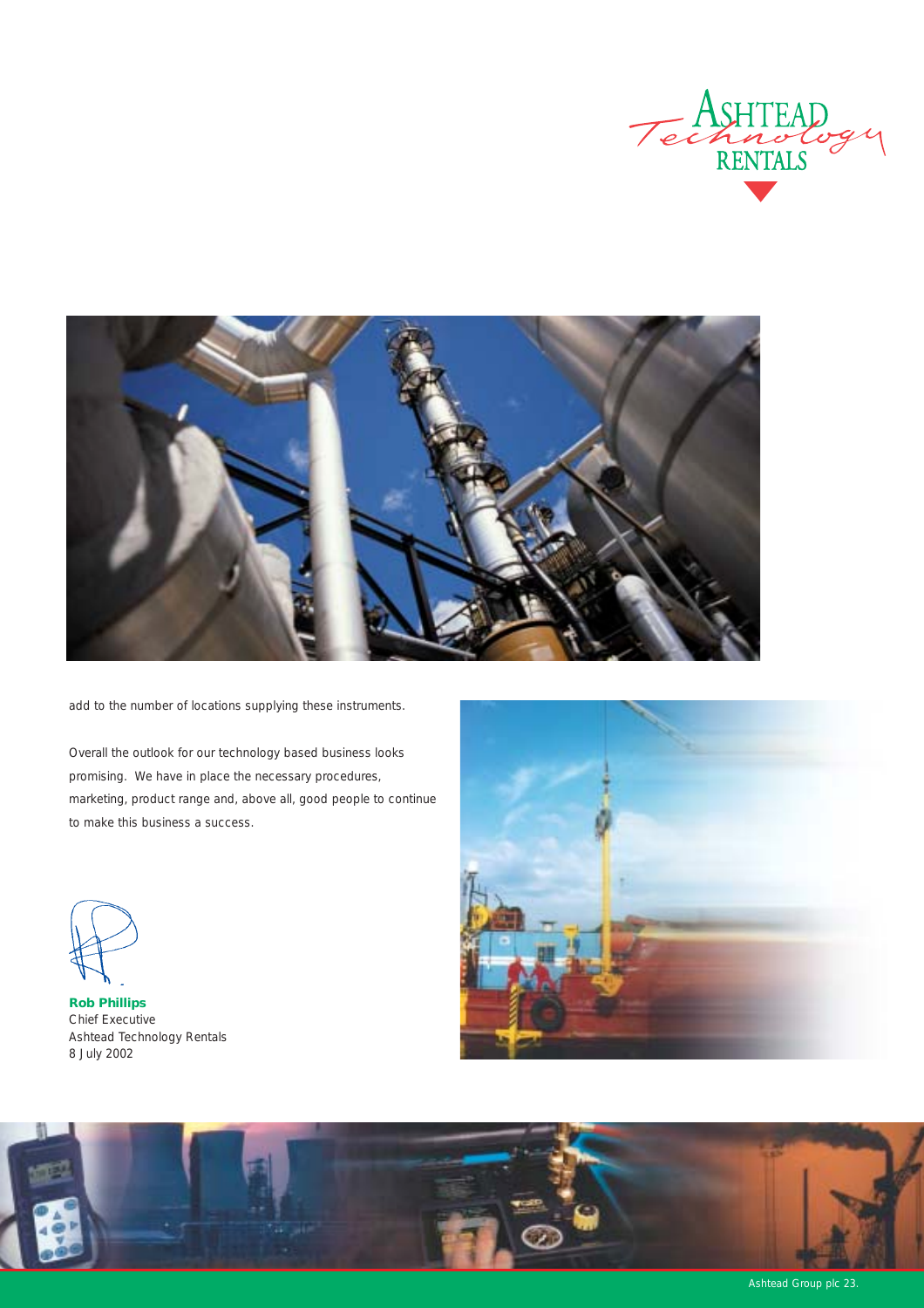



add to the number of locations supplying these instruments.

Overall the outlook for our technology based business looks promising. We have in place the necessary procedures, marketing, product range and, above all, good people to continue to make this business a success.



*Rob Phillips* Chief Executive Ashtead Technology Rentals 8 July 2002





Ashtead Group plc 23.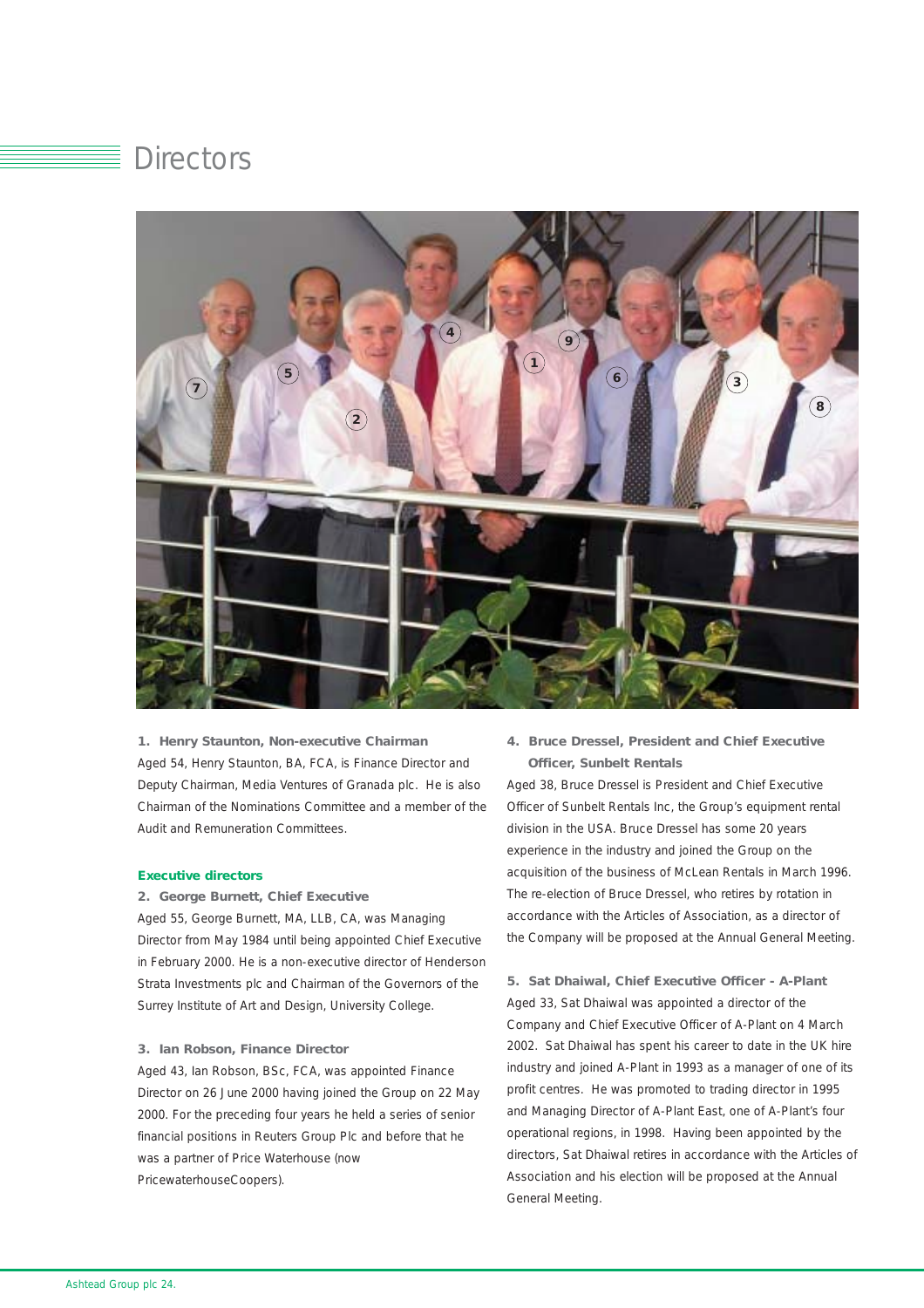# **Directors**



#### *1. Henry Staunton, Non-executive Chairman*

Aged 54, Henry Staunton, BA, FCA, is Finance Director and Deputy Chairman, Media Ventures of Granada plc. He is also Chairman of the Nominations Committee and a member of the Audit and Remuneration Committees.

#### *Executive directors*

#### *2. George Burnett, Chief Executive*

Aged 55, George Burnett, MA, LLB, CA, was Managing Director from May 1984 until being appointed Chief Executive in February 2000. He is a non-executive director of Henderson Strata Investments plc and Chairman of the Governors of the Surrey Institute of Art and Design, University College.

#### *3. Ian Robson, Finance Director*

Aged 43, Ian Robson, BSc, FCA, was appointed Finance Director on 26 June 2000 having joined the Group on 22 May 2000. For the preceding four years he held a series of senior financial positions in Reuters Group Plc and before that he was a partner of Price Waterhouse (now PricewaterhouseCoopers).

**4.** *Bruce Dressel, President and Chief Executive Officer, Sunbelt Rentals*

Aged 38, Bruce Dressel is President and Chief Executive Officer of Sunbelt Rentals Inc, the Group's equipment rental division in the USA. Bruce Dressel has some 20 years experience in the industry and joined the Group on the acquisition of the business of McLean Rentals in March 1996. The re-election of Bruce Dressel, who retires by rotation in accordance with the Articles of Association, as a director of the Company will be proposed at the Annual General Meeting.

*5. Sat Dhaiwal, Chief Executive Officer - A-Plant* Aged 33, Sat Dhaiwal was appointed a director of the Company and Chief Executive Officer of A-Plant on 4 March 2002. Sat Dhaiwal has spent his career to date in the UK hire industry and joined A-Plant in 1993 as a manager of one of its profit centres. He was promoted to trading director in 1995 and Managing Director of A-Plant East, one of A-Plant's four operational regions, in 1998. Having been appointed by the directors, Sat Dhaiwal retires in accordance with the Articles of Association and his election will be proposed at the Annual General Meeting.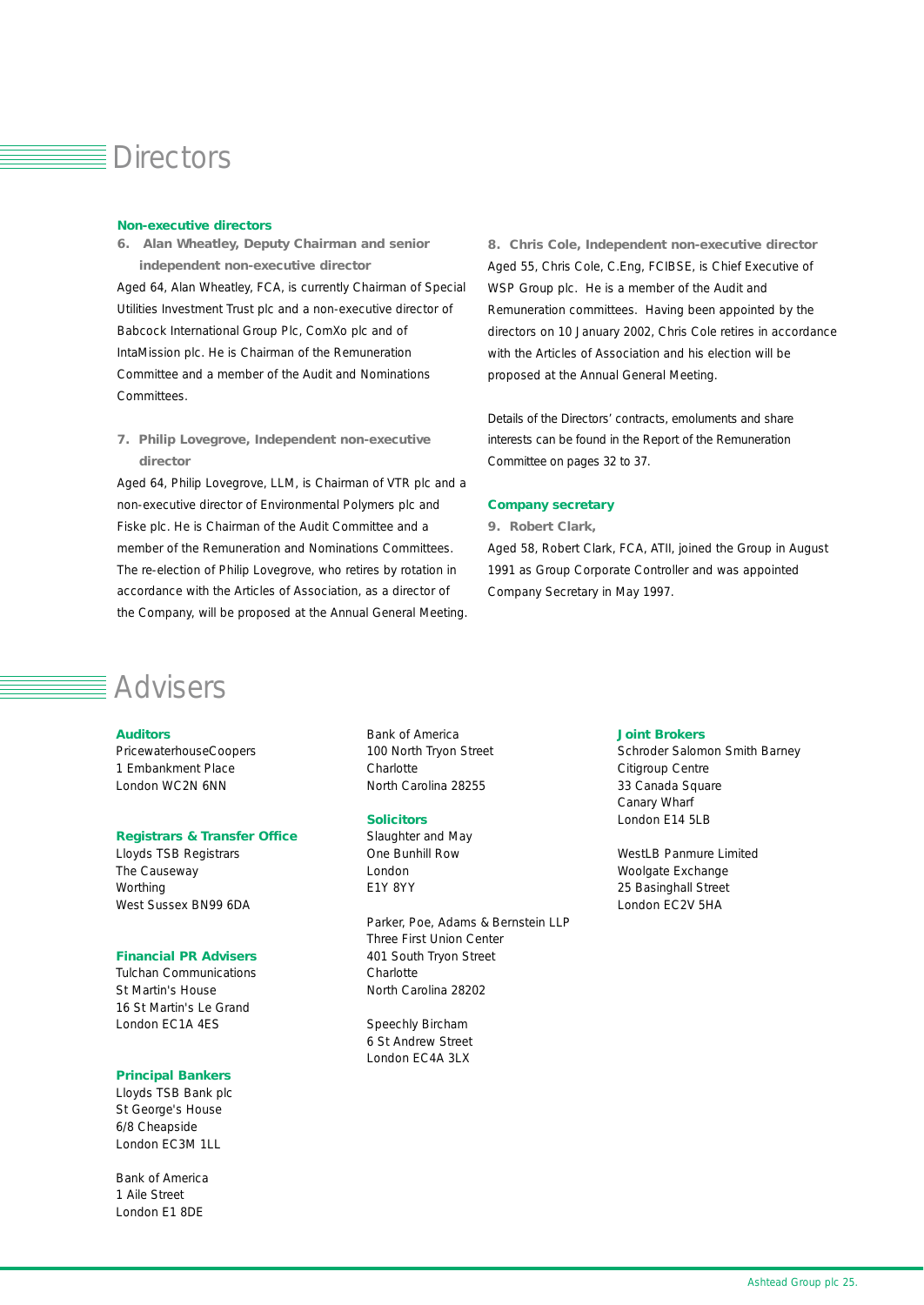### **Directors**

#### *Non-executive directors*

*6. Alan Wheatley, Deputy Chairman and senior independent non-executive director* 

Aged 64, Alan Wheatley, FCA, is currently Chairman of Special Utilities Investment Trust plc and a non-executive director of Babcock International Group Plc, ComXo plc and of IntaMission plc. He is Chairman of the Remuneration Committee and a member of the Audit and Nominations Committees.

*7. Philip Lovegrove, Independent non-executive director* 

Aged 64, Philip Lovegrove, LLM, is Chairman of VTR plc and a non-executive director of Environmental Polymers plc and Fiske plc. He is Chairman of the Audit Committee and a member of the Remuneration and Nominations Committees. The re-election of Philip Lovegrove, who retires by rotation in accordance with the Articles of Association, as a director of the Company, will be proposed at the Annual General Meeting.

*8. Chris Cole, Independent non-executive director*  Aged 55, Chris Cole, C.Eng, FCIBSE, is Chief Executive of WSP Group plc. He is a member of the Audit and Remuneration committees. Having been appointed by the directors on 10 January 2002, Chris Cole retires in accordance with the Articles of Association and his election will be proposed at the Annual General Meeting.

Details of the Directors' contracts, emoluments and share interests can be found in the Report of the Remuneration Committee on pages 32 to 37.

#### *Company secretary*

*9. Robert Clark,* 

Aged 58, Robert Clark, FCA, ATII, joined the Group in August 1991 as Group Corporate Controller and was appointed Company Secretary in May 1997.

# $\equiv$  Advisers

#### *Auditors*

PricewaterhouseCoopers 1 Embankment Place London WC2N 6NN

#### *Registrars & Transfer Office*

Lloyds TSB Registrars The Causeway **Worthing** West Sussex BN99 6DA

#### *Financial PR Advisers*

Tulchan Communications St Martin's House 16 St Martin's Le Grand London EC1A 4ES

#### *Principal Bankers*

Lloyds TSB Bank plc St George's House 6/8 Cheapside London EC3M 1LL

Bank of America 1 Aile Street London E1 8DE

Bank of America 100 North Tryon Street **Charlotte** North Carolina 28255

#### *Solicitors*

Slaughter and May One Bunhill Row London E1Y 8YY

Parker, Poe, Adams & Bernstein LLP Three First Union Center 401 South Tryon Street **Charlotte** North Carolina 28202

Speechly Bircham 6 St Andrew Street London EC4A 3LX

#### *Joint Brokers*

Schroder Salomon Smith Barney Citigroup Centre 33 Canada Square Canary Wharf London E14 5LB

WestLB Panmure Limited Woolgate Exchange 25 Basinghall Street London EC2V 5HA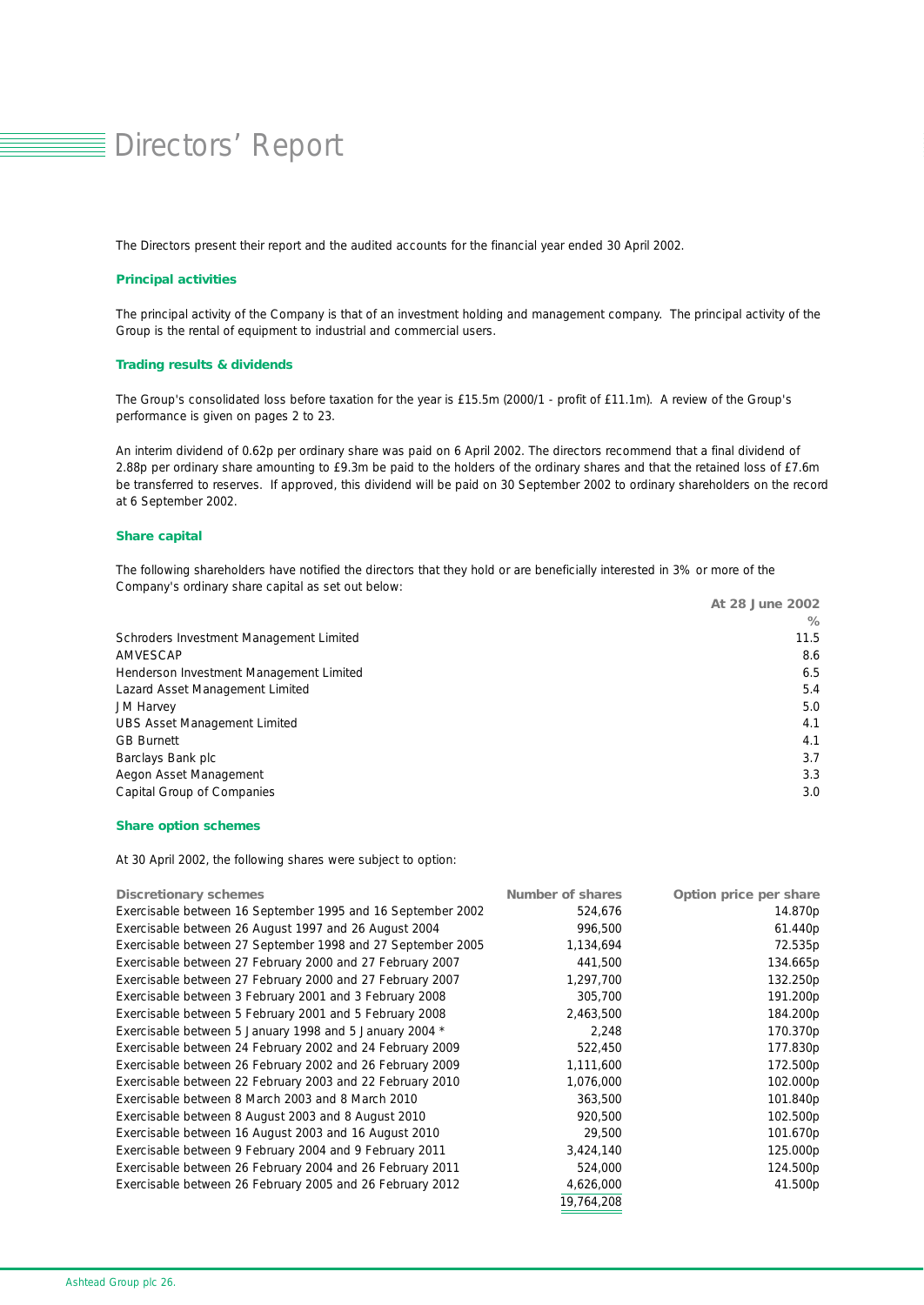# Directors' Report

The Directors present their report and the audited accounts for the financial year ended 30 April 2002.

#### *Principal activities*

The principal activity of the Company is that of an investment holding and management company. The principal activity of the Group is the rental of equipment to industrial and commercial users.

#### *Trading results & dividends*

The Group's consolidated loss before taxation for the year is £15.5m (2000/1 - profit of £11.1m). A review of the Group's performance is given on pages 2 to 23.

An interim dividend of 0.62p per ordinary share was paid on 6 April 2002. The directors recommend that a final dividend of 2.88p per ordinary share amounting to £9.3m be paid to the holders of the ordinary shares and that the retained loss of £7.6m be transferred to reserves. If approved, this dividend will be paid on 30 September 2002 to ordinary shareholders on the record at 6 September 2002.

#### *Share capital*

The following shareholders have notified the directors that they hold or are beneficially interested in 3% or more of the Company's ordinary share capital as set out below:

|                                         | At 28 June 2002 |
|-----------------------------------------|-----------------|
|                                         | %               |
| Schroders Investment Management Limited | 11.5            |
| AMVESCAP                                | 8.6             |
| Henderson Investment Management Limited | 6.5             |
| Lazard Asset Management Limited         | 5.4             |
| <b>JM Harvey</b>                        | 5.0             |
| <b>UBS Asset Management Limited</b>     | 4.1             |
| <b>GB Burnett</b>                       | 4.1             |
| Barclays Bank plc                       | 3.7             |
| Aegon Asset Management                  | 3.3             |
| Capital Group of Companies              | 3.0             |

#### *Share option schemes*

At 30 April 2002, the following shares were subject to option:

| <b>Discretionary schemes</b>                                | <b>Number of shares</b> | Option price per share |
|-------------------------------------------------------------|-------------------------|------------------------|
| Exercisable between 16 September 1995 and 16 September 2002 | 524,676                 | 14.870p                |
| Exercisable between 26 August 1997 and 26 August 2004       | 996,500                 | 61.440p                |
| Exercisable between 27 September 1998 and 27 September 2005 | 1,134,694               | 72.535p                |
| Exercisable between 27 February 2000 and 27 February 2007   | 441,500                 | 134.665p               |
| Exercisable between 27 February 2000 and 27 February 2007   | 1,297,700               | 132.250p               |
| Exercisable between 3 February 2001 and 3 February 2008     | 305,700                 | 191.200p               |
| Exercisable between 5 February 2001 and 5 February 2008     | 2,463,500               | 184.200p               |
| Exercisable between 5 January 1998 and 5 January 2004 *     | 2,248                   | 170.370p               |
| Exercisable between 24 February 2002 and 24 February 2009   | 522,450                 | 177.830p               |
| Exercisable between 26 February 2002 and 26 February 2009   | 1,111,600               | 172.500p               |
| Exercisable between 22 February 2003 and 22 February 2010   | 1,076,000               | 102.000p               |
| Exercisable between 8 March 2003 and 8 March 2010           | 363,500                 | 101.840p               |
| Exercisable between 8 August 2003 and 8 August 2010         | 920,500                 | 102.500p               |
| Exercisable between 16 August 2003 and 16 August 2010       | 29,500                  | 101.670p               |
| Exercisable between 9 February 2004 and 9 February 2011     | 3,424,140               | 125.000p               |
| Exercisable between 26 February 2004 and 26 February 2011   | 524,000                 | 124.500p               |
| Exercisable between 26 February 2005 and 26 February 2012   | 4,626,000               | 41.500p                |
|                                                             | 19,764,208              |                        |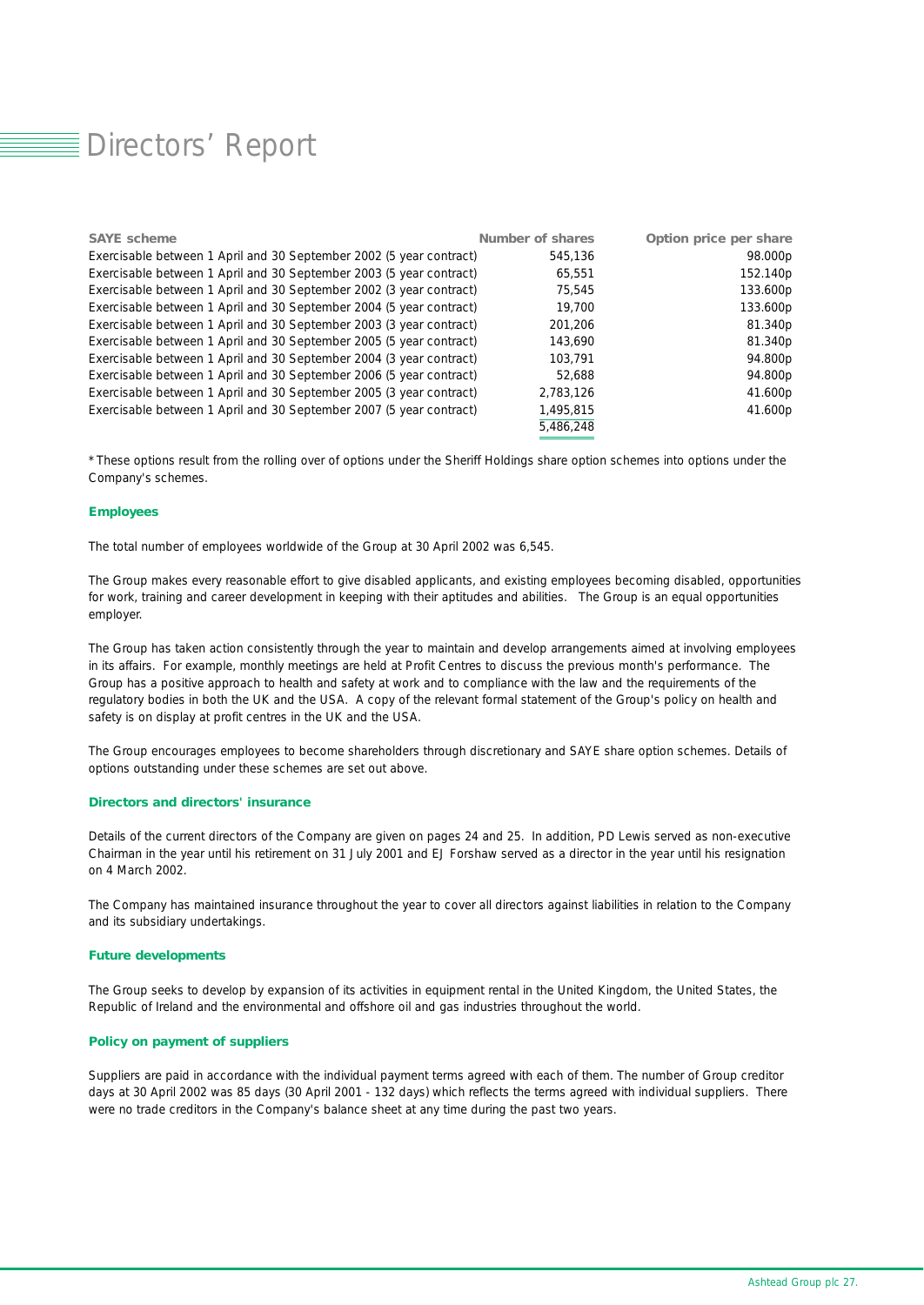# Directors' Report

| <b>SAYE</b> scheme                                                  | <b>Number of shares</b> | Option price per share |
|---------------------------------------------------------------------|-------------------------|------------------------|
| Exercisable between 1 April and 30 September 2002 (5 year contract) | 545.136                 | 98.000p                |
| Exercisable between 1 April and 30 September 2003 (5 year contract) | 65,551                  | 152.140p               |
| Exercisable between 1 April and 30 September 2002 (3 year contract) | 75,545                  | 133.600p               |
| Exercisable between 1 April and 30 September 2004 (5 year contract) | 19,700                  | 133.600p               |
| Exercisable between 1 April and 30 September 2003 (3 year contract) | 201.206                 | 81.340p                |
| Exercisable between 1 April and 30 September 2005 (5 year contract) | 143.690                 | 81.340p                |
| Exercisable between 1 April and 30 September 2004 (3 year contract) | 103.791                 | 94.800p                |
| Exercisable between 1 April and 30 September 2006 (5 year contract) | 52.688                  | 94.800p                |
| Exercisable between 1 April and 30 September 2005 (3 year contract) | 2,783,126               | 41.600p                |
| Exercisable between 1 April and 30 September 2007 (5 year contract) | 1,495,815               | 41.600p                |
|                                                                     | 5.486.248               |                        |

*\* These options result from the rolling over of options under the Sheriff Holdings share option schemes into options under the Company's schemes.*

#### *Employees*

The total number of employees worldwide of the Group at 30 April 2002 was 6,545.

The Group makes every reasonable effort to give disabled applicants, and existing employees becoming disabled, opportunities for work, training and career development in keeping with their aptitudes and abilities. The Group is an equal opportunities employer.

The Group has taken action consistently through the year to maintain and develop arrangements aimed at involving employees in its affairs. For example, monthly meetings are held at Profit Centres to discuss the previous month's performance. The Group has a positive approach to health and safety at work and to compliance with the law and the requirements of the regulatory bodies in both the UK and the USA. A copy of the relevant formal statement of the Group's policy on health and safety is on display at profit centres in the UK and the USA.

The Group encourages employees to become shareholders through discretionary and SAYE share option schemes. Details of options outstanding under these schemes are set out above.

#### *Directors and directors' insurance*

Details of the current directors of the Company are given on pages 24 and 25. In addition, PD Lewis served as non-executive Chairman in the year until his retirement on 31 July 2001 and EJ Forshaw served as a director in the year until his resignation on 4 March 2002.

The Company has maintained insurance throughout the year to cover all directors against liabilities in relation to the Company and its subsidiary undertakings.

#### *Future developments*

The Group seeks to develop by expansion of its activities in equipment rental in the United Kingdom, the United States, the Republic of Ireland and the environmental and offshore oil and gas industries throughout the world.

#### *Policy on payment of suppliers*

Suppliers are paid in accordance with the individual payment terms agreed with each of them. The number of Group creditor days at 30 April 2002 was 85 days (30 April 2001 - 132 days) which reflects the terms agreed with individual suppliers. There were no trade creditors in the Company's balance sheet at any time during the past two years.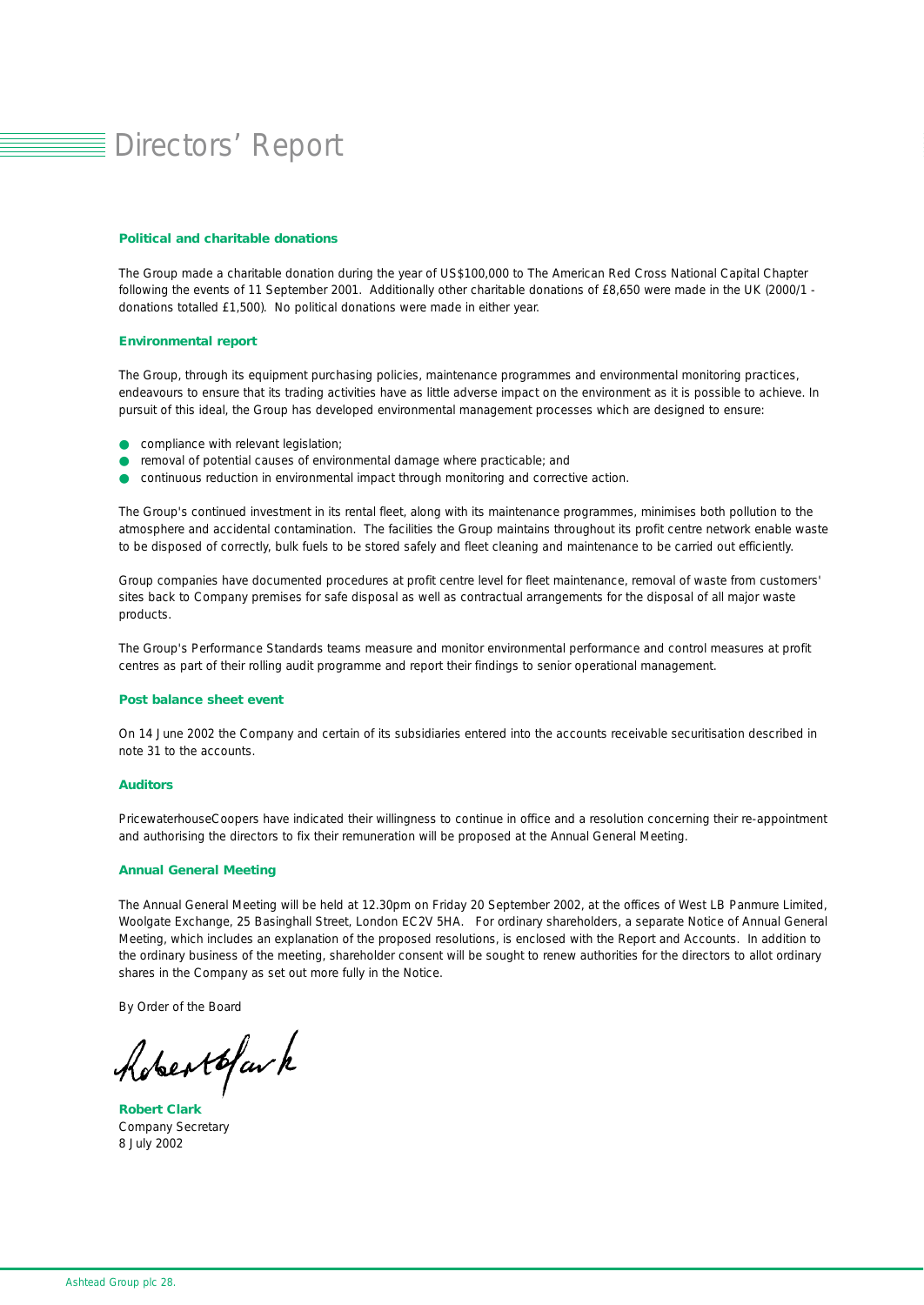# Directors' Report

#### *Political and charitable donations*

The Group made a charitable donation during the year of US\$100,000 to The American Red Cross National Capital Chapter following the events of 11 September 2001. Additionally other charitable donations of £8,650 were made in the UK (2000/1 donations totalled £1,500). No political donations were made in either year.

#### *Environmental report*

The Group, through its equipment purchasing policies, maintenance programmes and environmental monitoring practices, endeavours to ensure that its trading activities have as little adverse impact on the environment as it is possible to achieve. In pursuit of this ideal, the Group has developed environmental management processes which are designed to ensure:

- **O** compliance with relevant legislation;
- removal of potential causes of environmental damage where practicable; and
- continuous reduction in environmental impact through monitoring and corrective action.

The Group's continued investment in its rental fleet, along with its maintenance programmes, minimises both pollution to the atmosphere and accidental contamination. The facilities the Group maintains throughout its profit centre network enable waste to be disposed of correctly, bulk fuels to be stored safely and fleet cleaning and maintenance to be carried out efficiently.

Group companies have documented procedures at profit centre level for fleet maintenance, removal of waste from customers' sites back to Company premises for safe disposal as well as contractual arrangements for the disposal of all major waste products.

The Group's Performance Standards teams measure and monitor environmental performance and control measures at profit centres as part of their rolling audit programme and report their findings to senior operational management.

#### *Post balance sheet event*

On 14 June 2002 the Company and certain of its subsidiaries entered into the accounts receivable securitisation described in note 31 to the accounts.

#### *Auditors*

PricewaterhouseCoopers have indicated their willingness to continue in office and a resolution concerning their re-appointment and authorising the directors to fix their remuneration will be proposed at the Annual General Meeting.

#### *Annual General Meeting*

The Annual General Meeting will be held at 12.30pm on Friday 20 September 2002, at the offices of West LB Panmure Limited, Woolgate Exchange, 25 Basinghall Street, London EC2V 5HA. For ordinary shareholders, a separate Notice of Annual General Meeting, which includes an explanation of the proposed resolutions, is enclosed with the Report and Accounts. In addition to the ordinary business of the meeting, shareholder consent will be sought to renew authorities for the directors to allot ordinary shares in the Company as set out more fully in the Notice.

By Order of the Board

hobertofav k

*Robert Clark*  Company Secretary 8 July 2002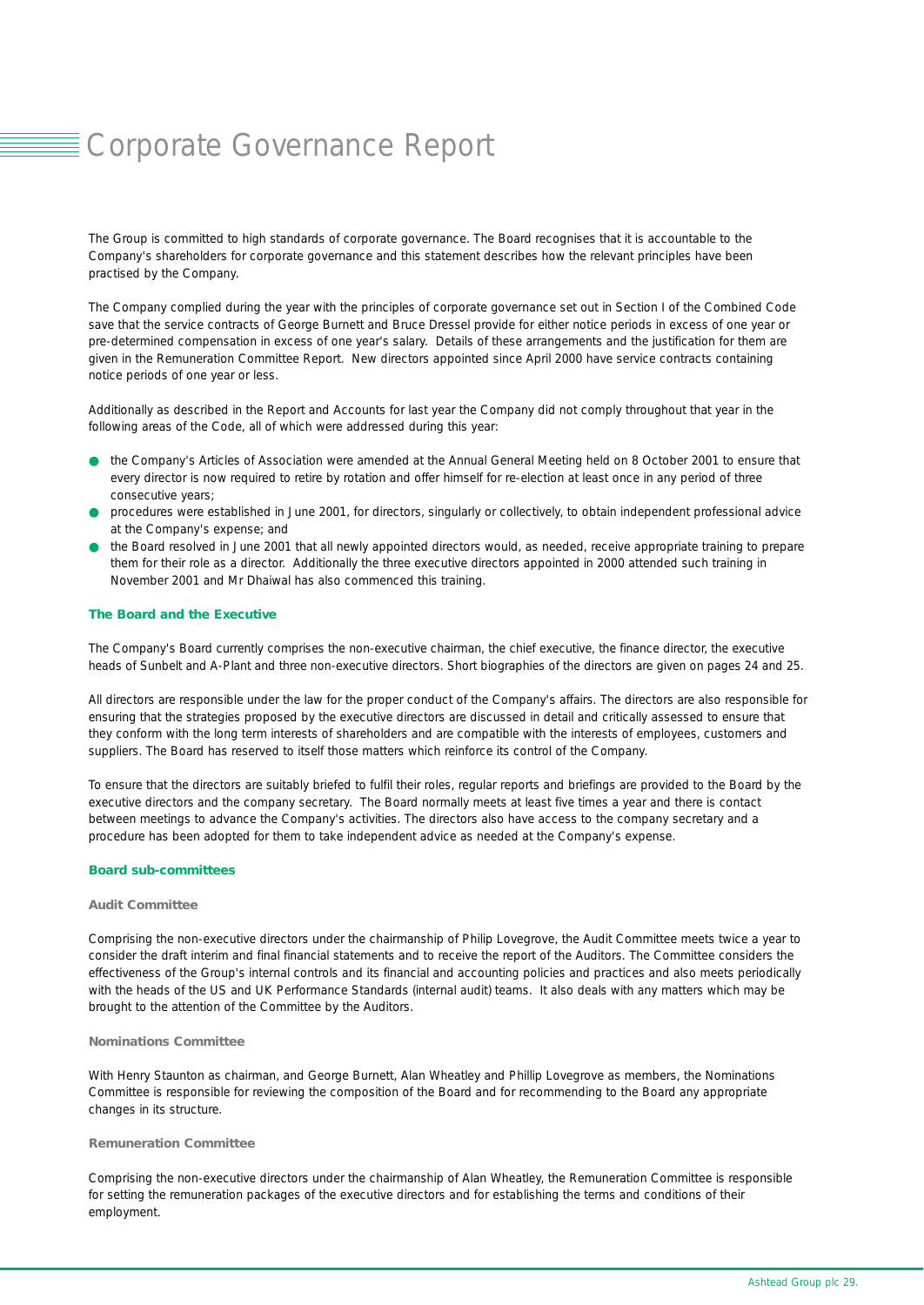# Corporate Governance Report

The Group is committed to high standards of corporate governance. The Board recognises that it is accountable to the Company's shareholders for corporate governance and this statement describes how the relevant principles have been practised by the Company.

The Company complied during the year with the principles of corporate governance set out in Section I of the Combined Code save that the service contracts of George Burnett and Bruce Dressel provide for either notice periods in excess of one year or pre-determined compensation in excess of one year's salary. Details of these arrangements and the justification for them are given in the Remuneration Committee Report. New directors appointed since April 2000 have service contracts containing notice periods of one year or less.

Additionally as described in the Report and Accounts for last year the Company did not comply throughout that year in the following areas of the Code, all of which were addressed during this year:

- the Company's Articles of Association were amended at the Annual General Meeting held on 8 October 2001 to ensure that every director is now required to retire by rotation and offer himself for re-election at least once in any period of three consecutive years;
- procedures were established in June 2001, for directors, singularly or collectively, to obtain independent professional advice at the Company's expense; and
- the Board resolved in June 2001 that all newly appointed directors would, as needed, receive appropriate training to prepare them for their role as a director. Additionally the three executive directors appointed in 2000 attended such training in November 2001 and Mr Dhaiwal has also commenced this training.

#### *The Board and the Executive*

The Company's Board currently comprises the non-executive chairman, the chief executive, the finance director, the executive heads of Sunbelt and A-Plant and three non-executive directors. Short biographies of the directors are given on pages 24 and 25.

All directors are responsible under the law for the proper conduct of the Company's affairs. The directors are also responsible for ensuring that the strategies proposed by the executive directors are discussed in detail and critically assessed to ensure that they conform with the long term interests of shareholders and are compatible with the interests of employees, customers and suppliers. The Board has reserved to itself those matters which reinforce its control of the Company.

To ensure that the directors are suitably briefed to fulfil their roles, regular reports and briefings are provided to the Board by the executive directors and the company secretary. The Board normally meets at least five times a year and there is contact between meetings to advance the Company's activities. The directors also have access to the company secretary and a procedure has been adopted for them to take independent advice as needed at the Company's expense.

#### *Board sub-committees*

#### *Audit Committee*

Comprising the non-executive directors under the chairmanship of Philip Lovegrove, the Audit Committee meets twice a year to consider the draft interim and final financial statements and to receive the report of the Auditors. The Committee considers the effectiveness of the Group's internal controls and its financial and accounting policies and practices and also meets periodically with the heads of the US and UK Performance Standards (internal audit) teams. It also deals with any matters which may be brought to the attention of the Committee by the Auditors.

#### *Nominations Committee*

With Henry Staunton as chairman, and George Burnett, Alan Wheatley and Phillip Lovegrove as members, the Nominations Committee is responsible for reviewing the composition of the Board and for recommending to the Board any appropriate changes in its structure.

#### *Remuneration Committee*

Comprising the non-executive directors under the chairmanship of Alan Wheatley, the Remuneration Committee is responsible for setting the remuneration packages of the executive directors and for establishing the terms and conditions of their employment.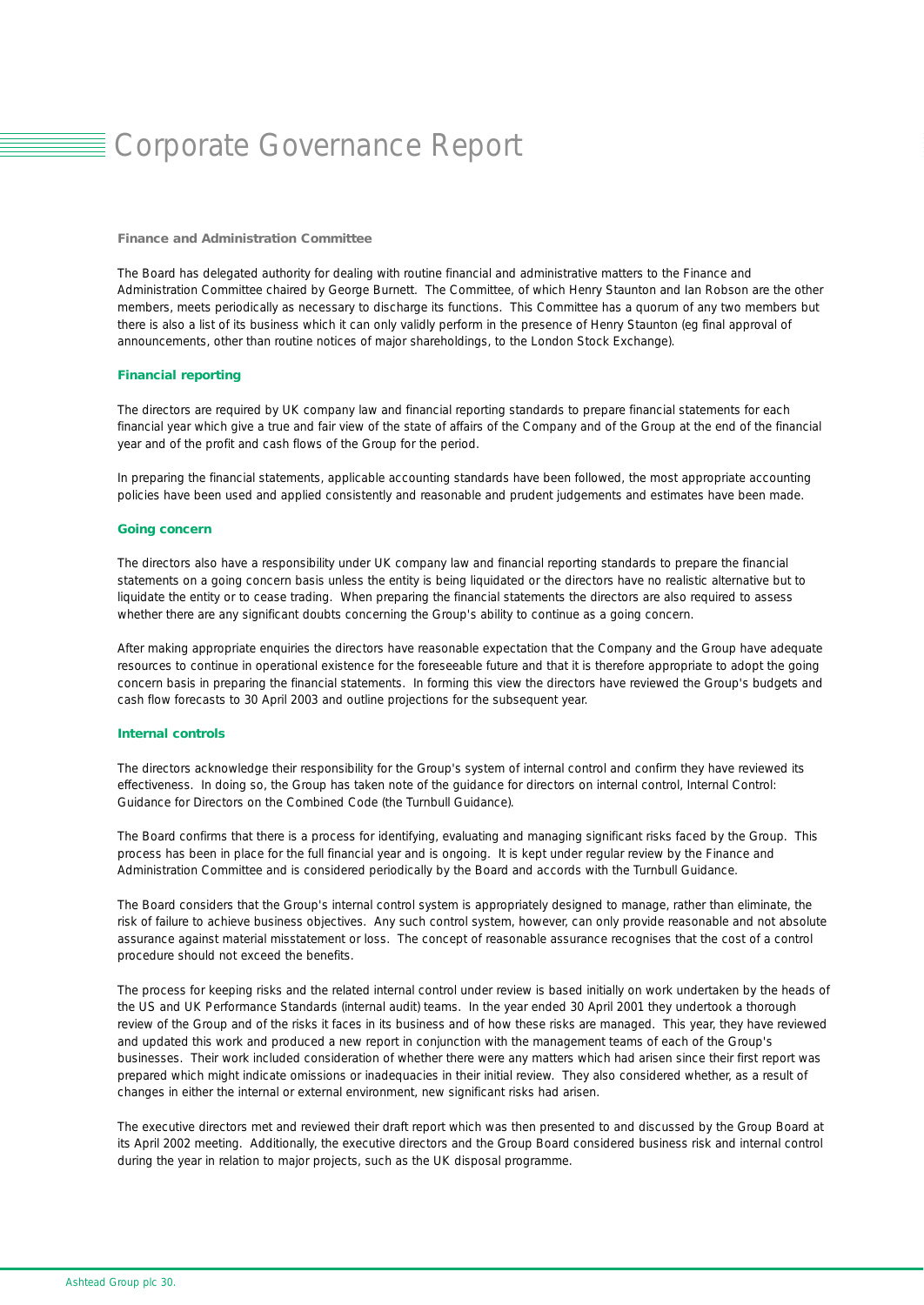# Corporate Governance Report

#### *Finance and Administration Committee*

The Board has delegated authority for dealing with routine financial and administrative matters to the Finance and Administration Committee chaired by George Burnett. The Committee, of which Henry Staunton and Ian Robson are the other members, meets periodically as necessary to discharge its functions. This Committee has a quorum of any two members but there is also a list of its business which it can only validly perform in the presence of Henry Staunton (eg final approval of announcements, other than routine notices of major shareholdings, to the London Stock Exchange).

#### *Financial reporting*

The directors are required by UK company law and financial reporting standards to prepare financial statements for each financial year which give a true and fair view of the state of affairs of the Company and of the Group at the end of the financial year and of the profit and cash flows of the Group for the period.

In preparing the financial statements, applicable accounting standards have been followed, the most appropriate accounting policies have been used and applied consistently and reasonable and prudent judgements and estimates have been made.

#### *Going concern*

The directors also have a responsibility under UK company law and financial reporting standards to prepare the financial statements on a going concern basis unless the entity is being liquidated or the directors have no realistic alternative but to liquidate the entity or to cease trading. When preparing the financial statements the directors are also required to assess whether there are any significant doubts concerning the Group's ability to continue as a going concern.

After making appropriate enquiries the directors have reasonable expectation that the Company and the Group have adequate resources to continue in operational existence for the foreseeable future and that it is therefore appropriate to adopt the going concern basis in preparing the financial statements. In forming this view the directors have reviewed the Group's budgets and cash flow forecasts to 30 April 2003 and outline projections for the subsequent year.

#### *Internal controls*

The directors acknowledge their responsibility for the Group's system of internal control and confirm they have reviewed its effectiveness. In doing so, the Group has taken note of the guidance for directors on internal control, Internal Control: Guidance for Directors on the Combined Code (the Turnbull Guidance).

The Board confirms that there is a process for identifying, evaluating and managing significant risks faced by the Group. This process has been in place for the full financial year and is ongoing. It is kept under regular review by the Finance and Administration Committee and is considered periodically by the Board and accords with the Turnbull Guidance.

The Board considers that the Group's internal control system is appropriately designed to manage, rather than eliminate, the risk of failure to achieve business objectives. Any such control system, however, can only provide reasonable and not absolute assurance against material misstatement or loss. The concept of reasonable assurance recognises that the cost of a control procedure should not exceed the benefits.

The process for keeping risks and the related internal control under review is based initially on work undertaken by the heads of the US and UK Performance Standards (internal audit) teams. In the year ended 30 April 2001 they undertook a thorough review of the Group and of the risks it faces in its business and of how these risks are managed. This year, they have reviewed and updated this work and produced a new report in conjunction with the management teams of each of the Group's businesses. Their work included consideration of whether there were any matters which had arisen since their first report was prepared which might indicate omissions or inadequacies in their initial review. They also considered whether, as a result of changes in either the internal or external environment, new significant risks had arisen.

The executive directors met and reviewed their draft report which was then presented to and discussed by the Group Board at its April 2002 meeting. Additionally, the executive directors and the Group Board considered business risk and internal control during the year in relation to major projects, such as the UK disposal programme.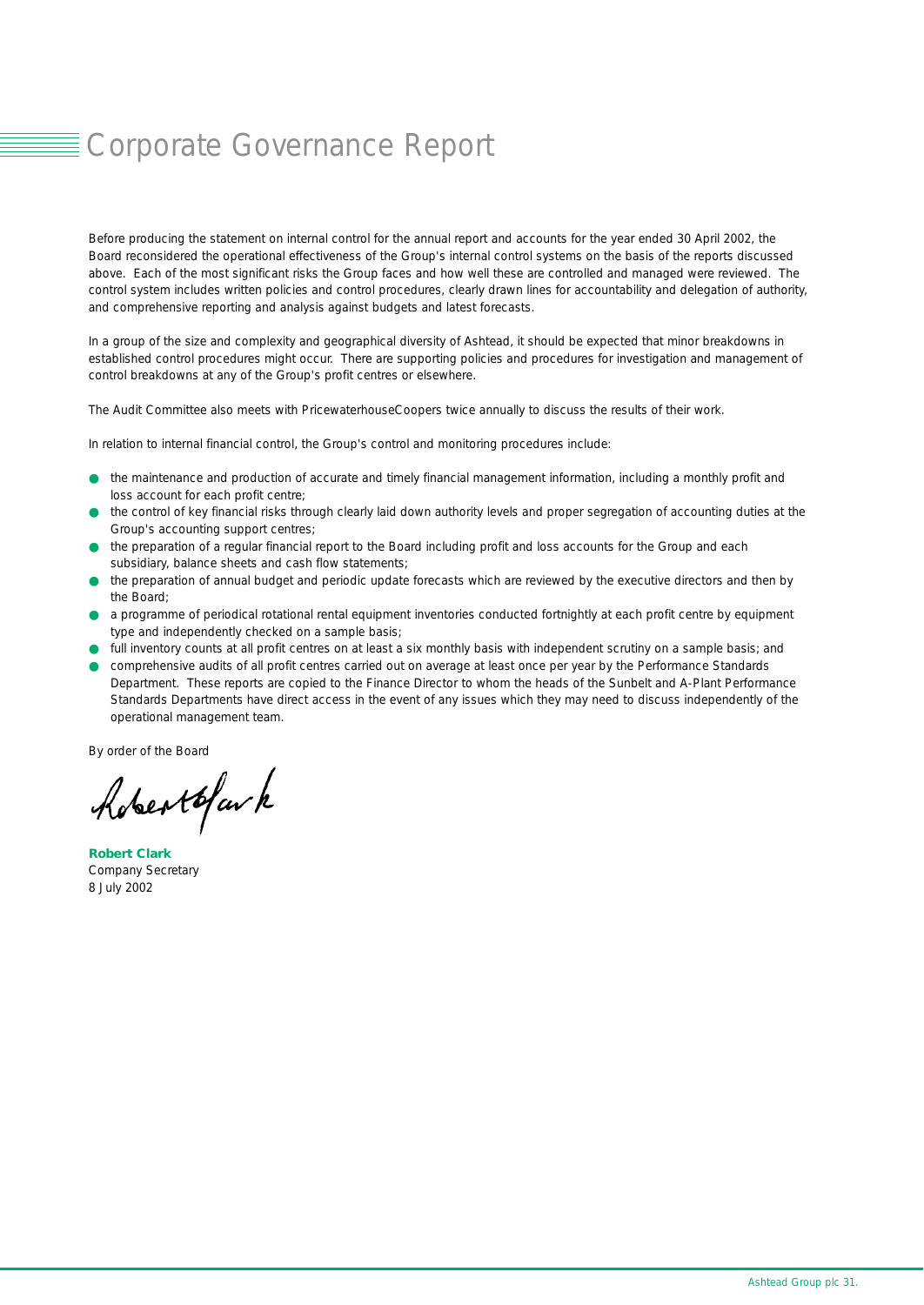# Corporate Governance Report

Before producing the statement on internal control for the annual report and accounts for the year ended 30 April 2002, the Board reconsidered the operational effectiveness of the Group's internal control systems on the basis of the reports discussed above. Each of the most significant risks the Group faces and how well these are controlled and managed were reviewed. The control system includes written policies and control procedures, clearly drawn lines for accountability and delegation of authority, and comprehensive reporting and analysis against budgets and latest forecasts.

In a group of the size and complexity and geographical diversity of Ashtead, it should be expected that minor breakdowns in established control procedures might occur. There are supporting policies and procedures for investigation and management of control breakdowns at any of the Group's profit centres or elsewhere.

The Audit Committee also meets with PricewaterhouseCoopers twice annually to discuss the results of their work.

In relation to internal financial control, the Group's control and monitoring procedures include:

- the maintenance and production of accurate and timely financial management information, including a monthly profit and loss account for each profit centre;
- the control of key financial risks through clearly laid down authority levels and proper segregation of accounting duties at the Group's accounting support centres;
- the preparation of a regular financial report to the Board including profit and loss accounts for the Group and each subsidiary, balance sheets and cash flow statements;
- the preparation of annual budget and periodic update forecasts which are reviewed by the executive directors and then by the Board;
- a programme of periodical rotational rental equipment inventories conducted fortnightly at each profit centre by equipment type and independently checked on a sample basis;
- full inventory counts at all profit centres on at least a six monthly basis with independent scrutiny on a sample basis; and
- comprehensive audits of all profit centres carried out on average at least once per year by the Performance Standards Department. These reports are copied to the Finance Director to whom the heads of the Sunbelt and A-Plant Performance Standards Departments have direct access in the event of any issues which they may need to discuss independently of the operational management team.

By order of the Board

Advertofar k

*Robert Clark* Company Secretary 8 July 2002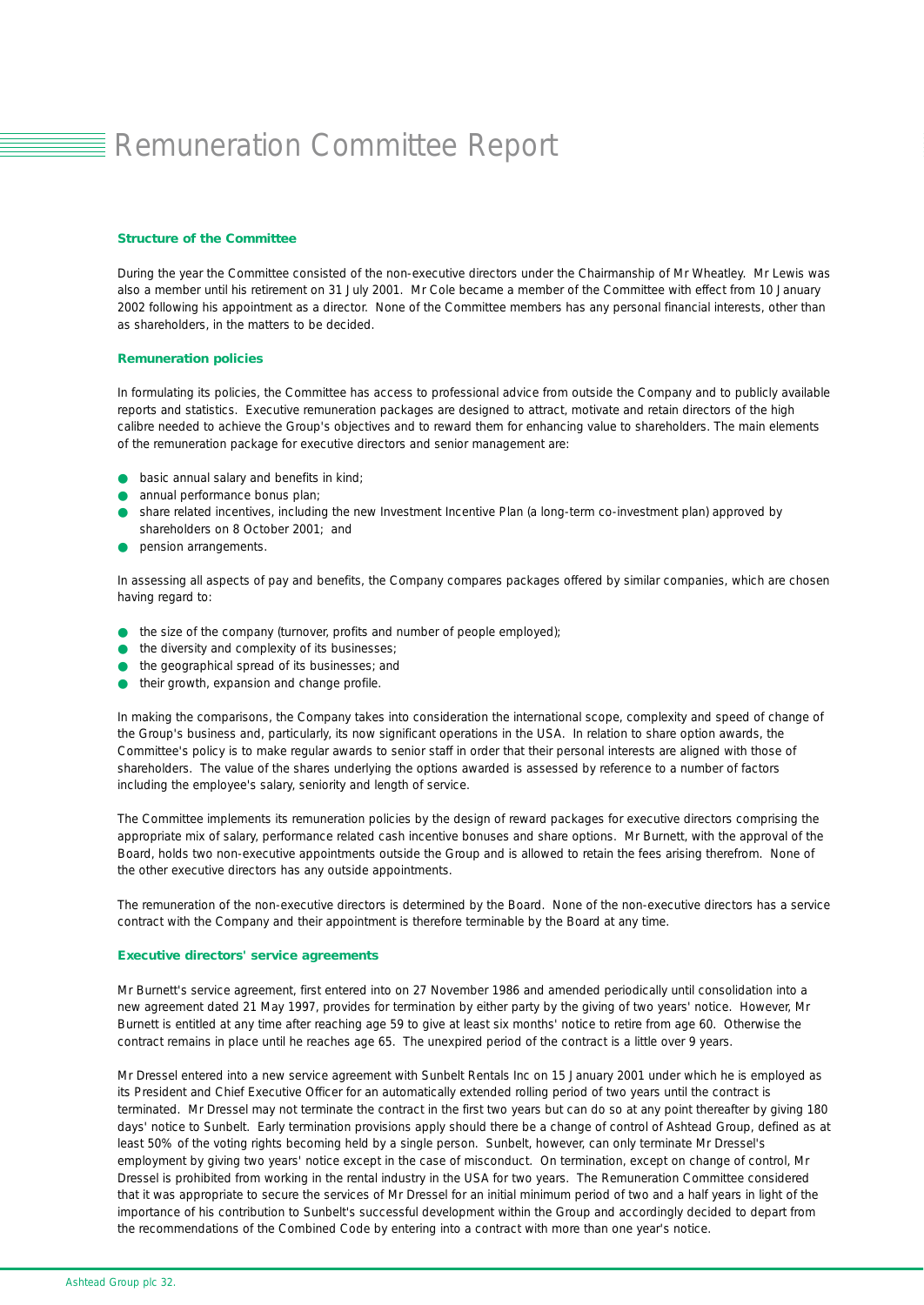# **E** Remuneration Committee Report

#### *Structure of the Committee*

During the year the Committee consisted of the non-executive directors under the Chairmanship of Mr Wheatley. Mr Lewis was also a member until his retirement on 31 July 2001. Mr Cole became a member of the Committee with effect from 10 January 2002 following his appointment as a director. None of the Committee members has any personal financial interests, other than as shareholders, in the matters to be decided.

#### *Remuneration policies*

In formulating its policies, the Committee has access to professional advice from outside the Company and to publicly available reports and statistics. Executive remuneration packages are designed to attract, motivate and retain directors of the high calibre needed to achieve the Group's objectives and to reward them for enhancing value to shareholders. The main elements of the remuneration package for executive directors and senior management are:

- basic annual salary and benefits in kind;
- annual performance bonus plan;
- share related incentives, including the new Investment Incentive Plan (a long-term co-investment plan) approved by shareholders on 8 October 2001; and
- pension arrangements.

In assessing all aspects of pay and benefits, the Company compares packages offered by similar companies, which are chosen having regard to:

- the size of the company (turnover, profits and number of people employed);
- the diversity and complexity of its businesses:
- the geographical spread of its businesses; and
- their growth, expansion and change profile.

In making the comparisons, the Company takes into consideration the international scope, complexity and speed of change of the Group's business and, particularly, its now significant operations in the USA. In relation to share option awards, the Committee's policy is to make regular awards to senior staff in order that their personal interests are aligned with those of shareholders. The value of the shares underlying the options awarded is assessed by reference to a number of factors including the employee's salary, seniority and length of service.

The Committee implements its remuneration policies by the design of reward packages for executive directors comprising the appropriate mix of salary, performance related cash incentive bonuses and share options. Mr Burnett, with the approval of the Board, holds two non-executive appointments outside the Group and is allowed to retain the fees arising therefrom. None of the other executive directors has any outside appointments.

The remuneration of the non-executive directors is determined by the Board. None of the non-executive directors has a service contract with the Company and their appointment is therefore terminable by the Board at any time.

#### *Executive directors' service agreements*

Mr Burnett's service agreement, first entered into on 27 November 1986 and amended periodically until consolidation into a new agreement dated 21 May 1997, provides for termination by either party by the giving of two years' notice. However, Mr Burnett is entitled at any time after reaching age 59 to give at least six months' notice to retire from age 60. Otherwise the contract remains in place until he reaches age 65. The unexpired period of the contract is a little over 9 years.

Mr Dressel entered into a new service agreement with Sunbelt Rentals Inc on 15 January 2001 under which he is employed as its President and Chief Executive Officer for an automatically extended rolling period of two years until the contract is terminated. Mr Dressel may not terminate the contract in the first two years but can do so at any point thereafter by giving 180 days' notice to Sunbelt. Early termination provisions apply should there be a change of control of Ashtead Group, defined as at least 50% of the voting rights becoming held by a single person. Sunbelt, however, can only terminate Mr Dressel's employment by giving two years' notice except in the case of misconduct. On termination, except on change of control, Mr Dressel is prohibited from working in the rental industry in the USA for two years. The Remuneration Committee considered that it was appropriate to secure the services of Mr Dressel for an initial minimum period of two and a half years in light of the importance of his contribution to Sunbelt's successful development within the Group and accordingly decided to depart from the recommendations of the Combined Code by entering into a contract with more than one year's notice.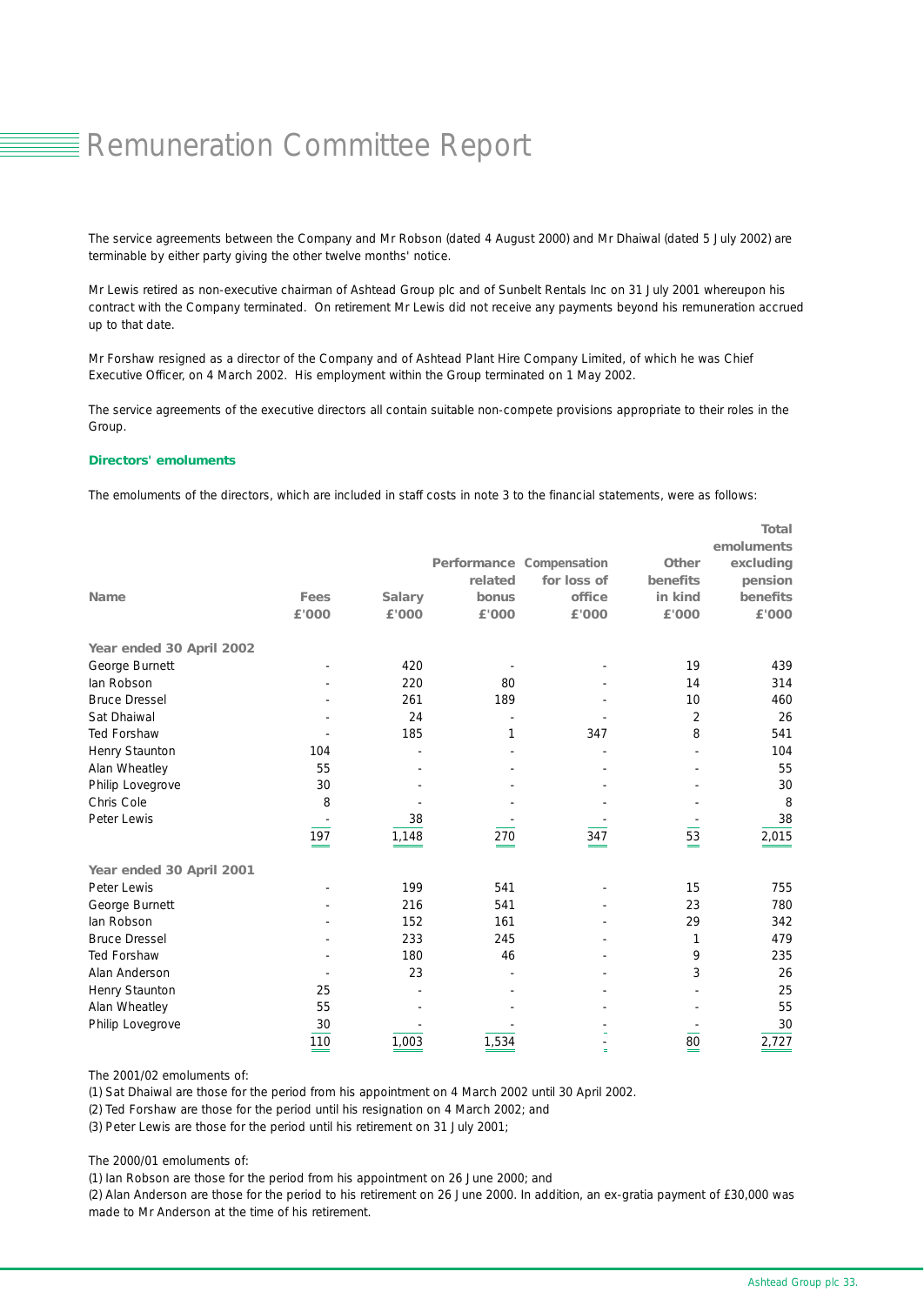# **Remuneration Committee Report**

The service agreements between the Company and Mr Robson (dated 4 August 2000) and Mr Dhaiwal (dated 5 July 2002) are terminable by either party giving the other twelve months' notice.

Mr Lewis retired as non-executive chairman of Ashtead Group plc and of Sunbelt Rentals Inc on 31 July 2001 whereupon his contract with the Company terminated. On retirement Mr Lewis did not receive any payments beyond his remuneration accrued up to that date.

Mr Forshaw resigned as a director of the Company and of Ashtead Plant Hire Company Limited, of which he was Chief Executive Officer, on 4 March 2002. His employment within the Group terminated on 1 May 2002.

The service agreements of the executive directors all contain suitable non-compete provisions appropriate to their roles in the Group.

#### *Directors' emoluments*

The emoluments of the directors, which are included in staff costs in note 3 to the financial statements, were as follows:

|                          |               |               |                                 |             |              | <b>Total</b> |
|--------------------------|---------------|---------------|---------------------------------|-------------|--------------|--------------|
|                          |               |               |                                 |             |              | emoluments   |
|                          |               |               | <b>Performance Compensation</b> |             | <b>Other</b> | excluding    |
|                          |               |               | related                         | for loss of | benefits     | pension      |
| <b>Name</b>              | Fees          | <b>Salary</b> | bonus                           | office      | in kind      | benefits     |
|                          | £'000         | £'000         | £'000                           | £'000       | £'000        | £'000        |
| Year ended 30 April 2002 |               |               |                                 |             |              |              |
| George Burnett           |               | 420           |                                 |             | 19           | 439          |
| lan Robson               |               | 220           | 80                              |             | 14           | 314          |
| <b>Bruce Dressel</b>     |               | 261           | 189                             |             | 10           | 460          |
| Sat Dhaiwal              |               | 24            |                                 |             | 2            | 26           |
| <b>Ted Forshaw</b>       |               | 185           | 1                               | 347         | 8            | 541          |
| Henry Staunton           | 104           |               |                                 |             |              | 104          |
| Alan Wheatley            | 55            |               |                                 |             |              | 55           |
| Philip Lovegrove         | 30            |               |                                 |             |              | 30           |
| Chris Cole               | 8             |               |                                 |             |              | 8            |
| Peter Lewis              |               | 38            |                                 |             |              | 38           |
|                          | 197           | 1,148         | 270                             | 347         | 53           | 2,015        |
| Year ended 30 April 2001 |               |               |                                 |             |              |              |
| Peter Lewis              |               | 199           | 541                             |             | 15           | 755          |
| George Burnett           |               | 216           | 541                             |             | 23           | 780          |
| lan Robson               |               | 152           | 161                             |             | 29           | 342          |
| <b>Bruce Dressel</b>     |               | 233           | 245                             |             | 1            | 479          |
| Ted Forshaw              |               | 180           | 46                              |             | 9            | 235          |
| Alan Anderson            |               | 23            |                                 |             | 3            | 26           |
| Henry Staunton           | 25            |               |                                 |             |              | 25           |
| Alan Wheatley            | 55            |               |                                 |             |              | 55           |
| Philip Lovegrove         | 30            |               |                                 |             |              | 30           |
|                          | 110<br>$\sim$ | 1,003         | 1,534                           | Ξ           | 80<br>=      | 2,727        |

The 2001/02 emoluments of:

(1) Sat Dhaiwal are those for the period from his appointment on 4 March 2002 until 30 April 2002.

(2) Ted Forshaw are those for the period until his resignation on 4 March 2002; and

(3) Peter Lewis are those for the period until his retirement on 31 July 2001;

The 2000/01 emoluments of:

(1) Ian Robson are those for the period from his appointment on 26 June 2000; and

(2) Alan Anderson are those for the period to his retirement on 26 June 2000. In addition, an ex-gratia payment of £30,000 was made to Mr Anderson at the time of his retirement.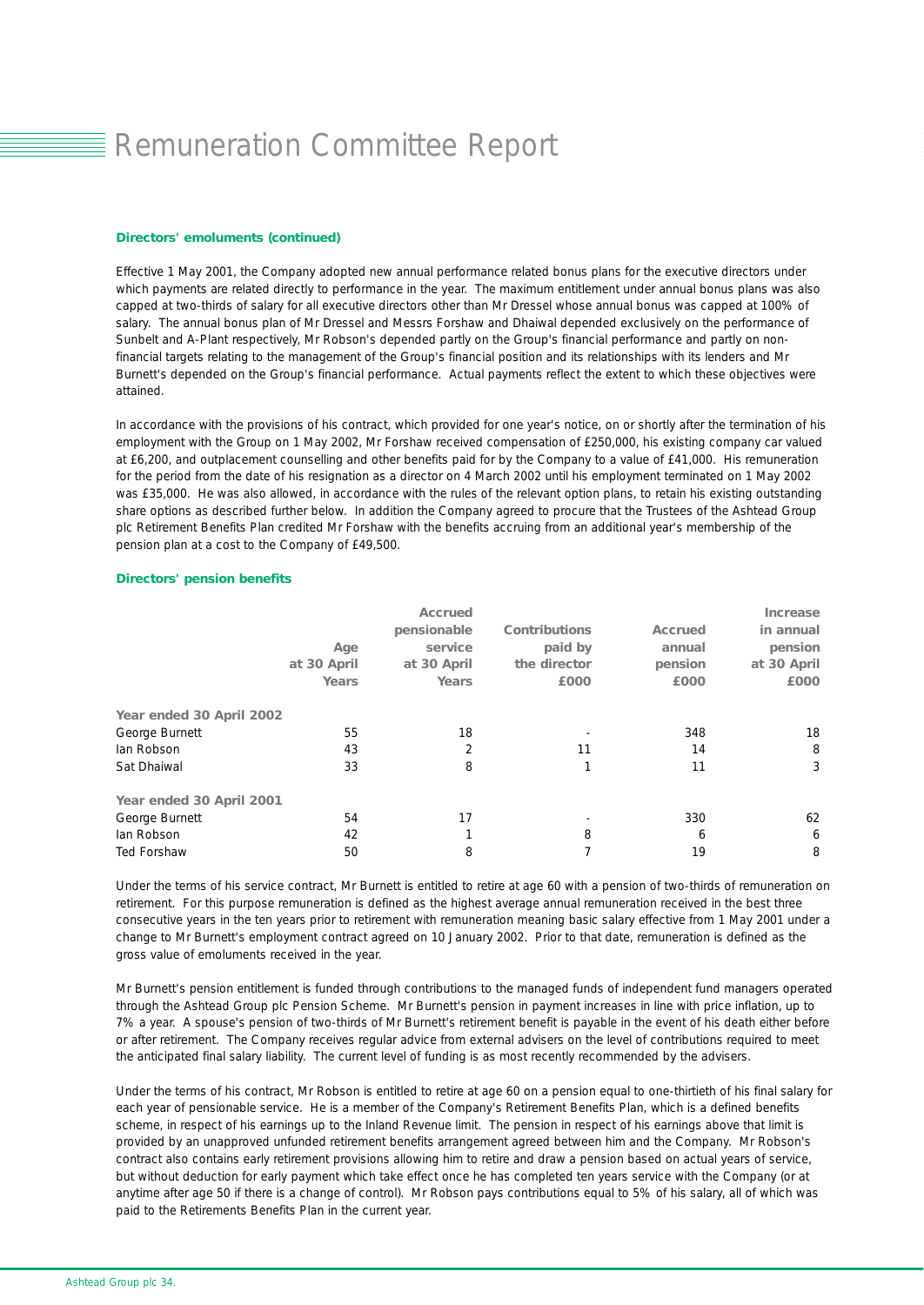# **E** Remuneration Committee Report

#### *Directors' emoluments (continued)*

Effective 1 May 2001, the Company adopted new annual performance related bonus plans for the executive directors under which payments are related directly to performance in the year. The maximum entitlement under annual bonus plans was also capped at two-thirds of salary for all executive directors other than Mr Dressel whose annual bonus was capped at 100% of salary. The annual bonus plan of Mr Dressel and Messrs Forshaw and Dhaiwal depended exclusively on the performance of Sunbelt and A-Plant respectively, Mr Robson's depended partly on the Group's financial performance and partly on nonfinancial targets relating to the management of the Group's financial position and its relationships with its lenders and Mr Burnett's depended on the Group's financial performance. Actual payments reflect the extent to which these objectives were attained.

In accordance with the provisions of his contract, which provided for one year's notice, on or shortly after the termination of his employment with the Group on 1 May 2002, Mr Forshaw received compensation of £250,000, his existing company car valued at £6,200, and outplacement counselling and other benefits paid for by the Company to a value of £41,000. His remuneration for the period from the date of his resignation as a director on 4 March 2002 until his employment terminated on 1 May 2002 was £35,000. He was also allowed, in accordance with the rules of the relevant option plans, to retain his existing outstanding share options as described further below. In addition the Company agreed to procure that the Trustees of the Ashtead Group plc Retirement Benefits Plan credited Mr Forshaw with the benefits accruing from an additional year's membership of the pension plan at a cost to the Company of £49,500.

#### *Directors' pension benefits*

|                          |             | <b>Accrued</b> |                      |         | <i><b>Increase</b></i> |
|--------------------------|-------------|----------------|----------------------|---------|------------------------|
|                          |             | pensionable    | <b>Contributions</b> | Accrued | in annual              |
|                          | Age         | service        | paid by              | annual  | pension                |
|                          | at 30 April | at 30 April    | the director         | pension | at 30 April            |
|                          | Years       | Years          | £000                 | £000    | £000                   |
| Year ended 30 April 2002 |             |                |                      |         |                        |
| George Burnett           | 55          | 18             |                      | 348     | 18                     |
| lan Robson               | 43          | $\overline{2}$ | 11                   | 14      | 8                      |
| Sat Dhaiwal              | 33          | 8              |                      | 11      | 3                      |
| Year ended 30 April 2001 |             |                |                      |         |                        |
| George Burnett           | 54          | 17             |                      | 330     | 62                     |
| lan Robson               | 42          |                | 8                    | 6       | 6                      |
| <b>Ted Forshaw</b>       | 50          | 8              |                      | 19      | 8                      |

Under the terms of his service contract, Mr Burnett is entitled to retire at age 60 with a pension of two-thirds of remuneration on retirement. For this purpose remuneration is defined as the highest average annual remuneration received in the best three consecutive years in the ten years prior to retirement with remuneration meaning basic salary effective from 1 May 2001 under a change to Mr Burnett's employment contract agreed on 10 January 2002. Prior to that date, remuneration is defined as the gross value of emoluments received in the year.

Mr Burnett's pension entitlement is funded through contributions to the managed funds of independent fund managers operated through the Ashtead Group plc Pension Scheme. Mr Burnett's pension in payment increases in line with price inflation, up to 7% a year. A spouse's pension of two-thirds of Mr Burnett's retirement benefit is payable in the event of his death either before or after retirement. The Company receives regular advice from external advisers on the level of contributions required to meet the anticipated final salary liability. The current level of funding is as most recently recommended by the advisers.

Under the terms of his contract, Mr Robson is entitled to retire at age 60 on a pension equal to one-thirtieth of his final salary for each year of pensionable service. He is a member of the Company's Retirement Benefits Plan, which is a defined benefits scheme, in respect of his earnings up to the Inland Revenue limit. The pension in respect of his earnings above that limit is provided by an unapproved unfunded retirement benefits arrangement agreed between him and the Company. Mr Robson's contract also contains early retirement provisions allowing him to retire and draw a pension based on actual years of service, but without deduction for early payment which take effect once he has completed ten years service with the Company (or at anytime after age 50 if there is a change of control). Mr Robson pays contributions equal to 5% of his salary, all of which was paid to the Retirements Benefits Plan in the current year.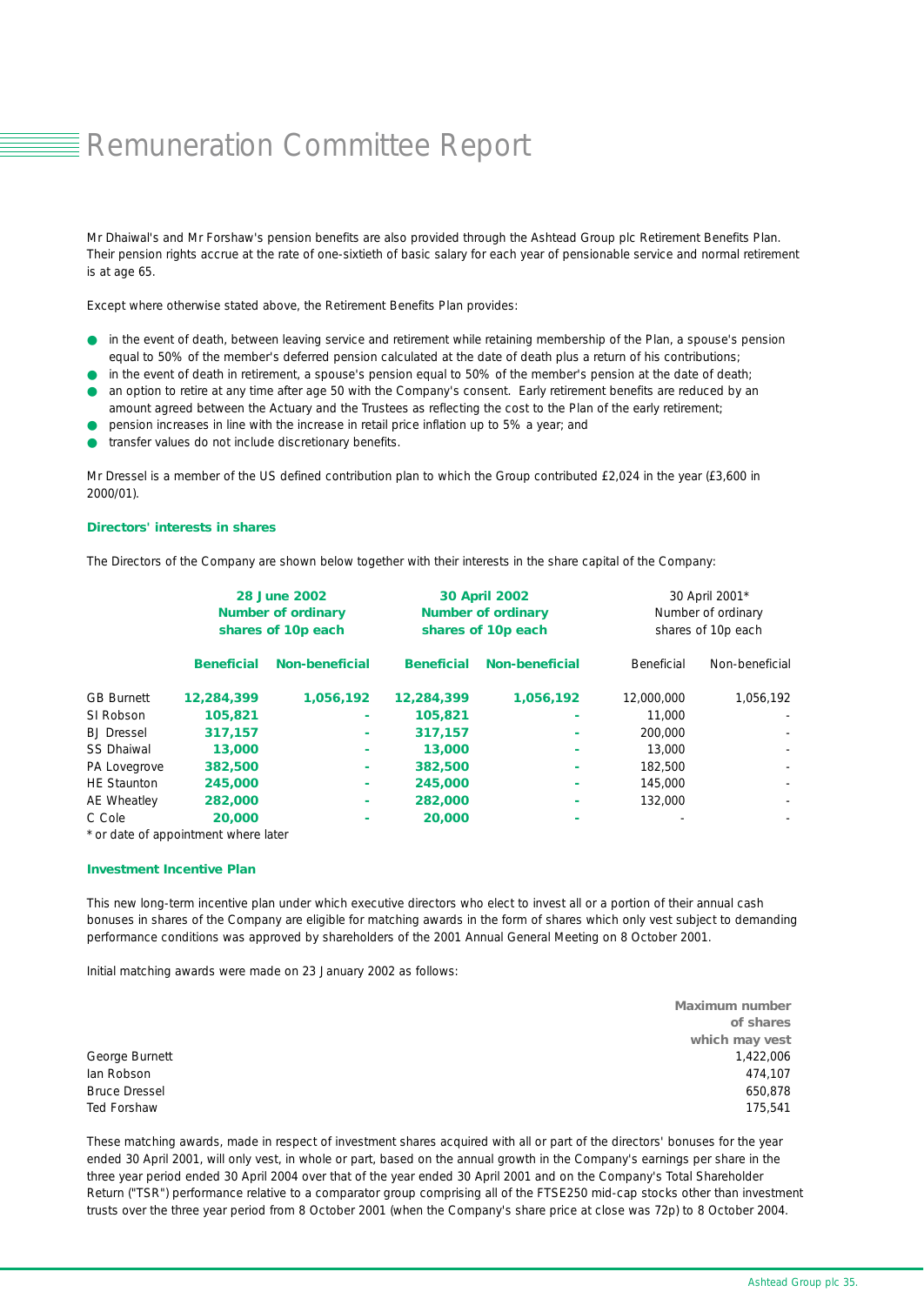### ■Remuneration Committee Report

Mr Dhaiwal's and Mr Forshaw's pension benefits are also provided through the Ashtead Group plc Retirement Benefits Plan. Their pension rights accrue at the rate of one-sixtieth of basic salary for each year of pensionable service and normal retirement is at age 65.

Except where otherwise stated above, the Retirement Benefits Plan provides:

- in the event of death, between leaving service and retirement while retaining membership of the Plan, a spouse's pension equal to 50% of the member's deferred pension calculated at the date of death plus a return of his contributions;
- in the event of death in retirement, a spouse's pension equal to 50% of the member's pension at the date of death; an option to retire at any time after age 50 with the Company's consent. Early retirement benefits are reduced by an
- amount agreed between the Actuary and the Trustees as reflecting the cost to the Plan of the early retirement;
- pension increases in line with the increase in retail price inflation up to 5% a year; and
- transfer values do not include discretionary benefits.

Mr Dressel is a member of the US defined contribution plan to which the Group contributed £2,024 in the year (£3,600 in 2000/01).

### *Directors' interests in shares*

The Directors of the Company are shown below together with their interests in the share capital of the Company:

|                    | <b>28 June 2002</b><br><b>Number of ordinary</b><br>shares of 10p each |                       |                   | <b>30 April 2002</b><br><b>Number of ordinary</b><br>shares of 10p each | 30 April 2001*<br>Number of ordinary<br>shares of 10p each |                          |  |
|--------------------|------------------------------------------------------------------------|-----------------------|-------------------|-------------------------------------------------------------------------|------------------------------------------------------------|--------------------------|--|
|                    | <b>Beneficial</b>                                                      | <b>Non-beneficial</b> | <b>Beneficial</b> | <b>Non-beneficial</b>                                                   | Beneficial                                                 | Non-beneficial           |  |
| <b>GB Burnett</b>  | 12,284,399                                                             | 1,056,192             | 12,284,399        | 1,056,192                                                               | 12,000,000                                                 | 1,056,192                |  |
| SI Robson          | 105,821                                                                |                       | 105,821           |                                                                         | 11,000                                                     |                          |  |
| <b>BJ</b> Dressel  | 317.157                                                                |                       | 317,157           |                                                                         | 200,000                                                    | $\overline{\phantom{a}}$ |  |
| <b>SS Dhaiwal</b>  | 13,000                                                                 |                       | 13,000            |                                                                         | 13,000                                                     | $\overline{\phantom{a}}$ |  |
| PA Lovegrove       | 382,500                                                                | ۰                     | 382,500           |                                                                         | 182,500                                                    |                          |  |
| <b>HE Staunton</b> | 245,000                                                                |                       | 245,000           |                                                                         | 145,000                                                    |                          |  |
| AE Wheatley        | 282,000                                                                | ۰                     | 282,000           |                                                                         | 132,000                                                    | $\sim$                   |  |
| C Cole             | 20,000                                                                 |                       | 20,000            |                                                                         |                                                            |                          |  |

*\* or date of appointment where later*

#### *Investment Incentive Plan*

This new long-term incentive plan under which executive directors who elect to invest all or a portion of their annual cash bonuses in shares of the Company are eligible for matching awards in the form of shares which only vest subject to demanding performance conditions was approved by shareholders of the 2001 Annual General Meeting on 8 October 2001.

Initial matching awards were made on 23 January 2002 as follows:

|                      | <b>Maximum number</b> |
|----------------------|-----------------------|
|                      | of shares             |
|                      | which may vest        |
| George Burnett       | 1,422,006             |
| lan Robson           | 474.107               |
| <b>Bruce Dressel</b> | 650,878               |
| Ted Forshaw          | 175.541               |

These matching awards, made in respect of investment shares acquired with all or part of the directors' bonuses for the year ended 30 April 2001, will only vest, in whole or part, based on the annual growth in the Company's earnings per share in the three year period ended 30 April 2004 over that of the year ended 30 April 2001 and on the Company's Total Shareholder Return ("TSR") performance relative to a comparator group comprising all of the FTSE250 mid-cap stocks other than investment trusts over the three year period from 8 October 2001 (when the Company's share price at close was 72p) to 8 October 2004.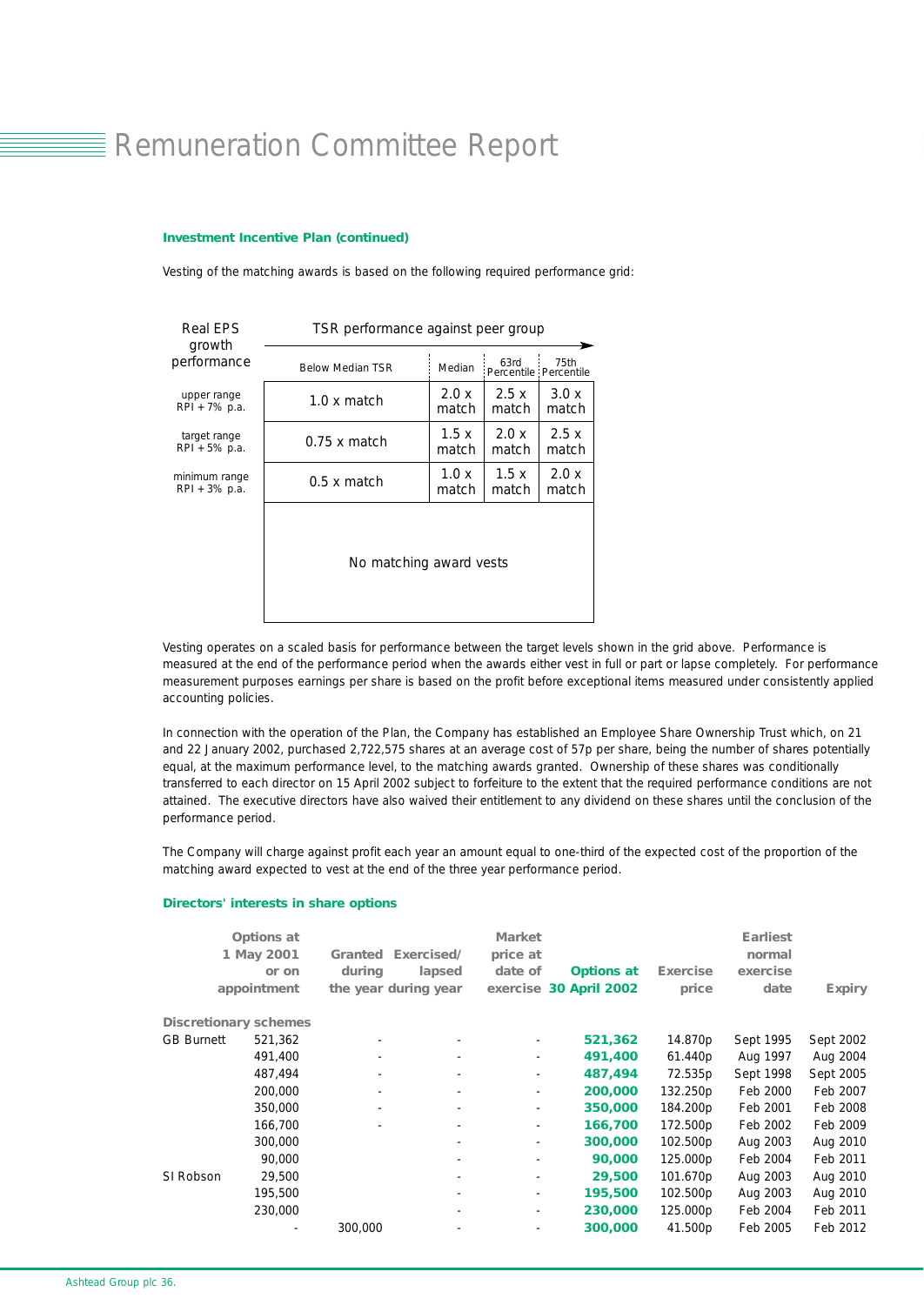### ■ Remuneration Committee Report

### *Investment Incentive Plan (continued)*

Vesting of the matching awards is based on the following required performance grid:

| <b>Real EPS</b><br>growth | TSR performance against peer group |        |                               |       |  |  |  |
|---------------------------|------------------------------------|--------|-------------------------------|-------|--|--|--|
| performance               | <b>Below Median TSR</b>            | Median | 63rd<br>Percentile Percentile | 75th  |  |  |  |
| upper range               | $1.0 \times$ match                 | 2.0 x  | 2.5x                          | 3.0x  |  |  |  |
| RPI + 7% p.a.             |                                    | match  | match                         | match |  |  |  |
| target range              | $0.75 \times$ match                | 1.5x   | 2.0 x                         | 2.5x  |  |  |  |
| RPI + 5% p.a.             |                                    | match  | match                         | match |  |  |  |
| minimum range             | $0.5 \times$ match                 | 1.0x   | 1.5x                          | 2.0x  |  |  |  |
| RPI + 3% p.a.             |                                    | match  | match                         | match |  |  |  |
|                           | No matching award vests            |        |                               |       |  |  |  |

Vesting operates on a scaled basis for performance between the target levels shown in the grid above. Performance is measured at the end of the performance period when the awards either vest in full or part or lapse completely. For performance measurement purposes earnings per share is based on the profit before exceptional items measured under consistently applied accounting policies.

In connection with the operation of the Plan, the Company has established an Employee Share Ownership Trust which, on 21 and 22 January 2002, purchased 2,722,575 shares at an average cost of 57p per share, being the number of shares potentially equal, at the maximum performance level, to the matching awards granted. Ownership of these shares was conditionally transferred to each director on 15 April 2002 subject to forfeiture to the extent that the required performance conditions are not attained. The executive directors have also waived their entitlement to any dividend on these shares until the conclusion of the performance period.

The Company will charge against profit each year an amount equal to one-third of the expected cost of the proportion of the matching award expected to vest at the end of the three year performance period.

### *Directors' interests in share options*

|                              | <b>Options</b> at<br>1 May 2001<br>or on<br>appointment | <b>Granted</b><br>during<br>the year during year | Exercised/<br>lapsed | <b>Market</b><br>price at<br>date of | <b>Options at</b><br>exercise 30 April 2002 | Exercise<br>price | <b>Earliest</b><br>normal<br>exercise<br>date | <b>Expiry</b> |
|------------------------------|---------------------------------------------------------|--------------------------------------------------|----------------------|--------------------------------------|---------------------------------------------|-------------------|-----------------------------------------------|---------------|
| <b>Discretionary schemes</b> |                                                         |                                                  |                      |                                      |                                             |                   |                                               |               |
| <b>GB Burnett</b>            | 521,362                                                 | $\overline{\phantom{a}}$                         |                      |                                      | 521,362                                     | 14.870p           | Sept 1995                                     | Sept 2002     |
|                              | 491,400                                                 | $\overline{\phantom{a}}$                         |                      | ۰.                                   | 491,400                                     | 61.440p           | Aug 1997                                      | Aug 2004      |
|                              | 487,494                                                 | $\overline{\phantom{a}}$                         |                      | $\overline{\phantom{a}}$             | 487,494                                     | 72.535p           | Sept 1998                                     | Sept 2005     |
|                              | 200,000                                                 | $\overline{\phantom{a}}$                         |                      | $\blacksquare$                       | 200,000                                     | 132.250p          | Feb 2000                                      | Feb 2007      |
|                              | 350,000                                                 | -                                                |                      | $\overline{\phantom{0}}$             | 350,000                                     | 184.200p          | Feb 2001                                      | Feb 2008      |
|                              | 166,700                                                 |                                                  |                      | $\overline{\phantom{0}}$             | 166,700                                     | 172.500p          | Feb 2002                                      | Feb 2009      |
|                              | 300,000                                                 |                                                  |                      | $\overline{\phantom{0}}$             | 300,000                                     | 102.500p          | Aug 2003                                      | Aug 2010      |
|                              | 90,000                                                  |                                                  |                      |                                      | 90,000                                      | 125.000p          | Feb 2004                                      | Feb 2011      |
| SI Robson                    | 29,500                                                  |                                                  |                      | ٠                                    | 29,500                                      | 101.670p          | Aug 2003                                      | Aug 2010      |
|                              | 195,500                                                 |                                                  |                      | Ξ.                                   | 195,500                                     | 102.500p          | Aug 2003                                      | Aug 2010      |
|                              | 230,000                                                 |                                                  |                      | $\overline{\phantom{0}}$             | 230,000                                     | 125.000p          | Feb 2004                                      | Feb 2011      |
|                              |                                                         | 300,000                                          |                      |                                      | 300,000                                     | 41.500p           | Feb 2005                                      | Feb 2012      |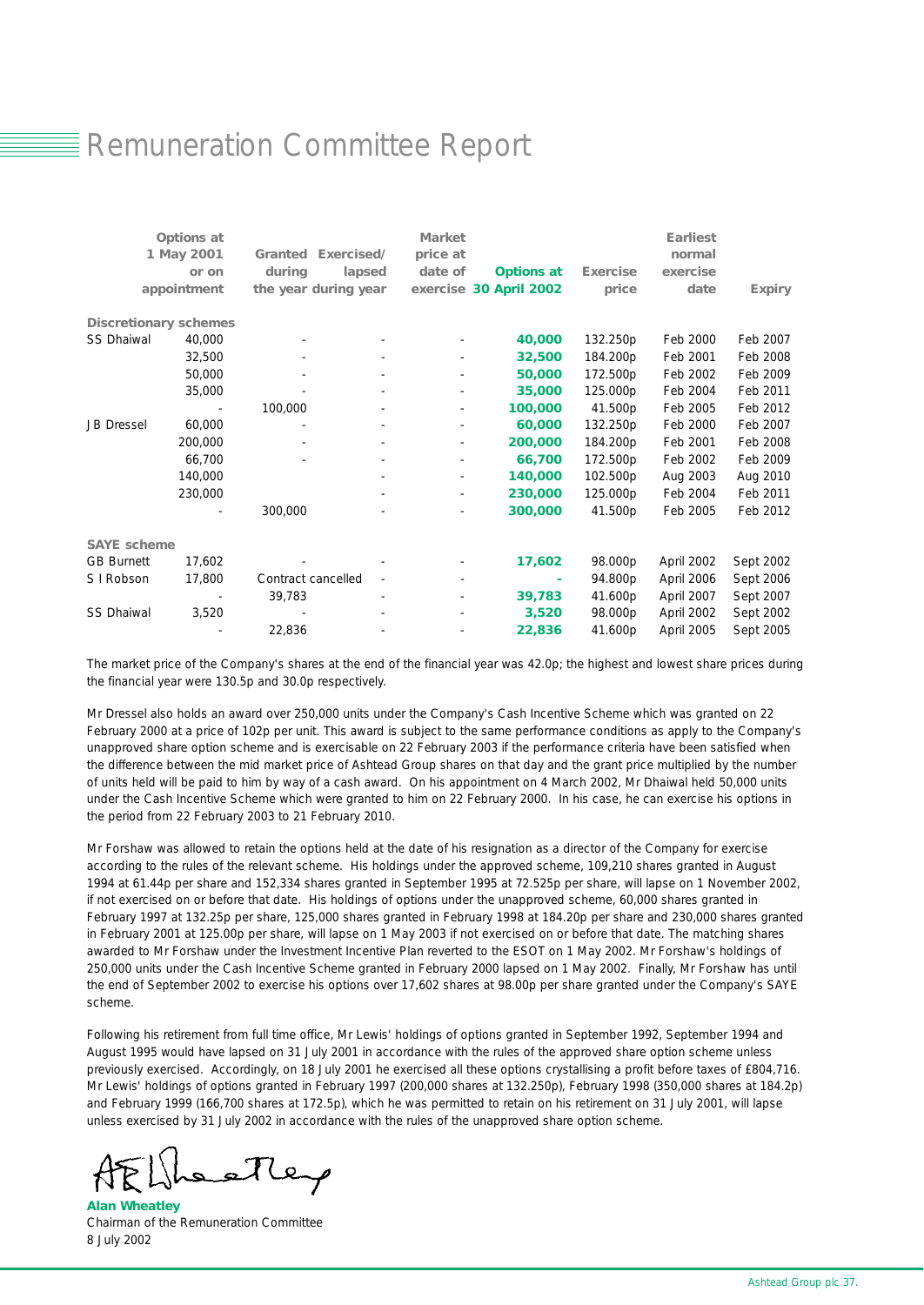### **E** Remuneration Committee Report

|                              | Options at  |                           | <b>Market</b> |                        |                 | <b>Earliest</b> |               |
|------------------------------|-------------|---------------------------|---------------|------------------------|-----------------|-----------------|---------------|
|                              | 1 May 2001  | <b>Granted Exercised/</b> | price at      |                        |                 | normal          |               |
|                              | or on       | during<br>lapsed          | date of       | <b>Options at</b>      | <b>Exercise</b> | exercise        |               |
|                              | appointment | the year during year      |               | exercise 30 April 2002 | price           | date            | <b>Expiry</b> |
| <b>Discretionary schemes</b> |             |                           |               |                        |                 |                 |               |
| <b>SS Dhaiwal</b>            | 40,000      | $\overline{\phantom{a}}$  |               | 40,000                 | 132.250p        | Feb 2000        | Feb 2007      |
|                              | 32,500      |                           |               | 32,500                 | 184.200p        | Feb 2001        | Feb 2008      |
|                              | 50,000      | ٠                         |               | 50,000                 | 172.500p        | Feb 2002        | Feb 2009      |
|                              | 35,000      |                           |               | 35,000                 | 125.000p        | Feb 2004        | Feb 2011      |
|                              |             | 100,000                   |               | 100,000                | 41.500p         | Feb 2005        | Feb 2012      |
| <b>JB</b> Dressel            | 60,000      |                           |               | 60,000                 | 132.250p        | Feb 2000        | Feb 2007      |
|                              | 200,000     |                           |               | 200,000                | 184.200p        | Feb 2001        | Feb 2008      |
|                              | 66,700      |                           |               | 66,700                 | 172.500p        | Feb 2002        | Feb 2009      |
|                              | 140,000     |                           |               | 140,000                | 102.500p        | Aug 2003        | Aug 2010      |
|                              | 230,000     |                           |               | 230,000                | 125.000p        | Feb 2004        | Feb 2011      |
|                              |             | 300,000                   |               | 300,000                | 41.500p         | Feb 2005        | Feb 2012      |
| <b>SAYE</b> scheme           |             |                           |               |                        |                 |                 |               |
| <b>GB Burnett</b>            | 17,602      |                           |               | 17,602                 | 98.000p         | April 2002      | Sept 2002     |
| S I Robson                   | 17,800      | Contract cancelled        |               |                        | 94.800p         | April 2006      | Sept 2006     |
|                              |             | 39,783                    |               | 39,783                 | 41.600p         | April 2007      | Sept 2007     |
| <b>SS Dhaiwal</b>            | 3,520       |                           |               | 3,520                  | 98.000p         | April 2002      | Sept 2002     |
|                              |             | 22,836                    |               | 22,836                 | 41.600p         | April 2005      | Sept 2005     |

The market price of the Company's shares at the end of the financial year was 42.0p; the highest and lowest share prices during the financial year were 130.5p and 30.0p respectively.

Mr Dressel also holds an award over 250,000 units under the Company's Cash Incentive Scheme which was granted on 22 February 2000 at a price of 102p per unit. This award is subject to the same performance conditions as apply to the Company's unapproved share option scheme and is exercisable on 22 February 2003 if the performance criteria have been satisfied when the difference between the mid market price of Ashtead Group shares on that day and the grant price multiplied by the number of units held will be paid to him by way of a cash award. On his appointment on 4 March 2002, Mr Dhaiwal held 50,000 units under the Cash Incentive Scheme which were granted to him on 22 February 2000. In his case, he can exercise his options in the period from 22 February 2003 to 21 February 2010.

Mr Forshaw was allowed to retain the options held at the date of his resignation as a director of the Company for exercise according to the rules of the relevant scheme. His holdings under the approved scheme, 109,210 shares granted in August 1994 at 61.44p per share and 152,334 shares granted in September 1995 at 72.525p per share, will lapse on 1 November 2002, if not exercised on or before that date. His holdings of options under the unapproved scheme, 60,000 shares granted in February 1997 at 132.25p per share, 125,000 shares granted in February 1998 at 184.20p per share and 230,000 shares granted in February 2001 at 125.00p per share, will lapse on 1 May 2003 if not exercised on or before that date. The matching shares awarded to Mr Forshaw under the Investment Incentive Plan reverted to the ESOT on 1 May 2002. Mr Forshaw's holdings of 250,000 units under the Cash Incentive Scheme granted in February 2000 lapsed on 1 May 2002. Finally, Mr Forshaw has until the end of September 2002 to exercise his options over 17,602 shares at 98.00p per share granted under the Company's SAYE scheme.

Following his retirement from full time office, Mr Lewis' holdings of options granted in September 1992, September 1994 and August 1995 would have lapsed on 31 July 2001 in accordance with the rules of the approved share option scheme unless previously exercised. Accordingly, on 18 July 2001 he exercised all these options crystallising a profit before taxes of £804,716. Mr Lewis' holdings of options granted in February 1997 (200,000 shares at 132.250p), February 1998 (350,000 shares at 184.2p) and February 1999 (166,700 shares at 172.5p), which he was permitted to retain on his retirement on 31 July 2001, will lapse unless exercised by 31 July 2002 in accordance with the rules of the unapproved share option scheme.

*Alan Wheatley* Chairman of the Remuneration Committee 8 July 2002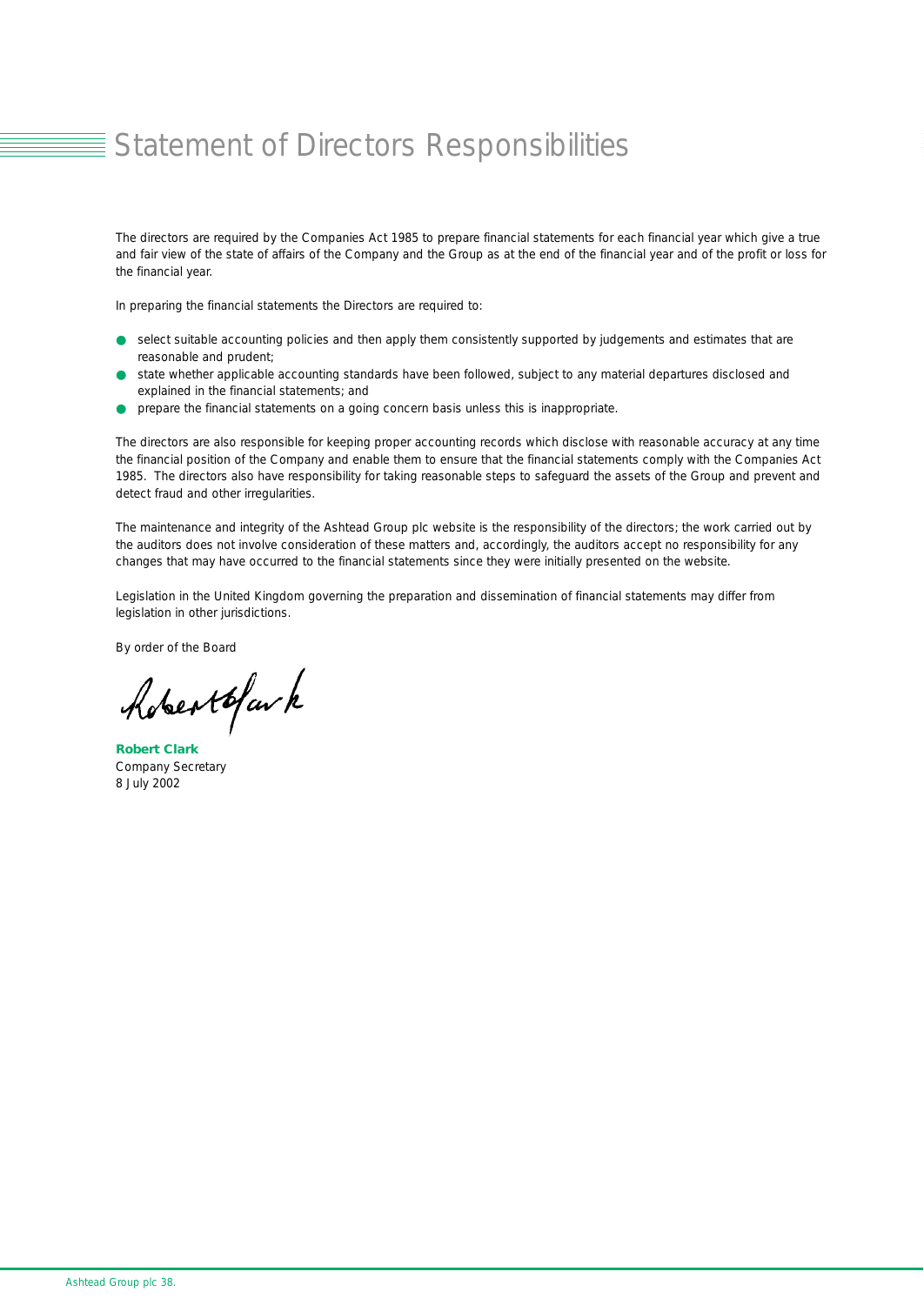### ■ Statement of Directors Responsibilities

The directors are required by the Companies Act 1985 to prepare financial statements for each financial year which give a true and fair view of the state of affairs of the Company and the Group as at the end of the financial year and of the profit or loss for the financial year.

In preparing the financial statements the Directors are required to:

- select suitable accounting policies and then apply them consistently supported by judgements and estimates that are reasonable and prudent;
- state whether applicable accounting standards have been followed, subject to any material departures disclosed and explained in the financial statements; and
- prepare the financial statements on a going concern basis unless this is inappropriate.

The directors are also responsible for keeping proper accounting records which disclose with reasonable accuracy at any time the financial position of the Company and enable them to ensure that the financial statements comply with the Companies Act 1985. The directors also have responsibility for taking reasonable steps to safeguard the assets of the Group and prevent and detect fraud and other irregularities.

The maintenance and integrity of the Ashtead Group plc website is the responsibility of the directors; the work carried out by the auditors does not involve consideration of these matters and, accordingly, the auditors accept no responsibility for any changes that may have occurred to the financial statements since they were initially presented on the website.

Legislation in the United Kingdom governing the preparation and dissemination of financial statements may differ from legislation in other jurisdictions.

By order of the Board

Robertofav k

*Robert Clark* Company Secretary 8 July 2002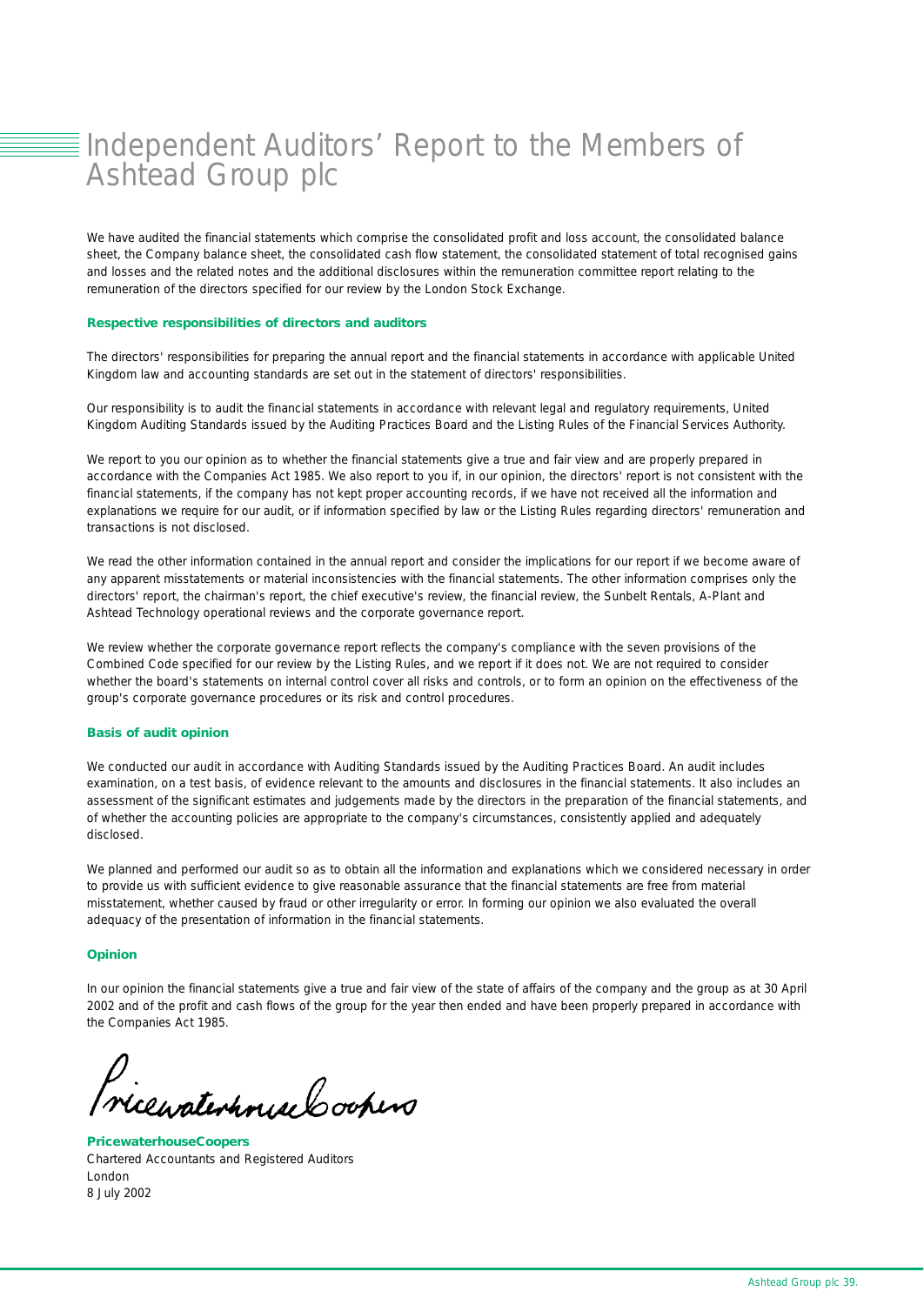### **Elndependent Auditors' Report to the Members of** Ashtead Group plc

We have audited the financial statements which comprise the consolidated profit and loss account, the consolidated balance sheet, the Company balance sheet, the consolidated cash flow statement, the consolidated statement of total recognised gains and losses and the related notes and the additional disclosures within the remuneration committee report relating to the remuneration of the directors specified for our review by the London Stock Exchange.

#### *Respective responsibilities of directors and auditors*

The directors' responsibilities for preparing the annual report and the financial statements in accordance with applicable United Kingdom law and accounting standards are set out in the statement of directors' responsibilities.

Our responsibility is to audit the financial statements in accordance with relevant legal and regulatory requirements, United Kingdom Auditing Standards issued by the Auditing Practices Board and the Listing Rules of the Financial Services Authority.

We report to you our opinion as to whether the financial statements give a true and fair view and are properly prepared in accordance with the Companies Act 1985. We also report to you if, in our opinion, the directors' report is not consistent with the financial statements, if the company has not kept proper accounting records, if we have not received all the information and explanations we require for our audit, or if information specified by law or the Listing Rules regarding directors' remuneration and transactions is not disclosed.

We read the other information contained in the annual report and consider the implications for our report if we become aware of any apparent misstatements or material inconsistencies with the financial statements. The other information comprises only the directors' report, the chairman's report, the chief executive's review, the financial review, the Sunbelt Rentals, A-Plant and Ashtead Technology operational reviews and the corporate governance report.

We review whether the corporate governance report reflects the company's compliance with the seven provisions of the Combined Code specified for our review by the Listing Rules, and we report if it does not. We are not required to consider whether the board's statements on internal control cover all risks and controls, or to form an opinion on the effectiveness of the group's corporate governance procedures or its risk and control procedures.

#### *Basis of audit opinion*

We conducted our audit in accordance with Auditing Standards issued by the Auditing Practices Board. An audit includes examination, on a test basis, of evidence relevant to the amounts and disclosures in the financial statements. It also includes an assessment of the significant estimates and judgements made by the directors in the preparation of the financial statements, and of whether the accounting policies are appropriate to the company's circumstances, consistently applied and adequately disclosed.

We planned and performed our audit so as to obtain all the information and explanations which we considered necessary in order to provide us with sufficient evidence to give reasonable assurance that the financial statements are free from material misstatement, whether caused by fraud or other irregularity or error. In forming our opinion we also evaluated the overall adequacy of the presentation of information in the financial statements.

### *Opinion*

In our opinion the financial statements give a true and fair view of the state of affairs of the company and the group as at 30 April 2002 and of the profit and cash flows of the group for the year then ended and have been properly prepared in accordance with the Companies Act 1985.

D.<br>Nicewaterhouse Coopers

*PricewaterhouseCoopers* Chartered Accountants and Registered Auditors London 8 July 2002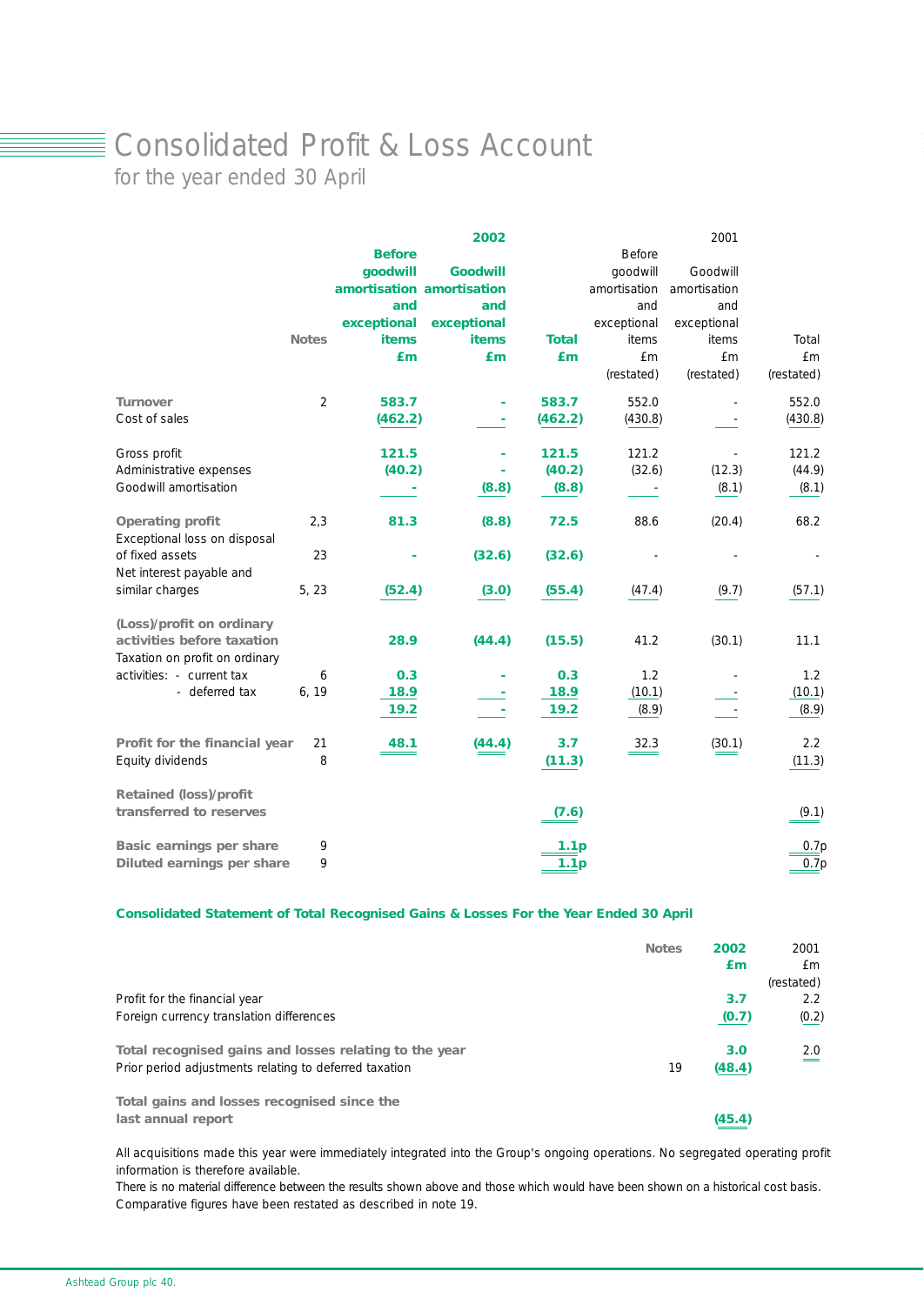### ■ Consolidated Profit & Loss Account

for the year ended 30 April

|                                                              |                |                           | 2002            |                  |               | 2001         |               |
|--------------------------------------------------------------|----------------|---------------------------|-----------------|------------------|---------------|--------------|---------------|
|                                                              |                | <b>Before</b>             |                 |                  | <b>Before</b> |              |               |
|                                                              |                | goodwill                  | <b>Goodwill</b> |                  | qoodwill      | Goodwill     |               |
|                                                              |                | amortisation amortisation |                 |                  | amortisation  | amortisation |               |
|                                                              |                | and                       | and             |                  | and           | and          |               |
|                                                              |                | exceptional               | exceptional     |                  | exceptional   | exceptional  |               |
|                                                              | <b>Notes</b>   | <i>items</i>              | <b>items</b>    | <b>Total</b>     | items         | items        | Total         |
|                                                              |                | £m                        | £m              | Em               | £m            | £m           | £m            |
|                                                              |                |                           |                 |                  | (restated)    | (restated)   | (restated)    |
| <b>Turnover</b>                                              | $\overline{2}$ | 583.7                     |                 | 583.7            | 552.0         |              | 552.0         |
| Cost of sales                                                |                | (462.2)                   | ۰               | (462.2)          | (430.8)       |              | (430.8)       |
| Gross profit                                                 |                | 121.5                     |                 | 121.5            | 121.2         |              | 121.2         |
| Administrative expenses                                      |                | (40.2)                    |                 | (40.2)           | (32.6)        | (12.3)       | (44.9)        |
| Goodwill amortisation                                        |                |                           | (8.8)           | (8.8)            |               | (8.1)        | (8.1)         |
| <b>Operating profit</b><br>Exceptional loss on disposal      | 2,3            | 81.3                      | (8.8)           | 72.5             | 88.6          | (20.4)       | 68.2          |
| of fixed assets<br>Net interest payable and                  | 23             |                           | (32.6)          | (32.6)           |               |              |               |
| similar charges                                              | 5, 23          | (52.4)                    | (3.0)           | (55.4)           | (47.4)        | (9.7)        | (57.1)        |
| (Loss)/profit on ordinary                                    |                |                           |                 |                  |               |              |               |
| activities before taxation<br>Taxation on profit on ordinary |                | 28.9                      | (44.4)          | (15.5)           | 41.2          | (30.1)       | 11.1          |
| activities: - current tax                                    | 6              | 0.3                       |                 | 0.3              | 1.2           |              | 1.2           |
| - deferred tax                                               | 6, 19          | 18.9                      |                 | 18.9             | (10.1)        |              | (10.1)        |
|                                                              |                | 19.2                      |                 | 19.2             | (8.9)         |              | (8.9)         |
| Profit for the financial year<br>Equity dividends            | 21<br>8        | 48.1                      | (44.4)          | 3.7<br>(11.3)    | 32.3          | (30.1)       | 2.2<br>(11.3) |
|                                                              |                |                           |                 |                  |               |              |               |
| <b>Retained (loss)/profit</b>                                |                |                           |                 |                  |               |              |               |
| transferred to reserves                                      |                |                           |                 | (7.6)            |               |              | (9.1)         |
| <b>Basic earnings per share</b>                              | 9              |                           |                 | 1.1 <sub>p</sub> |               |              | 0.7p          |
| Diluted earnings per share                                   | 9              |                           |                 | 1.1 <sub>p</sub> |               |              | 0.7p          |

### *Consolidated Statement of Total Recognised Gains & Losses For the Year Ended 30 April*

|                                                                   | <b>Notes</b> | 2002<br>£m | 2001<br>£m<br>(restated) |
|-------------------------------------------------------------------|--------------|------------|--------------------------|
| Profit for the financial year                                     |              | 3.7        | $2.2^{\circ}$            |
| Foreign currency translation differences                          |              | (0.7)      | (0.2)                    |
| Total recognised gains and losses relating to the year            |              | 3.0        | 2.0                      |
| Prior period adjustments relating to deferred taxation            | 19           | (48.4)     |                          |
| Total gains and losses recognised since the<br>last annual report |              | (45.4)     |                          |

All acquisitions made this year were immediately integrated into the Group's ongoing operations. No segregated operating profit information is therefore available.

There is no material difference between the results shown above and those which would have been shown on a historical cost basis. Comparative figures have been restated as described in note 19.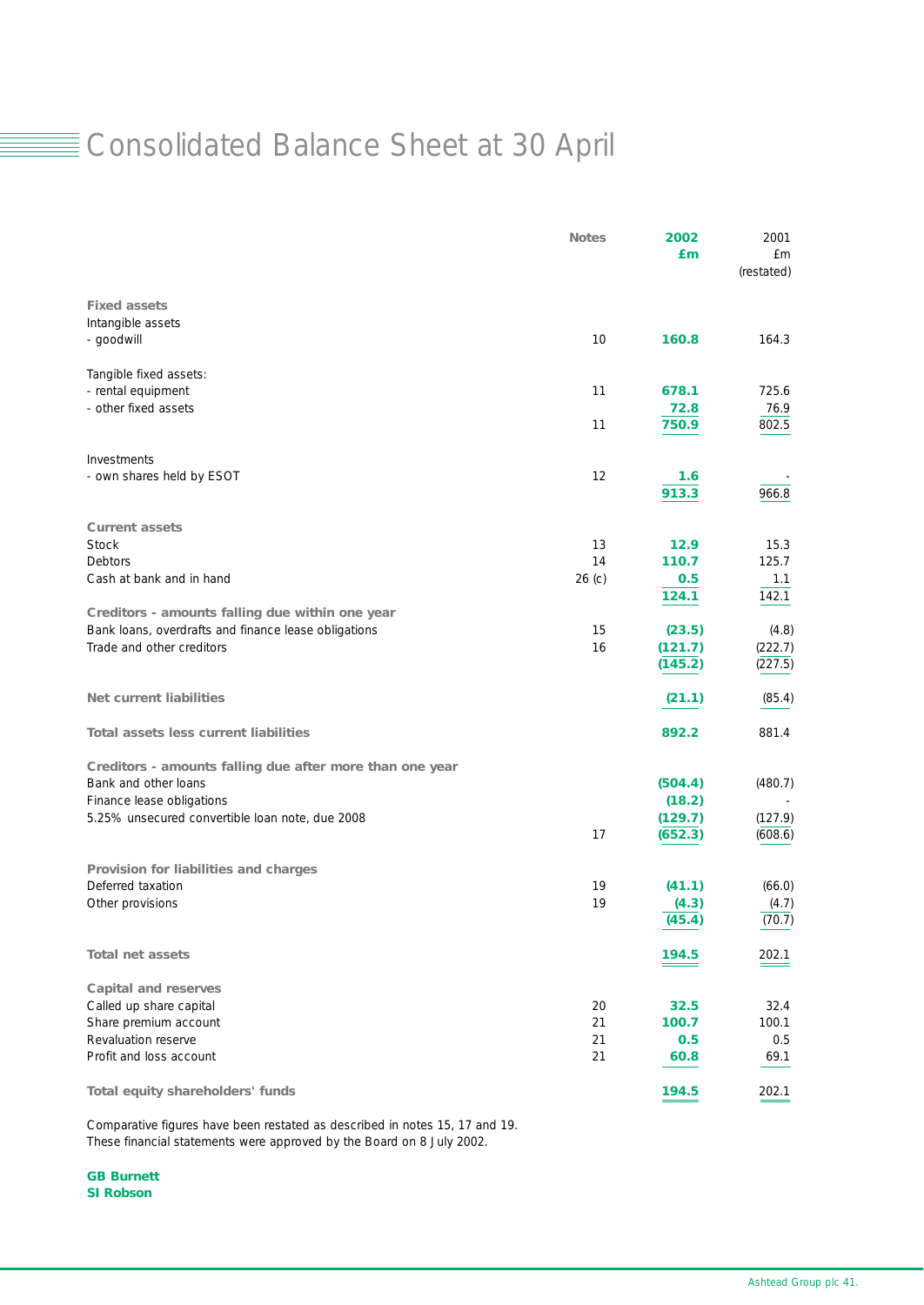### Consolidated Balance Sheet at 30 April

|                                                          | <b>Notes</b>      | 2002<br>£m | 2001<br>£m<br>(restated) |
|----------------------------------------------------------|-------------------|------------|--------------------------|
| <b>Fixed assets</b>                                      |                   |            |                          |
| Intangible assets                                        |                   |            |                          |
| - goodwill                                               | 10                | 160.8      | 164.3                    |
| Tangible fixed assets:                                   |                   |            |                          |
| - rental equipment                                       | 11                | 678.1      | 725.6                    |
| - other fixed assets                                     |                   | 72.8       | 76.9                     |
|                                                          | 11                | 750.9      | 802.5                    |
| Investments                                              |                   |            |                          |
| - own shares held by ESOT                                | 12                | 1.6        |                          |
|                                                          |                   | 913.3      | 966.8                    |
| <b>Current assets</b>                                    |                   |            |                          |
| <b>Stock</b>                                             | 13                | 12.9       | 15.3                     |
| <b>Debtors</b>                                           | 14                | 110.7      | 125.7                    |
| Cash at bank and in hand                                 | 26 <sub>(c)</sub> | 0.5        | 1.1                      |
| Creditors - amounts falling due within one year          |                   | 124.1      | 142.1                    |
| Bank loans, overdrafts and finance lease obligations     | 15                | (23.5)     | (4.8)                    |
| Trade and other creditors                                | 16                | (121.7)    | (222.7)                  |
|                                                          |                   | (145.2)    | (227.5)                  |
| <b>Net current liabilities</b>                           |                   | (21.1)     | (85.4)                   |
| <b>Total assets less current liabilities</b>             |                   | 892.2      | 881.4                    |
| Creditors - amounts falling due after more than one year |                   |            |                          |
| Bank and other loans                                     |                   | (504.4)    | (480.7)                  |
| Finance lease obligations                                |                   | (18.2)     |                          |
| 5.25% unsecured convertible loan note, due 2008          |                   | (129.7)    | (127.9)                  |
|                                                          | 17                | (652.3)    | (608.6)                  |
| Provision for liabilities and charges                    |                   |            |                          |
| Deferred taxation                                        | 19                | (41.1)     | (66.0)                   |
| Other provisions                                         | 19                | (4.3)      | (4.7)                    |
|                                                          |                   | (45.4)     | (70.7)                   |
| <b>Total net assets</b>                                  |                   | 194.5      | 202.1                    |
| <b>Capital and reserves</b>                              |                   |            |                          |
| Called up share capital                                  | 20                | 32.5       | 32.4                     |
| Share premium account                                    | 21                | 100.7      | 100.1                    |
| Revaluation reserve                                      | 21                | 0.5        | 0.5                      |
| Profit and loss account                                  | 21                | 60.8       | 69.1                     |
| Total equity shareholders' funds                         |                   | 194.5      | 202.1                    |

Comparative figures have been restated as described in notes 15, 17 and 19. These financial statements were approved by the Board on 8 July 2002.

*GB Burnett SI Robson*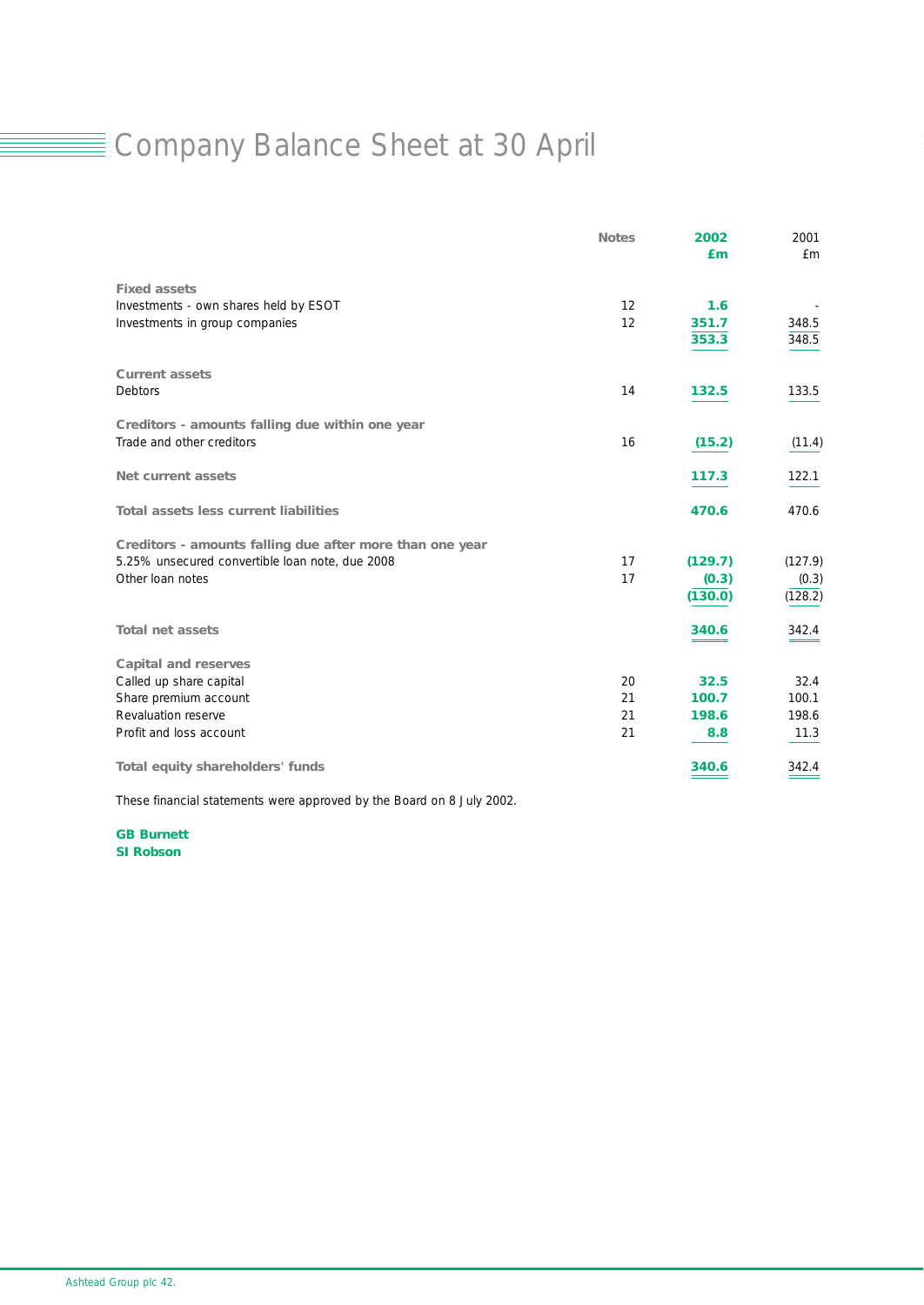### ■ Company Balance Sheet at 30 April

|                                                          | <b>Notes</b> | 2002<br>Em | 2001<br>£m |
|----------------------------------------------------------|--------------|------------|------------|
| <b>Fixed assets</b>                                      |              |            |            |
| Investments - own shares held by ESOT                    | 12           | 1.6        |            |
| Investments in group companies                           | 12           | 351.7      | 348.5      |
|                                                          |              | 353.3      | 348.5      |
| <b>Current assets</b>                                    |              |            |            |
| Debtors                                                  | 14           | 132.5      | 133.5      |
| Creditors - amounts falling due within one year          |              |            |            |
| Trade and other creditors                                | 16           | (15.2)     | (11.4)     |
| <b>Net current assets</b>                                |              | 117.3      | 122.1      |
| <b>Total assets less current liabilities</b>             |              | 470.6      | 470.6      |
| Creditors - amounts falling due after more than one year |              |            |            |
| 5.25% unsecured convertible loan note, due 2008          | 17           | (129.7)    | (127.9)    |
| Other Ioan notes                                         | 17           | (0.3)      | (0.3)      |
|                                                          |              | (130.0)    | (128.2)    |
| <b>Total net assets</b>                                  |              | 340.6      | 342.4      |
| <b>Capital and reserves</b>                              |              |            |            |
| Called up share capital                                  | 20           | 32.5       | 32.4       |
| Share premium account                                    | 21           | 100.7      | 100.1      |
| Revaluation reserve                                      | 21           | 198.6      | 198.6      |
| Profit and loss account                                  | 21           | 8.8        | 11.3       |
| Total equity shareholders' funds                         |              | 340.6      | 342.4      |

These financial statements were approved by the Board on 8 July 2002.

*GB Burnett SI Robson*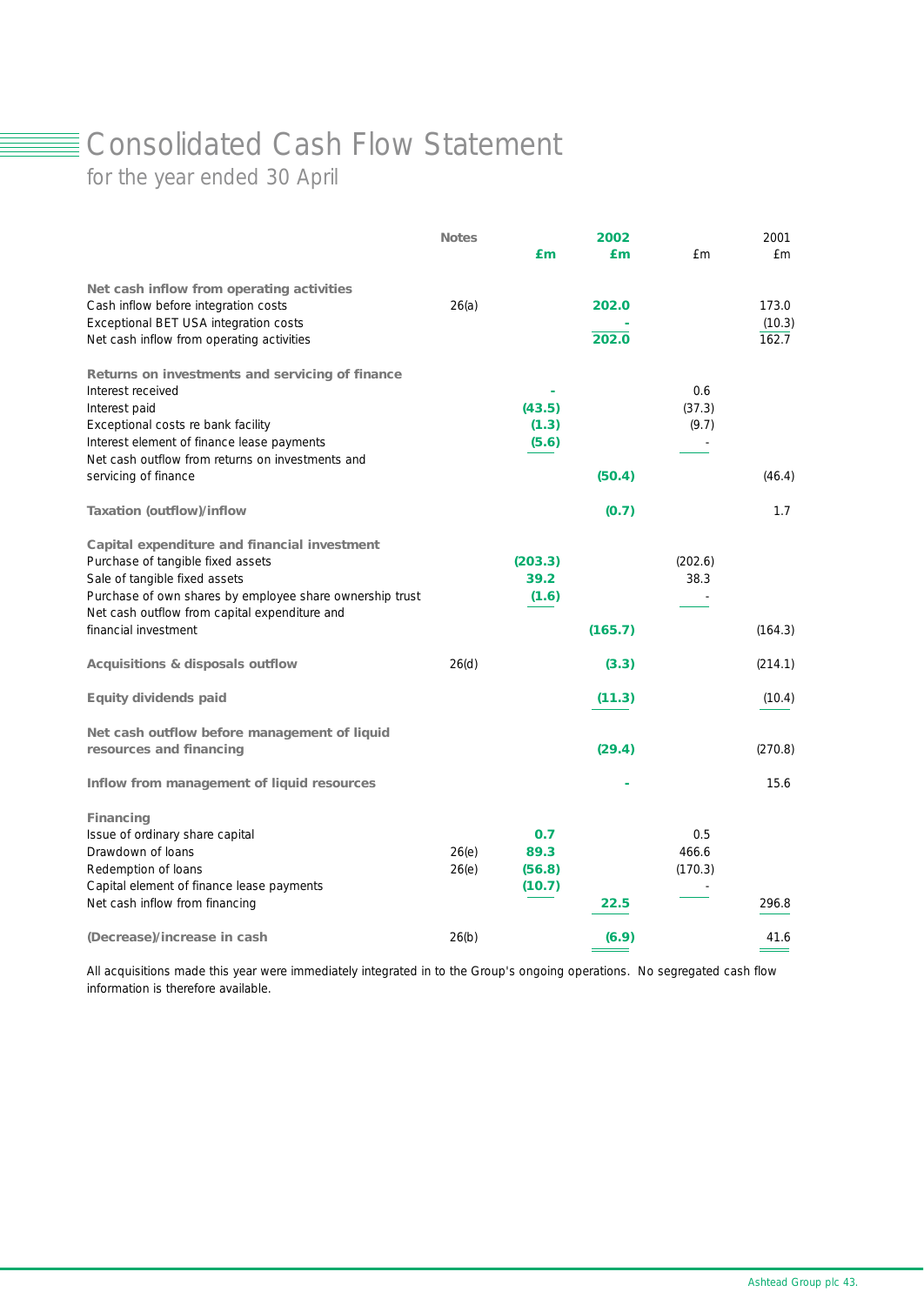### ■ Consolidated Cash Flow Statement

for the year ended 30 April

|                                                          | <b>Notes</b> |         | 2002    |         | 2001    |
|----------------------------------------------------------|--------------|---------|---------|---------|---------|
|                                                          |              | £m      | £m      | £m      | f m     |
| Net cash inflow from operating activities                |              |         |         |         |         |
| Cash inflow before integration costs                     | 26(a)        |         | 202.0   |         | 173.0   |
| Exceptional BET USA integration costs                    |              |         |         |         | (10.3)  |
| Net cash inflow from operating activities                |              |         | 202.0   |         | 162.7   |
| Returns on investments and servicing of finance          |              |         |         |         |         |
| Interest received                                        |              |         |         | 0.6     |         |
| Interest paid                                            |              | (43.5)  |         | (37.3)  |         |
| Exceptional costs re bank facility                       |              | (1.3)   |         | (9.7)   |         |
| Interest element of finance lease payments               |              | (5.6)   |         |         |         |
| Net cash outflow from returns on investments and         |              |         |         |         |         |
| servicing of finance                                     |              |         | (50.4)  |         | (46.4)  |
| <b>Taxation (outflow)/inflow</b>                         |              |         | (0.7)   |         | 1.7     |
| Capital expenditure and financial investment             |              |         |         |         |         |
| Purchase of tangible fixed assets                        |              | (203.3) |         | (202.6) |         |
| Sale of tangible fixed assets                            |              | 39.2    |         | 38.3    |         |
| Purchase of own shares by employee share ownership trust |              | (1.6)   |         |         |         |
| Net cash outflow from capital expenditure and            |              |         |         |         |         |
| financial investment                                     |              |         | (165.7) |         | (164.3) |
| <b>Acquisitions &amp; disposals outflow</b>              | 26(d)        |         | (3.3)   |         | (214.1) |
| <b>Equity dividends paid</b>                             |              |         | (11.3)  |         | (10.4)  |
| Net cash outflow before management of liquid             |              |         |         |         |         |
| resources and financing                                  |              |         | (29.4)  |         | (270.8) |
| Inflow from management of liquid resources               |              |         |         |         | 15.6    |
| <b>Financing</b>                                         |              |         |         |         |         |
| Issue of ordinary share capital                          |              | 0.7     |         | 0.5     |         |
| Drawdown of loans                                        | 26(e)        | 89.3    |         | 466.6   |         |
| Redemption of loans                                      | 26(e)        | (56.8)  |         | (170.3) |         |
| Capital element of finance lease payments                |              | (10.7)  |         |         |         |
| Net cash inflow from financing                           |              |         | 22.5    |         | 296.8   |
| (Decrease)/increase in cash                              | 26(b)        |         | (6.9)   |         | 41.6    |

All acquisitions made this year were immediately integrated in to the Group's ongoing operations. No segregated cash flow information is therefore available.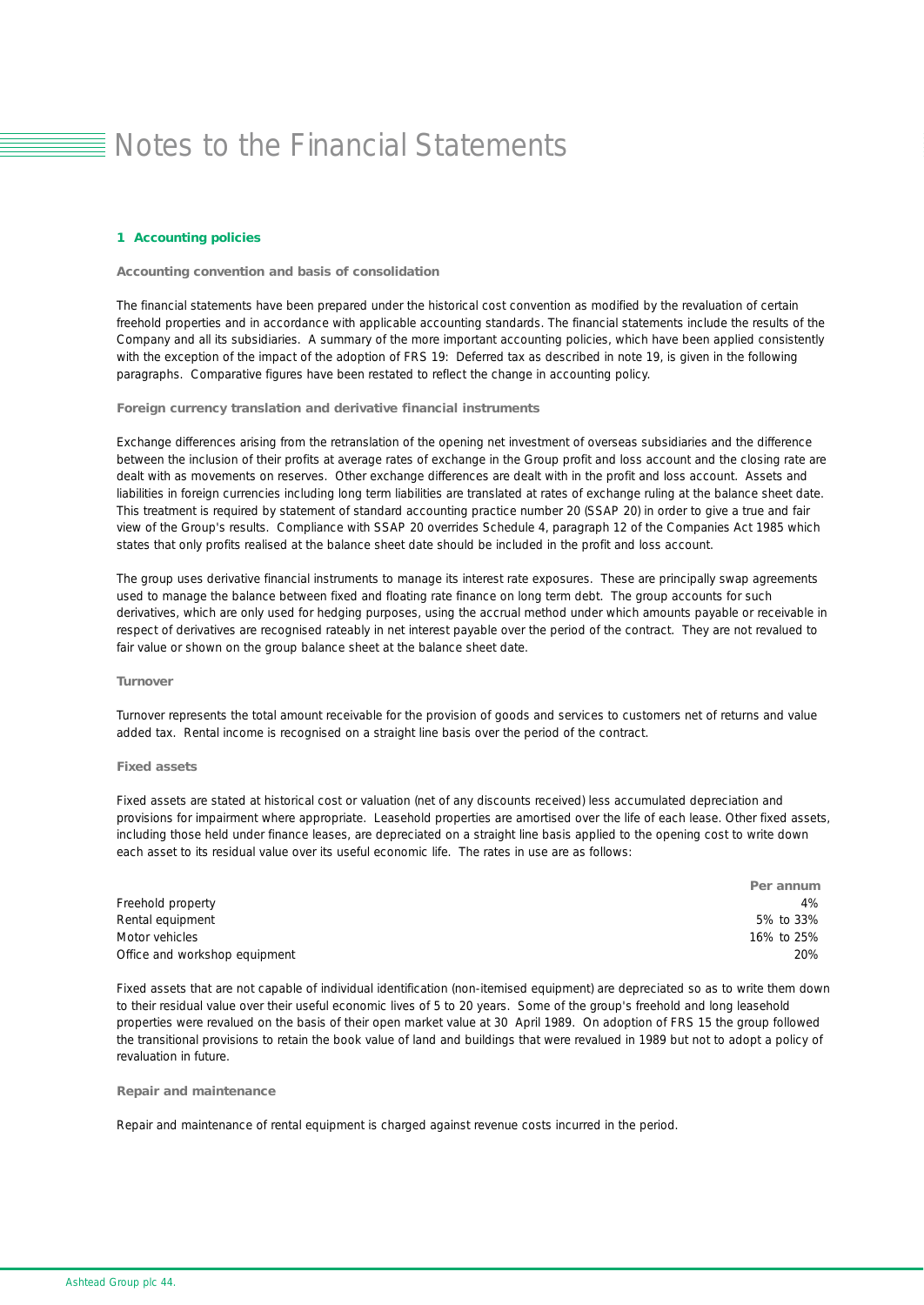#### *1 Accounting policies*

#### *Accounting convention and basis of consolidation*

The financial statements have been prepared under the historical cost convention as modified by the revaluation of certain freehold properties and in accordance with applicable accounting standards. The financial statements include the results of the Company and all its subsidiaries. A summary of the more important accounting policies, which have been applied consistently with the exception of the impact of the adoption of FRS 19: Deferred tax as described in note 19, is given in the following paragraphs. Comparative figures have been restated to reflect the change in accounting policy.

#### *Foreign currency translation and derivative financial instruments*

Exchange differences arising from the retranslation of the opening net investment of overseas subsidiaries and the difference between the inclusion of their profits at average rates of exchange in the Group profit and loss account and the closing rate are dealt with as movements on reserves. Other exchange differences are dealt with in the profit and loss account. Assets and liabilities in foreign currencies including long term liabilities are translated at rates of exchange ruling at the balance sheet date. This treatment is required by statement of standard accounting practice number 20 (SSAP 20) in order to give a true and fair view of the Group's results. Compliance with SSAP 20 overrides Schedule 4, paragraph 12 of the Companies Act 1985 which states that only profits realised at the balance sheet date should be included in the profit and loss account.

The group uses derivative financial instruments to manage its interest rate exposures. These are principally swap agreements used to manage the balance between fixed and floating rate finance on long term debt. The group accounts for such derivatives, which are only used for hedging purposes, using the accrual method under which amounts payable or receivable in respect of derivatives are recognised rateably in net interest payable over the period of the contract. They are not revalued to fair value or shown on the group balance sheet at the balance sheet date.

#### *Turnover*

Turnover represents the total amount receivable for the provision of goods and services to customers net of returns and value added tax. Rental income is recognised on a straight line basis over the period of the contract.

### *Fixed assets*

Fixed assets are stated at historical cost or valuation (net of any discounts received) less accumulated depreciation and provisions for impairment where appropriate. Leasehold properties are amortised over the life of each lease. Other fixed assets, including those held under finance leases, are depreciated on a straight line basis applied to the opening cost to write down each asset to its residual value over its useful economic life. The rates in use are as follows:

|                               | Per annum  |
|-------------------------------|------------|
| Freehold property             | 4%         |
| Rental equipment              | 5% to 33%  |
| Motor vehicles                | 16% to 25% |
| Office and workshop equipment | 20%        |

Fixed assets that are not capable of individual identification (non-itemised equipment) are depreciated so as to write them down to their residual value over their useful economic lives of 5 to 20 years. Some of the group's freehold and long leasehold properties were revalued on the basis of their open market value at 30 April 1989. On adoption of FRS 15 the group followed the transitional provisions to retain the book value of land and buildings that were revalued in 1989 but not to adopt a policy of revaluation in future.

#### *Repair and maintenance*

Repair and maintenance of rental equipment is charged against revenue costs incurred in the period.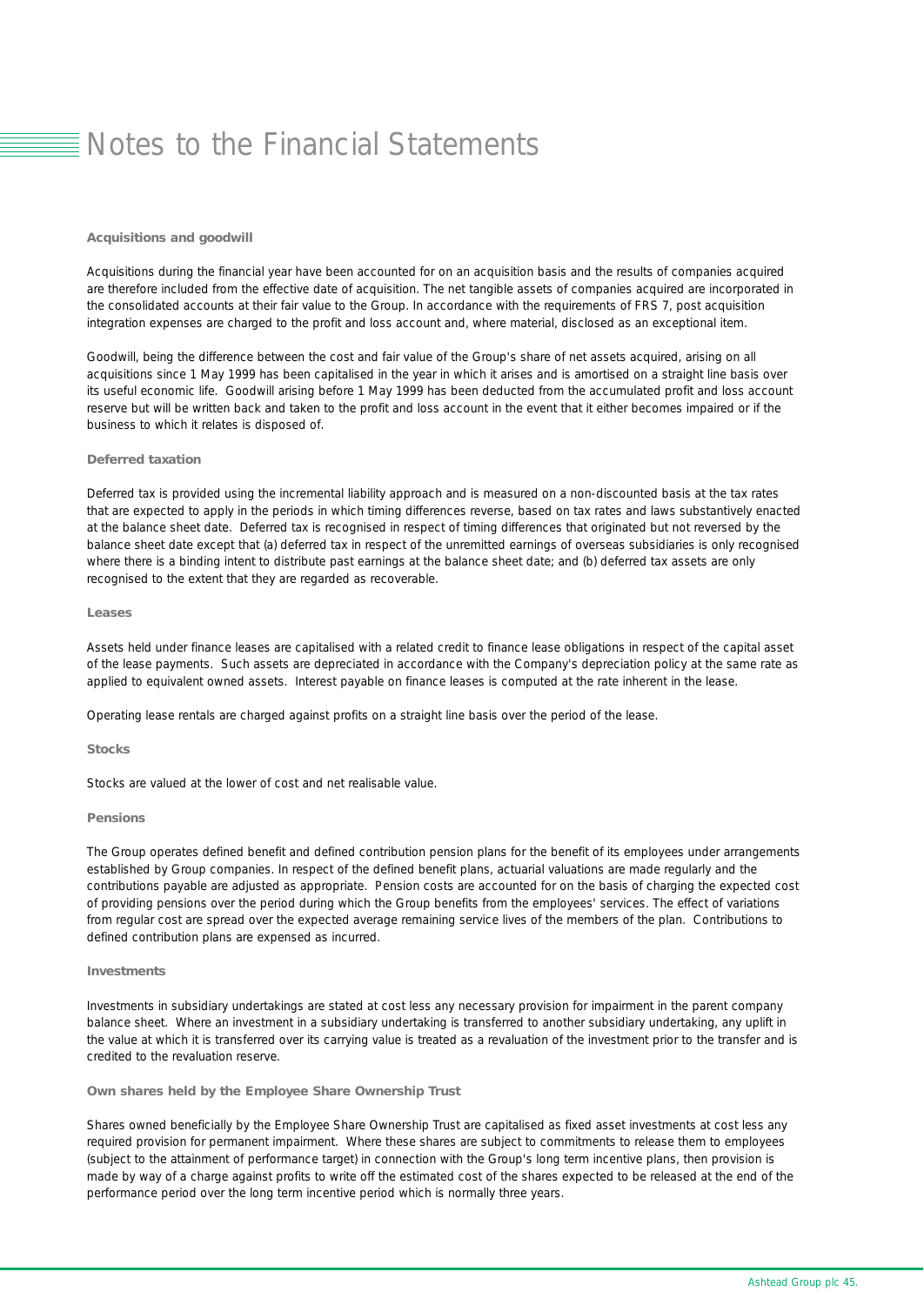#### *Acquisitions and goodwill*

Acquisitions during the financial year have been accounted for on an acquisition basis and the results of companies acquired are therefore included from the effective date of acquisition. The net tangible assets of companies acquired are incorporated in the consolidated accounts at their fair value to the Group. In accordance with the requirements of FRS 7, post acquisition integration expenses are charged to the profit and loss account and, where material, disclosed as an exceptional item.

Goodwill, being the difference between the cost and fair value of the Group's share of net assets acquired, arising on all acquisitions since 1 May 1999 has been capitalised in the year in which it arises and is amortised on a straight line basis over its useful economic life. Goodwill arising before 1 May 1999 has been deducted from the accumulated profit and loss account reserve but will be written back and taken to the profit and loss account in the event that it either becomes impaired or if the business to which it relates is disposed of.

### *Deferred taxation*

Deferred tax is provided using the incremental liability approach and is measured on a non-discounted basis at the tax rates that are expected to apply in the periods in which timing differences reverse, based on tax rates and laws substantively enacted at the balance sheet date. Deferred tax is recognised in respect of timing differences that originated but not reversed by the balance sheet date except that (a) deferred tax in respect of the unremitted earnings of overseas subsidiaries is only recognised where there is a binding intent to distribute past earnings at the balance sheet date; and (b) deferred tax assets are only recognised to the extent that they are regarded as recoverable.

### *Leases*

Assets held under finance leases are capitalised with a related credit to finance lease obligations in respect of the capital asset of the lease payments. Such assets are depreciated in accordance with the Company's depreciation policy at the same rate as applied to equivalent owned assets. Interest payable on finance leases is computed at the rate inherent in the lease.

Operating lease rentals are charged against profits on a straight line basis over the period of the lease.

#### *Stocks*

Stocks are valued at the lower of cost and net realisable value.

### *Pensions*

The Group operates defined benefit and defined contribution pension plans for the benefit of its employees under arrangements established by Group companies. In respect of the defined benefit plans, actuarial valuations are made regularly and the contributions payable are adjusted as appropriate. Pension costs are accounted for on the basis of charging the expected cost of providing pensions over the period during which the Group benefits from the employees' services. The effect of variations from regular cost are spread over the expected average remaining service lives of the members of the plan. Contributions to defined contribution plans are expensed as incurred.

### *Investments*

Investments in subsidiary undertakings are stated at cost less any necessary provision for impairment in the parent company balance sheet. Where an investment in a subsidiary undertaking is transferred to another subsidiary undertaking, any uplift in the value at which it is transferred over its carrying value is treated as a revaluation of the investment prior to the transfer and is credited to the revaluation reserve.

#### *Own shares held by the Employee Share Ownership Trust*

Shares owned beneficially by the Employee Share Ownership Trust are capitalised as fixed asset investments at cost less any required provision for permanent impairment. Where these shares are subject to commitments to release them to employees (subject to the attainment of performance target) in connection with the Group's long term incentive plans, then provision is made by way of a charge against profits to write off the estimated cost of the shares expected to be released at the end of the performance period over the long term incentive period which is normally three years.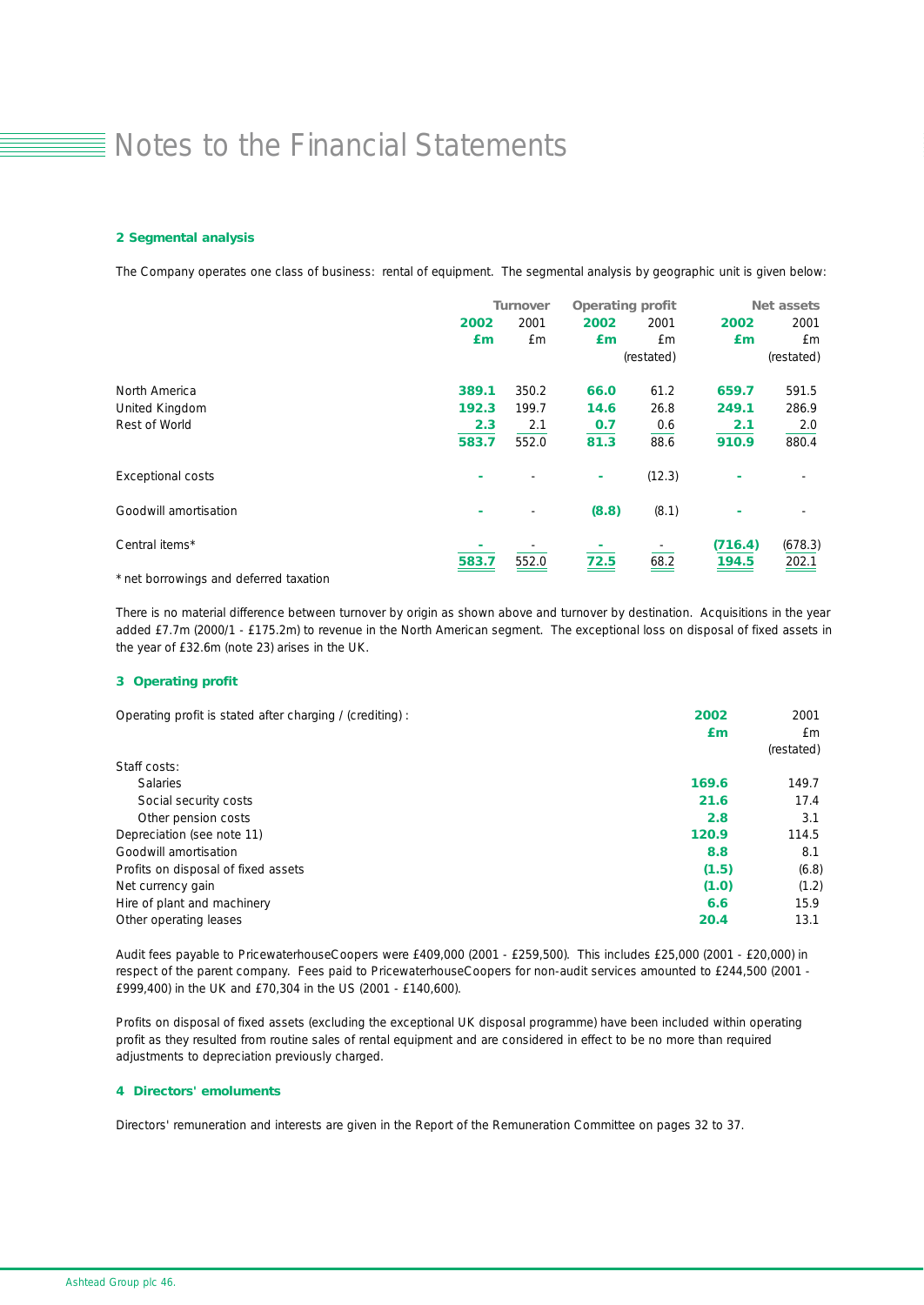### *2 Segmental analysis*

The Company operates one class of business: rental of equipment. The segmental analysis by geographic unit is given below:

|                                                 | <b>Turnover</b> |                              | <b>Operating profit</b> |            | Net assets |            |
|-------------------------------------------------|-----------------|------------------------------|-------------------------|------------|------------|------------|
|                                                 | 2002            | 2001                         | 2002                    | 2001       | 2002       | 2001       |
|                                                 | £m              | £m                           | £m                      | £m         | £m         | £m         |
|                                                 |                 |                              |                         | (restated) |            | (restated) |
| North America                                   | 389.1           | 350.2                        | 66.0                    | 61.2       | 659.7      | 591.5      |
| United Kingdom                                  | 192.3           | 199.7                        | 14.6                    | 26.8       | 249.1      | 286.9      |
| Rest of World                                   | 2.3             | 2.1                          | 0.7                     | 0.6        | 2.1        | 2.0        |
|                                                 | 583.7           | 552.0                        | 81.3                    | 88.6       | 910.9      | 880.4      |
| <b>Exceptional costs</b>                        | ٠               |                              | ۰                       | (12.3)     | ٠          |            |
| Goodwill amortisation                           | ٠               | $\qquad \qquad \blacksquare$ | (8.8)                   | (8.1)      | ٠          |            |
| Central items*                                  |                 |                              |                         |            | (716.4)    | (678.3)    |
| $\sim$ $\sim$ $\sim$<br>$\cdot$ $\cdot$ $\cdot$ | 583.7           | 552.0                        | 72.5                    | 68.2       | 194.5      | 202.1      |

*\* net borrowings and deferred taxation*

There is no material difference between turnover by origin as shown above and turnover by destination. Acquisitions in the year added £7.7m (2000/1 - £175.2m) to revenue in the North American segment. The exceptional loss on disposal of fixed assets in the year of £32.6m (note 23) arises in the UK.

### *3 Operating profit*

| Operating profit is stated after charging / (crediting) : | 2002  | 2001       |
|-----------------------------------------------------------|-------|------------|
|                                                           | £m    | £m         |
|                                                           |       | (restated) |
| Staff costs:                                              |       |            |
| <b>Salaries</b>                                           | 169.6 | 149.7      |
| Social security costs                                     | 21.6  | 17.4       |
| Other pension costs                                       | 2.8   | 3.1        |
| Depreciation (see note 11)                                | 120.9 | 114.5      |
| Goodwill amortisation                                     | 8.8   | 8.1        |
| Profits on disposal of fixed assets                       | (1.5) | (6.8)      |
| Net currency gain                                         | (1.0) | (1.2)      |
| Hire of plant and machinery                               | 6.6   | 15.9       |
| Other operating leases                                    | 20.4  | 13.1       |

Audit fees payable to PricewaterhouseCoopers were £409,000 (2001 - £259,500). This includes £25,000 (2001 - £20,000) in respect of the parent company. Fees paid to PricewaterhouseCoopers for non-audit services amounted to £244,500 (2001 - £999,400) in the UK and £70,304 in the US (2001 - £140,600).

Profits on disposal of fixed assets (excluding the exceptional UK disposal programme) have been included within operating profit as they resulted from routine sales of rental equipment and are considered in effect to be no more than required adjustments to depreciation previously charged.

#### *4 Directors' emoluments*

Directors' remuneration and interests are given in the Report of the Remuneration Committee on pages 32 to 37.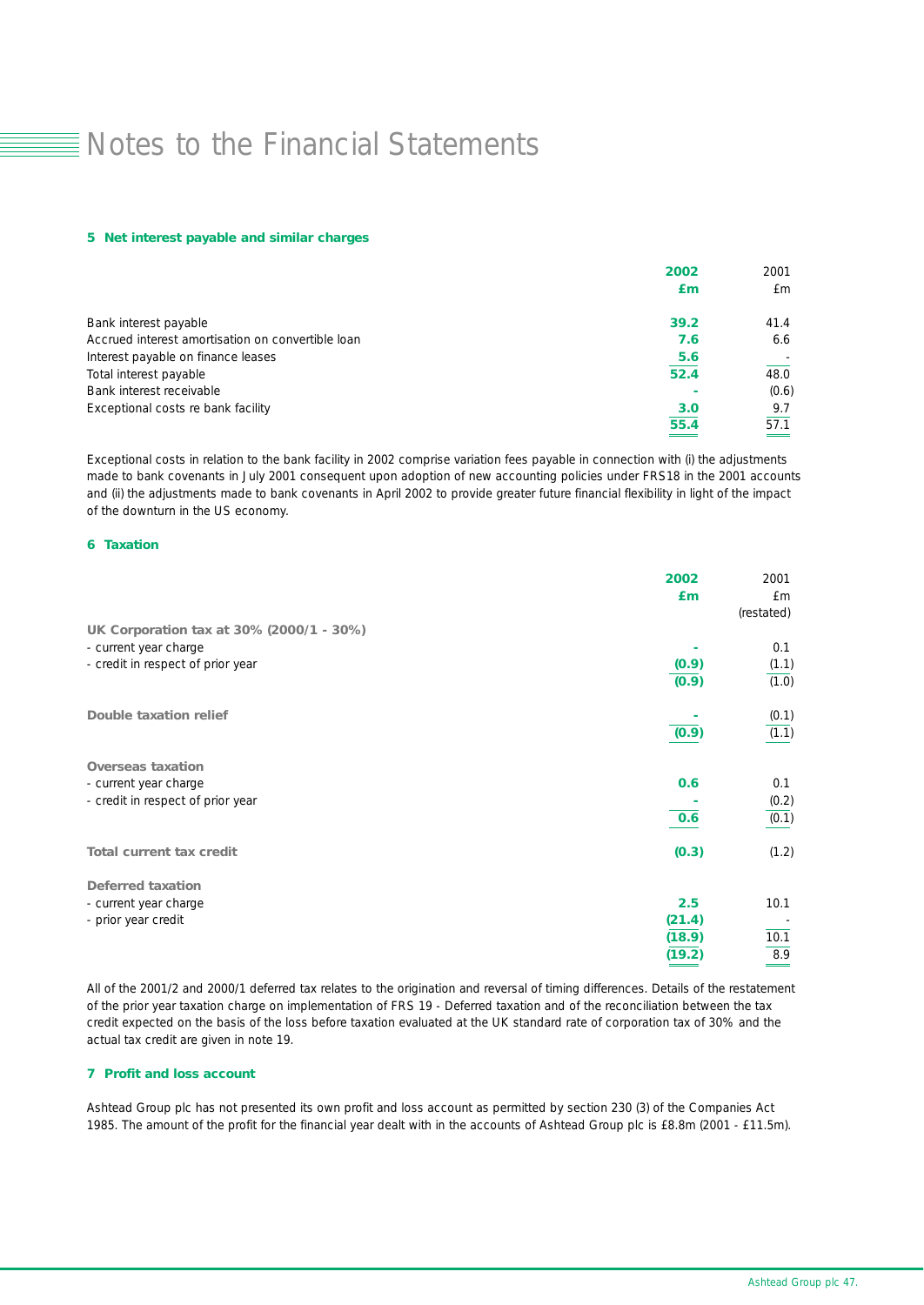#### *5 Net interest payable and similar charges*

|                                                   | 2002 | 2001  |
|---------------------------------------------------|------|-------|
|                                                   | £m   | £m    |
| Bank interest payable                             | 39.2 | 41.4  |
| Accrued interest amortisation on convertible loan | 7.6  | 6.6   |
| Interest payable on finance leases                | 5.6  |       |
| Total interest payable                            | 52.4 | 48.0  |
| Bank interest receivable                          |      | (0.6) |
| Exceptional costs re bank facility                | 3.0  | 9.7   |
|                                                   | 55.4 | 57.1  |
|                                                   |      |       |

Exceptional costs in relation to the bank facility in 2002 comprise variation fees payable in connection with (i) the adjustments made to bank covenants in July 2001 consequent upon adoption of new accounting policies under FRS18 in the 2001 accounts and (ii) the adjustments made to bank covenants in April 2002 to provide greater future financial flexibility in light of the impact of the downturn in the US economy.

### *6 Taxation*

|                                          | 2002   | 2001       |
|------------------------------------------|--------|------------|
|                                          | £m     | £m         |
|                                          |        | (restated) |
| UK Corporation tax at 30% (2000/1 - 30%) |        |            |
| - current year charge                    |        | 0.1        |
| - credit in respect of prior year        | (0.9)  | (1.1)      |
|                                          | (0.9)  | (1.0)      |
| <b>Double taxation relief</b>            |        | (0.1)      |
|                                          | (0.9)  | (1.1)      |
| <b>Overseas taxation</b>                 |        |            |
| - current year charge                    | 0.6    | 0.1        |
| - credit in respect of prior year        |        | (0.2)      |
|                                          | 0.6    | (0.1)      |
| <b>Total current tax credit</b>          | (0.3)  | (1.2)      |
| <b>Deferred taxation</b>                 |        |            |
| - current year charge                    | 2.5    | 10.1       |
| - prior year credit                      | (21.4) |            |
|                                          | (18.9) | 10.1       |
|                                          | (19.2) | 8.9        |
|                                          |        |            |

All of the 2001/2 and 2000/1 deferred tax relates to the origination and reversal of timing differences. Details of the restatement of the prior year taxation charge on implementation of FRS 19 - Deferred taxation and of the reconciliation between the tax credit expected on the basis of the loss before taxation evaluated at the UK standard rate of corporation tax of 30% and the actual tax credit are given in note 19.

### *7 Profit and loss account*

Ashtead Group plc has not presented its own profit and loss account as permitted by section 230 (3) of the Companies Act 1985. The amount of the profit for the financial year dealt with in the accounts of Ashtead Group plc is £8.8m (2001 - £11.5m).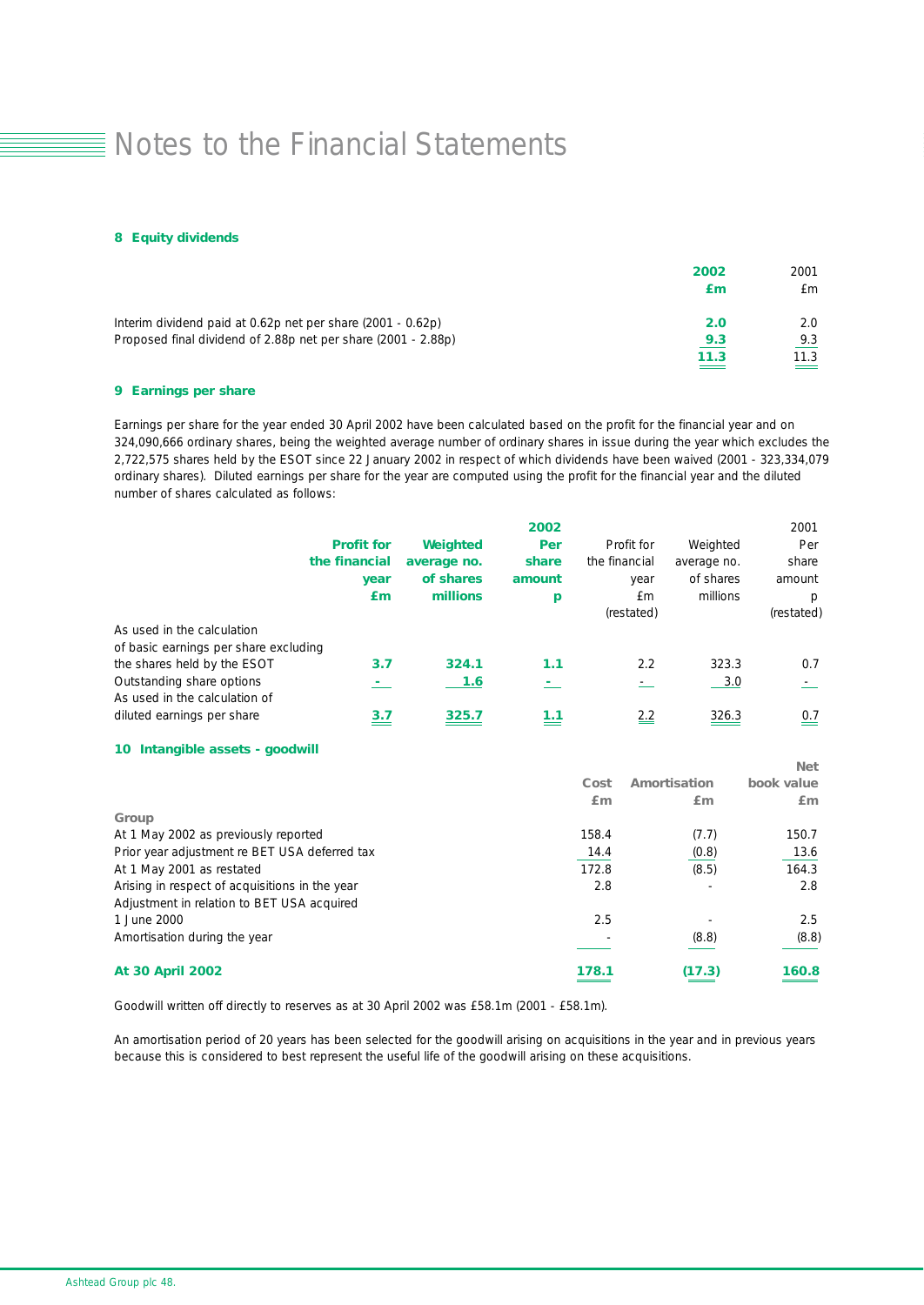#### *8 Equity dividends*

|                                                               | 2002<br>£т | 2001<br>£m                |
|---------------------------------------------------------------|------------|---------------------------|
| Interim dividend paid at 0.62p net per share (2001 - 0.62p)   | 2.0        | 2.0                       |
| Proposed final dividend of 2.88p net per share (2001 - 2.88p) | 9.3        | 9.3                       |
|                                                               | 11.3       | 11.3<br>$\hspace{0.05cm}$ |

### *9 Earnings per share*

Earnings per share for the year ended 30 April 2002 have been calculated based on the profit for the financial year and on 324,090,666 ordinary shares, being the weighted average number of ordinary shares in issue during the year which excludes the 2,722,575 shares held by the ESOT since 22 January 2002 in respect of which dividends have been waived (2001 - 323,334,079 ordinary shares). Diluted earnings per share for the year are computed using the profit for the financial year and the diluted number of shares calculated as follows:

|                                                                     | <b>Profit for</b><br>the financial<br>year<br>£m | Weighted<br>average no.<br>of shares<br>millions | 2002<br>Per<br>share<br>amount<br>p | Profit for<br>the financial<br>year<br>£m<br>(restated) | Weighted<br>average no.<br>of shares<br>millions | 2001<br>Per<br>share<br>amount<br>p<br>(restated) |
|---------------------------------------------------------------------|--------------------------------------------------|--------------------------------------------------|-------------------------------------|---------------------------------------------------------|--------------------------------------------------|---------------------------------------------------|
| As used in the calculation<br>of basic earnings per share excluding |                                                  |                                                  |                                     |                                                         |                                                  |                                                   |
| the shares held by the ESOT                                         | 3.7                                              | 324.1                                            | 1.1                                 | 2.2                                                     | 323.3                                            | 0.7                                               |
| Outstanding share options<br>As used in the calculation of          |                                                  | 1.6                                              |                                     |                                                         | 3.0                                              |                                                   |
| diluted earnings per share                                          | 3.7                                              | 325.7                                            | 1.1                                 | 2.2                                                     | 326.3                                            | $\frac{0.7}{5}$                                   |

### *10 Intangible assets - goodwill*

| <b>At 30 April 2002</b>                        | 178.1 | (17.3)       | 160.8      |
|------------------------------------------------|-------|--------------|------------|
| Amortisation during the year                   |       | (8.8)        | (8.8)      |
| 1 June 2000                                    | 2.5   |              | 2.5        |
| Adjustment in relation to BET USA acquired     |       |              |            |
| Arising in respect of acquisitions in the year | 2.8   |              | 2.8        |
| At 1 May 2001 as restated                      | 172.8 | (8.5)        | 164.3      |
| Prior year adjustment re BET USA deferred tax  | 14.4  | (0.8)        | 13.6       |
| At 1 May 2002 as previously reported           | 158.4 | (7.7)        | 150.7      |
| Group                                          |       |              |            |
|                                                | Em    | £m           | Em         |
|                                                | Cost  | Amortisation | book value |
|                                                |       |              | IVCL       |

*Net*

Goodwill written off directly to reserves as at 30 April 2002 was £58.1m (2001 - £58.1m).

An amortisation period of 20 years has been selected for the goodwill arising on acquisitions in the year and in previous years because this is considered to best represent the useful life of the goodwill arising on these acquisitions.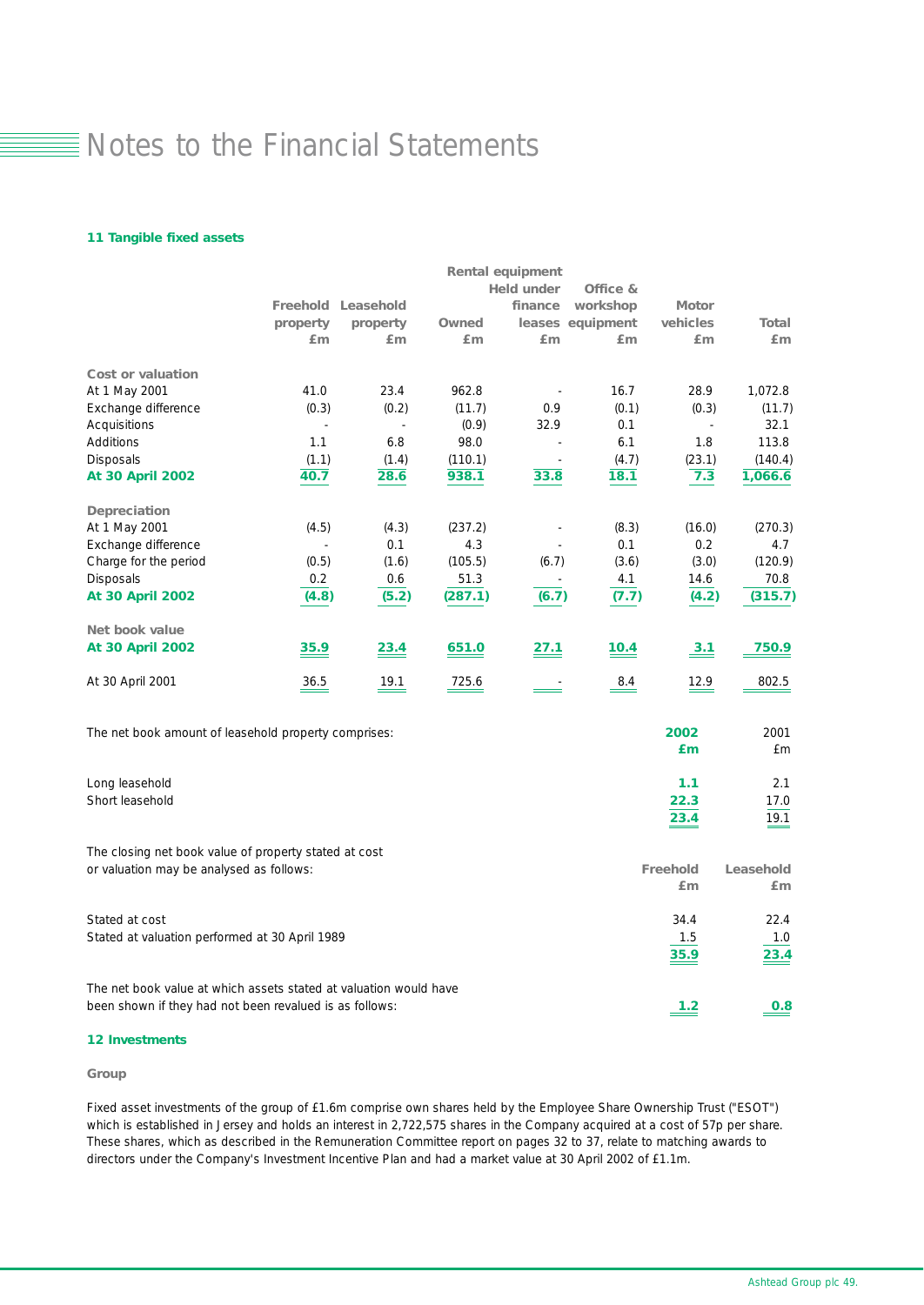### *11 Tangible fixed assets*

|                                                                   |          |                           |         | <b>Rental equipment</b>  |                  |              |              |
|-------------------------------------------------------------------|----------|---------------------------|---------|--------------------------|------------------|--------------|--------------|
|                                                                   |          |                           |         | <b>Held under</b>        | Office &         |              |              |
|                                                                   |          | <b>Freehold Leasehold</b> |         | finance                  | workshop         | <b>Motor</b> |              |
|                                                                   | property | property                  | Owned   |                          | leases equipment | vehicles     | <b>Total</b> |
|                                                                   | £m       | Em                        | Em      | Em                       | Em               | £m           | Em           |
| Cost or valuation                                                 |          |                           |         |                          |                  |              |              |
| At 1 May 2001                                                     | 41.0     | 23.4                      | 962.8   |                          | 16.7             | 28.9         | 1,072.8      |
| Exchange difference                                               | (0.3)    | (0.2)                     | (11.7)  | 0.9                      | (0.1)            | (0.3)        | (11.7)       |
| Acquisitions                                                      | $\sim$   | $\blacksquare$            | (0.9)   | 32.9                     | 0.1              | $\sim$       | 32.1         |
| Additions                                                         | 1.1      | 6.8                       | 98.0    |                          | 6.1              | 1.8          | 113.8        |
| <b>Disposals</b>                                                  | (1.1)    | (1.4)                     | (110.1) | $\overline{\phantom{a}}$ | (4.7)            | (23.1)       | (140.4)      |
| <b>At 30 April 2002</b>                                           | 40.7     | 28.6                      | 938.1   | 33.8                     | 18.1             | 7.3          | 1,066.6      |
| <b>Depreciation</b>                                               |          |                           |         |                          |                  |              |              |
| At 1 May 2001                                                     | (4.5)    | (4.3)                     | (237.2) |                          | (8.3)            | (16.0)       | (270.3)      |
| Exchange difference                                               |          | 0.1                       | 4.3     |                          | 0.1              | 0.2          | 4.7          |
| Charge for the period                                             | (0.5)    | (1.6)                     | (105.5) | (6.7)                    | (3.6)            | (3.0)        | (120.9)      |
| <b>Disposals</b>                                                  | 0.2      | 0.6                       | 51.3    |                          | 4.1              | 14.6         | 70.8         |
| <b>At 30 April 2002</b>                                           | (4.8)    | (5.2)                     | (287.1) | (6.7)                    | (7.7)            | (4.2)        | (315.7)      |
| <b>Net book value</b>                                             |          |                           |         |                          |                  |              |              |
| <b>At 30 April 2002</b>                                           | 35.9     | 23.4                      | 651.0   | 27.1                     | 10.4             | 3.1          | 750.9        |
| At 30 April 2001                                                  | 36.5     | 19.1                      | 725.6   |                          | 8.4              | 12.9         | 802.5        |
| The net book amount of leasehold property comprises:              |          |                           |         |                          |                  | 2002<br>£m   | 2001<br>£m   |
|                                                                   |          |                           |         |                          |                  |              |              |
| Long leasehold                                                    |          |                           |         |                          |                  | 1.1          | 2.1          |
| Short leasehold                                                   |          |                           |         |                          |                  | 22.3         | 17.0         |
|                                                                   |          |                           |         |                          |                  | 23.4         | 19.1         |
| The closing net book value of property stated at cost             |          |                           |         |                          |                  |              |              |
| or valuation may be analysed as follows:                          |          |                           |         |                          |                  | Freehold     | Leasehold    |
|                                                                   |          |                           |         |                          |                  | £m           | Em           |
| Stated at cost                                                    |          |                           |         |                          |                  | 34.4         | 22.4         |
| Stated at valuation performed at 30 April 1989                    |          |                           |         |                          |                  | 1.5          | 1.0          |
|                                                                   |          |                           |         |                          |                  | 35.9         | 23.4         |
| The net book value at which assets stated at valuation would have |          |                           |         |                          |                  |              |              |
| been shown if they had not been revalued is as follows:           |          |                           |         |                          |                  | 1.2          | 0.8          |

### *12 Investments*

#### *Group*

Fixed asset investments of the group of £1.6m comprise own shares held by the Employee Share Ownership Trust ("ESOT") which is established in Jersey and holds an interest in 2,722,575 shares in the Company acquired at a cost of 57p per share. These shares, which as described in the Remuneration Committee report on pages 32 to 37, relate to matching awards to directors under the Company's Investment Incentive Plan and had a market value at 30 April 2002 of £1.1m.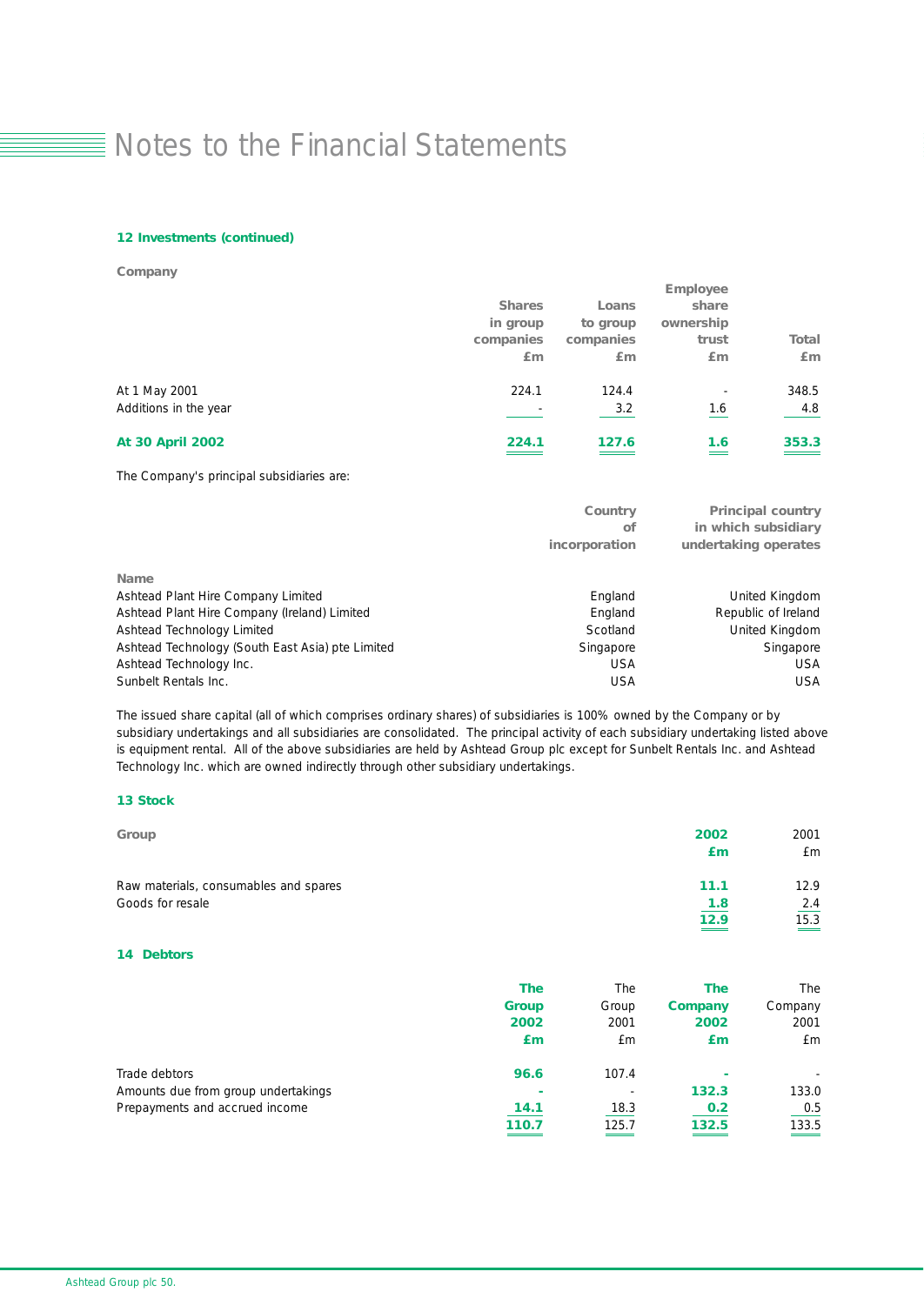### *12 Investments (continued)*

*Company*

|                         |                          |           | <b>Employee</b>          |              |
|-------------------------|--------------------------|-----------|--------------------------|--------------|
|                         | <b>Shares</b>            | Loans     | share                    |              |
|                         | in group                 | to group  | ownership                |              |
|                         | companies                | companies | trust                    | <b>Total</b> |
|                         | £m                       | Em        | Em                       | £m           |
| At 1 May 2001           | 224.1                    | 124.4     | $\overline{\phantom{a}}$ | 348.5        |
| Additions in the year   | $\overline{\phantom{0}}$ | 3.2       | 1.6                      | 4.8          |
| <b>At 30 April 2002</b> | 224.1                    | 127.6     | 1.6                      | 353.3        |
|                         |                          |           |                          |              |

### The Company's principal subsidiaries are:

|                                                  | Country<br>οf | <b>Principal country</b><br>in which subsidiary |
|--------------------------------------------------|---------------|-------------------------------------------------|
|                                                  | incorporation | undertaking operates                            |
| <b>Name</b>                                      |               |                                                 |
| Ashtead Plant Hire Company Limited               | England       | United Kingdom                                  |
| Ashtead Plant Hire Company (Ireland) Limited     | England       | Republic of Ireland                             |
| Ashtead Technology Limited                       | Scotland      | United Kingdom                                  |
| Ashtead Technology (South East Asia) pte Limited | Singapore     | Singapore                                       |
| Ashtead Technology Inc.                          | <b>USA</b>    | <b>USA</b>                                      |
| Sunbelt Rentals Inc.                             | <b>USA</b>    | <b>USA</b>                                      |

The issued share capital (all of which comprises ordinary shares) of subsidiaries is 100% owned by the Company or by subsidiary undertakings and all subsidiaries are consolidated. The principal activity of each subsidiary undertaking listed above is equipment rental. All of the above subsidiaries are held by Ashtead Group plc except for Sunbelt Rentals Inc. and Ashtead Technology Inc. which are owned indirectly through other subsidiary undertakings.

### *13 Stock*

| Group                                 | 2002 | 2001                        |
|---------------------------------------|------|-----------------------------|
|                                       | £т   | £m                          |
| Raw materials, consumables and spares | 11.1 | 12.9                        |
| Goods for resale                      | 1.8  | 2.4                         |
|                                       | 12.9 | 15.3<br>$\hspace{0.05cm} =$ |
|                                       |      |                             |

### *14 Debtors*

|                                     | <b>The</b>   | The                      | <b>The</b>     | The     |
|-------------------------------------|--------------|--------------------------|----------------|---------|
|                                     | <b>Group</b> | Group                    | <b>Company</b> | Company |
|                                     | 2002         | 2001                     | 2002           | 2001    |
|                                     | £m           | £m                       | £m             | £m      |
| Trade debtors                       | 96.6         | 107.4                    |                |         |
| Amounts due from group undertakings | ۰            | $\overline{\phantom{a}}$ | 132.3          | 133.0   |
| Prepayments and accrued income      | 14.1         | 18.3                     | 0.2            | 0.5     |
|                                     | 110.7        | 125.7                    | 132.5          | 133.5   |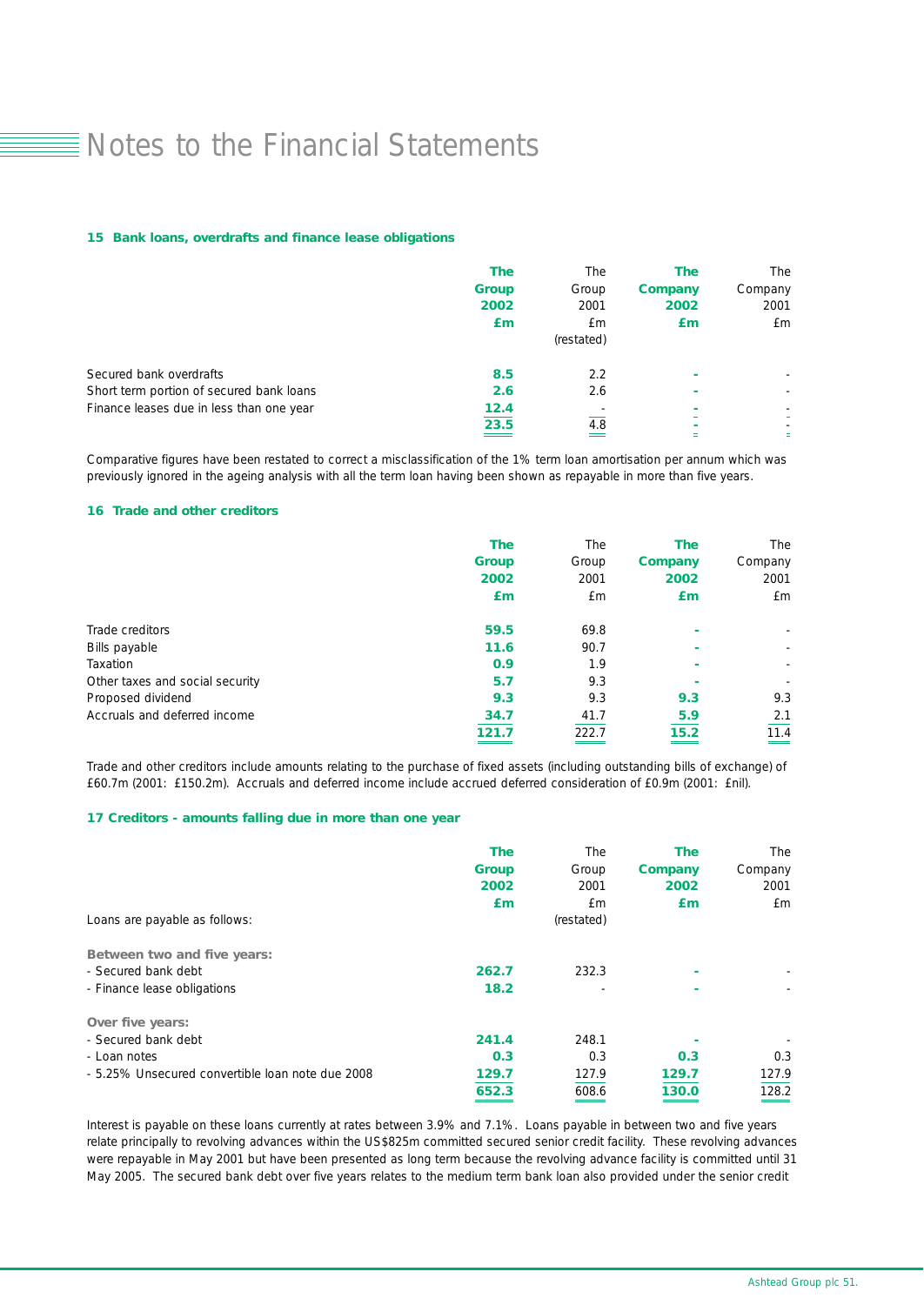#### *15 Bank loans, overdrafts and finance lease obligations*

|                                          | <b>The</b><br><b>Group</b> | The<br>Group | The<br><b>Company</b> | The<br>Company           |
|------------------------------------------|----------------------------|--------------|-----------------------|--------------------------|
|                                          | 2002                       | 2001         | 2002                  | 2001                     |
|                                          | £m                         | £m           | £m                    | £m                       |
|                                          |                            | (restated)   |                       |                          |
| Secured bank overdrafts                  | 8.5                        | 2.2          |                       |                          |
| Short term portion of secured bank loans | 2.6                        | 2.6          | ۰                     | $\overline{\phantom{0}}$ |
| Finance leases due in less than one year | 12.4                       |              |                       |                          |
|                                          | 23.5                       | 4.8          |                       |                          |
|                                          |                            |              |                       | ٠                        |

Comparative figures have been restated to correct a misclassification of the 1% term loan amortisation per annum which was previously ignored in the ageing analysis with all the term loan having been shown as repayable in more than five years.

### *16 Trade and other creditors*

|                                 | <b>The</b>   | The   | <b>The</b> | The                      |
|---------------------------------|--------------|-------|------------|--------------------------|
|                                 | <b>Group</b> | Group | Company    | Company                  |
|                                 | 2002         | 2001  | 2002       | 2001                     |
|                                 | £m           | £m    | £m         | £m                       |
| Trade creditors                 | 59.5         | 69.8  | ۰          | ۰.                       |
| Bills payable                   | 11.6         | 90.7  |            | $\overline{\phantom{a}}$ |
| Taxation                        | 0.9          | 1.9   |            | $\overline{\phantom{a}}$ |
| Other taxes and social security | 5.7          | 9.3   | ٠          |                          |
| Proposed dividend               | 9.3          | 9.3   | 9.3        | 9.3                      |
| Accruals and deferred income    | 34.7         | 41.7  | 5.9        | 2.1                      |
|                                 | 121.7        | 222.7 | 15.2       | 11.4                     |

Trade and other creditors include amounts relating to the purchase of fixed assets (including outstanding bills of exchange) of £60.7m (2001: £150.2m). Accruals and deferred income include accrued deferred consideration of £0.9m (2001: £nil).

### *17 Creditors - amounts falling due in more than one year*

| Loans are payable as follows:                    | <b>The</b><br><b>Group</b><br>2002<br>Em | The<br>Group<br>2001<br>£m<br>(restated) | <b>The</b><br>Company<br>2002<br>£m | The<br>Company<br>2001<br>£m |
|--------------------------------------------------|------------------------------------------|------------------------------------------|-------------------------------------|------------------------------|
|                                                  |                                          |                                          |                                     |                              |
| Between two and five years:                      |                                          |                                          |                                     |                              |
| - Secured bank debt                              | 262.7                                    | 232.3                                    |                                     |                              |
| - Finance lease obligations                      | 18.2                                     |                                          | ۰                                   |                              |
| Over five years:                                 |                                          |                                          |                                     |                              |
| - Secured bank debt                              | 241.4                                    | 248.1                                    |                                     |                              |
| - Loan notes                                     | 0.3                                      | 0.3                                      | 0.3                                 | 0.3                          |
| - 5.25% Unsecured convertible loan note due 2008 | 129.7                                    | 127.9                                    | 129.7                               | 127.9                        |
|                                                  | 652.3                                    | 608.6                                    | 130.0                               | 128.2                        |

Interest is payable on these loans currently at rates between 3.9% and 7.1%. Loans payable in between two and five years relate principally to revolving advances within the US\$825m committed secured senior credit facility. These revolving advances were repayable in May 2001 but have been presented as long term because the revolving advance facility is committed until 31 May 2005. The secured bank debt over five years relates to the medium term bank loan also provided under the senior credit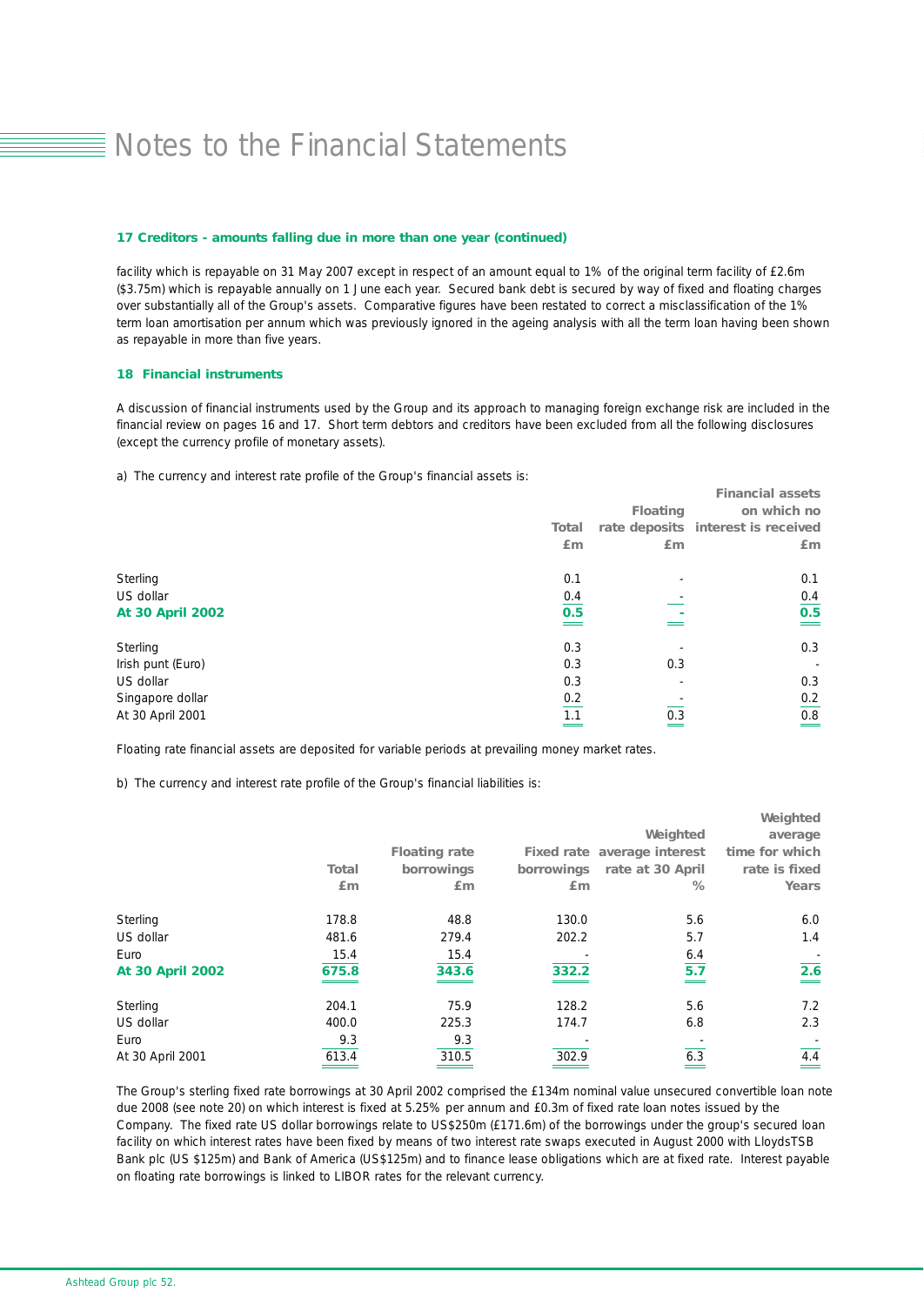#### *17 Creditors - amounts falling due in more than one year (continued)*

facility which is repayable on 31 May 2007 except in respect of an amount equal to 1% of the original term facility of £2.6m (\$3.75m) which is repayable annually on 1 June each year. Secured bank debt is secured by way of fixed and floating charges over substantially all of the Group's assets. Comparative figures have been restated to correct a misclassification of the 1% term loan amortisation per annum which was previously ignored in the ageing analysis with all the term loan having been shown as repayable in more than five years.

#### *18 Financial instruments*

A discussion of financial instruments used by the Group and its approach to managing foreign exchange risk are included in the financial review on pages 16 and 17. Short term debtors and creditors have been excluded from all the following disclosures (except the currency profile of monetary assets).

a) The currency and interest rate profile of the Group's financial assets is:

|                         |                   |                 | <b>Financial assets</b>            |
|-------------------------|-------------------|-----------------|------------------------------------|
|                         |                   | <b>Floating</b> | on which no                        |
|                         | Total             |                 | rate deposits interest is received |
|                         | Em                | Em              | Em                                 |
| Sterling                | 0.1               |                 | 0.1                                |
| US dollar               | 0.4               |                 | 0.4                                |
| <b>At 30 April 2002</b> | 0.5               |                 | 0.5                                |
| Sterling                | 0.3               |                 | 0.3                                |
| Irish punt (Euro)       | 0.3               | 0.3             | $\overline{\phantom{a}}$           |
| US dollar               | 0.3               |                 | 0.3                                |
| Singapore dollar        |                   |                 | 0.2                                |
| At 30 April 2001        | $\frac{0.2}{1.1}$ | 0.3             | 0.8                                |
|                         |                   |                 |                                    |

Floating rate financial assets are deposited for variable periods at prevailing money market rates.

b) The currency and interest rate profile of the Group's financial liabilities is:

|                         |              |                      |       |                             | Weighted        |
|-------------------------|--------------|----------------------|-------|-----------------------------|-----------------|
|                         |              |                      |       | Weighted                    | average         |
|                         |              | <b>Floating rate</b> |       | Fixed rate average interest | time for which  |
|                         | <b>Total</b> | borrowings           |       | borrowings rate at 30 April | rate is fixed   |
|                         | Em           | Em                   | Em    | %                           | Years           |
| Sterling                | 178.8        | 48.8                 | 130.0 | 5.6                         | 6.0             |
| US dollar               | 481.6        | 279.4                | 202.2 | 5.7                         | 1.4             |
| Euro                    | 15.4         | 15.4                 |       | 6.4                         |                 |
| <b>At 30 April 2002</b> | 675.8        | 343.6                | 332.2 | 5.7                         | 2.6<br>$\equiv$ |
| Sterling                | 204.1        | 75.9                 | 128.2 | 5.6                         | 7.2             |
| US dollar               | 400.0        | 225.3                | 174.7 | 6.8                         | 2.3             |
| Euro                    | 9.3          | 9.3                  |       |                             |                 |
| At 30 April 2001        | 613.4        | 310.5                | 302.9 | 6.3                         | 4.4             |

The Group's sterling fixed rate borrowings at 30 April 2002 comprised the £134m nominal value unsecured convertible loan note due 2008 (see note 20) on which interest is fixed at 5.25% per annum and £0.3m of fixed rate loan notes issued by the Company. The fixed rate US dollar borrowings relate to US\$250m (£171.6m) of the borrowings under the group's secured loan facility on which interest rates have been fixed by means of two interest rate swaps executed in August 2000 with LloydsTSB Bank plc (US \$125m) and Bank of America (US\$125m) and to finance lease obligations which are at fixed rate. Interest payable on floating rate borrowings is linked to LIBOR rates for the relevant currency.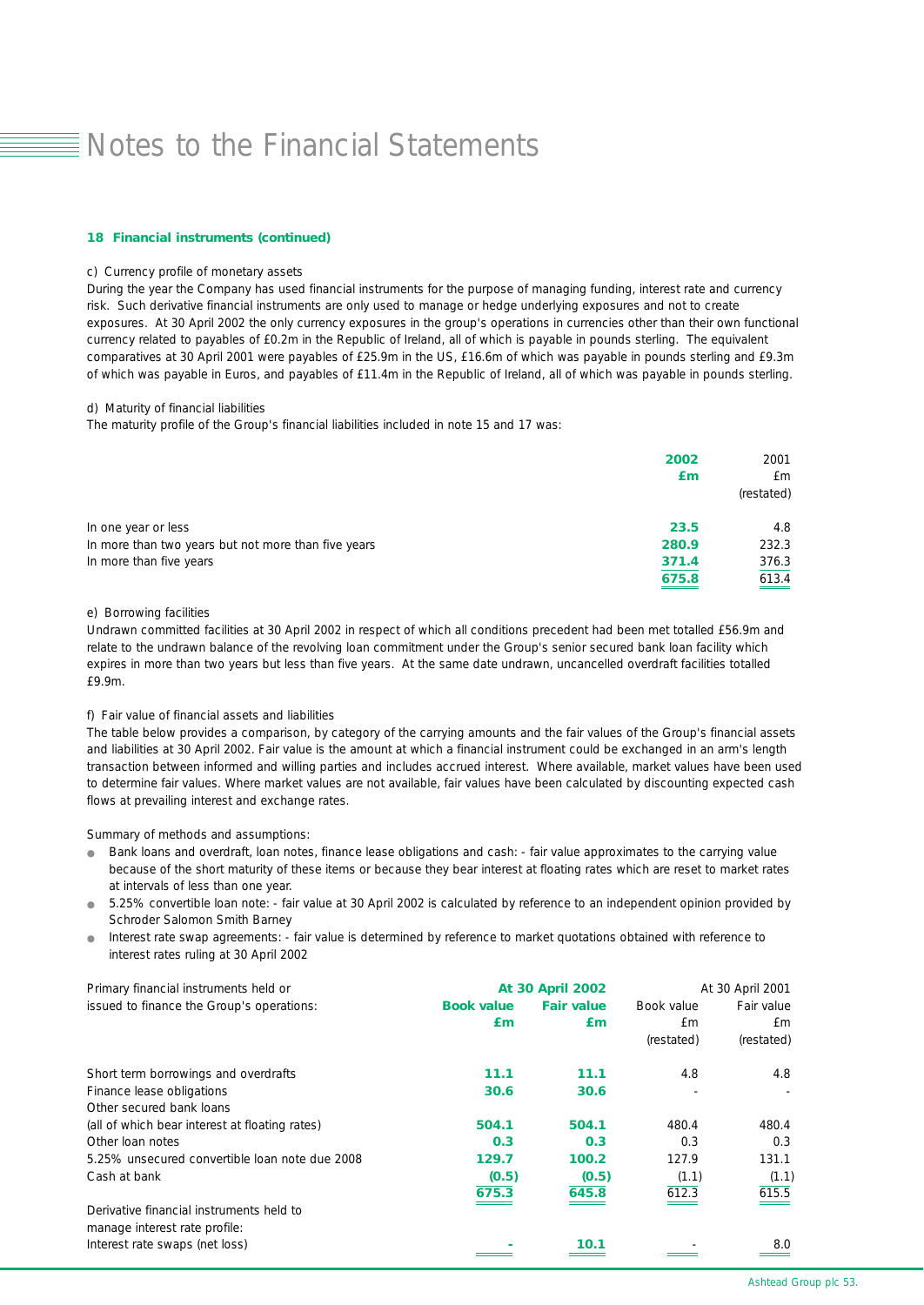#### *18 Financial instruments (continued)*

### c) Currency profile of monetary assets

During the year the Company has used financial instruments for the purpose of managing funding, interest rate and currency risk. Such derivative financial instruments are only used to manage or hedge underlying exposures and not to create exposures. At 30 April 2002 the only currency exposures in the group's operations in currencies other than their own functional currency related to payables of £0.2m in the Republic of Ireland, all of which is payable in pounds sterling. The equivalent comparatives at 30 April 2001 were payables of £25.9m in the US, £16.6m of which was payable in pounds sterling and £9.3m of which was payable in Euros, and payables of £11.4m in the Republic of Ireland, all of which was payable in pounds sterling.

d) Maturity of financial liabilities

The maturity profile of the Group's financial liabilities included in note 15 and 17 was:

|                                                     | 2002  | 2001                |
|-----------------------------------------------------|-------|---------------------|
|                                                     | £m    | £m                  |
|                                                     |       | (restated)          |
| In one year or less                                 | 23.5  | 4.8                 |
| In more than two years but not more than five years | 280.9 | 232.3               |
| In more than five years                             | 371.4 | 376.3               |
|                                                     | 675.8 | $\underline{613.4}$ |

e) Borrowing facilities

Undrawn committed facilities at 30 April 2002 in respect of which all conditions precedent had been met totalled £56.9m and relate to the undrawn balance of the revolving loan commitment under the Group's senior secured bank loan facility which expires in more than two years but less than five years. At the same date undrawn, uncancelled overdraft facilities totalled £9.9m.

### f) Fair value of financial assets and liabilities

The table below provides a comparison, by category of the carrying amounts and the fair values of the Group's financial assets and liabilities at 30 April 2002. Fair value is the amount at which a financial instrument could be exchanged in an arm's length transaction between informed and willing parties and includes accrued interest. Where available, market values have been used to determine fair values. Where market values are not available, fair values have been calculated by discounting expected cash flows at prevailing interest and exchange rates.

Summary of methods and assumptions:

- Bank loans and overdraft, loan notes, finance lease obligations and cash: fair value approximates to the carrying value because of the short maturity of these items or because they bear interest at floating rates which are reset to market rates at intervals of less than one year.
- 5.25% convertible loan note: fair value at 30 April 2002 is calculated by reference to an independent opinion provided by Schroder Salomon Smith Barney
- Interest rate swap agreements: fair value is determined by reference to market quotations obtained with reference to interest rates ruling at 30 April 2002

| Primary financial instruments held or          | <b>At 30 April 2002</b> |                   | At 30 April 2001 |            |
|------------------------------------------------|-------------------------|-------------------|------------------|------------|
| issued to finance the Group's operations:      | <b>Book value</b>       | <b>Fair value</b> | Book value       | Fair value |
|                                                | £m                      | £m                | £m               | £m         |
|                                                |                         |                   | (restated)       | (restated) |
| Short term borrowings and overdrafts           | 11.1                    | 11.1              | 4.8              | 4.8        |
| Finance lease obligations                      | 30.6                    | 30.6              |                  |            |
| Other secured bank loans                       |                         |                   |                  |            |
| (all of which bear interest at floating rates) | 504.1                   | 504.1             | 480.4            | 480.4      |
| Other Ioan notes                               | 0.3                     | 0.3               | 0.3              | 0.3        |
| 5.25% unsecured convertible loan note due 2008 | 129.7                   | 100.2             | 127.9            | 131.1      |
| Cash at bank                                   | (0.5)                   | (0.5)             | (1.1)            | (1.1)      |
|                                                | 675.3                   | 645.8             | 612.3            | 615.5      |
| Derivative financial instruments held to       |                         |                   |                  |            |
| manage interest rate profile:                  |                         |                   |                  |            |
| Interest rate swaps (net loss)                 |                         | 10.1              |                  | 8.0        |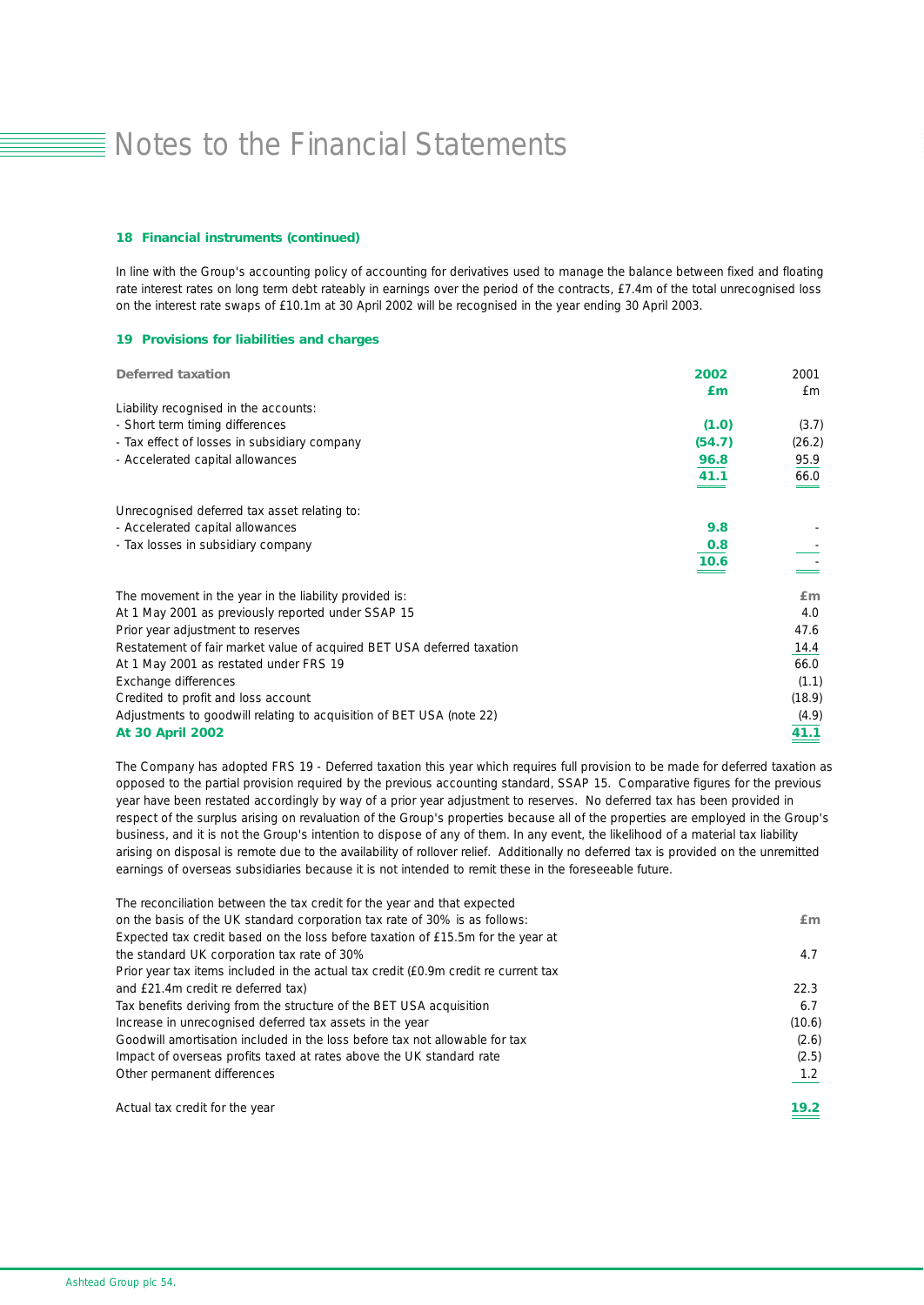#### *18 Financial instruments (continued)*

In line with the Group's accounting policy of accounting for derivatives used to manage the balance between fixed and floating rate interest rates on long term debt rateably in earnings over the period of the contracts, £7.4m of the total unrecognised loss on the interest rate swaps of £10.1m at 30 April 2002 will be recognised in the year ending 30 April 2003.

### *19 Provisions for liabilities and charges*

| <b>Deferred taxation</b>                                               | 2002   | 2001   |
|------------------------------------------------------------------------|--------|--------|
|                                                                        | £m     | f m    |
| Liability recognised in the accounts:                                  |        |        |
| - Short term timing differences                                        | (1.0)  | (3.7)  |
| - Tax effect of losses in subsidiary company                           | (54.7) | (26.2) |
| - Accelerated capital allowances                                       | 96.8   | 95.9   |
|                                                                        | 41.1   | 66.0   |
| Unrecognised deferred tax asset relating to:                           |        |        |
| - Accelerated capital allowances                                       | 9.8    |        |
| - Tax losses in subsidiary company                                     | 0.8    |        |
|                                                                        | 10.6   |        |
| The movement in the year in the liability provided is:                 |        | Em     |
| At 1 May 2001 as previously reported under SSAP 15                     |        | 4.0    |
| Prior year adjustment to reserves                                      |        | 47.6   |
| Restatement of fair market value of acquired BET USA deferred taxation |        | 14.4   |
| At 1 May 2001 as restated under FRS 19                                 |        | 66.0   |
| Exchange differences                                                   |        | (1.1)  |
| Credited to profit and loss account                                    |        | (18.9) |
| Adjustments to goodwill relating to acquisition of BET USA (note 22)   |        | (4.9)  |
| <b>At 30 April 2002</b>                                                |        | 41.1   |

The Company has adopted FRS 19 - Deferred taxation this year which requires full provision to be made for deferred taxation as opposed to the partial provision required by the previous accounting standard, SSAP 15. Comparative figures for the previous year have been restated accordingly by way of a prior year adjustment to reserves. No deferred tax has been provided in respect of the surplus arising on revaluation of the Group's properties because all of the properties are employed in the Group's business, and it is not the Group's intention to dispose of any of them. In any event, the likelihood of a material tax liability arising on disposal is remote due to the availability of rollover relief. Additionally no deferred tax is provided on the unremitted earnings of overseas subsidiaries because it is not intended to remit these in the foreseeable future.

| The reconciliation between the tax credit for the year and that expected            |        |
|-------------------------------------------------------------------------------------|--------|
| on the basis of the UK standard corporation tax rate of 30% is as follows:          | Em     |
| Expected tax credit based on the loss before taxation of £15.5m for the year at     |        |
| the standard UK corporation tax rate of 30%                                         | 4.7    |
| Prior year tax items included in the actual tax credit (£0.9m credit re current tax |        |
| and £21.4m credit re deferred tax)                                                  | 22.3   |
| Tax benefits deriving from the structure of the BET USA acquisition                 | 6.7    |
| Increase in unrecognised deferred tax assets in the year                            | (10.6) |
| Goodwill amortisation included in the loss before tax not allowable for tax         | (2.6)  |
| Impact of overseas profits taxed at rates above the UK standard rate                | (2.5)  |
| Other permanent differences                                                         | 1.2    |
| Actual tax credit for the year                                                      | 19.2   |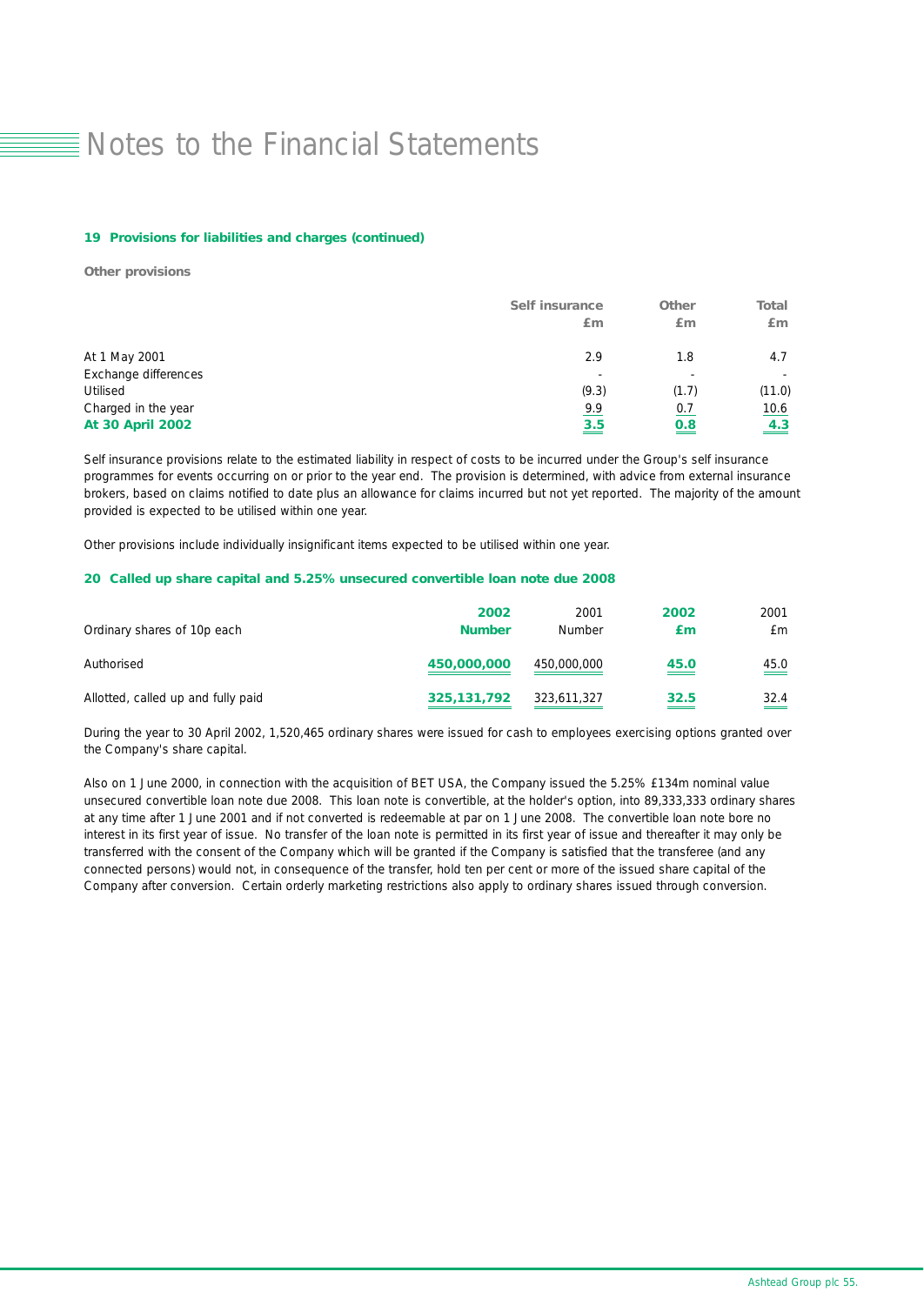#### *19 Provisions for liabilities and charges (continued)*

*Other provisions*

|                         | <b>Self insurance</b><br>Em | <b>Other</b><br>£m       | <b>Total</b><br>Em |
|-------------------------|-----------------------------|--------------------------|--------------------|
| At 1 May 2001           | 2.9                         | 1.8                      | 4.7                |
| Exchange differences    | $\overline{\phantom{a}}$    | $\overline{\phantom{0}}$ |                    |
| Utilised                | (9.3)                       | (1.7)                    | (11.0)             |
| Charged in the year     | 9.9                         | 0.7                      | 10.6               |
| <b>At 30 April 2002</b> | $\frac{3.5}{5}$             | <u>0.8</u>               | 4.3                |

Self insurance provisions relate to the estimated liability in respect of costs to be incurred under the Group's self insurance programmes for events occurring on or prior to the year end. The provision is determined, with advice from external insurance brokers, based on claims notified to date plus an allowance for claims incurred but not yet reported. The majority of the amount provided is expected to be utilised within one year.

Other provisions include individually insignificant items expected to be utilised within one year.

#### *20 Called up share capital and 5.25% unsecured convertible loan note due 2008*

| Ordinary shares of 10p each        | 2002<br><b>Number</b> | 2001<br>Number | 2002<br>£т  | 2001<br>£m                       |
|------------------------------------|-----------------------|----------------|-------------|----------------------------------|
| Authorised                         | 450,000,000           | 450,000,000    | 45.0<br>___ | 45.0<br>$\overline{\phantom{a}}$ |
| Allotted, called up and fully paid | 325, 131, 792         | 323,611,327    | 32.5<br>___ | 32.4<br>$\sim$                   |

During the year to 30 April 2002, 1,520,465 ordinary shares were issued for cash to employees exercising options granted over the Company's share capital.

Also on 1 June 2000, in connection with the acquisition of BET USA, the Company issued the 5.25% £134m nominal value unsecured convertible loan note due 2008. This loan note is convertible, at the holder's option, into 89,333,333 ordinary shares at any time after 1 June 2001 and if not converted is redeemable at par on 1 June 2008. The convertible loan note bore no interest in its first year of issue. No transfer of the loan note is permitted in its first year of issue and thereafter it may only be transferred with the consent of the Company which will be granted if the Company is satisfied that the transferee (and any connected persons) would not, in consequence of the transfer, hold ten per cent or more of the issued share capital of the Company after conversion. Certain orderly marketing restrictions also apply to ordinary shares issued through conversion.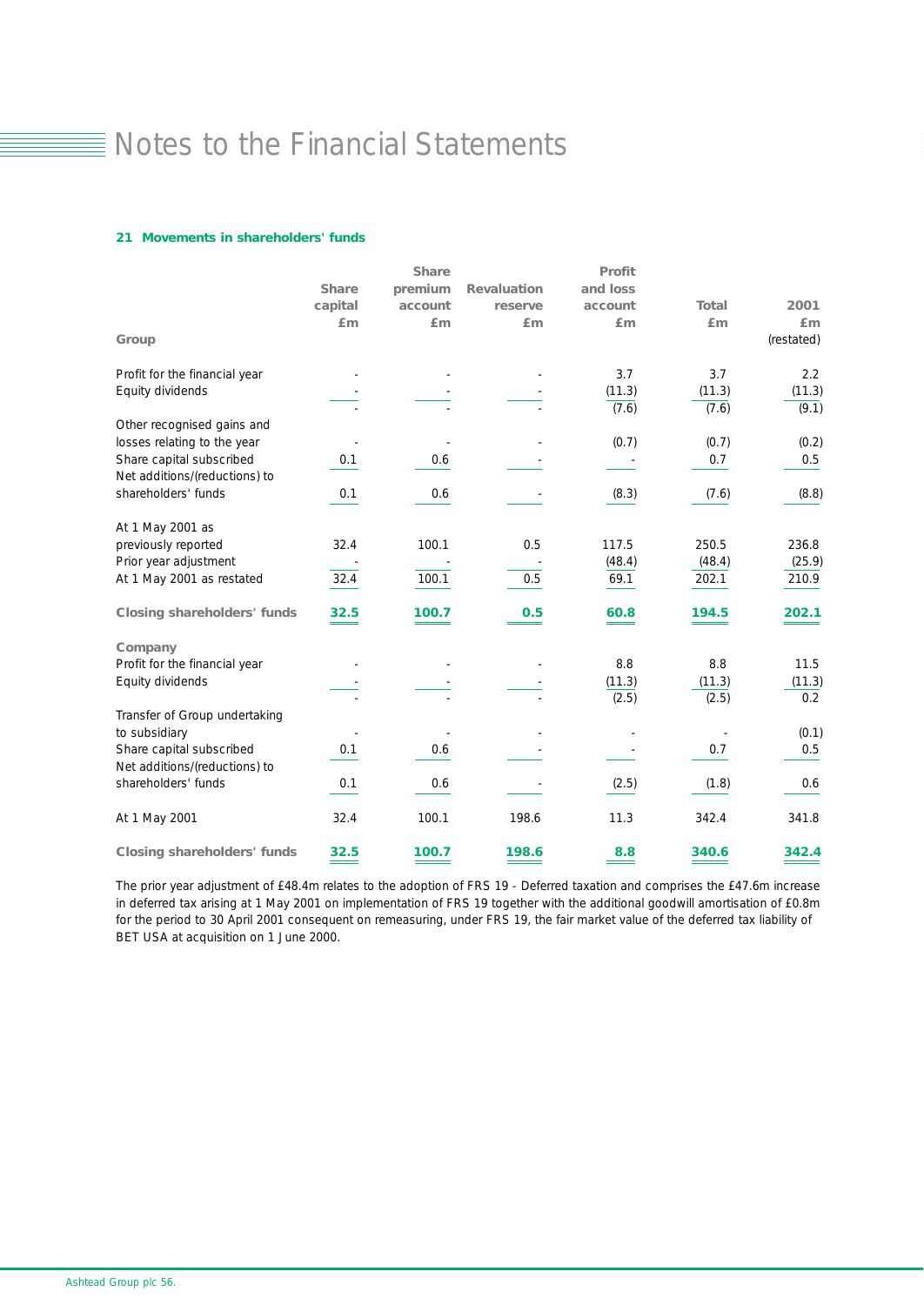### *21 Movements in shareholders' funds*

|                                    |              | <b>Share</b> |                    | Profit          |                 |                 |
|------------------------------------|--------------|--------------|--------------------|-----------------|-----------------|-----------------|
|                                    | <b>Share</b> | premium      | <b>Revaluation</b> | and loss        |                 |                 |
|                                    | capital      | account      | reserve            | account         | <b>Total</b>    | 2001            |
|                                    | Em           | £m           | Em                 | Em              | Em              | Em              |
| Group                              |              |              |                    |                 |                 | (restated)      |
| Profit for the financial year      |              |              |                    | 3.7             | 3.7             | 2.2             |
| Equity dividends                   |              |              |                    | (11.3)<br>(7.6) | (11.3)<br>(7.6) | (11.3)<br>(9.1) |
| Other recognised gains and         |              |              |                    |                 |                 |                 |
| losses relating to the year        |              |              |                    | (0.7)           | (0.7)           | (0.2)           |
| Share capital subscribed           | 0.1          | 0.6          |                    |                 | 0.7             | 0.5             |
| Net additions/(reductions) to      |              |              |                    |                 |                 |                 |
| shareholders' funds                | 0.1          | 0.6          |                    | (8.3)           | (7.6)           | (8.8)           |
| At 1 May 2001 as                   |              |              |                    |                 |                 |                 |
| previously reported                | 32.4         | 100.1        | 0.5                | 117.5           | 250.5           | 236.8           |
| Prior year adjustment              |              |              |                    | (48.4)          | (48.4)          | (25.9)          |
| At 1 May 2001 as restated          | 32.4         | 100.1        | 0.5                | 69.1            | 202.1           | 210.9           |
| <b>Closing shareholders' funds</b> | 32.5         | 100.7        | 0.5                | 60.8            | 194.5           | 202.1           |
| Company                            |              |              |                    |                 |                 |                 |
| Profit for the financial year      |              |              |                    | 8.8             | 8.8             | 11.5            |
| Equity dividends                   |              |              |                    | (11.3)          | (11.3)          | (11.3)          |
|                                    |              |              |                    | (2.5)           | (2.5)           | 0.2             |
| Transfer of Group undertaking      |              |              |                    |                 |                 |                 |
| to subsidiary                      |              |              |                    |                 |                 | (0.1)           |
| Share capital subscribed           | 0.1          | 0.6          |                    |                 | 0.7             | 0.5             |
| Net additions/(reductions) to      |              |              |                    |                 |                 |                 |
| shareholders' funds                | 0.1          | 0.6          |                    | (2.5)           | (1.8)           | 0.6             |
| At 1 May 2001                      | 32.4         | 100.1        | 198.6              | 11.3            | 342.4           | 341.8           |
| <b>Closing shareholders' funds</b> | 32.5         | 100.7        | 198.6              | 8.8             | 340.6           | 342.4           |

The prior year adjustment of £48.4m relates to the adoption of FRS 19 - Deferred taxation and comprises the £47.6m increase in deferred tax arising at 1 May 2001 on implementation of FRS 19 together with the additional goodwill amortisation of £0.8m for the period to 30 April 2001 consequent on remeasuring, under FRS 19, the fair market value of the deferred tax liability of BET USA at acquisition on 1 June 2000.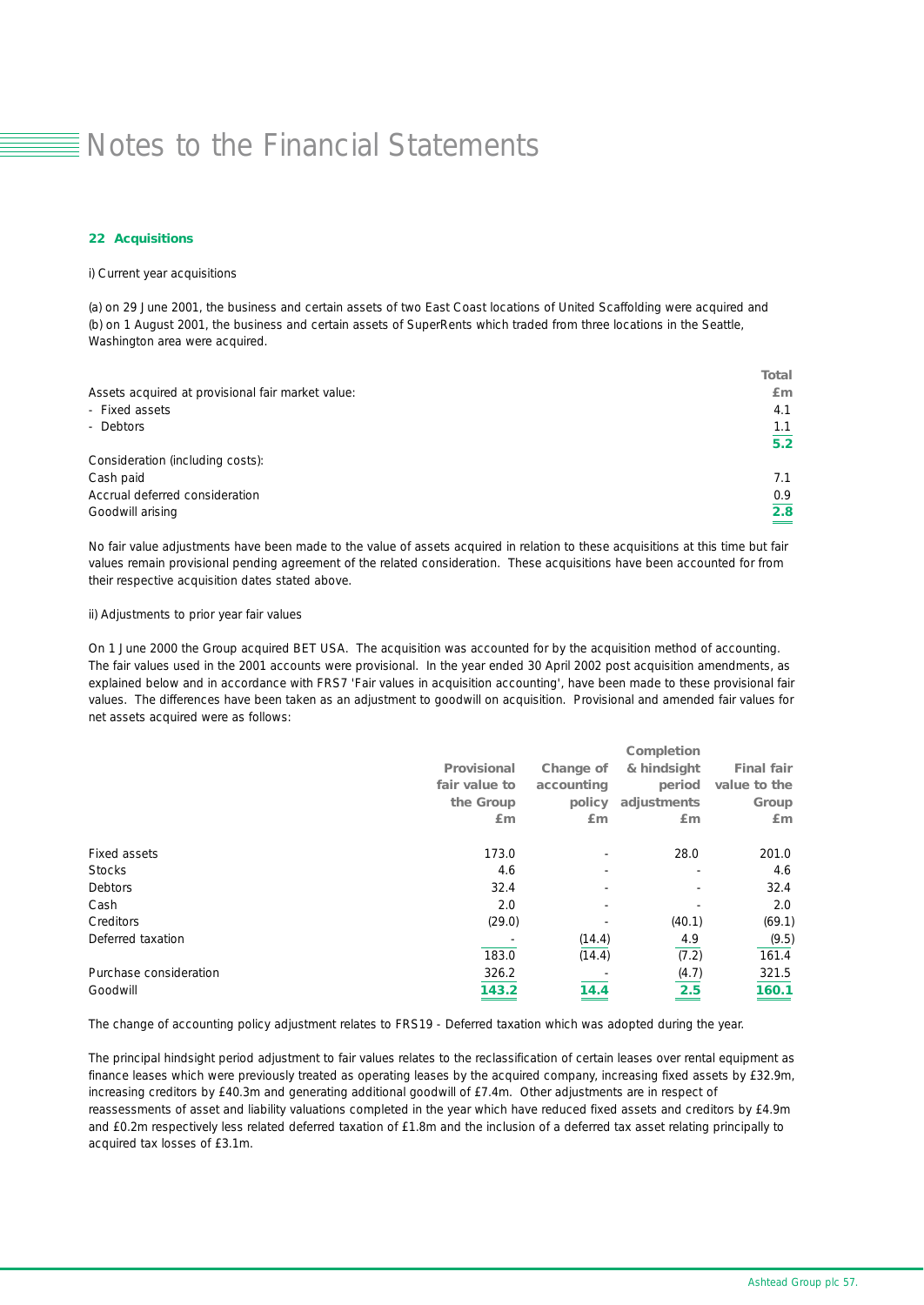#### *22 Acquisitions*

i) Current year acquisitions

(a) on 29 June 2001, the business and certain assets of two East Coast locations of United Scaffolding were acquired and (b) on 1 August 2001, the business and certain assets of SuperRents which traded from three locations in the Seattle, Washington area were acquired.

| <b>Total</b> |
|--------------|
| £m           |
| 4.1          |
| 1.1          |
| 5.2          |
|              |
| 7.1          |
| 0.9          |
| 2.8          |
|              |

No fair value adjustments have been made to the value of assets acquired in relation to these acquisitions at this time but fair values remain provisional pending agreement of the related consideration. These acquisitions have been accounted for from their respective acquisition dates stated above.

### ii) Adjustments to prior year fair values

On 1 June 2000 the Group acquired BET USA. The acquisition was accounted for by the acquisition method of accounting. The fair values used in the 2001 accounts were provisional. In the year ended 30 April 2002 post acquisition amendments, as explained below and in accordance with FRS7 'Fair values in acquisition accounting', have been made to these provisional fair values. The differences have been taken as an adjustment to goodwill on acquisition. Provisional and amended fair values for net assets acquired were as follows:

|                        |                    |            | Completion               |                   |
|------------------------|--------------------|------------|--------------------------|-------------------|
|                        | <b>Provisional</b> | Change of  | & hindsight              | <b>Final fair</b> |
|                        | fair value to      | accounting | period                   | value to the      |
|                        | the Group          | policy     | adjustments              | Group             |
|                        | Em                 | Em         | Em                       | Em                |
| <b>Fixed assets</b>    | 173.0              |            | 28.0                     | 201.0             |
| <b>Stocks</b>          | 4.6                |            | $\overline{\phantom{a}}$ | 4.6               |
| <b>Debtors</b>         | 32.4               |            |                          | 32.4              |
| Cash                   | 2.0                |            |                          | 2.0               |
| <b>Creditors</b>       | (29.0)             |            | (40.1)                   | (69.1)            |
| Deferred taxation      |                    | (14.4)     | 4.9                      | (9.5)             |
|                        | 183.0              | (14.4)     | (7.2)                    | 161.4             |
| Purchase consideration | 326.2              |            | (4.7)                    | 321.5             |
| Goodwill               | 143.2              | 14.4       | 2.5                      | 160.1             |

The change of accounting policy adjustment relates to FRS19 - Deferred taxation which was adopted during the year.

The principal hindsight period adjustment to fair values relates to the reclassification of certain leases over rental equipment as finance leases which were previously treated as operating leases by the acquired company, increasing fixed assets by £32.9m, increasing creditors by £40.3m and generating additional goodwill of £7.4m. Other adjustments are in respect of reassessments of asset and liability valuations completed in the year which have reduced fixed assets and creditors by £4.9m and £0.2m respectively less related deferred taxation of £1.8m and the inclusion of a deferred tax asset relating principally to acquired tax losses of £3.1m.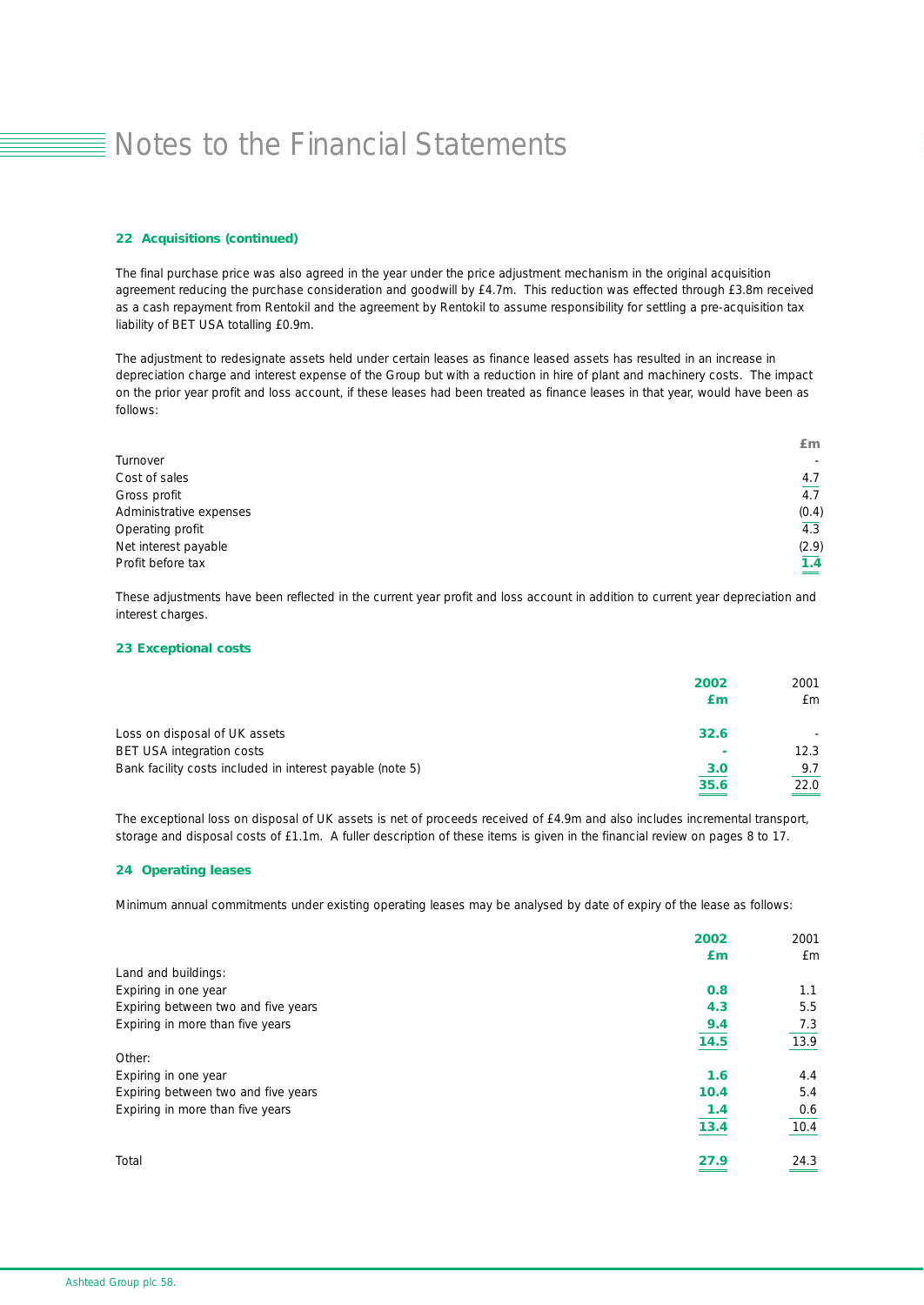### *22 Acquisitions (continued)*

The final purchase price was also agreed in the year under the price adjustment mechanism in the original acquisition agreement reducing the purchase consideration and goodwill by £4.7m. This reduction was effected through £3.8m received as a cash repayment from Rentokil and the agreement by Rentokil to assume responsibility for settling a pre-acquisition tax liability of BET USA totalling £0.9m.

The adjustment to redesignate assets held under certain leases as finance leased assets has resulted in an increase in depreciation charge and interest expense of the Group but with a reduction in hire of plant and machinery costs. The impact on the prior year profit and loss account, if these leases had been treated as finance leases in that year, would have been as follows:

|                         | Em               |
|-------------------------|------------------|
| Turnover                | $\sim$           |
| Cost of sales           | 4.7              |
| Gross profit            | $\overline{4.7}$ |
| Administrative expenses | (0.4)            |
| Operating profit        | 4.3              |
| Net interest payable    | (2.9)            |
| Profit before tax       | 1.4              |
|                         | $=$              |

These adjustments have been reflected in the current year profit and loss account in addition to current year depreciation and interest charges.

### *23 Exceptional costs*

|                                                           | 2002<br>Εm | 2001<br>£m |
|-----------------------------------------------------------|------------|------------|
| Loss on disposal of UK assets                             | 32.6       |            |
| <b>BET USA integration costs</b>                          | ٠          | 12.3       |
| Bank facility costs included in interest payable (note 5) | 3.0        | 9.7        |
|                                                           | 35.6       | 22.0       |

The exceptional loss on disposal of UK assets is net of proceeds received of £4.9m and also includes incremental transport, storage and disposal costs of £1.1m. A fuller description of these items is given in the financial review on pages 8 to 17.

### *24 Operating leases*

Minimum annual commitments under existing operating leases may be analysed by date of expiry of the lease as follows:

|                                     | 2002 | 2001 |
|-------------------------------------|------|------|
|                                     | £m   | £m   |
| Land and buildings:                 |      |      |
| Expiring in one year                | 0.8  | 1.1  |
| Expiring between two and five years | 4.3  | 5.5  |
| Expiring in more than five years    | 9.4  | 7.3  |
|                                     | 14.5 | 13.9 |
| Other:                              |      |      |
| Expiring in one year                | 1.6  | 4.4  |
| Expiring between two and five years | 10.4 | 5.4  |
| Expiring in more than five years    | 1.4  | 0.6  |
|                                     | 13.4 | 10.4 |
| Total                               | 27.9 | 24.3 |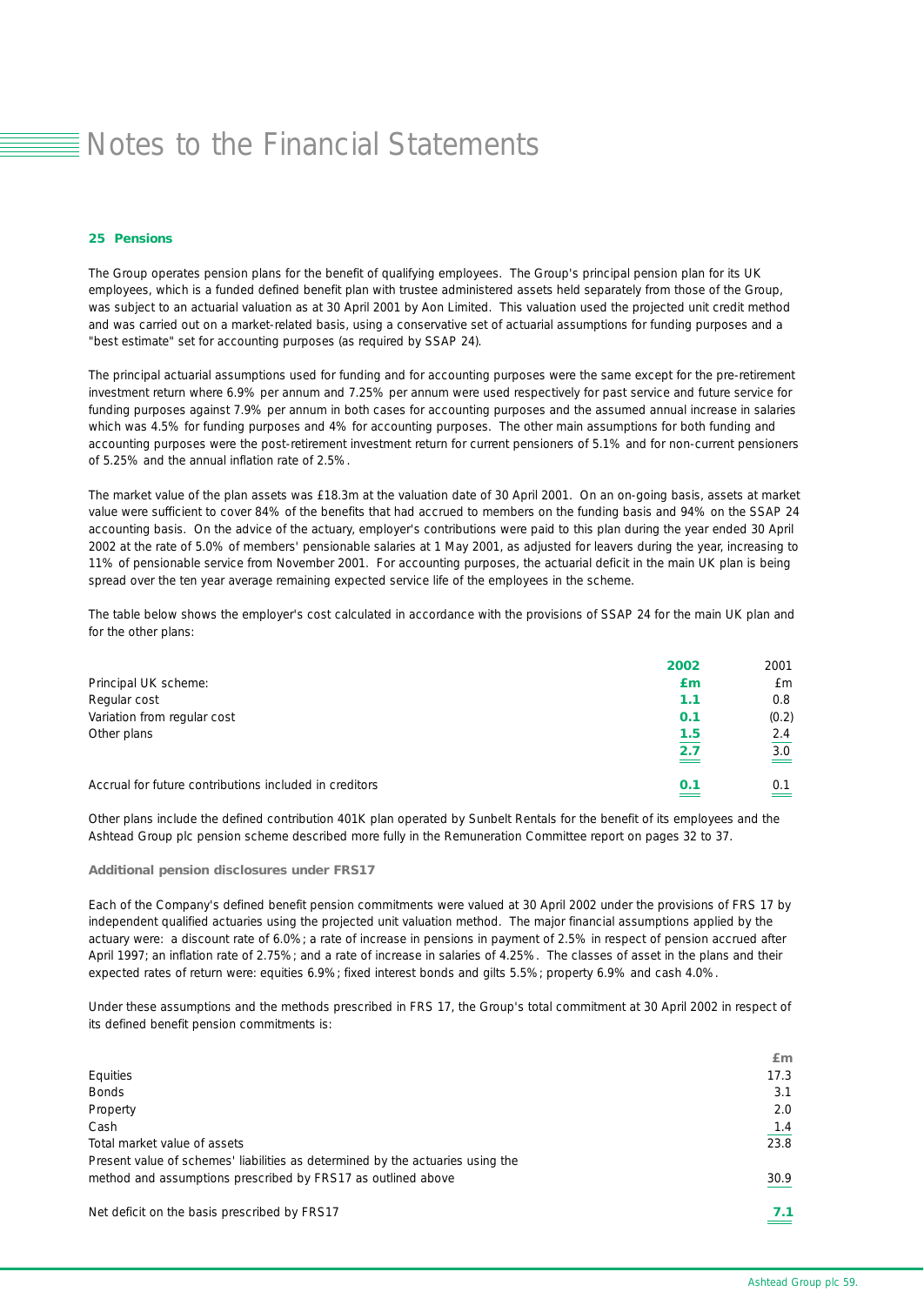#### *25 Pensions*

The Group operates pension plans for the benefit of qualifying employees. The Group's principal pension plan for its UK employees, which is a funded defined benefit plan with trustee administered assets held separately from those of the Group, was subject to an actuarial valuation as at 30 April 2001 by Aon Limited. This valuation used the projected unit credit method and was carried out on a market-related basis, using a conservative set of actuarial assumptions for funding purposes and a "best estimate" set for accounting purposes (as required by SSAP 24).

The principal actuarial assumptions used for funding and for accounting purposes were the same except for the pre-retirement investment return where 6.9% per annum and 7.25% per annum were used respectively for past service and future service for funding purposes against 7.9% per annum in both cases for accounting purposes and the assumed annual increase in salaries which was 4.5% for funding purposes and 4% for accounting purposes. The other main assumptions for both funding and accounting purposes were the post-retirement investment return for current pensioners of 5.1% and for non-current pensioners of 5.25% and the annual inflation rate of 2.5%.

The market value of the plan assets was £18.3m at the valuation date of 30 April 2001. On an on-going basis, assets at market value were sufficient to cover 84% of the benefits that had accrued to members on the funding basis and 94% on the SSAP 24 accounting basis. On the advice of the actuary, employer's contributions were paid to this plan during the year ended 30 April 2002 at the rate of 5.0% of members' pensionable salaries at 1 May 2001, as adjusted for leavers during the year, increasing to 11% of pensionable service from November 2001. For accounting purposes, the actuarial deficit in the main UK plan is being spread over the ten year average remaining expected service life of the employees in the scheme.

The table below shows the employer's cost calculated in accordance with the provisions of SSAP 24 for the main UK plan and for the other plans:

|                                                        | 2002 | 2001  |
|--------------------------------------------------------|------|-------|
| Principal UK scheme:                                   | £m   | £m    |
| Regular cost                                           | 1.1  | 0.8   |
| Variation from regular cost                            | 0.1  | (0.2) |
| Other plans                                            | 1.5  | 2.4   |
|                                                        | 2.7  | 3.0   |
| Accrual for future contributions included in creditors | 0.1  | 0.1   |

Other plans include the defined contribution 401K plan operated by Sunbelt Rentals for the benefit of its employees and the Ashtead Group plc pension scheme described more fully in the Remuneration Committee report on pages 32 to 37.

### *Additional pension disclosures under FRS17*

Each of the Company's defined benefit pension commitments were valued at 30 April 2002 under the provisions of FRS 17 by independent qualified actuaries using the projected unit valuation method. The major financial assumptions applied by the actuary were: a discount rate of 6.0%; a rate of increase in pensions in payment of 2.5% in respect of pension accrued after April 1997; an inflation rate of 2.75%; and a rate of increase in salaries of 4.25%. The classes of asset in the plans and their expected rates of return were: equities 6.9%; fixed interest bonds and gilts 5.5%; property 6.9% and cash 4.0%.

Under these assumptions and the methods prescribed in FRS 17, the Group's total commitment at 30 April 2002 in respect of its defined benefit pension commitments is:

|                                                                                | Em   |
|--------------------------------------------------------------------------------|------|
| Equities                                                                       | 17.3 |
| <b>Bonds</b>                                                                   | 3.1  |
| Property                                                                       | 2.0  |
| Cash                                                                           | 1.4  |
| Total market value of assets                                                   | 23.8 |
| Present value of schemes' liabilities as determined by the actuaries using the |      |
| method and assumptions prescribed by FRS17 as outlined above                   | 30.9 |
| Net deficit on the basis prescribed by FRS17                                   | 7. 1 |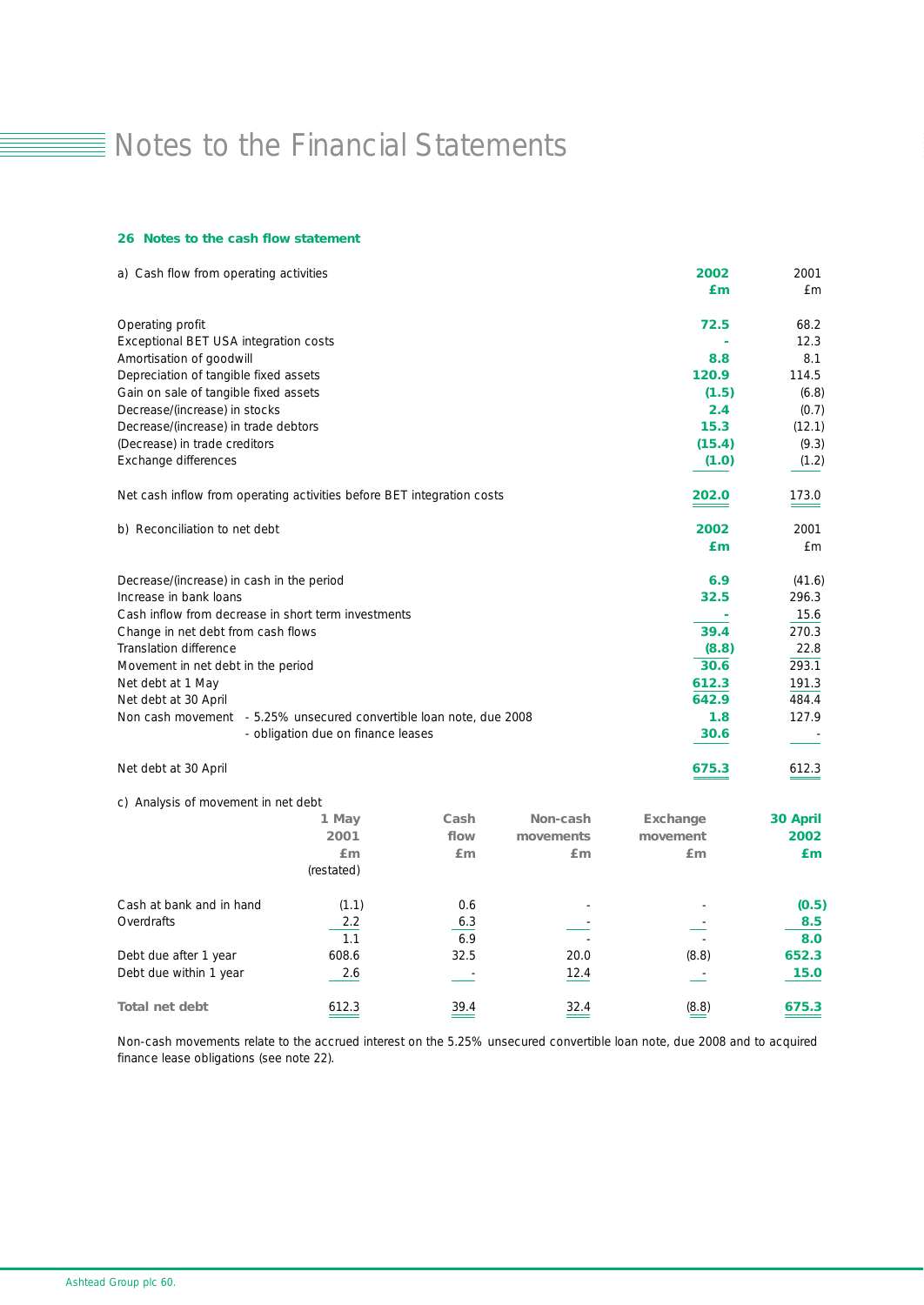#### *26 Notes to the cash flow statement*

| a) Cash flow from operating activities                                 |                                    |            |           | 2002     | 2001            |
|------------------------------------------------------------------------|------------------------------------|------------|-----------|----------|-----------------|
|                                                                        |                                    |            |           | £m       | £m              |
| Operating profit                                                       |                                    |            |           | 72.5     | 68.2            |
| Exceptional BET USA integration costs                                  |                                    |            |           |          | 12.3            |
| Amortisation of goodwill                                               |                                    |            |           | 8.8      | 8.1             |
| Depreciation of tangible fixed assets                                  |                                    |            |           | 120.9    | 114.5           |
| Gain on sale of tangible fixed assets                                  |                                    |            |           | (1.5)    | (6.8)           |
| Decrease/(increase) in stocks                                          |                                    |            |           | 2.4      | (0.7)           |
| Decrease/(increase) in trade debtors                                   |                                    |            |           | 15.3     | (12.1)          |
| (Decrease) in trade creditors                                          |                                    |            |           | (15.4)   | (9.3)           |
| Exchange differences                                                   |                                    |            |           | (1.0)    | (1.2)           |
| Net cash inflow from operating activities before BET integration costs |                                    |            |           | 202.0    | 173.0           |
| b) Reconciliation to net debt                                          |                                    |            |           | 2002     | 2001            |
|                                                                        |                                    |            |           | £m       | £m              |
| Decrease/(increase) in cash in the period                              |                                    |            |           | 6.9      | (41.6)          |
| Increase in bank loans                                                 |                                    |            |           | 32.5     | 296.3           |
| Cash inflow from decrease in short term investments                    |                                    |            |           |          | 15.6            |
| Change in net debt from cash flows                                     |                                    |            |           | 39.4     | 270.3           |
| Translation difference                                                 |                                    |            |           | (8.8)    | 22.8            |
| Movement in net debt in the period                                     |                                    |            |           | 30.6     | 293.1           |
| Net debt at 1 May                                                      |                                    |            |           | 612.3    | 191.3           |
| Net debt at 30 April                                                   |                                    |            |           | 642.9    | 484.4           |
| Non cash movement - 5.25% unsecured convertible loan note, due 2008    |                                    |            |           | 1.8      | 127.9           |
|                                                                        | - obligation due on finance leases |            |           | 30.6     |                 |
| Net debt at 30 April                                                   |                                    |            |           | 675.3    | 612.3           |
| c) Analysis of movement in net debt                                    |                                    |            |           |          |                 |
|                                                                        | 1 May                              | Cash       | Non-cash  | Exchange | <b>30 April</b> |
|                                                                        | 2001                               | flow       | movements | movement | 2002            |
|                                                                        | Em                                 | Em         | Em        | Em       | Em              |
|                                                                        | (restated)                         |            |           |          |                 |
| Cash at bank and in hand                                               | (1.1)                              | 0.6        |           |          | (0.5)           |
| Overdrafts                                                             | 2.2                                | 6.3        |           |          | 8.5             |
|                                                                        | 1.1                                | 6.9        |           |          | 8.0             |
| Debt due after 1 year                                                  | 608.6                              | 32.5       | 20.0      | (8.8)    | 652.3           |
| Debt due within 1 year                                                 | 2.6                                | $\sim$ $-$ | 12.4      |          | 15.0            |
| <b>Total net debt</b>                                                  | 612.3                              | 39.4       | 32.4      | (8.8)    | 675.3           |

Non-cash movements relate to the accrued interest on the 5.25% unsecured convertible loan note, due 2008 and to acquired finance lease obligations (see note 22).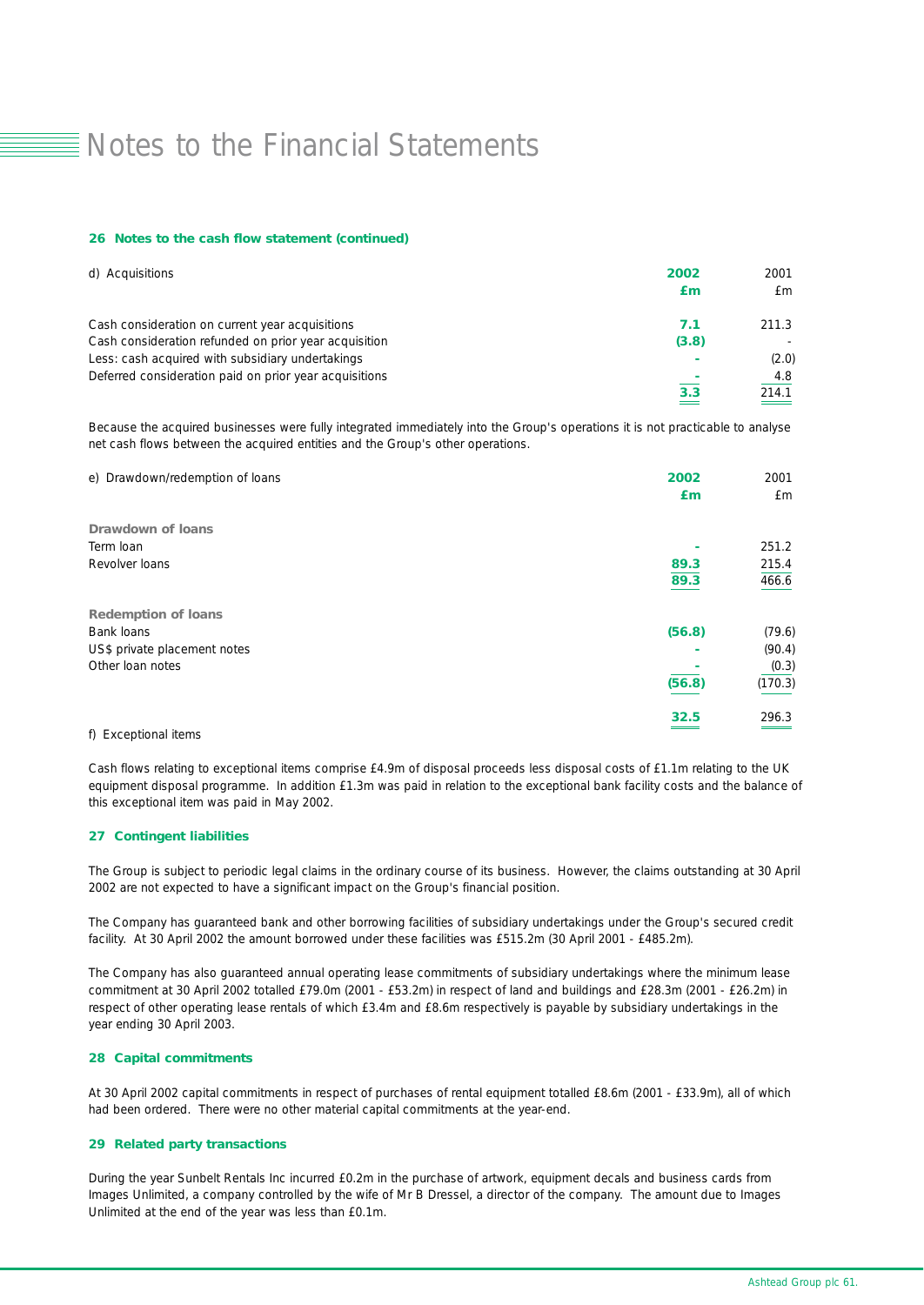#### *26 Notes to the cash flow statement (continued)*

| d) Acquisitions                                        | 2002<br>£т | 2001<br>£m. |
|--------------------------------------------------------|------------|-------------|
| Cash consideration on current year acquisitions        | 7.1        | 211.3       |
| Cash consideration refunded on prior year acquisition  | (3.8)      |             |
| Less: cash acquired with subsidiary undertakings       |            | (2.0)       |
| Deferred consideration paid on prior year acquisitions |            | 4.8         |
|                                                        | 3.3        | 214.1       |

Because the acquired businesses were fully integrated immediately into the Group's operations it is not practicable to analyse net cash flows between the acquired entities and the Group's other operations.

| 2001<br>£m |
|------------|
|            |
| 251.2      |
| 215.4      |
| 466.6      |
|            |
| (79.6)     |
| (90.4)     |
| (0.3)      |
| (170.3)    |
| 296.3      |
|            |

#### f) Exceptional items

Cash flows relating to exceptional items comprise £4.9m of disposal proceeds less disposal costs of £1.1m relating to the UK equipment disposal programme. In addition £1.3m was paid in relation to the exceptional bank facility costs and the balance of this exceptional item was paid in May 2002.

### *27 Contingent liabilities*

The Group is subject to periodic legal claims in the ordinary course of its business. However, the claims outstanding at 30 April 2002 are not expected to have a significant impact on the Group's financial position.

The Company has guaranteed bank and other borrowing facilities of subsidiary undertakings under the Group's secured credit facility. At 30 April 2002 the amount borrowed under these facilities was £515.2m (30 April 2001 - £485.2m).

The Company has also guaranteed annual operating lease commitments of subsidiary undertakings where the minimum lease commitment at 30 April 2002 totalled £79.0m (2001 - £53.2m) in respect of land and buildings and £28.3m (2001 - £26.2m) in respect of other operating lease rentals of which £3.4m and £8.6m respectively is payable by subsidiary undertakings in the year ending 30 April 2003.

#### *28 Capital commitments*

At 30 April 2002 capital commitments in respect of purchases of rental equipment totalled £8.6m (2001 - £33.9m), all of which had been ordered. There were no other material capital commitments at the year-end.

### *29 Related party transactions*

During the year Sunbelt Rentals Inc incurred £0.2m in the purchase of artwork, equipment decals and business cards from Images Unlimited, a company controlled by the wife of Mr B Dressel, a director of the company. The amount due to Images Unlimited at the end of the year was less than £0.1m.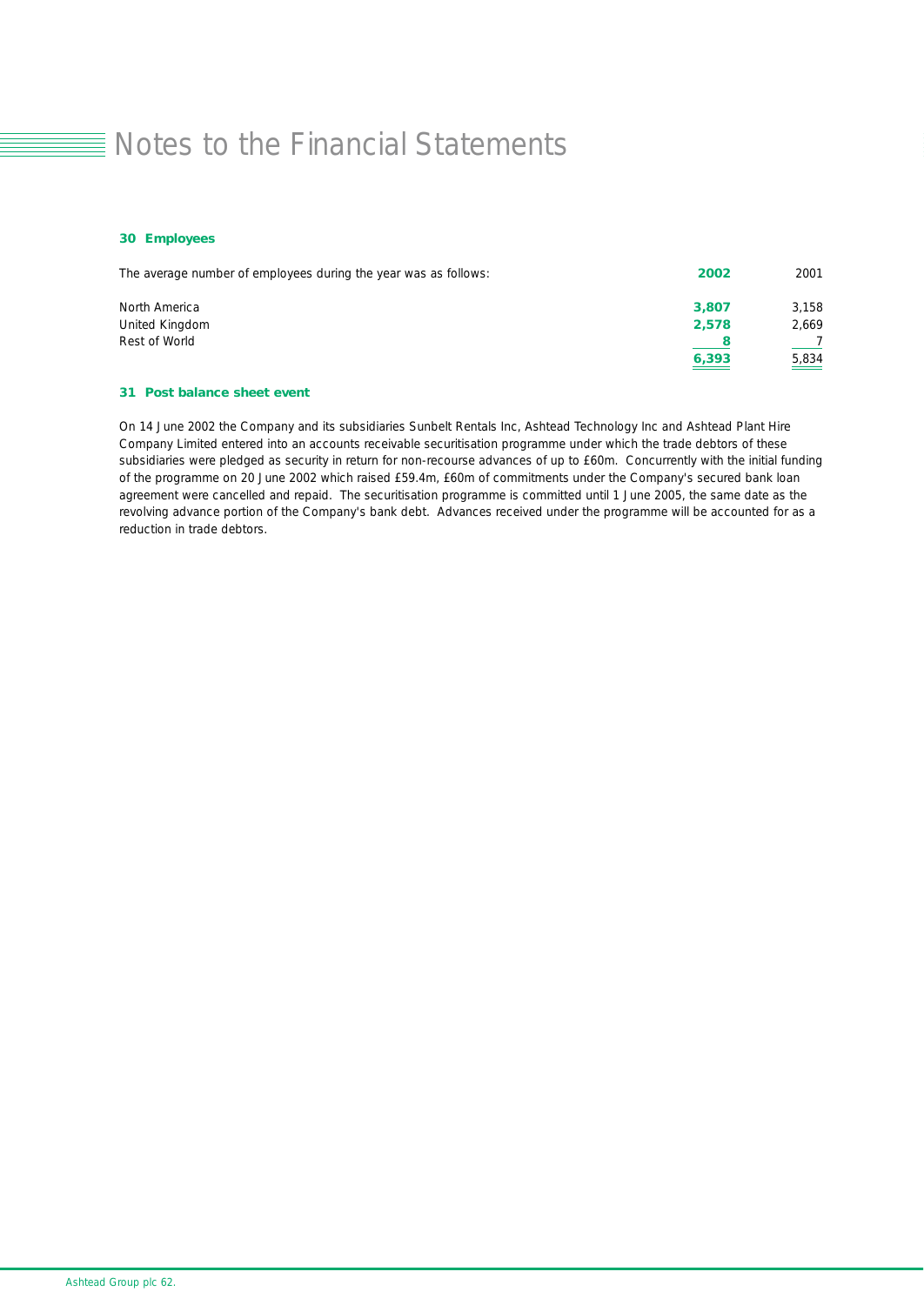### *30 Employees*

| The average number of employees during the year was as follows: | 2002  | 2001              |
|-----------------------------------------------------------------|-------|-------------------|
| North America                                                   | 3,807 | 3.158             |
| United Kingdom                                                  | 2,578 | 2,669             |
| Rest of World                                                   |       |                   |
|                                                                 | 6,393 | $\frac{5,834}{2}$ |

### *31 Post balance sheet event*

On 14 June 2002 the Company and its subsidiaries Sunbelt Rentals Inc, Ashtead Technology Inc and Ashtead Plant Hire Company Limited entered into an accounts receivable securitisation programme under which the trade debtors of these subsidiaries were pledged as security in return for non-recourse advances of up to £60m. Concurrently with the initial funding of the programme on 20 June 2002 which raised £59.4m, £60m of commitments under the Company's secured bank loan agreement were cancelled and repaid. The securitisation programme is committed until 1 June 2005, the same date as the revolving advance portion of the Company's bank debt. Advances received under the programme will be accounted for as a reduction in trade debtors.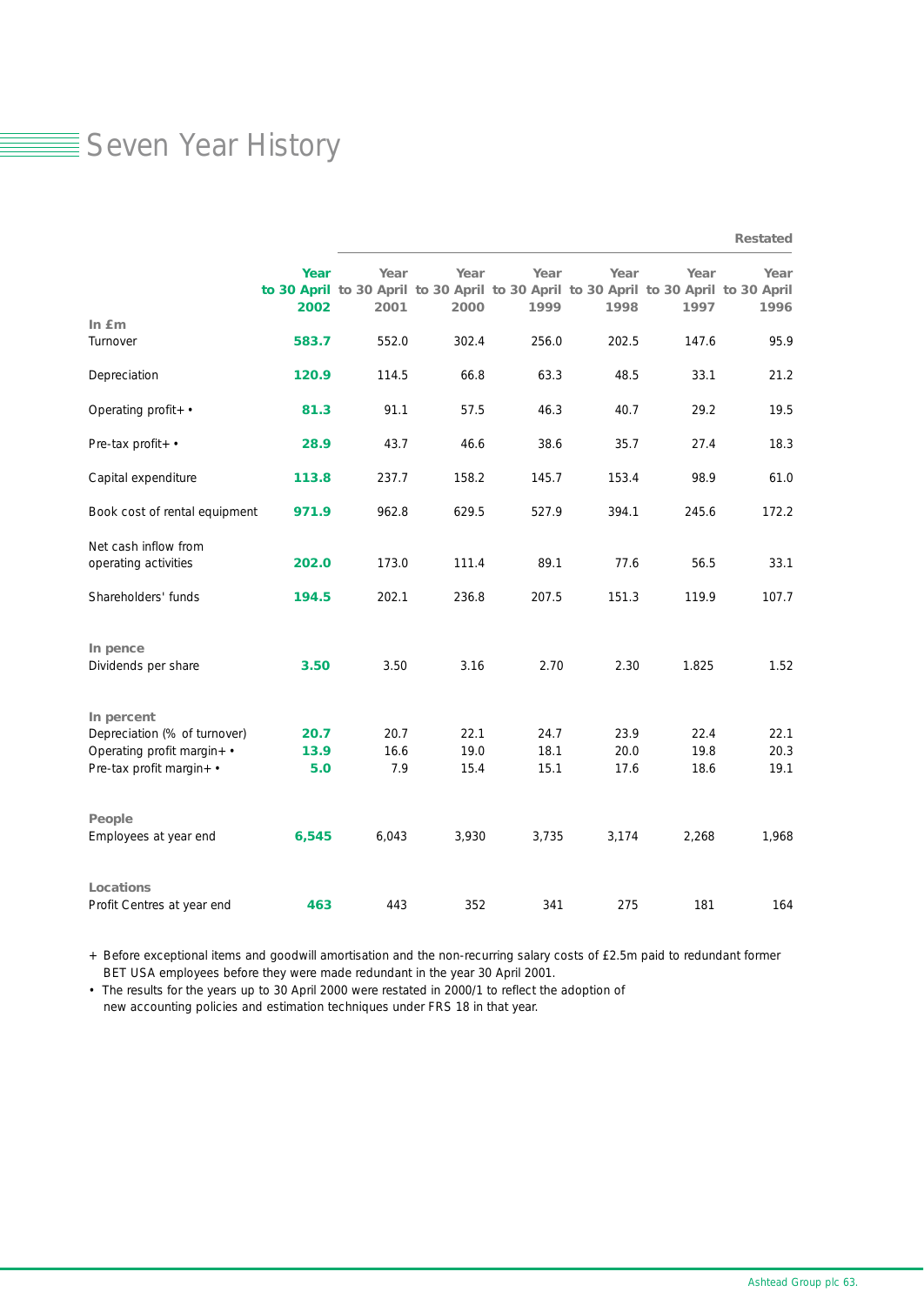### Seven Year History

|                               |       |                                                                                     |       |       |       |       | <b>Restated</b> |
|-------------------------------|-------|-------------------------------------------------------------------------------------|-------|-------|-------|-------|-----------------|
|                               | Year  | Year                                                                                | Year  | Year  | Year  | Year  | Year            |
|                               |       | to 30 April to 30 April to 30 April to 30 April to 30 April to 30 April to 30 April |       |       |       |       |                 |
|                               | 2002  | 2001                                                                                | 2000  | 1999  | 1998  | 1997  | 1996            |
| In fm                         |       |                                                                                     |       |       |       |       |                 |
| Turnover                      | 583.7 | 552.0                                                                               | 302.4 | 256.0 | 202.5 | 147.6 | 95.9            |
| Depreciation                  | 120.9 | 114.5                                                                               | 66.8  | 63.3  | 48.5  | 33.1  | 21.2            |
| Operating profit+ •           | 81.3  | 91.1                                                                                | 57.5  | 46.3  | 40.7  | 29.2  | 19.5            |
| Pre-tax profit+ •             | 28.9  | 43.7                                                                                | 46.6  | 38.6  | 35.7  | 27.4  | 18.3            |
| Capital expenditure           | 113.8 | 237.7                                                                               | 158.2 | 145.7 | 153.4 | 98.9  | 61.0            |
| Book cost of rental equipment | 971.9 | 962.8                                                                               | 629.5 | 527.9 | 394.1 | 245.6 | 172.2           |
| Net cash inflow from          |       |                                                                                     |       |       |       |       |                 |
| operating activities          | 202.0 | 173.0                                                                               | 111.4 | 89.1  | 77.6  | 56.5  | 33.1            |
| Shareholders' funds           | 194.5 | 202.1                                                                               | 236.8 | 207.5 | 151.3 | 119.9 | 107.7           |
| In pence                      |       |                                                                                     |       |       |       |       |                 |
| Dividends per share           | 3.50  | 3.50                                                                                | 3.16  | 2.70  | 2.30  | 1.825 | 1.52            |
| In percent                    |       |                                                                                     |       |       |       |       |                 |
| Depreciation (% of turnover)  | 20.7  | 20.7                                                                                | 22.1  | 24.7  | 23.9  | 22.4  | 22.1            |
| Operating profit margin+ •    | 13.9  | 16.6                                                                                | 19.0  | 18.1  | 20.0  | 19.8  | 20.3            |
| Pre-tax profit margin+ •      | 5.0   | 7.9                                                                                 | 15.4  | 15.1  | 17.6  | 18.6  | 19.1            |
| People                        |       |                                                                                     |       |       |       |       |                 |
| Employees at year end         | 6,545 | 6,043                                                                               | 3,930 | 3,735 | 3,174 | 2,268 | 1,968           |
| <b>Locations</b>              |       |                                                                                     |       |       |       |       |                 |
| Profit Centres at year end    | 463   | 443                                                                                 | 352   | 341   | 275   | 181   | 164             |

+ Before exceptional items and goodwill amortisation and the non-recurring salary costs of £2.5m paid to redundant former BET USA employees before they were made redundant in the year 30 April 2001.

• The results for the years up to 30 April 2000 were restated in 2000/1 to reflect the adoption of new accounting policies and estimation techniques under FRS 18 in that year.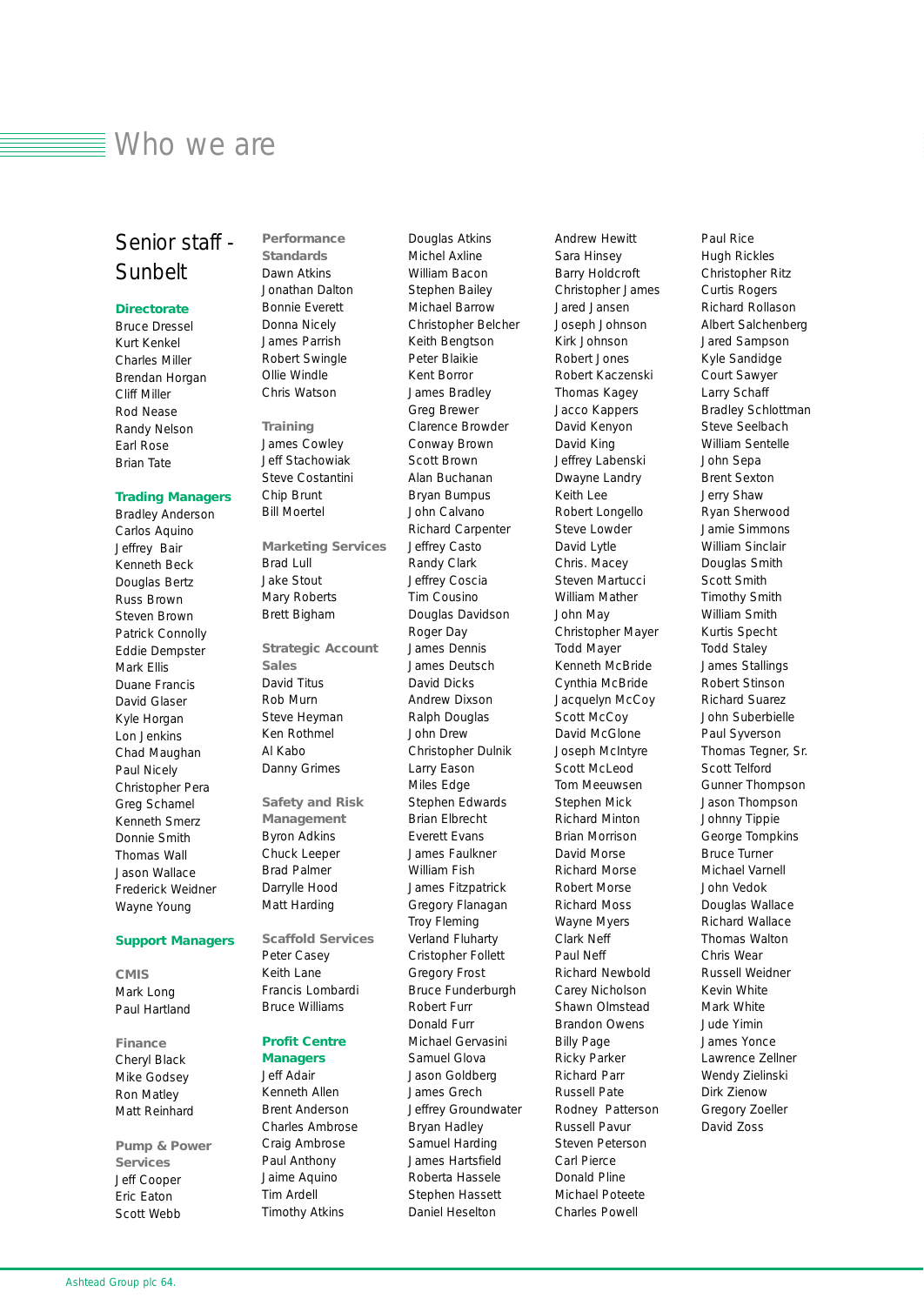### Who we are

### Senior staff - Sunbelt

### *Directorate*

Bruce Dressel Kurt Kenkel Charles Miller Brendan Horgan Cliff Miller Rod Nease Randy Nelson Earl Rose Brian Tate

### *Trading Managers*

Bradley Anderson Carlos Aquino Jeffrey Bair Kenneth Beck Douglas Bertz Russ Brown Steven Brown Patrick Connolly Eddie Dempster Mark Ellis Duane Francis David Glaser Kyle Horgan Lon Jenkins Chad Maughan Paul Nicely Christopher Pera Greg Schamel Kenneth Smerz Donnie Smith Thomas Wall Jason Wallace Frederick Weidner Wayne Young

#### *Support Managers*

*CMIS* Mark Long Paul Hartland

*Finance* Cheryl Black Mike Godsey Ron Matley Matt Reinhard

*Pump & Power Services* Jeff Cooper Eric Eaton Scott Webb

*Standards* Dawn Atkins Jonathan Dalton Bonnie Everett Donna Nicely James Parrish Robert Swingle Ollie Windle Chris Watson

*Performance*

*Training* James Cowley Jeff Stachowiak Steve Costantini Chip Brunt

Bill Moertel

*Marketing Services* Brad Lull Jake Stout Mary Roberts Brett Bigham

*Strategic Account Sales* David Titus Rob Murn Steve Heyman Ken Rothmel Al Kabo Danny Grimes

*Safety and Risk Management* Byron Adkins Chuck Leeper Brad Palmer Darrylle Hood Matt Harding

*Scaffold Services* Peter Casey Keith Lane

Francis Lombardi Bruce Williams

### *Profit Centre*

*Managers* Jeff Adair Kenneth Allen Brent Anderson Charles Ambrose Craig Ambrose Paul Anthony Jaime Aquino Tim Ardell Timothy Atkins

Michel Axline William Bacon Stephen Bailey Michael Barrow Christopher Belcher Keith Bengtson Peter Blaikie Kent Borror James Bradley Greg Brewer Clarence Browder Conway Brown Scott Brown Alan Buchanan Bryan Bumpus John Calvano Richard Carpenter Jeffrey Casto Randy Clark Jeffrey Coscia Tim Cousino Douglas Davidson Roger Day James Dennis James Deutsch David Dicks Andrew Dixson Ralph Douglas John Drew Christopher Dulnik Larry Eason Miles Edge Stephen Edwards Brian Elbrecht Everett Evans James Faulkner William Fish James Fitzpatrick Gregory Flanagan Troy Fleming Verland Fluharty Cristopher Follett Gregory Frost Bruce Funderburgh Robert Furr Donald Furr Michael Gervasini Samuel Glova Jason Goldberg James Grech Jeffrey Groundwater Bryan Hadley Samuel Harding James Hartsfield Roberta Hassele Stephen Hassett Daniel Heselton

Douglas Atkins

Sara Hinsey Barry Holdcroft Christopher James Jared Jansen Joseph Johnson Kirk Johnson Robert Jones Robert Kaczenski Thomas Kagey Jacco Kappers David Kenyon David King Jeffrey Labenski Dwayne Landry Keith Lee Robert Longello Steve Lowder David Lytle Chris. Macey Steven Martucci William Mather John May Christopher Mayer Todd Mayer Kenneth McBride Cynthia McBride Jacquelyn McCoy Scott McCoy David McGlone Joseph McIntyre Scott McLeod Tom Meeuwsen Stephen Mick Richard Minton Brian Morrison David Morse Richard Morse Robert Morse Richard Moss Wayne Myers Clark Neff Paul Neff Richard Newbold Carey Nicholson Shawn Olmstead Brandon Owens Billy Page Ricky Parker Richard Parr Russell Pate Rodney Patterson Russell Pavur Steven Peterson Carl Pierce Donald Pline Michael Poteete Charles Powell

Andrew Hewitt

Paul Rice Hugh Rickles Christopher Ritz Curtis Rogers Richard Rollason Albert Salchenberg Jared Sampson Kyle Sandidge Court Sawyer Larry Schaff Bradley Schlottman Steve Seelbach William Sentelle John Sepa Brent Sexton Jerry Shaw Ryan Sherwood Jamie Simmons William Sinclair Douglas Smith Scott Smith Timothy Smith William Smith Kurtis Specht Todd Staley James Stallings Robert Stinson Richard Suarez John Suberbielle Paul Syverson Thomas Tegner, Sr. Scott Telford Gunner Thompson Jason Thompson Johnny Tippie George Tompkins Bruce Turner Michael Varnell John Vedok Douglas Wallace Richard Wallace Thomas Walton Chris Wear Russell Weidner Kevin White Mark White Jude Yimin James Yonce Lawrence Zellner Wendy Zielinski Dirk Zienow Gregory Zoeller David Zoss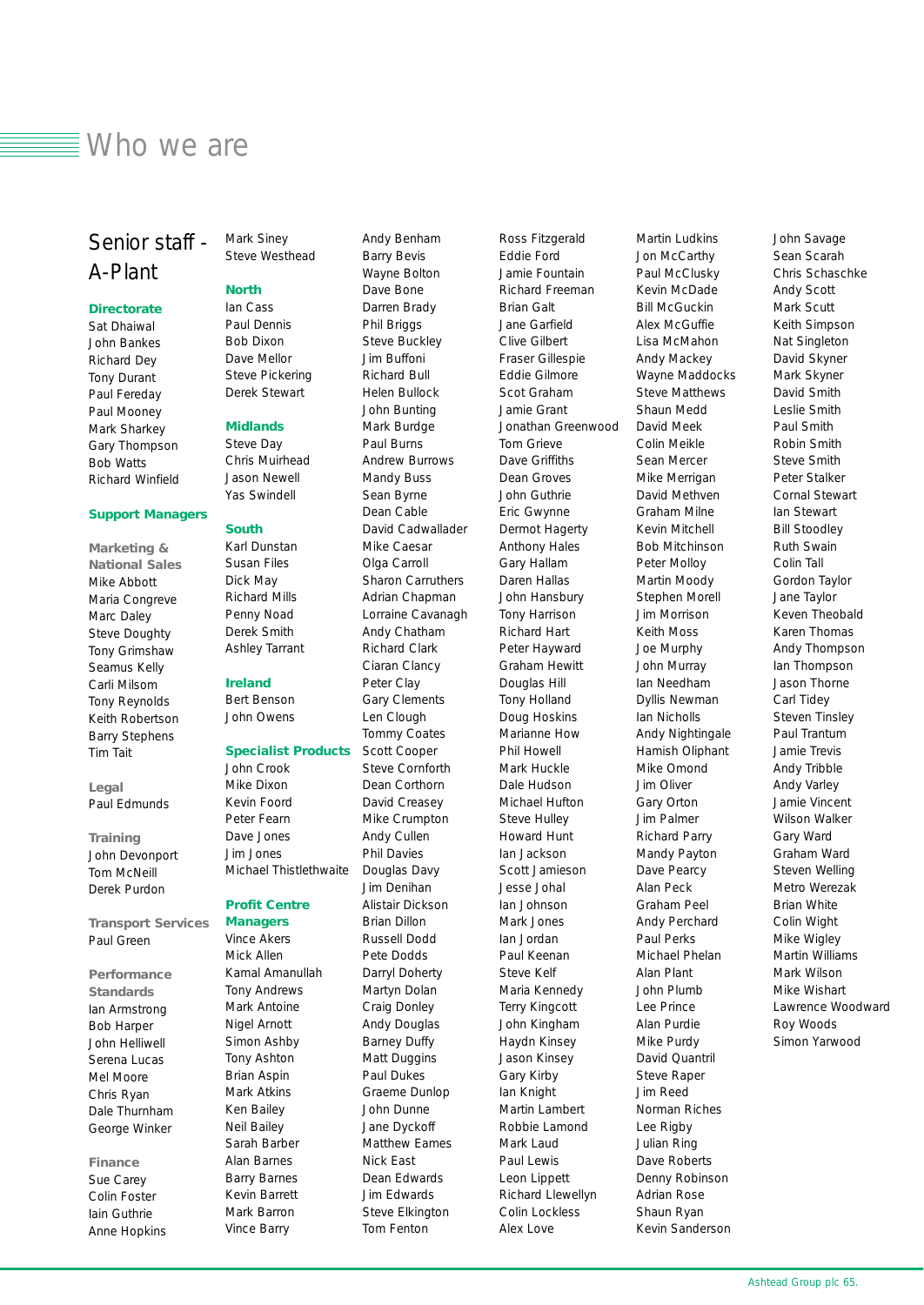### $\equiv$  Who we are

### Senior staff - A-Plant

### *Directorate*

Sat Dhaiwal John Bankes Richard Dey Tony Durant Paul Fereday Paul Mooney Mark Sharkey Gary Thompson Bob Watts Richard Winfield

### *Support Managers*

*Marketing & National Sales* Mike Abbott Maria Congreve Marc Daley Steve Doughty Tony Grimshaw Seamus Kelly Carli Milsom Tony Reynolds Keith Robertson Barry Stephens Tim Tait

*Legal* Paul Edmunds

*Training* John Devonport Tom McNeill Derek Purdon

*Transport Services*  Paul Green

*Performance Standards* Ian Armstrong Bob Harper John Helliwell Serena Lucas Mel Moore Chris Ryan Dale Thurnham George Winker

### *Finance*

Sue Carey Colin Foster Iain Guthrie Anne Hopkins Mark Siney Steve Westhead

#### *North*

Ian Cass Paul Dennis Bob Dixon Dave Mellor Steve Pickering Derek Stewart

### *Midlands*

Steve Day Chris Muirhead Jason Newell Yas Swindell

#### *South*

Karl Dunstan Susan Files Dick May Richard Mills Penny Noad Derek Smith Ashley Tarrant

#### *Ireland*

Bert Benson John Owens

### *Specialist Products*

John Crook Mike Dixon Kevin Foord Peter Fearn Dave Jones Jim Jones Michael Thistlethwaite

*Profit Centre Managers* Vince Akers Mick Allen Kamal Amanullah Tony Andrews Mark Antoine Nigel Arnott Simon Ashby Tony Ashton Brian Aspin Mark Atkins Ken Bailey Neil Bailey Sarah Barber Alan Barnes Barry Barnes Kevin Barrett Mark Barron Vince Barry

Andy Benham Barry Bevis Wayne Bolton Dave Bone Darren Brady Phil Briggs Steve Buckley Jim Buffoni Richard Bull Helen Bullock John Bunting Mark Burdge Paul Burns Andrew Burrows Mandy Buss Sean Byrne Dean Cable David Cadwallader Mike Caesar Olga Carroll Sharon Carruthers Adrian Chapman Lorraine Cavanagh Andy Chatham Richard Clark Ciaran Clancy Peter Clay Gary Clements Len Clough Tommy Coates Scott Cooper Steve Cornforth Dean Corthorn David Creasey Mike Crumpton Andy Cullen Phil Davies Douglas Davy Jim Denihan Alistair Dickson Brian Dillon Russell Dodd Pete Dodds Darryl Doherty Martyn Dolan Craig Donley Andy Douglas Barney Duffy Matt Duggins Paul Dukes Graeme Dunlop John Dunne Jane Dyckoff Matthew Eames Nick East Dean Edwards Jim Edwards Steve Elkington Tom Fenton

Ross Fitzgerald Eddie Ford Jamie Fountain Richard Freeman Brian Galt Jane Garfield Clive Gilbert Fraser Gillespie Eddie Gilmore Scot Graham Jamie Grant Jonathan Greenwood Tom Grieve Dave Griffiths Dean Groves John Guthrie Eric Gwynne Dermot Hagerty Anthony Hales Gary Hallam Daren Hallas John Hansbury Tony Harrison Richard Hart Peter Hayward Graham Hewitt Douglas Hill Tony Holland Doug Hoskins Marianne How Phil Howell Mark Huckle Dale Hudson Michael Hufton Steve Hulley Howard Hunt Ian Jackson Scott Jamieson Jesse Johal Ian Johnson Mark Jones Ian Jordan Paul Keenan Steve Kelf Maria Kennedy Terry Kingcott John Kingham Haydn Kinsey Jason Kinsey Gary Kirby Ian Knight Martin Lambert Robbie Lamond Mark Laud Paul Lewis Leon Lippett Richard Llewellyn Colin Lockless Alex Love

Martin Ludkins Jon McCarthy Paul McClusky Kevin McDade Bill McGuckin Alex McGuffie Lisa McMahon Andy Mackey Wayne Maddocks Steve Matthews Shaun Medd David Meek Colin Meikle Sean Mercer Mike Merrigan David Methven Graham Milne Kevin Mitchell Bob Mitchinson Peter Molloy Martin Moody Stephen Morell Jim Morrison Keith Moss Joe Murphy John Murray Ian Needham Dyllis Newman Ian Nicholls Andy Nightingale Hamish Oliphant Mike Omond Jim Oliver Gary Orton Jim Palmer Richard Parry Mandy Payton Dave Pearcy Alan Peck Graham Peel Andy Perchard Paul Perks Michael Phelan Alan Plant John Plumb Lee Prince Alan Purdie Mike Purdy David Quantril Steve Raper Jim Reed Norman Riches Lee Rigby Julian Ring Dave Roberts Denny Robinson Adrian Rose Shaun Ryan Kevin Sanderson

John Savage Sean Scarah Chris Schaschke Andy Scott Mark Scutt Keith Simpson Nat Singleton David Skyner Mark Skyner David Smith Leslie Smith Paul Smith Robin Smith Steve Smith Peter Stalker Cornal Stewart Ian Stewart Bill Stoodley Ruth Swain Colin Tall Gordon Taylor Jane Taylor Keven Theobald Karen Thomas Andy Thompson Ian Thompson Jason Thorne Carl Tidey Steven Tinsley Paul Trantum Jamie Trevis Andy Tribble Andy Varley Jamie Vincent Wilson Walker Gary Ward Graham Ward Steven Welling Metro Werezak Brian White Colin Wight Mike Wigley Martin Williams Mark Wilson Mike Wishart Lawrence Woodward Roy Woods Simon Yarwood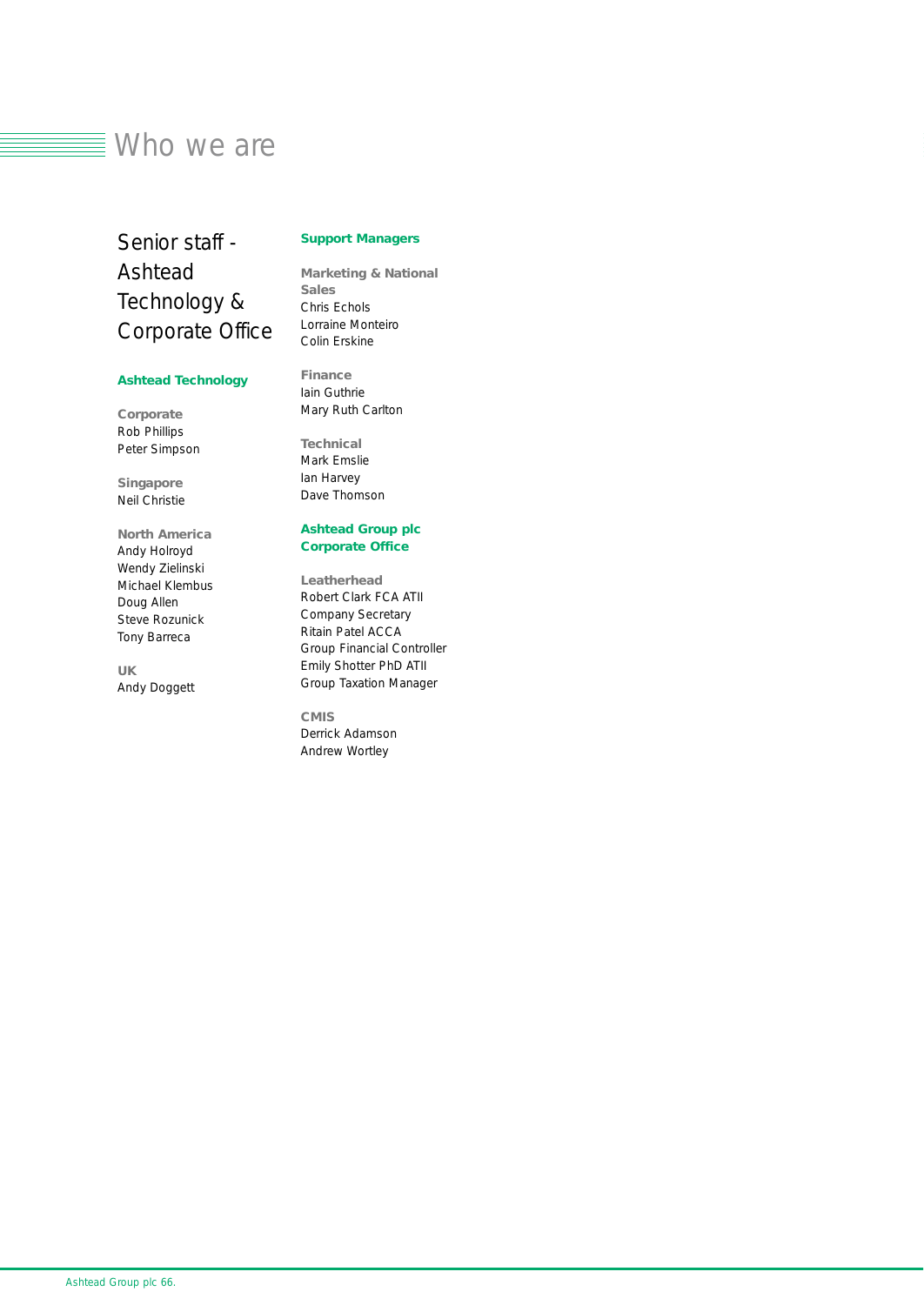### $\equiv$  Who we are

Senior staff - Ashtead Technology & Corporate Office

### *Support Managers*

*Marketing & National Sales* Chris Echols Lorraine Monteiro

### *Ashtead Technology*

*Corporate* Rob Phillips Peter Simpson

*Singapore* Neil Christie

*North America* Andy Holroyd Wendy Zielinski Michael Klembus Doug Allen Steve Rozunick Tony Barreca

*UK* Andy Doggett Colin Erskine

*Finance* Iain Guthrie Mary Ruth Carlton

*Technical* Mark Emslie Ian Harvey Dave Thomson

### *Ashtead Group plc Corporate Office*

*Leatherhead* Robert Clark FCA ATII *Company Secretary* Ritain Patel ACCA *Group Financial Controller* Emily Shotter PhD ATII *Group Taxation Manager*

*CMIS* Derrick Adamson Andrew Wortley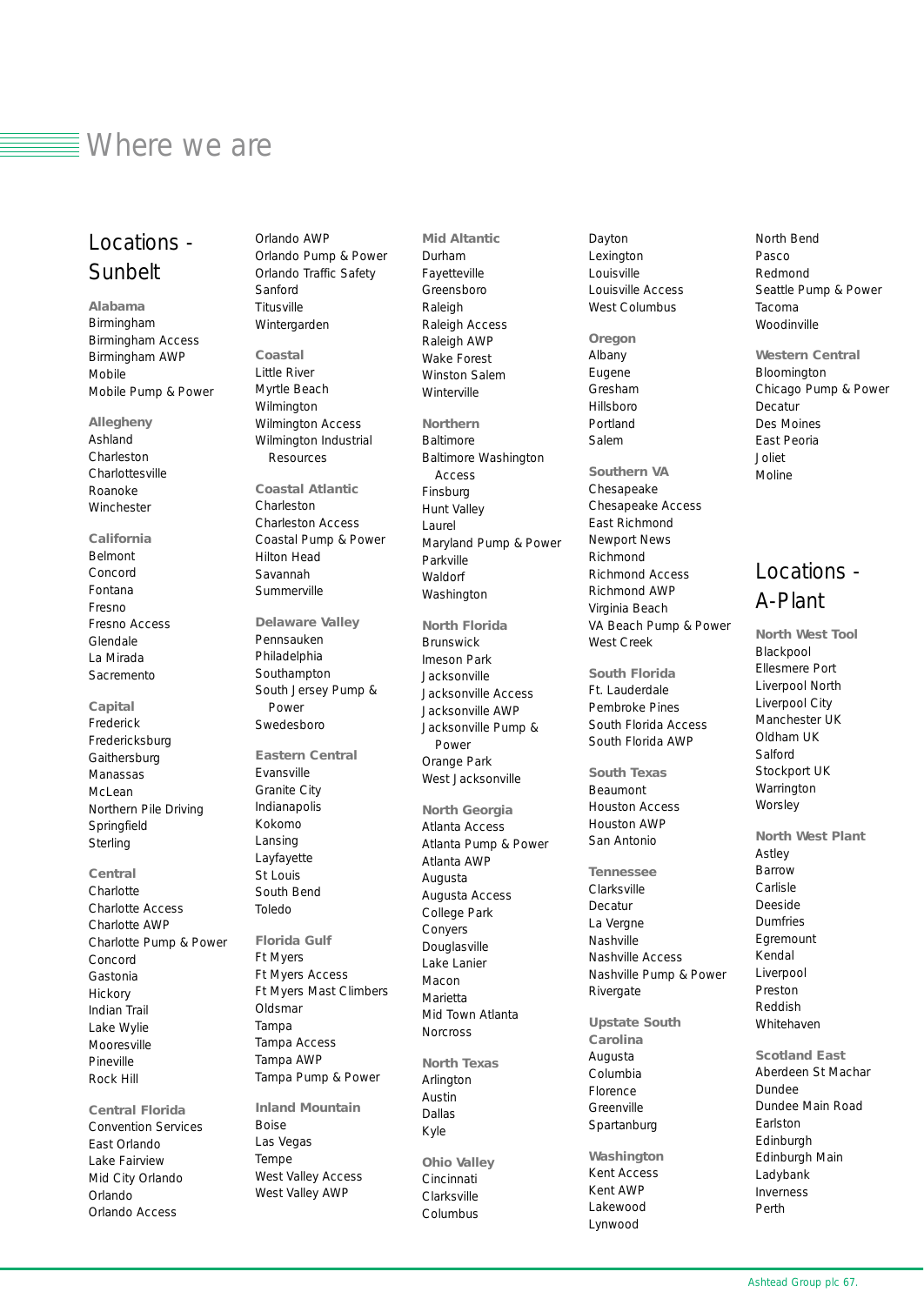### $\equiv$  Where we are

### Locations - Sunbelt

*Alabama* Birmingham Birmingham Access Birmingham AWP Mobile Mobile Pump & Power

*Allegheny* Ashland Charleston Charlottesville Roanoke Winchester

### *California*

Belmont Concord Fontana Fresno Fresno Access Glendale La Mirada Sacremento

*Capital* Frederick Fredericksburg **Gaithersburg** Manassas McLean Northern Pile Driving Springfield **Sterling** 

*Central* **Charlotte** Charlotte Access Charlotte AWP Charlotte Pump & Power Concord Gastonia Hickory Indian Trail Lake Wylie Mooresville Pineville Rock Hill

*Central Florida* Convention Services East Orlando Lake Fairview Mid City Orlando Orlando Orlando Access

Orlando AWP Orlando Pump & Power Orlando Traffic Safety Sanford **Titusville** Wintergarden

*Coastal* Little River Myrtle Beach Wilmington Wilmington Access Wilmington Industrial Resources

*Coastal Atlantic* Charleston Charleston Access Coastal Pump & Power Hilton Head Savannah **Summerville** 

*Delaware Valley* Pennsauken Philadelphia Southampton South Jersey Pump & **Power** Swedesboro

*Eastern Central* Evansville Granite City Indianapolis Kokomo Lansing Layfayette St Louis South Bend Toledo *Florida Gulf* Ft Myers Ft Myers Access Ft Myers Mast Climbers **Oldsmar** Tampa Tampa Access Tampa AWP

Tampa Pump & Power *Inland Mountain* Boise Las Vegas Tempe West Valley Access West Valley AWP

Fayetteville Greensboro Raleigh Raleigh Access Raleigh AWP Wake Forest Winston Salem Winterville *Northern* Baltimore Baltimore Washington Access Finsburg Hunt Valley Laurel Maryland Pump & Power Parkville Waldorf Washington *North Florida* **Brunswick** Imeson Park Jacksonville Jacksonville Access Jacksonville AWP Jacksonville Pump & Power Orange Park West Jacksonville *North Georgia* Atlanta Access Atlanta Pump & Power Atlanta AWP Augusta Augusta Access College Park Conyers **Douglasville** Lake Lanier Macon Marietta Mid Town Atlanta **Norcross** *North Texas* Arlington Austin Dallas Kyle *Ohio Valley* Cincinnati **Clarksville** 

Columbus

*Mid Altantic* Durham

Dayton Lexington Louisville Louisville Access West Columbus

*Oregon* Albany Eugene Gresham Hillsboro Portland Salem

*Southern VA* Chesapeake Chesapeake Access East Richmond Newport News Richmond Richmond Access Richmond AWP Virginia Beach VA Beach Pump & Power West Creek

*South Florida*  Ft. Lauderdale Pembroke Pines South Florida Access South Florida AWP

*South Texas* Beaumont Houston Access Houston AWP San Antonio

*Tennessee* Clarksville Decatur La Vergne Nashville Nashville Access Nashville Pump & Power **Rivergate** 

*Upstate South Carolina* Augusta Columbia Florence **Greenville** Spartanburg

*Washington* Kent Access Kent AWP Lakewood Lynwood

North Bend Pasco Redmond Seattle Pump & Power Tacoma Woodinville

*Western Central* Bloomington Chicago Pump & Power Decatur Des Moines East Peoria Joliet Moline

### Locations - A-Plant

*North West Tool* Blackpool Ellesmere Port Liverpool North Liverpool City Manchester UK Oldham UK Salford Stockport UK **Warrington Worsley** 

*North West Plant* Astley Barrow Carlisle Deeside Dumfries Egremount Kendal Liverpool Preston Reddish Whitehaven

*Scotland East* Aberdeen St Machar Dundee Dundee Main Road Earlston Edinburgh Edinburgh Main Ladybank Inverness Perth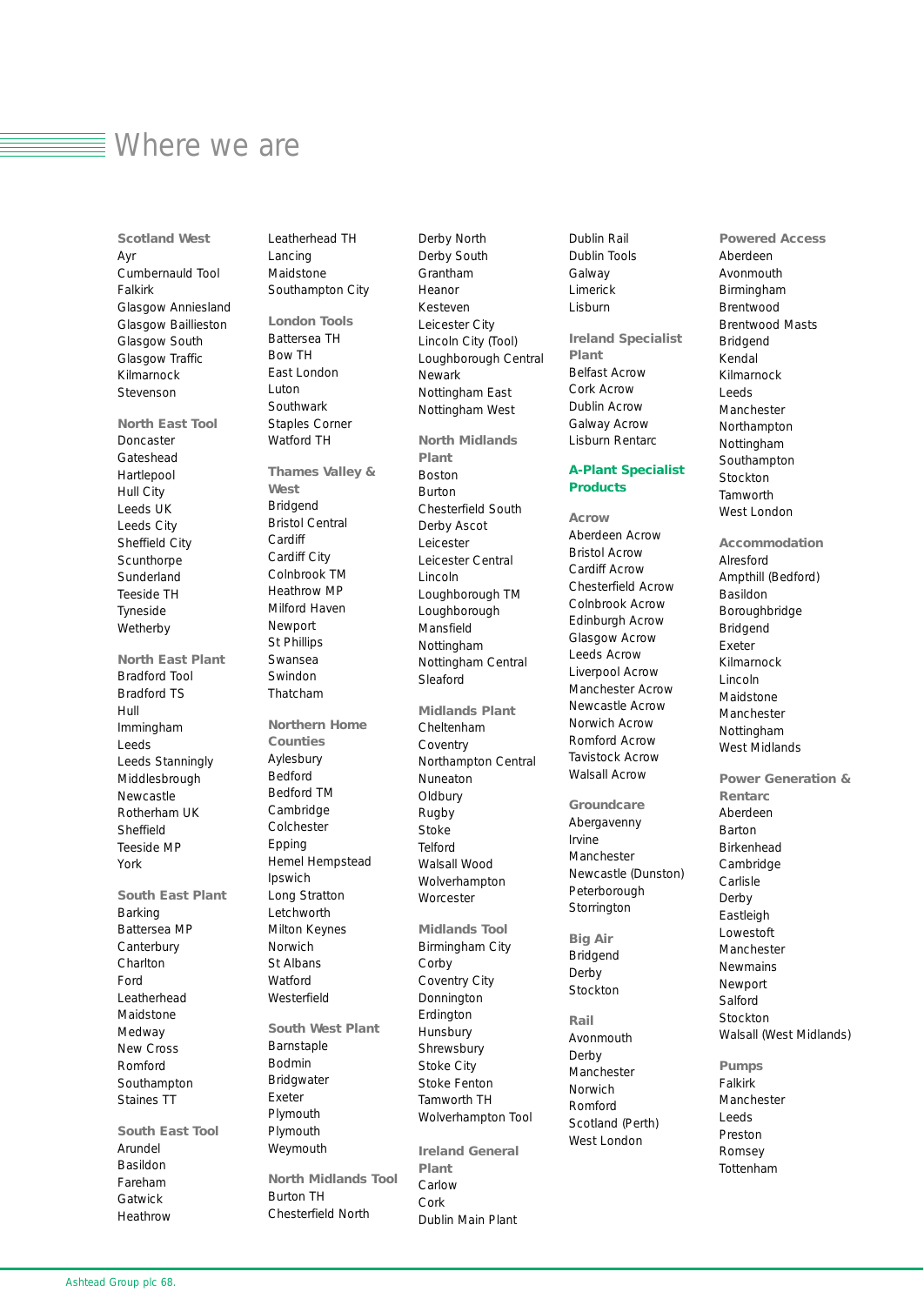### Where we are

*Scotland West* Ayr Cumbernauld Tool Falkirk Glasgow Anniesland Glasgow Baillieston Glasgow South Glasgow Traffic Kilmarnock Stevenson *North East Tool* Doncaster Gateshead Hartlepool Hull City Leeds UK Leeds City Sheffield City **Scunthorpe** Sunderland Teeside TH Tyneside **Wetherby** *North East Plant* Bradford Tool Bradford TS Hull Immingham Leeds Leeds Stanningly Middlesbrough Newcastle Rotherham UK Sheffield Teeside MP York *South East Plant* Barking Battersea MP **Canterbury** Charlton Ford Leatherhead Maidstone Medway New Cross Romford Southampton Staines TT *South East Tool*

Arundel Basildon Fareham Gatwick Heathrow Leatherhead TH Lancing Maidstone Southampton City

*London Tools* Battersea TH Bow TH East London Luton Southwark Staples Corner Watford TH *Thames Valley & West* Bridgend Bristol Central **Cardiff** Cardiff City Colnbrook TM Heathrow MP Milford Haven Newport St Phillips Swansea Swindon Thatcham *Northern Home Counties* Aylesbury Bedford Bedford TM Cambridge Colchester Epping Hemel Hempstead Ipswich Long Stratton Letchworth Milton Keynes Norwich St Albans Watford Westerfield *South West Plant* Barnstaple Bodmin Bridgwater Exeter Plymouth Plymouth Weymouth

*North Midlands Tool* Burton TH Chesterfield North

Derby North Derby South Grantham Heanor Kesteven Leicester City Lincoln City (Tool) Loughborough Central Newark Nottingham East Nottingham West

*North Midlands Plant* Boston Burton Chesterfield South Derby Ascot Leicester Leicester Central Lincoln Loughborough TM Loughborough Mansfield Nottingham Nottingham Central Sleaford

*Midlands Plant* Cheltenham **Coventry** Northampton Central Nuneaton **Oldbury** Rugby Stoke Telford Walsall Wood Wolverhampton **Worcester** 

*Midlands Tool* Birmingham City Corby Coventry City Donnington Erdington **Hunsbury Shrewsbury** Stoke City Stoke Fenton Tamworth TH Wolverhampton Tool

*Ireland General Plant* Carlow Cork Dublin Main Plant

Dublin Rail Dublin Tools Galway Limerick Lisburn

*Ireland Specialist Plant* Belfast Acrow Cork Acrow Dublin Acrow Galway Acrow Lisburn Rentarc

### *A-Plant Specialist Products*

*Acrow* Aberdeen Acrow Bristol Acrow Cardiff Acrow Chesterfield Acrow Colnbrook Acrow Edinburgh Acrow Glasgow Acrow Leeds Acrow Liverpool Acrow Manchester Acrow Newcastle Acrow Norwich Acrow Romford Acrow Tavistock Acrow Walsall Acrow

*Groundcare* Abergavenny Irvine **Manchester** Newcastle (Dunston) Peterborough **Storrington** 

*Big Air* Bridgend Derby Stockton

*Rail* Avonmouth Derby **Manchester** Norwich Romford Scotland (Perth) West London

*Powered Access* Aberdeen Avonmouth Birmingham Brentwood Brentwood Masts Bridgend Kendal Kilmarnock Leeds Manchester Northampton Nottingham Southampton Stockton Tamworth West London

*Accommodation* Alresford Ampthill (Bedford) Basildon Boroughbridge Bridgend Exeter Kilmarnock Lincoln Maidstone Manchester Nottingham West Midlands

*Power Generation & Rentarc* Aberdeen Barton Birkenhead Cambridge Carlisle Derby **Eastleigh** Lowestoft Manchester Newmains Newport Salford Stockton Walsall (West Midlands)

*Pumps* Falkirk Manchester Leeds Preston Romsey Tottenham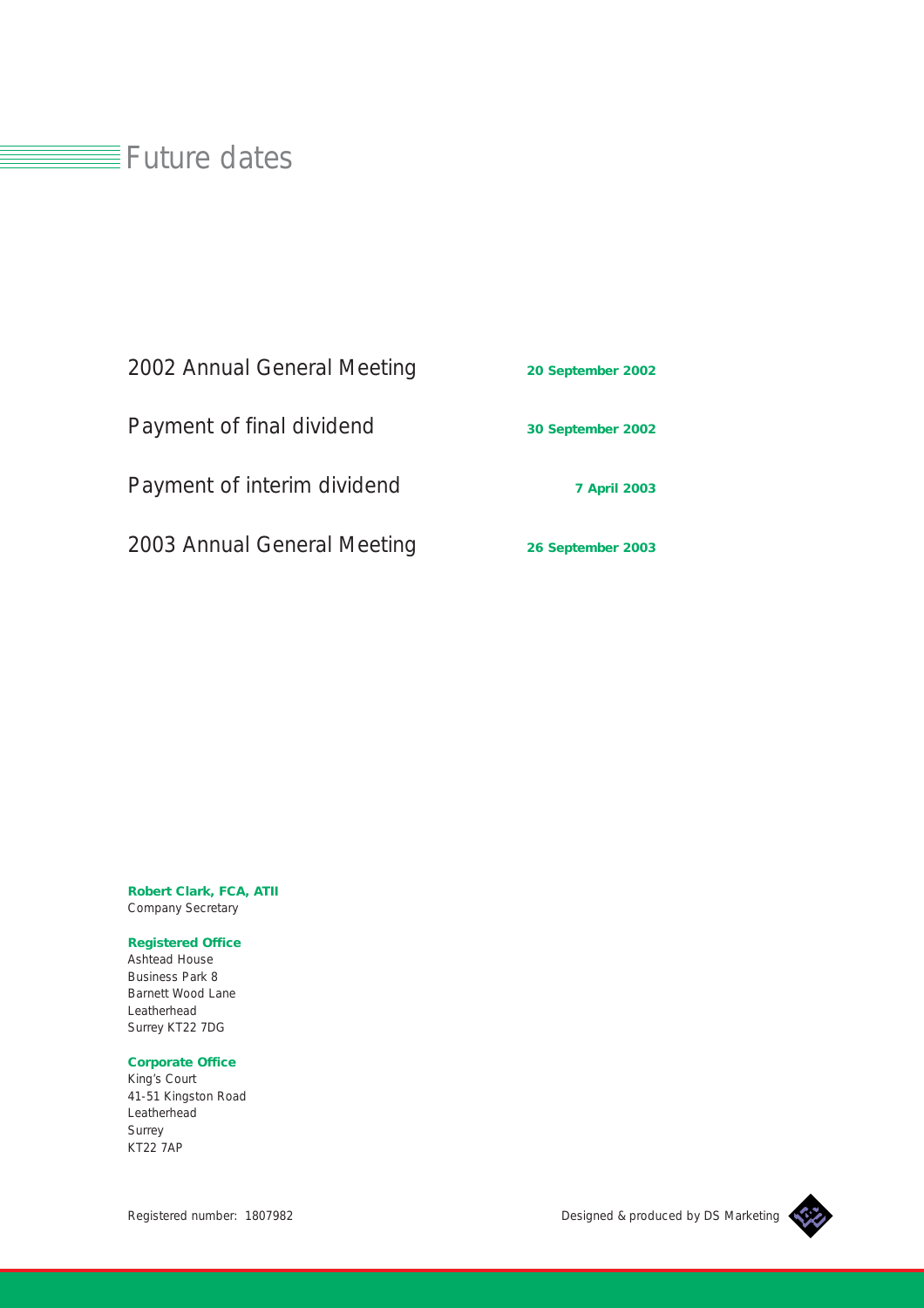### $\equiv$ Future dates

## 2002 Annual General Meeting *20 September 2002* Payment of final dividend *30 September 2002* Payment of interim dividend **7** April 2003 2003 Annual General Meeting *26 September 2003*

*Robert Clark, FCA, ATII* Company Secretary

### *Registered Office*

Ashtead House Business Park 8 Barnett Wood Lane Leatherhead Surrey KT22 7DG

### *Corporate Office*

King's Court 41-51 Kingston Road Leatherhead Surrey KT22 7AP